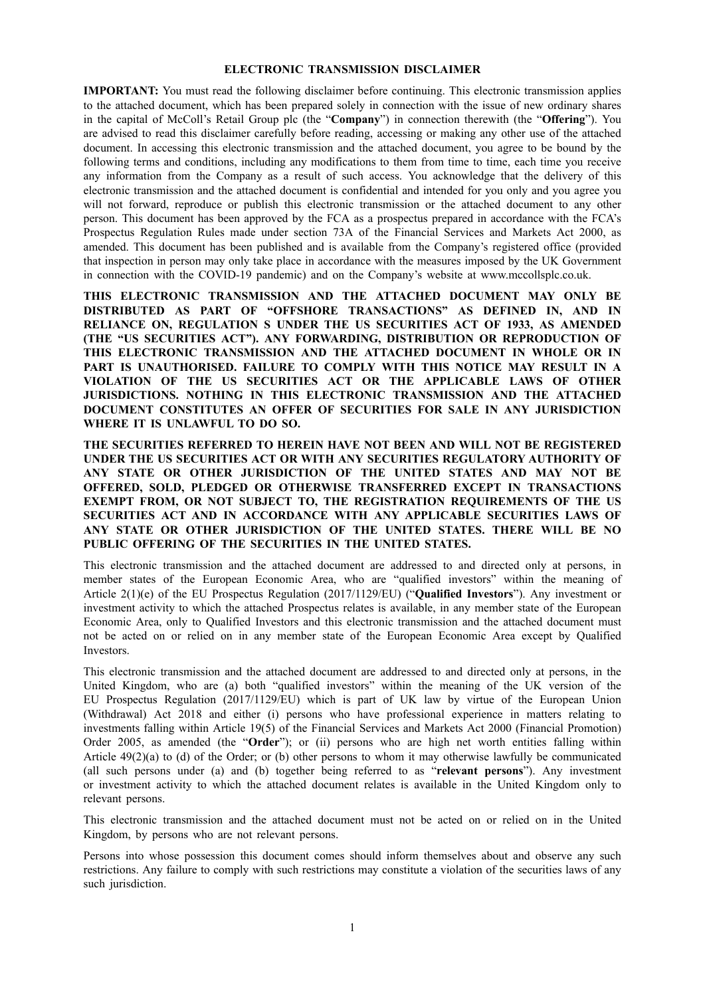#### **ELECTRONIC TRANSMISSION DISCLAIMER**

**IMPORTANT:** You must read the following disclaimer before continuing. This electronic transmission applies to the attached document, which has been prepared solely in connection with the issue of new ordinary shares in the capital of McColl's Retail Group plc (the "**Company**") in connection therewith (the "**Offering**"). You are advised to read this disclaimer carefully before reading, accessing or making any other use of the attached document. In accessing this electronic transmission and the attached document, you agree to be bound by the following terms and conditions, including any modifications to them from time to time, each time you receive any information from the Company as a result of such access. You acknowledge that the delivery of this electronic transmission and the attached document is confidential and intended for you only and you agree you will not forward, reproduce or publish this electronic transmission or the attached document to any other person. This document has been approved by the FCA as a prospectus prepared in accordance with the FCA's Prospectus Regulation Rules made under section 73A of the Financial Services and Markets Act 2000, as amended. This document has been published and is available from the Company's registered office (provided that inspection in person may only take place in accordance with the measures imposed by the UK Government in connection with the COVID-19 pandemic) and on the Company's website at www.mccollsplc.co.uk.

**THIS ELECTRONIC TRANSMISSION AND THE ATTACHED DOCUMENT MAY ONLY BE DISTRIBUTED AS PART OF "OFFSHORE TRANSACTIONS" AS DEFINED IN, AND IN RELIANCE ON, REGULATION S UNDER THE US SECURITIES ACT OF 1933, AS AMENDED (THE "US SECURITIES ACT"). ANY FORWARDING, DISTRIBUTION OR REPRODUCTION OF THIS ELECTRONIC TRANSMISSION AND THE ATTACHED DOCUMENT IN WHOLE OR IN PART IS UNAUTHORISED. FAILURE TO COMPLY WITH THIS NOTICE MAY RESULT IN A VIOLATION OF THE US SECURITIES ACT OR THE APPLICABLE LAWS OF OTHER JURISDICTIONS. NOTHING IN THIS ELECTRONIC TRANSMISSION AND THE ATTACHED DOCUMENT CONSTITUTES AN OFFER OF SECURITIES FOR SALE IN ANY JURISDICTION WHERE IT IS UNLAWFUL TO DO SO.**

**THE SECURITIES REFERRED TO HEREIN HAVE NOT BEEN AND WILL NOT BE REGISTERED UNDER THE US SECURITIES ACT OR WITH ANY SECURITIES REGULATORY AUTHORITY OF ANY STATE OR OTHER JURISDICTION OF THE UNITED STATES AND MAY NOT BE OFFERED, SOLD, PLEDGED OR OTHERWISE TRANSFERRED EXCEPT IN TRANSACTIONS EXEMPT FROM, OR NOT SUBJECT TO, THE REGISTRATION REQUIREMENTS OF THE US SECURITIES ACT AND IN ACCORDANCE WITH ANY APPLICABLE SECURITIES LAWS OF ANY STATE OR OTHER JURISDICTION OF THE UNITED STATES. THERE WILL BE NO PUBLIC OFFERING OF THE SECURITIES IN THE UNITED STATES.**

This electronic transmission and the attached document are addressed to and directed only at persons, in member states of the European Economic Area, who are "qualified investors" within the meaning of Article 2(1)(e) of the EU Prospectus Regulation (2017/1129/EU) ("**Qualified Investors**"). Any investment or investment activity to which the attached Prospectus relates is available, in any member state of the European Economic Area, only to Qualified Investors and this electronic transmission and the attached document must not be acted on or relied on in any member state of the European Economic Area except by Qualified **Investors** 

This electronic transmission and the attached document are addressed to and directed only at persons, in the United Kingdom, who are (a) both "qualified investors" within the meaning of the UK version of the EU Prospectus Regulation (2017/1129/EU) which is part of UK law by virtue of the European Union (Withdrawal) Act 2018 and either (i) persons who have professional experience in matters relating to investments falling within Article 19(5) of the Financial Services and Markets Act 2000 (Financial Promotion) Order 2005, as amended (the "**Order**"); or (ii) persons who are high net worth entities falling within Article 49(2)(a) to (d) of the Order; or (b) other persons to whom it may otherwise lawfully be communicated (all such persons under (a) and (b) together being referred to as "**relevant persons**"). Any investment or investment activity to which the attached document relates is available in the United Kingdom only to relevant persons.

This electronic transmission and the attached document must not be acted on or relied on in the United Kingdom, by persons who are not relevant persons.

Persons into whose possession this document comes should inform themselves about and observe any such restrictions. Any failure to comply with such restrictions may constitute a violation of the securities laws of any such jurisdiction.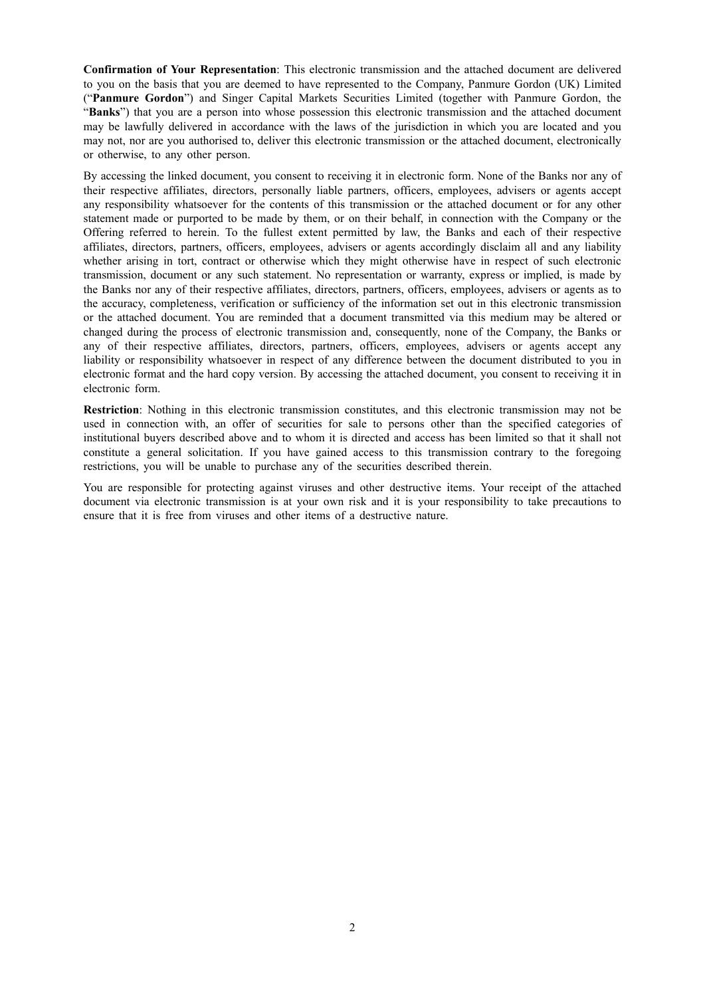**Confirmation of Your Representation**: This electronic transmission and the attached document are delivered to you on the basis that you are deemed to have represented to the Company, Panmure Gordon (UK) Limited ("**Panmure Gordon**") and Singer Capital Markets Securities Limited (together with Panmure Gordon, the "**Banks**") that you are a person into whose possession this electronic transmission and the attached document may be lawfully delivered in accordance with the laws of the jurisdiction in which you are located and you may not, nor are you authorised to, deliver this electronic transmission or the attached document, electronically or otherwise, to any other person.

By accessing the linked document, you consent to receiving it in electronic form. None of the Banks nor any of their respective affiliates, directors, personally liable partners, officers, employees, advisers or agents accept any responsibility whatsoever for the contents of this transmission or the attached document or for any other statement made or purported to be made by them, or on their behalf, in connection with the Company or the Offering referred to herein. To the fullest extent permitted by law, the Banks and each of their respective affiliates, directors, partners, officers, employees, advisers or agents accordingly disclaim all and any liability whether arising in tort, contract or otherwise which they might otherwise have in respect of such electronic transmission, document or any such statement. No representation or warranty, express or implied, is made by the Banks nor any of their respective affiliates, directors, partners, officers, employees, advisers or agents as to the accuracy, completeness, verification or sufficiency of the information set out in this electronic transmission or the attached document. You are reminded that a document transmitted via this medium may be altered or changed during the process of electronic transmission and, consequently, none of the Company, the Banks or any of their respective affiliates, directors, partners, officers, employees, advisers or agents accept any liability or responsibility whatsoever in respect of any difference between the document distributed to you in electronic format and the hard copy version. By accessing the attached document, you consent to receiving it in electronic form.

**Restriction**: Nothing in this electronic transmission constitutes, and this electronic transmission may not be used in connection with, an offer of securities for sale to persons other than the specified categories of institutional buyers described above and to whom it is directed and access has been limited so that it shall not constitute a general solicitation. If you have gained access to this transmission contrary to the foregoing restrictions, you will be unable to purchase any of the securities described therein.

You are responsible for protecting against viruses and other destructive items. Your receipt of the attached document via electronic transmission is at your own risk and it is your responsibility to take precautions to ensure that it is free from viruses and other items of a destructive nature.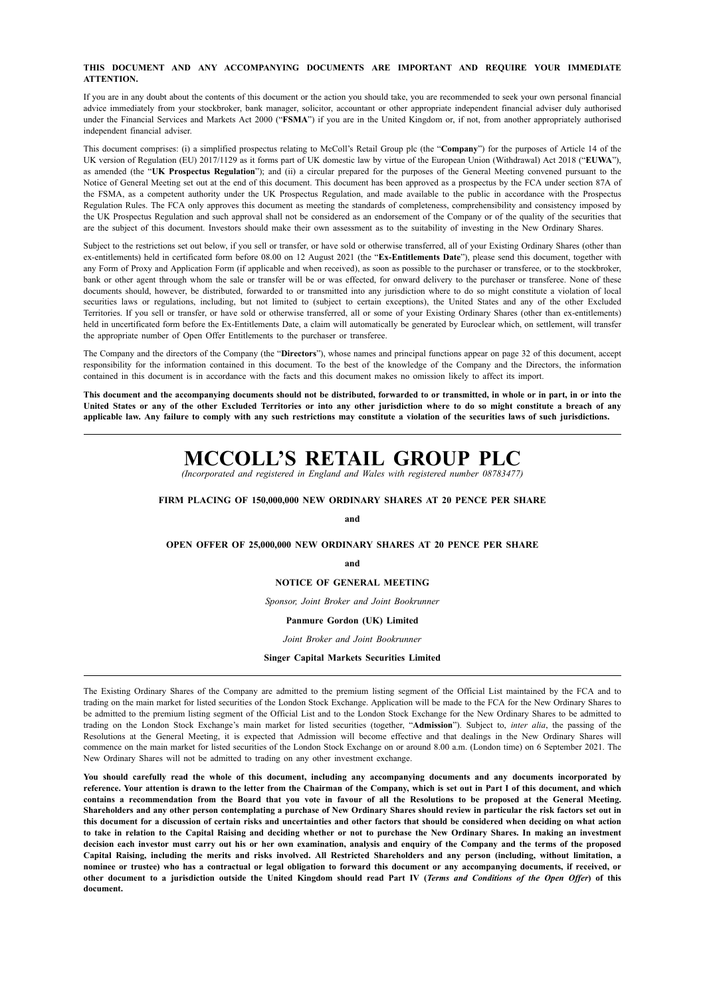#### **THIS DOCUMENT AND ANY ACCOMPANYING DOCUMENTS ARE IMPORTANT AND REQUIRE YOUR IMMEDIATE ATTENTION.**

If you are in any doubt about the contents of this document or the action you should take, you are recommended to seek your own personal financial advice immediately from your stockbroker, bank manager, solicitor, accountant or other appropriate independent financial adviser duly authorised under the Financial Services and Markets Act 2000 ("**FSMA**") if you are in the United Kingdom or, if not, from another appropriately authorised independent financial adviser.

This document comprises: (i) a simplified prospectus relating to McColl's Retail Group plc (the "**Company**") for the purposes of Article 14 of the UK version of Regulation (EU) 2017/1129 as it forms part of UK domestic law by virtue of the European Union (Withdrawal) Act 2018 ("**EUWA**"), as amended (the "**UK Prospectus Regulation**"); and (ii) a circular prepared for the purposes of the General Meeting convened pursuant to the Notice of General Meeting set out at the end of this document. This document has been approved as a prospectus by the FCA under section 87A of the FSMA, as a competent authority under the UK Prospectus Regulation, and made available to the public in accordance with the Prospectus Regulation Rules. The FCA only approves this document as meeting the standards of completeness, comprehensibility and consistency imposed by the UK Prospectus Regulation and such approval shall not be considered as an endorsement of the Company or of the quality of the securities that are the subject of this document. Investors should make their own assessment as to the suitability of investing in the New Ordinary Shares.

Subject to the restrictions set out below, if you sell or transfer, or have sold or otherwise transferred, all of your Existing Ordinary Shares (other than ex-entitlements) held in certificated form before 08.00 on 12 August 2021 (the "**Ex-Entitlements Date**"), please send this document, together with any Form of Proxy and Application Form (if applicable and when received), as soon as possible to the purchaser or transferee, or to the stockbroker, bank or other agent through whom the sale or transfer will be or was effected, for onward delivery to the purchaser or transferee. None of these documents should, however, be distributed, forwarded to or transmitted into any jurisdiction where to do so might constitute a violation of local securities laws or regulations, including, but not limited to (subject to certain exceptions), the United States and any of the other Excluded Territories. If you sell or transfer, or have sold or otherwise transferred, all or some of your Existing Ordinary Shares (other than ex-entitlements) held in uncertificated form before the Ex-Entitlements Date, a claim will automatically be generated by Euroclear which, on settlement, will transfer the appropriate number of Open Offer Entitlements to the purchaser or transferee.

The Company and the directors of the Company (the "**Directors**"), whose names and principal functions appear on page 32 of this document, accept responsibility for the information contained in this document. To the best of the knowledge of the Company and the Directors, the information contained in this document is in accordance with the facts and this document makes no omission likely to affect its import.

This document and the accompanying documents should not be distributed, forwarded to or transmitted, in whole or in part, in or into the United States or any of the other Excluded Territories or into any other jurisdiction where to do so might constitute a breach of any applicable law. Any failure to comply with any such restrictions may constitute a violation of the securities laws of such jurisdictions.

# **MCCOLL'S RETAIL GROUP PLC**

*(Incorporated and registered in England and Wales with registered number 08783477)*

#### **FIRM PLACING OF 150,000,000 NEW ORDINARY SHARES AT 20 PENCE PER SHARE**

#### **and**

#### **OPEN OFFER OF 25,000,000 NEW ORDINARY SHARES AT 20 PENCE PER SHARE**

**and**

#### **NOTICE OF GENERAL MEETING**

*Sponsor, Joint Broker and Joint Bookrunner*

### **Panmure Gordon (UK) Limited**

*Joint Broker and Joint Bookrunner*

#### **Singer Capital Markets Securities Limited**

The Existing Ordinary Shares of the Company are admitted to the premium listing segment of the Official List maintained by the FCA and to trading on the main market for listed securities of the London Stock Exchange. Application will be made to the FCA for the New Ordinary Shares to be admitted to the premium listing segment of the Official List and to the London Stock Exchange for the New Ordinary Shares to be admitted to trading on the London Stock Exchange's main market for listed securities (together, "**Admission**"). Subject to, *inter alia*, the passing of the Resolutions at the General Meeting, it is expected that Admission will become effective and that dealings in the New Ordinary Shares will commence on the main market for listed securities of the London Stock Exchange on or around 8.00 a.m. (London time) on 6 September 2021. The New Ordinary Shares will not be admitted to trading on any other investment exchange.

You should carefully read the whole of this document, including any accompanying documents and any documents incorporated by reference. Your attention is drawn to the letter from the Chairman of the Company, which is set out in Part I of this document, and which contains a recommendation from the Board that you vote in favour of all the Resolutions to be proposed at the General Meeting. Shareholders and any other person contemplating a purchase of New Ordinary Shares should review in particular the risk factors set out in this document for a discussion of certain risks and uncertainties and other factors that should be considered when deciding on what action to take in relation to the Capital Raising and deciding whether or not to purchase the New Ordinary Shares. In making an investment decision each investor must carry out his or her own examination, analysis and enquiry of the Company and the terms of the proposed Capital Raising, including the merits and risks involved. All Restricted Shareholders and any person (including, without limitation, a nominee or trustee) who has a contractual or legal obligation to forward this document or any accompanying documents, if received, or other document to a jurisdiction outside the United Kingdom should read Part IV (Terms and Conditions of the Open Offer) of this **document.**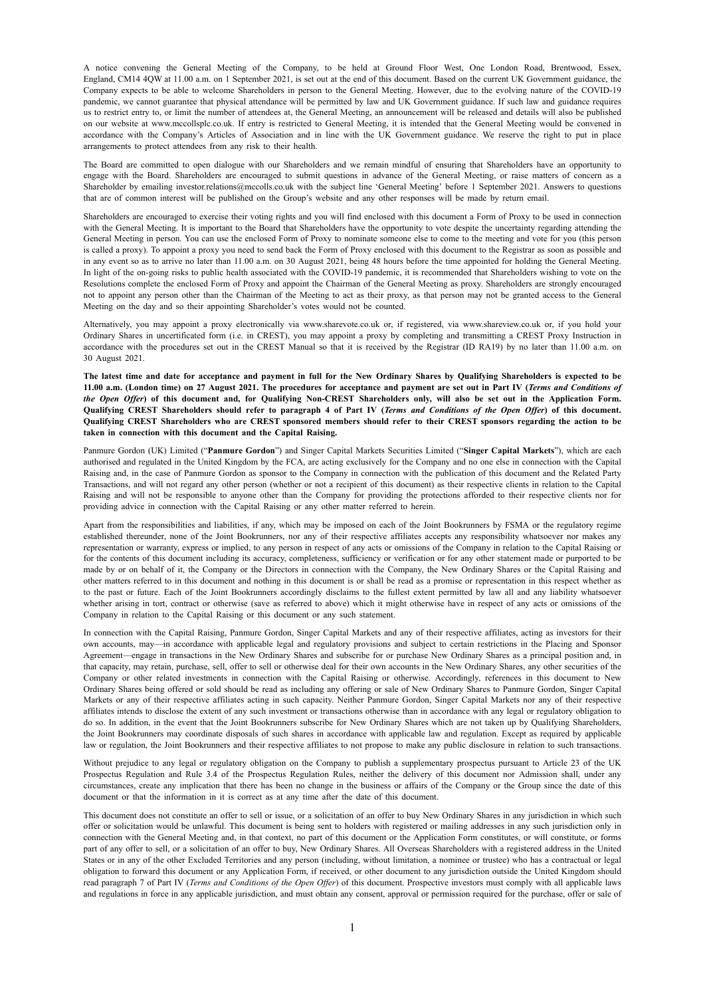A notice convening the General Meeting of the Company, to be held at Ground Floor West, One London Road, Brentwood, Essex, England, CM14 4QW at 11.00 a.m. on 1 September 2021, is set out at the end of this document. Based on the current UK Government guidance, the Company expects to be able to welcome Shareholders in person to the General Meeting. However, due to the evolving nature of the COVID-19 pandemic, we cannot guarantee that physical attendance will be permitted by law and UK Government guidance. If such law and guidance requires us to restrict entry to, or limit the number of attendees at, the General Meeting, an announcement will be released and details will also be published on our website at www.mccollsplc.co.uk. If entry is restricted to General Meeting, it is intended that the General Meeting would be convened in accordance with the Company's Articles of Association and in line with the UK Government guidance. We reserve the right to put in place arrangements to protect attendees from any risk to their health.

The Board are committed to open dialogue with our Shareholders and we remain mindful of ensuring that Shareholders have an opportunity to engage with the Board. Shareholders are encouraged to submit questions in advance of the General Meeting, or raise matters of concern as a Shareholder by emailing investor.relations@mccolls.co.uk with the subject line 'General Meeting' before 1 September 2021. Answers to questions that are of common interest will be published on the Group's website and any other responses will be made by return email.

Shareholders are encouraged to exercise their voting rights and you will find enclosed with this document a Form of Proxy to be used in connection with the General Meeting. It is important to the Board that Shareholders have the opportunity to vote despite the uncertainty regarding attending the General Meeting in person. You can use the enclosed Form of Proxy to nominate someone else to come to the meeting and vote for you (this person is called a proxy). To appoint a proxy you need to send back the Form of Proxy enclosed with this document to the Registrar as soon as possible and in any event so as to arrive no later than 11.00 a.m. on 30 August 2021, being 48 hours before the time appointed for holding the General Meeting. In light of the on-going risks to public health associated with the COVID-19 pandemic, it is recommended that Shareholders wishing to vote on the Resolutions complete the enclosed Form of Proxy and appoint the Chairman of the General Meeting as proxy. Shareholders are strongly encouraged not to appoint any person other than the Chairman of the Meeting to act as their proxy, as that person may not be granted access to the General Meeting on the day and so their appointing Shareholder's votes would not be counted.

Alternatively, you may appoint a proxy electronically via www.sharevote.co.uk or, if registered, via www.shareview.co.uk or, if you hold your Ordinary Shares in uncertificated form (i.e. in CREST), you may appoint a proxy by completing and transmitting a CREST Proxy Instruction in accordance with the procedures set out in the CREST Manual so that it is received by the Registrar (ID RA19) by no later than 11.00 a.m. on 30 August 2021.

The latest time and date for acceptance and payment in full for the New Ordinary Shares by Oualifying Shareholders is expected to be 11.00 a.m. (London time) on 27 August 2021. The procedures for acceptance and payment are set out in Part IV (Terms and Conditions of the Open Offer) of this document and, for Qualifying Non-CREST Shareholders only, will also be set out in the Application Form. Qualifying CREST Shareholders should refer to paragraph 4 of Part IV (Terms and Conditions of the Open Offer) of this document. Qualifying CREST Shareholders who are CREST sponsored members should refer to their CREST sponsors regarding the action to be **taken in connection with this document and the Capital Raising.**

Panmure Gordon (UK) Limited ("**Panmure Gordon**") and Singer Capital Markets Securities Limited ("**Singer Capital Markets**"), which are each authorised and regulated in the United Kingdom by the FCA, are acting exclusively for the Company and no one else in connection with the Capital Raising and, in the case of Panmure Gordon as sponsor to the Company in connection with the publication of this document and the Related Party Transactions, and will not regard any other person (whether or not a recipient of this document) as their respective clients in relation to the Capital Raising and will not be responsible to anyone other than the Company for providing the protections afforded to their respective clients nor for providing advice in connection with the Capital Raising or any other matter referred to herein.

Apart from the responsibilities and liabilities, if any, which may be imposed on each of the Joint Bookrunners by FSMA or the regulatory regime established thereunder, none of the Joint Bookrunners, nor any of their respective affiliates accepts any responsibility whatsoever nor makes any representation or warranty, express or implied, to any person in respect of any acts or omissions of the Company in relation to the Capital Raising or for the contents of this document including its accuracy, completeness, sufficiency or verification or for any other statement made or purported to be made by or on behalf of it, the Company or the Directors in connection with the Company, the New Ordinary Shares or the Capital Raising and other matters referred to in this document and nothing in this document is or shall be read as a promise or representation in this respect whether as to the past or future. Each of the Joint Bookrunners accordingly disclaims to the fullest extent permitted by law all and any liability whatsoever whether arising in tort, contract or otherwise (save as referred to above) which it might otherwise have in respect of any acts or omissions of the Company in relation to the Capital Raising or this document or any such statement.

In connection with the Capital Raising, Panmure Gordon, Singer Capital Markets and any of their respective affiliates, acting as investors for their own accounts, may—in accordance with applicable legal and regulatory provisions and subject to certain restrictions in the Placing and Sponsor Agreement—engage in transactions in the New Ordinary Shares and subscribe for or purchase New Ordinary Shares as a principal position and, in that capacity, may retain, purchase, sell, offer to sell or otherwise deal for their own accounts in the New Ordinary Shares, any other securities of the Company or other related investments in connection with the Capital Raising or otherwise. Accordingly, references in this document to New Ordinary Shares being offered or sold should be read as including any offering or sale of New Ordinary Shares to Panmure Gordon, Singer Capital Markets or any of their respective affiliates acting in such capacity. Neither Panmure Gordon, Singer Capital Markets nor any of their respective affiliates intends to disclose the extent of any such investment or transactions otherwise than in accordance with any legal or regulatory obligation to do so. In addition, in the event that the Joint Bookrunners subscribe for New Ordinary Shares which are not taken up by Qualifying Shareholders, the Joint Bookrunners may coordinate disposals of such shares in accordance with applicable law and regulation. Except as required by applicable law or regulation, the Joint Bookrunners and their respective affiliates to not propose to make any public disclosure in relation to such transactions.

Without prejudice to any legal or regulatory obligation on the Company to publish a supplementary prospectus pursuant to Article 23 of the UK Prospectus Regulation and Rule 3.4 of the Prospectus Regulation Rules, neither the delivery of this document nor Admission shall, under any circumstances, create any implication that there has been no change in the business or affairs of the Company or the Group since the date of this document or that the information in it is correct as at any time after the date of this document.

This document does not constitute an offer to sell or issue, or a solicitation of an offer to buy New Ordinary Shares in any jurisdiction in which such offer or solicitation would be unlawful. This document is being sent to holders with registered or mailing addresses in any such jurisdiction only in connection with the General Meeting and, in that context, no part of this document or the Application Form constitutes, or will constitute, or forms part of any offer to sell, or a solicitation of an offer to buy, New Ordinary Shares. All Overseas Shareholders with a registered address in the United States or in any of the other Excluded Territories and any person (including, without limitation, a nominee or trustee) who has a contractual or legal obligation to forward this document or any Application Form, if received, or other document to any jurisdiction outside the United Kingdom should read paragraph 7 of Part IV (*Terms and Conditions of the Open Offer*) of this document. Prospective investors must comply with all applicable laws and regulations in force in any applicable jurisdiction, and must obtain any consent, approval or permission required for the purchase, offer or sale of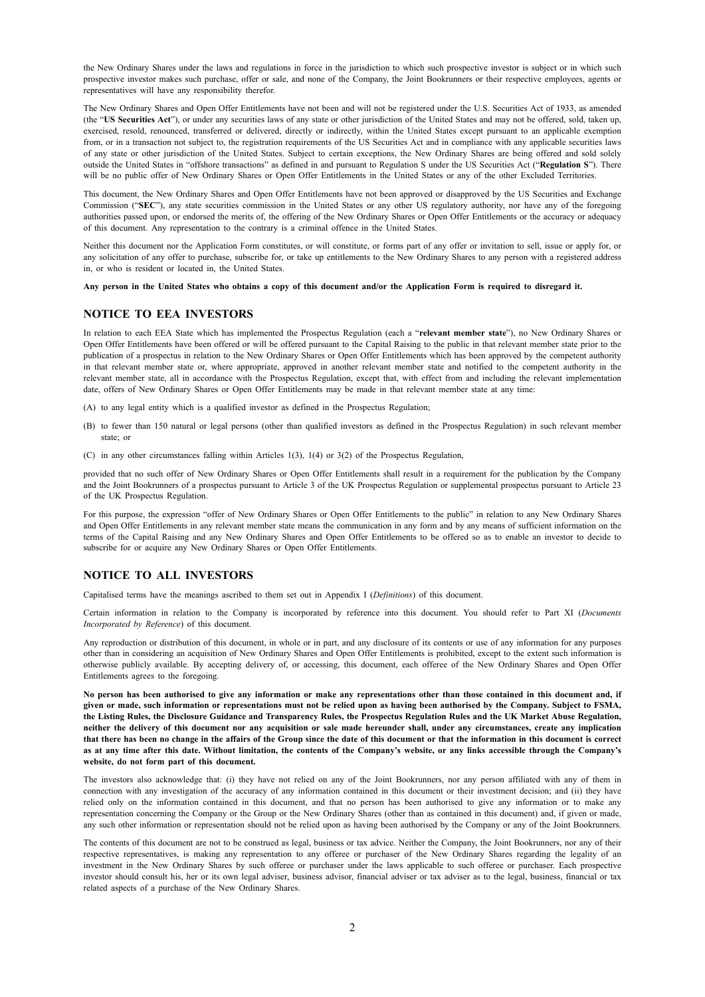the New Ordinary Shares under the laws and regulations in force in the jurisdiction to which such prospective investor is subject or in which such prospective investor makes such purchase, offer or sale, and none of the Company, the Joint Bookrunners or their respective employees, agents or representatives will have any responsibility therefor.

The New Ordinary Shares and Open Offer Entitlements have not been and will not be registered under the U.S. Securities Act of 1933, as amended (the "**US Securities Act**"), or under any securities laws of any state or other jurisdiction of the United States and may not be offered, sold, taken up, exercised, resold, renounced, transferred or delivered, directly or indirectly, within the United States except pursuant to an applicable exemption from, or in a transaction not subject to, the registration requirements of the US Securities Act and in compliance with any applicable securities laws of any state or other jurisdiction of the United States. Subject to certain exceptions, the New Ordinary Shares are being offered and sold solely outside the United States in "offshore transactions" as defined in and pursuant to Regulation S under the US Securities Act ("**Regulation S**"). There will be no public offer of New Ordinary Shares or Open Offer Entitlements in the United States or any of the other Excluded Territories.

This document, the New Ordinary Shares and Open Offer Entitlements have not been approved or disapproved by the US Securities and Exchange Commission ("**SEC**"), any state securities commission in the United States or any other US regulatory authority, nor have any of the foregoing authorities passed upon, or endorsed the merits of, the offering of the New Ordinary Shares or Open Offer Entitlements or the accuracy or adequacy of this document. Any representation to the contrary is a criminal offence in the United States.

Neither this document nor the Application Form constitutes, or will constitute, or forms part of any offer or invitation to sell, issue or apply for, or any solicitation of any offer to purchase, subscribe for, or take up entitlements to the New Ordinary Shares to any person with a registered address in, or who is resident or located in, the United States.

Any person in the United States who obtains a copy of this document and/or the Application Form is required to disregard it.

#### **NOTICE TO EEA INVESTORS**

In relation to each EEA State which has implemented the Prospectus Regulation (each a "**relevant member state**"), no New Ordinary Shares or Open Offer Entitlements have been offered or will be offered pursuant to the Capital Raising to the public in that relevant member state prior to the publication of a prospectus in relation to the New Ordinary Shares or Open Offer Entitlements which has been approved by the competent authority in that relevant member state or, where appropriate, approved in another relevant member state and notified to the competent authority in the relevant member state, all in accordance with the Prospectus Regulation, except that, with effect from and including the relevant implementation date, offers of New Ordinary Shares or Open Offer Entitlements may be made in that relevant member state at any time:

- (A) to any legal entity which is a qualified investor as defined in the Prospectus Regulation;
- (B) to fewer than 150 natural or legal persons (other than qualified investors as defined in the Prospectus Regulation) in such relevant member state; or
- (C) in any other circumstances falling within Articles 1(3), 1(4) or 3(2) of the Prospectus Regulation,

provided that no such offer of New Ordinary Shares or Open Offer Entitlements shall result in a requirement for the publication by the Company and the Joint Bookrunners of a prospectus pursuant to Article 3 of the UK Prospectus Regulation or supplemental prospectus pursuant to Article 23 of the UK Prospectus Regulation.

For this purpose, the expression "offer of New Ordinary Shares or Open Offer Entitlements to the public" in relation to any New Ordinary Shares and Open Offer Entitlements in any relevant member state means the communication in any form and by any means of sufficient information on the terms of the Capital Raising and any New Ordinary Shares and Open Offer Entitlements to be offered so as to enable an investor to decide to subscribe for or acquire any New Ordinary Shares or Open Offer Entitlements.

#### **NOTICE TO ALL INVESTORS**

Capitalised terms have the meanings ascribed to them set out in Appendix I (*Definitions*) of this document.

Certain information in relation to the Company is incorporated by reference into this document. You should refer to Part XI (*Documents Incorporated by Reference*) of this document.

Any reproduction or distribution of this document, in whole or in part, and any disclosure of its contents or use of any information for any purposes other than in considering an acquisition of New Ordinary Shares and Open Offer Entitlements is prohibited, except to the extent such information is otherwise publicly available. By accepting delivery of, or accessing, this document, each offeree of the New Ordinary Shares and Open Offer Entitlements agrees to the foregoing.

No person has been authorised to give any information or make any representations other than those contained in this document and, if given or made, such information or representations must not be relied upon as having been authorised by the Company, Subject to FSMA, the Listing Rules, the Disclosure Guidance and Transparency Rules, the Prospectus Regulation Rules and the UK Market Abuse Regulation, neither the delivery of this document nor any acquisition or sale made hereunder shall, under any circumstances, create any implication that there has been no change in the affairs of the Group since the date of this document or that the information in this document is correct as at any time after this date. Without limitation, the contents of the Company's website, or any links accessible through the Company's **website, do not form part of this document.**

The investors also acknowledge that: (i) they have not relied on any of the Joint Bookrunners, nor any person affiliated with any of them in connection with any investigation of the accuracy of any information contained in this document or their investment decision; and (ii) they have relied only on the information contained in this document, and that no person has been authorised to give any information or to make any representation concerning the Company or the Group or the New Ordinary Shares (other than as contained in this document) and, if given or made, any such other information or representation should not be relied upon as having been authorised by the Company or any of the Joint Bookrunners.

The contents of this document are not to be construed as legal, business or tax advice. Neither the Company, the Joint Bookrunners, nor any of their respective representatives, is making any representation to any offeree or purchaser of the New Ordinary Shares regarding the legality of an investment in the New Ordinary Shares by such offeree or purchaser under the laws applicable to such offeree or purchaser. Each prospective investor should consult his, her or its own legal adviser, business advisor, financial adviser or tax adviser as to the legal, business, financial or tax related aspects of a purchase of the New Ordinary Shares.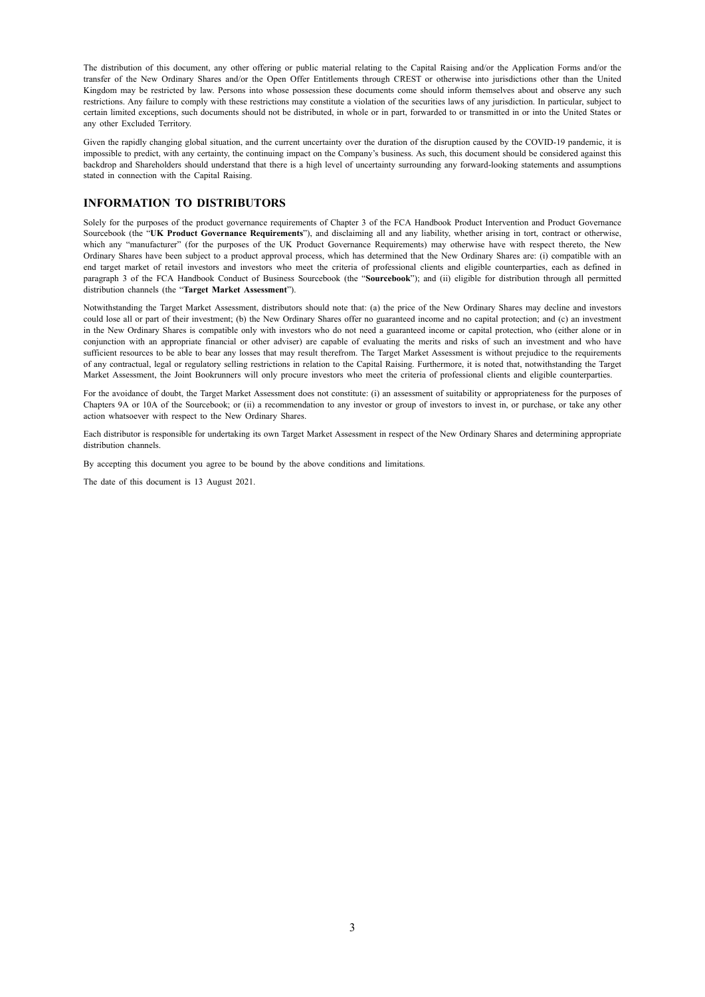The distribution of this document, any other offering or public material relating to the Capital Raising and/or the Application Forms and/or the transfer of the New Ordinary Shares and/or the Open Offer Entitlements through CREST or otherwise into jurisdictions other than the United Kingdom may be restricted by law. Persons into whose possession these documents come should inform themselves about and observe any such restrictions. Any failure to comply with these restrictions may constitute a violation of the securities laws of any jurisdiction. In particular, subject to certain limited exceptions, such documents should not be distributed, in whole or in part, forwarded to or transmitted in or into the United States or any other Excluded Territory.

Given the rapidly changing global situation, and the current uncertainty over the duration of the disruption caused by the COVID-19 pandemic, it is impossible to predict, with any certainty, the continuing impact on the Company's business. As such, this document should be considered against this backdrop and Shareholders should understand that there is a high level of uncertainty surrounding any forward-looking statements and assumptions stated in connection with the Capital Raising.

#### **INFORMATION TO DISTRIBUTORS**

Solely for the purposes of the product governance requirements of Chapter 3 of the FCA Handbook Product Intervention and Product Governance Sourcebook (the "**UK Product Governance Requirements**"), and disclaiming all and any liability, whether arising in tort, contract or otherwise, which any "manufacturer" (for the purposes of the UK Product Governance Requirements) may otherwise have with respect thereto, the New Ordinary Shares have been subject to a product approval process, which has determined that the New Ordinary Shares are: (i) compatible with an end target market of retail investors and investors who meet the criteria of professional clients and eligible counterparties, each as defined in paragraph 3 of the FCA Handbook Conduct of Business Sourcebook (the "**Sourcebook**"); and (ii) eligible for distribution through all permitted distribution channels (the "**Target Market Assessment**").

Notwithstanding the Target Market Assessment, distributors should note that: (a) the price of the New Ordinary Shares may decline and investors could lose all or part of their investment; (b) the New Ordinary Shares offer no guaranteed income and no capital protection; and (c) an investment in the New Ordinary Shares is compatible only with investors who do not need a guaranteed income or capital protection, who (either alone or in conjunction with an appropriate financial or other adviser) are capable of evaluating the merits and risks of such an investment and who have sufficient resources to be able to bear any losses that may result therefrom. The Target Market Assessment is without prejudice to the requirements of any contractual, legal or regulatory selling restrictions in relation to the Capital Raising. Furthermore, it is noted that, notwithstanding the Target Market Assessment, the Joint Bookrunners will only procure investors who meet the criteria of professional clients and eligible counterparties.

For the avoidance of doubt, the Target Market Assessment does not constitute: (i) an assessment of suitability or appropriateness for the purposes of Chapters 9A or 10A of the Sourcebook; or (ii) a recommendation to any investor or group of investors to invest in, or purchase, or take any other action whatsoever with respect to the New Ordinary Shares.

Each distributor is responsible for undertaking its own Target Market Assessment in respect of the New Ordinary Shares and determining appropriate distribution channels.

By accepting this document you agree to be bound by the above conditions and limitations.

The date of this document is 13 August 2021.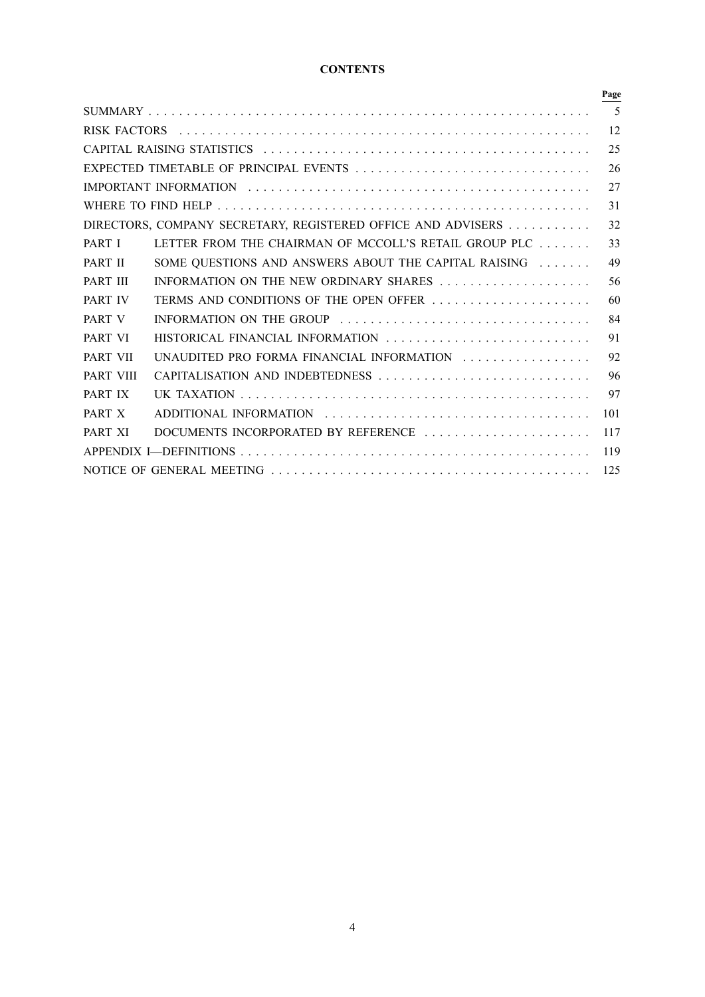### **CONTENTS**

|                                        |                                                              | Page |
|----------------------------------------|--------------------------------------------------------------|------|
|                                        |                                                              | 5    |
|                                        |                                                              | 12   |
| 25                                     |                                                              |      |
| EXPECTED TIMETABLE OF PRINCIPAL EVENTS |                                                              |      |
|                                        |                                                              | 27   |
|                                        |                                                              | 31   |
|                                        | DIRECTORS, COMPANY SECRETARY, REGISTERED OFFICE AND ADVISERS | 32   |
| PART I                                 | LETTER FROM THE CHAIRMAN OF MCCOLL'S RETAIL GROUP PLC        | 33   |
| PART II                                | SOME QUESTIONS AND ANSWERS ABOUT THE CAPITAL RAISING         | 49   |
| PART III                               | INFORMATION ON THE NEW ORDINARY SHARES                       | 56   |
| PART IV                                | TERMS AND CONDITIONS OF THE OPEN OFFER                       | 60   |
| PART V                                 | INFORMATION ON THE GROUP                                     | 84   |
| PART VI                                | HISTORICAL FINANCIAL INFORMATION                             | 91   |
| <b>PART VII</b>                        | UNAUDITED PRO FORMA FINANCIAL INFORMATION                    | 92   |
| <b>PART VIII</b>                       | CAPITALISATION AND INDEBTEDNESS                              | 96   |
| PART IX                                |                                                              | 97   |
| PART X                                 |                                                              | 101  |
| PART XI                                | DOCUMENTS INCORPORATED BY REFERENCE                          | 117  |
|                                        |                                                              | 119  |
|                                        |                                                              | 125  |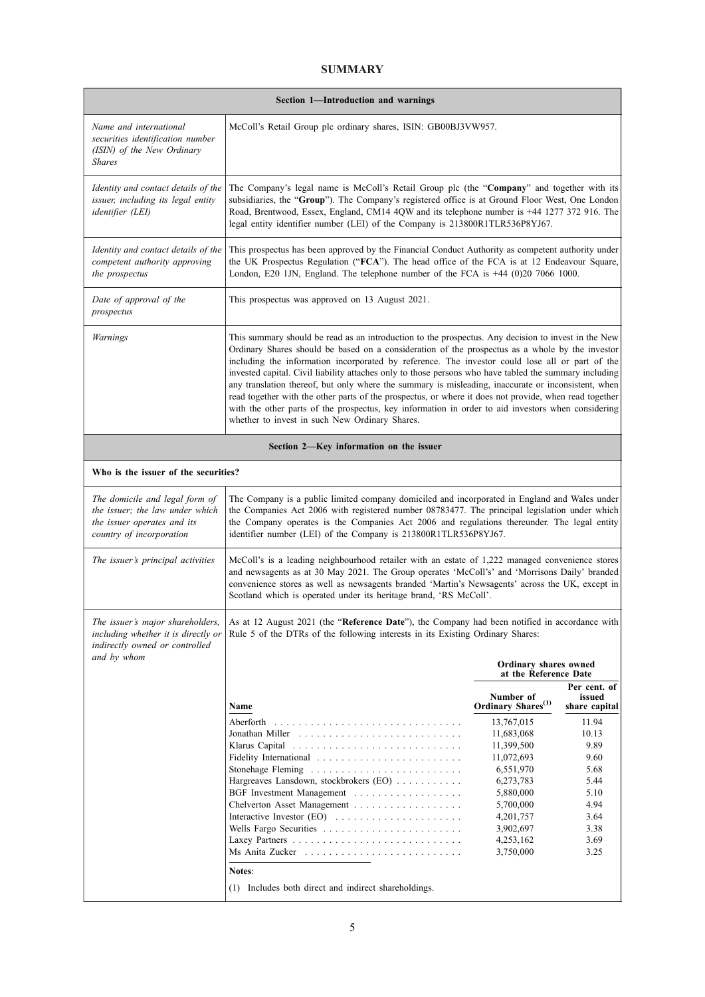### **SUMMARY**

| Section 1-Introduction and warnings                                                                                          |                                                                                                                                                                                                                                                                                                                                                                                                                                                                                                                                                                                                                                                                                                                                                                                              |                                                                                                                                                              |                                                                                                |
|------------------------------------------------------------------------------------------------------------------------------|----------------------------------------------------------------------------------------------------------------------------------------------------------------------------------------------------------------------------------------------------------------------------------------------------------------------------------------------------------------------------------------------------------------------------------------------------------------------------------------------------------------------------------------------------------------------------------------------------------------------------------------------------------------------------------------------------------------------------------------------------------------------------------------------|--------------------------------------------------------------------------------------------------------------------------------------------------------------|------------------------------------------------------------------------------------------------|
| Name and international<br>securities identification number<br>(ISIN) of the New Ordinary<br><b>Shares</b>                    | McColl's Retail Group plc ordinary shares, ISIN: GB00BJ3VW957.                                                                                                                                                                                                                                                                                                                                                                                                                                                                                                                                                                                                                                                                                                                               |                                                                                                                                                              |                                                                                                |
| Identity and contact details of the<br>issuer, including its legal entity<br>identifier (LEI)                                | The Company's legal name is McColl's Retail Group plc (the "Company" and together with its<br>subsidiaries, the "Group"). The Company's registered office is at Ground Floor West, One London<br>Road, Brentwood, Essex, England, CM14 4QW and its telephone number is +44 1277 372 916. The<br>legal entity identifier number (LEI) of the Company is 213800R1TLR536P8YJ67.                                                                                                                                                                                                                                                                                                                                                                                                                 |                                                                                                                                                              |                                                                                                |
| Identity and contact details of the<br>competent authority approving<br>the prospectus                                       | This prospectus has been approved by the Financial Conduct Authority as competent authority under<br>the UK Prospectus Regulation ("FCA"). The head office of the FCA is at 12 Endeavour Square,<br>London, E20 1JN, England. The telephone number of the FCA is +44 (0)20 7066 1000.                                                                                                                                                                                                                                                                                                                                                                                                                                                                                                        |                                                                                                                                                              |                                                                                                |
| Date of approval of the<br>prospectus                                                                                        | This prospectus was approved on 13 August 2021.                                                                                                                                                                                                                                                                                                                                                                                                                                                                                                                                                                                                                                                                                                                                              |                                                                                                                                                              |                                                                                                |
| <b>Warnings</b>                                                                                                              | This summary should be read as an introduction to the prospectus. Any decision to invest in the New<br>Ordinary Shares should be based on a consideration of the prospectus as a whole by the investor<br>including the information incorporated by reference. The investor could lose all or part of the<br>invested capital. Civil liability attaches only to those persons who have tabled the summary including<br>any translation thereof, but only where the summary is misleading, inaccurate or inconsistent, when<br>read together with the other parts of the prospectus, or where it does not provide, when read together<br>with the other parts of the prospectus, key information in order to aid investors when considering<br>whether to invest in such New Ordinary Shares. |                                                                                                                                                              |                                                                                                |
|                                                                                                                              | Section 2—Key information on the issuer                                                                                                                                                                                                                                                                                                                                                                                                                                                                                                                                                                                                                                                                                                                                                      |                                                                                                                                                              |                                                                                                |
| Who is the issuer of the securities?                                                                                         |                                                                                                                                                                                                                                                                                                                                                                                                                                                                                                                                                                                                                                                                                                                                                                                              |                                                                                                                                                              |                                                                                                |
| The domicile and legal form of<br>the issuer; the law under which<br>the issuer operates and its<br>country of incorporation | The Company is a public limited company domiciled and incorporated in England and Wales under<br>the Companies Act 2006 with registered number 08783477. The principal legislation under which<br>the Company operates is the Companies Act 2006 and regulations thereunder. The legal entity<br>identifier number (LEI) of the Company is 213800R1TLR536P8YJ67.                                                                                                                                                                                                                                                                                                                                                                                                                             |                                                                                                                                                              |                                                                                                |
| The issuer's principal activities                                                                                            | McColl's is a leading neighbourhood retailer with an estate of 1,222 managed convenience stores<br>and newsagents as at 30 May 2021. The Group operates 'McColl's' and 'Morrisons Daily' branded<br>convenience stores as well as newsagents branded 'Martin's Newsagents' across the UK, except in<br>Scotland which is operated under its heritage brand, 'RS McColl'.                                                                                                                                                                                                                                                                                                                                                                                                                     |                                                                                                                                                              |                                                                                                |
| The issuer's major shareholders,<br>including whether it is directly or<br>indirectly owned or controlled<br>and by whom     | As at 12 August 2021 (the "Reference Date"), the Company had been notified in accordance with<br>Rule 5 of the DTRs of the following interests in its Existing Ordinary Shares:<br>Ordinary shares owned<br>at the Reference Date                                                                                                                                                                                                                                                                                                                                                                                                                                                                                                                                                            |                                                                                                                                                              |                                                                                                |
|                                                                                                                              | Name                                                                                                                                                                                                                                                                                                                                                                                                                                                                                                                                                                                                                                                                                                                                                                                         | Number of<br>Ordinary Shares <sup>(1)</sup>                                                                                                                  | Per cent. of<br>issued<br>share capital                                                        |
|                                                                                                                              | Hargreaves Lansdown, stockbrokers (EO)<br>Chelverton Asset Management<br>Notes:                                                                                                                                                                                                                                                                                                                                                                                                                                                                                                                                                                                                                                                                                                              | 13,767,015<br>11,683,068<br>11,399,500<br>11,072,693<br>6,551,970<br>6,273,783<br>5,880,000<br>5,700,000<br>4,201,757<br>3,902,697<br>4,253,162<br>3,750,000 | 11.94<br>10.13<br>9.89<br>9.60<br>5.68<br>5.44<br>5.10<br>4.94<br>3.64<br>3.38<br>3.69<br>3.25 |
|                                                                                                                              | (1) Includes both direct and indirect shareholdings.                                                                                                                                                                                                                                                                                                                                                                                                                                                                                                                                                                                                                                                                                                                                         |                                                                                                                                                              |                                                                                                |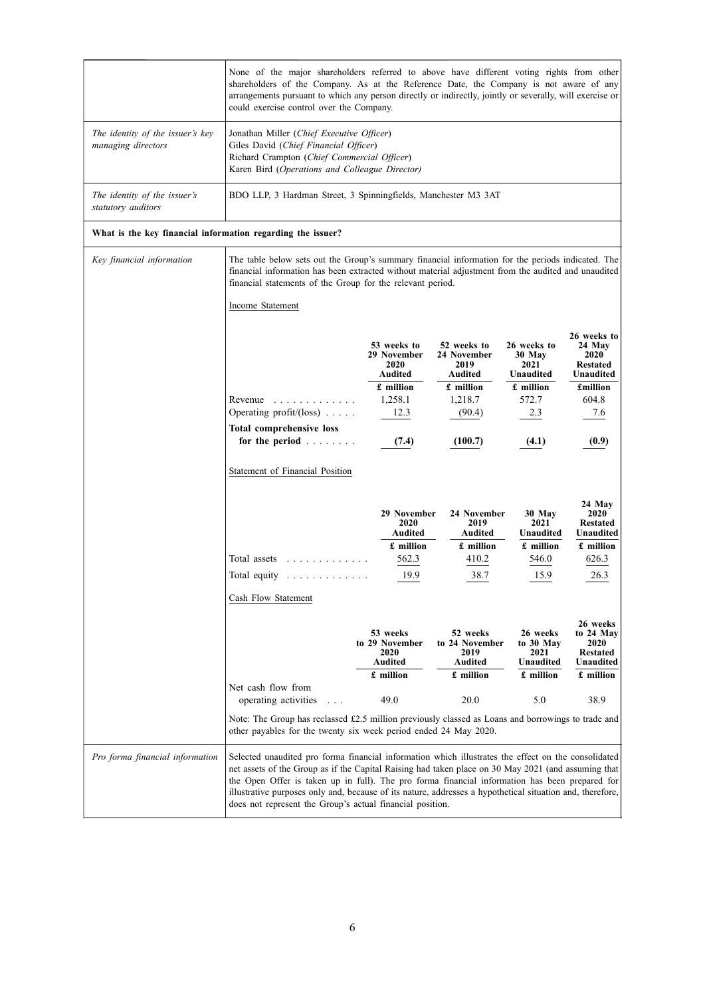|                                                             | None of the major shareholders referred to above have different voting rights from other<br>shareholders of the Company. As at the Reference Date, the Company is not aware of any<br>arrangements pursuant to which any person directly or indirectly, jointly or severally, will exercise or<br>could exercise control over the Company.                                                                                                                                             |                                                                                      |                                                                                 |                                                                         |                                                                                           |
|-------------------------------------------------------------|----------------------------------------------------------------------------------------------------------------------------------------------------------------------------------------------------------------------------------------------------------------------------------------------------------------------------------------------------------------------------------------------------------------------------------------------------------------------------------------|--------------------------------------------------------------------------------------|---------------------------------------------------------------------------------|-------------------------------------------------------------------------|-------------------------------------------------------------------------------------------|
| The identity of the issuer's key<br>managing directors      | Jonathan Miller (Chief Executive Officer)<br>Giles David (Chief Financial Officer)<br>Richard Crampton (Chief Commercial Officer)<br>Karen Bird (Operations and Colleague Director)                                                                                                                                                                                                                                                                                                    |                                                                                      |                                                                                 |                                                                         |                                                                                           |
| The identity of the issuer's<br>statutory auditors          | BDO LLP, 3 Hardman Street, 3 Spinningfields, Manchester M3 3AT                                                                                                                                                                                                                                                                                                                                                                                                                         |                                                                                      |                                                                                 |                                                                         |                                                                                           |
| What is the key financial information regarding the issuer? |                                                                                                                                                                                                                                                                                                                                                                                                                                                                                        |                                                                                      |                                                                                 |                                                                         |                                                                                           |
| Key financial information                                   | The table below sets out the Group's summary financial information for the periods indicated. The<br>financial information has been extracted without material adjustment from the audited and unaudited<br>financial statements of the Group for the relevant period.                                                                                                                                                                                                                 |                                                                                      |                                                                                 |                                                                         |                                                                                           |
|                                                             | Income Statement                                                                                                                                                                                                                                                                                                                                                                                                                                                                       |                                                                                      |                                                                                 |                                                                         |                                                                                           |
|                                                             | Revenue<br>.<br>Operating profit/(loss) $\ldots$ .                                                                                                                                                                                                                                                                                                                                                                                                                                     | 53 weeks to<br>29 November<br>2020<br><b>Audited</b><br>£ million<br>1,258.1<br>12.3 | 52 weeks to<br>24 November<br>2019<br>Audited<br>£ million<br>1,218.7<br>(90.4) | 26 weeks to<br>30 May<br>2021<br>Unaudited<br>£ million<br>572.7<br>2.3 | 26 weeks to<br>24 May<br>2020<br><b>Restated</b><br>Unaudited<br>£million<br>604.8<br>7.6 |
|                                                             | <b>Total comprehensive loss</b><br>for the period $\ldots$                                                                                                                                                                                                                                                                                                                                                                                                                             | (7.4)                                                                                | (100.7)                                                                         | (4.1)                                                                   | (0.9)                                                                                     |
|                                                             | Statement of Financial Position                                                                                                                                                                                                                                                                                                                                                                                                                                                        | 29 November<br>2020<br><b>Audited</b>                                                | 24 November<br>2019<br><b>Audited</b>                                           | 30 May<br>2021<br>Unaudited                                             | 24 May<br><b>2020</b><br><b>Restated</b><br>Unaudited                                     |
|                                                             | Total assets residence in the Total assets residence in the Total and Total and Total and Total and Total and T                                                                                                                                                                                                                                                                                                                                                                        | £ million<br>562.3                                                                   | £ million<br>410.2                                                              | £ million<br>546.0                                                      | £ million<br>626.3                                                                        |
|                                                             | Total equity $\ldots \ldots \ldots \ldots$                                                                                                                                                                                                                                                                                                                                                                                                                                             | 19.9                                                                                 | 38.7                                                                            | 15.9                                                                    | 26.3                                                                                      |
|                                                             | Cash Flow Statement                                                                                                                                                                                                                                                                                                                                                                                                                                                                    |                                                                                      |                                                                                 |                                                                         |                                                                                           |
|                                                             |                                                                                                                                                                                                                                                                                                                                                                                                                                                                                        | 53 weeks<br>to 29 November<br>2020<br>Audited                                        | 52 weeks<br>to 24 November<br>2019<br><b>Audited</b>                            | 26 weeks<br>to 30 May<br>2021<br>Unaudited                              | 26 weeks<br>to 24 May<br>2020<br><b>Restated</b><br>Unaudited                             |
|                                                             | Net cash flow from                                                                                                                                                                                                                                                                                                                                                                                                                                                                     | £ million                                                                            | £ million                                                                       | £ million                                                               | $f$ million                                                                               |
|                                                             | operating activities<br>$\ldots$                                                                                                                                                                                                                                                                                                                                                                                                                                                       | 49.0                                                                                 | 20.0                                                                            | 5.0                                                                     | 38.9                                                                                      |
|                                                             | Note: The Group has reclassed £2.5 million previously classed as Loans and borrowings to trade and<br>other payables for the twenty six week period ended 24 May 2020.                                                                                                                                                                                                                                                                                                                 |                                                                                      |                                                                                 |                                                                         |                                                                                           |
| Pro forma financial information                             | Selected unaudited pro forma financial information which illustrates the effect on the consolidated<br>net assets of the Group as if the Capital Raising had taken place on 30 May 2021 (and assuming that<br>the Open Offer is taken up in full). The pro forma financial information has been prepared for<br>illustrative purposes only and, because of its nature, addresses a hypothetical situation and, therefore,<br>does not represent the Group's actual financial position. |                                                                                      |                                                                                 |                                                                         |                                                                                           |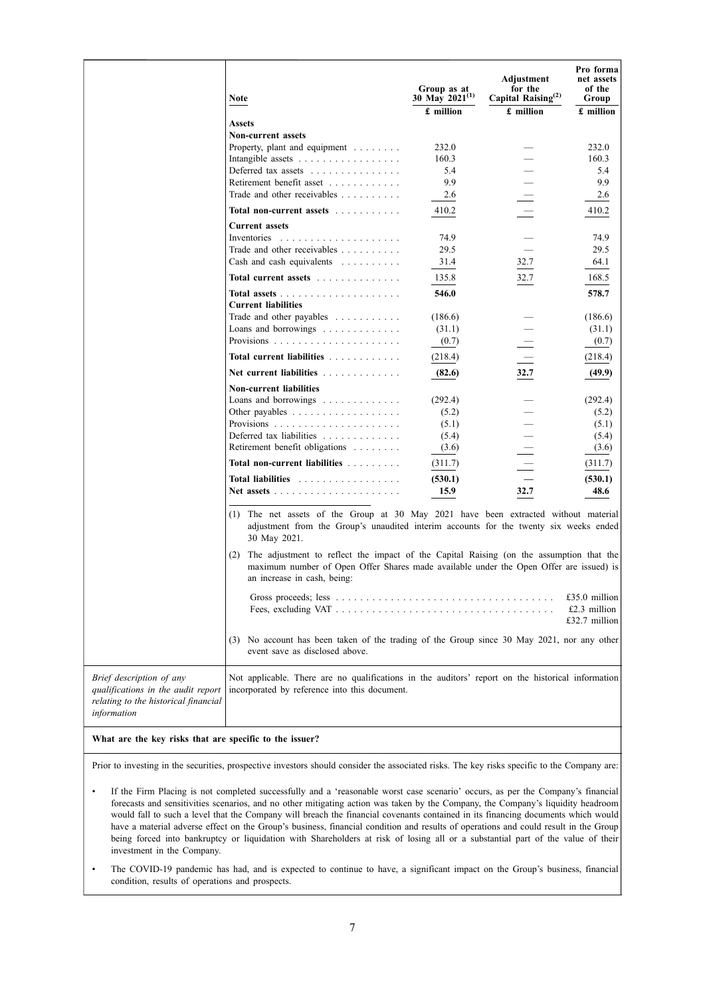|                                                                                                                       | <b>Note</b>                                                                                                                                                                                                             | Group as at<br>30 May 2021(1)<br>£ million | Adjustment<br>for the<br>Capital Raising <sup>(2)</sup><br>£ million | Pro forma<br>net assets<br>of the<br>Group<br>£ million |
|-----------------------------------------------------------------------------------------------------------------------|-------------------------------------------------------------------------------------------------------------------------------------------------------------------------------------------------------------------------|--------------------------------------------|----------------------------------------------------------------------|---------------------------------------------------------|
|                                                                                                                       | <b>Assets</b>                                                                                                                                                                                                           |                                            |                                                                      |                                                         |
|                                                                                                                       | <b>Non-current assets</b>                                                                                                                                                                                               |                                            |                                                                      |                                                         |
|                                                                                                                       | Property, plant and equipment                                                                                                                                                                                           | 232.0                                      |                                                                      | 232.0                                                   |
|                                                                                                                       | Intangible assets                                                                                                                                                                                                       | 160.3                                      |                                                                      | 160.3                                                   |
|                                                                                                                       | Deferred tax assets                                                                                                                                                                                                     | 5.4                                        |                                                                      | 5.4                                                     |
|                                                                                                                       | Retirement benefit asset                                                                                                                                                                                                | 9.9                                        |                                                                      | 9.9                                                     |
|                                                                                                                       | Trade and other receivables                                                                                                                                                                                             | 2.6                                        |                                                                      | 2.6                                                     |
|                                                                                                                       | Total non-current assets                                                                                                                                                                                                | 410.2                                      |                                                                      | 410.2                                                   |
|                                                                                                                       | <b>Current assets</b>                                                                                                                                                                                                   |                                            |                                                                      |                                                         |
|                                                                                                                       | Inventories                                                                                                                                                                                                             | 74.9                                       |                                                                      | 74.9                                                    |
|                                                                                                                       | Trade and other receivables                                                                                                                                                                                             | 29.5                                       |                                                                      | 29.5                                                    |
|                                                                                                                       | Cash and cash equivalents                                                                                                                                                                                               | 31.4                                       | 32.7                                                                 | 64.1                                                    |
|                                                                                                                       | Total current assets                                                                                                                                                                                                    | 135.8                                      | 32.7                                                                 | 168.5                                                   |
|                                                                                                                       | <b>Current liabilities</b>                                                                                                                                                                                              | 546.0                                      |                                                                      | 578.7                                                   |
|                                                                                                                       | Trade and other payables $\dots \dots \dots$                                                                                                                                                                            | (186.6)                                    |                                                                      | (186.6)                                                 |
|                                                                                                                       | Loans and borrowings $\dots \dots \dots \dots$                                                                                                                                                                          | (31.1)                                     |                                                                      | (31.1)                                                  |
|                                                                                                                       |                                                                                                                                                                                                                         | (0.7)                                      |                                                                      | (0.7)                                                   |
|                                                                                                                       | Total current liabilities                                                                                                                                                                                               | (218.4)                                    |                                                                      | (218.4)                                                 |
|                                                                                                                       | Net current liabilities                                                                                                                                                                                                 | (82.6)                                     | 32.7                                                                 | (49.9)                                                  |
|                                                                                                                       | <b>Non-current liabilities</b>                                                                                                                                                                                          |                                            |                                                                      |                                                         |
|                                                                                                                       | Loans and borrowings $\dots \dots \dots \dots$                                                                                                                                                                          | (292.4)                                    |                                                                      | (292.4)                                                 |
|                                                                                                                       | Other payables $\dots \dots \dots \dots \dots \dots$                                                                                                                                                                    | (5.2)                                      |                                                                      | (5.2)                                                   |
|                                                                                                                       |                                                                                                                                                                                                                         | (5.1)                                      |                                                                      | (5.1)                                                   |
|                                                                                                                       | Deferred tax liabilities                                                                                                                                                                                                | (5.4)                                      |                                                                      | (5.4)                                                   |
|                                                                                                                       | Retirement benefit obligations                                                                                                                                                                                          | (3.6)                                      |                                                                      | (3.6)                                                   |
|                                                                                                                       | Total non-current liabilities                                                                                                                                                                                           | (311.7)                                    |                                                                      | (311.7)                                                 |
|                                                                                                                       | <b>Total liabilities</b><br>.                                                                                                                                                                                           | (530.1)                                    |                                                                      | (530.1)                                                 |
|                                                                                                                       | Net assets $\ldots$                                                                                                                                                                                                     | 15.9                                       | 32.7                                                                 | 48.6                                                    |
|                                                                                                                       | (1) The net assets of the Group at 30 May 2021 have been extracted without material<br>adjustment from the Group's unaudited interim accounts for the twenty six weeks ended<br>30 May 2021.                            |                                            |                                                                      |                                                         |
|                                                                                                                       | The adjustment to reflect the impact of the Capital Raising (on the assumption that the<br>(2)<br>maximum number of Open Offer Shares made available under the Open Offer are issued) is<br>an increase in cash, being: |                                            |                                                                      |                                                         |
|                                                                                                                       |                                                                                                                                                                                                                         |                                            |                                                                      | £35.0 million<br>$£2.3$ million<br>$£32.7$ million      |
|                                                                                                                       | No account has been taken of the trading of the Group since 30 May 2021, nor any other<br>(3)<br>event save as disclosed above.                                                                                         |                                            |                                                                      |                                                         |
| Brief description of any<br>qualifications in the audit report<br>relating to the historical financial<br>information | Not applicable. There are no qualifications in the auditors' report on the historical information<br>incorporated by reference into this document.                                                                      |                                            |                                                                      |                                                         |

#### **What are the key risks that are specific to the issuer?**

Prior to investing in the securities, prospective investors should consider the associated risks. The key risks specific to the Company are:

- If the Firm Placing is not completed successfully and a 'reasonable worst case scenario' occurs, as per the Company's financial forecasts and sensitivities scenarios, and no other mitigating action was taken by the Company, the Company's liquidity headroom would fall to such a level that the Company will breach the financial covenants contained in its financing documents which would have a material adverse effect on the Group's business, financial condition and results of operations and could result in the Group being forced into bankruptcy or liquidation with Shareholders at risk of losing all or a substantial part of the value of their investment in the Company.
- The COVID-19 pandemic has had, and is expected to continue to have, a significant impact on the Group's business, financial condition, results of operations and prospects.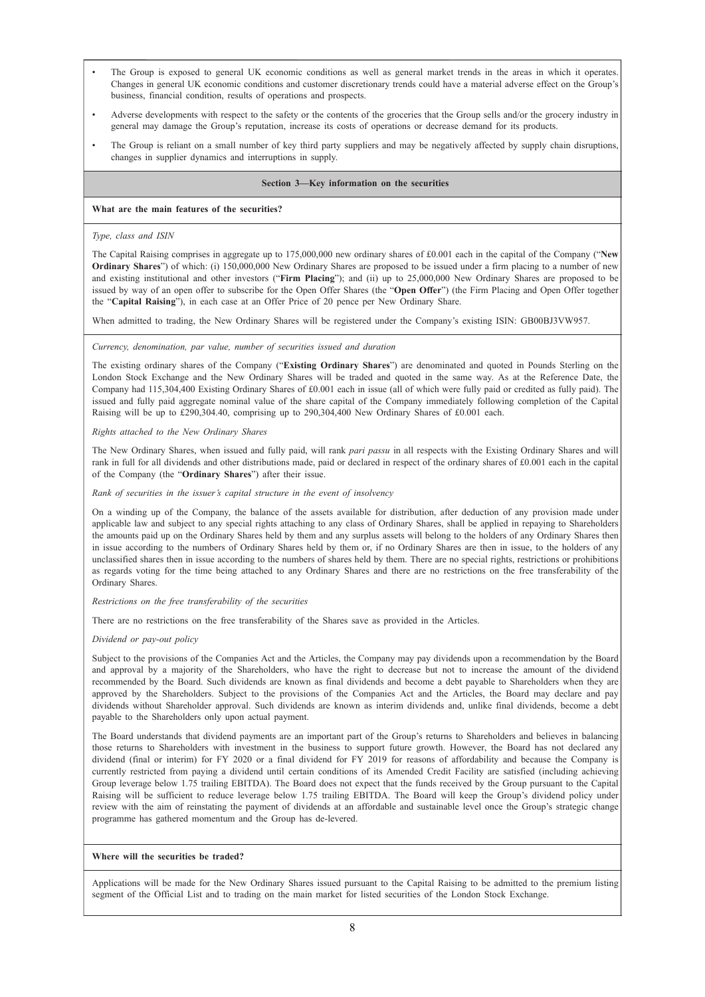- The Group is exposed to general UK economic conditions as well as general market trends in the areas in which it operates. Changes in general UK economic conditions and customer discretionary trends could have a material adverse effect on the Group's business, financial condition, results of operations and prospects.
- Adverse developments with respect to the safety or the contents of the groceries that the Group sells and/or the grocery industry in general may damage the Group's reputation, increase its costs of operations or decrease demand for its products.
- The Group is reliant on a small number of key third party suppliers and may be negatively affected by supply chain disruptions, changes in supplier dynamics and interruptions in supply.

#### **Section 3—Key information on the securities**

#### **What are the main features of the securities?**

#### *Type, class and ISIN*

The Capital Raising comprises in aggregate up to 175,000,000 new ordinary shares of £0.001 each in the capital of the Company ("**New Ordinary Shares**") of which: (i) 150,000,000 New Ordinary Shares are proposed to be issued under a firm placing to a number of new and existing institutional and other investors ("**Firm Placing**"); and (ii) up to 25,000,000 New Ordinary Shares are proposed to be issued by way of an open offer to subscribe for the Open Offer Shares (the "**Open Offer**") (the Firm Placing and Open Offer together the "**Capital Raising**"), in each case at an Offer Price of 20 pence per New Ordinary Share.

When admitted to trading, the New Ordinary Shares will be registered under the Company's existing ISIN: GB00BJ3VW957.

#### *Currency, denomination, par value, number of securities issued and duration*

The existing ordinary shares of the Company ("**Existing Ordinary Shares**") are denominated and quoted in Pounds Sterling on the London Stock Exchange and the New Ordinary Shares will be traded and quoted in the same way. As at the Reference Date, the Company had 115,304,400 Existing Ordinary Shares of £0.001 each in issue (all of which were fully paid or credited as fully paid). The issued and fully paid aggregate nominal value of the share capital of the Company immediately following completion of the Capital Raising will be up to £290,304.40, comprising up to 290,304,400 New Ordinary Shares of £0.001 each.

#### *Rights attached to the New Ordinary Shares*

The New Ordinary Shares, when issued and fully paid, will rank *pari passu* in all respects with the Existing Ordinary Shares and will rank in full for all dividends and other distributions made, paid or declared in respect of the ordinary shares of £0.001 each in the capital of the Company (the "**Ordinary Shares**") after their issue.

#### *Rank of securities in the issuer's capital structure in the event of insolvency*

On a winding up of the Company, the balance of the assets available for distribution, after deduction of any provision made under applicable law and subject to any special rights attaching to any class of Ordinary Shares, shall be applied in repaying to Shareholders the amounts paid up on the Ordinary Shares held by them and any surplus assets will belong to the holders of any Ordinary Shares then in issue according to the numbers of Ordinary Shares held by them or, if no Ordinary Shares are then in issue, to the holders of any unclassified shares then in issue according to the numbers of shares held by them. There are no special rights, restrictions or prohibitions as regards voting for the time being attached to any Ordinary Shares and there are no restrictions on the free transferability of the Ordinary Shares.

*Restrictions on the free transferability of the securities*

There are no restrictions on the free transferability of the Shares save as provided in the Articles.

#### *Dividend or pay-out policy*

Subject to the provisions of the Companies Act and the Articles, the Company may pay dividends upon a recommendation by the Board and approval by a majority of the Shareholders, who have the right to decrease but not to increase the amount of the dividend recommended by the Board. Such dividends are known as final dividends and become a debt payable to Shareholders when they are approved by the Shareholders. Subject to the provisions of the Companies Act and the Articles, the Board may declare and pay dividends without Shareholder approval. Such dividends are known as interim dividends and, unlike final dividends, become a debt payable to the Shareholders only upon actual payment.

The Board understands that dividend payments are an important part of the Group's returns to Shareholders and believes in balancing those returns to Shareholders with investment in the business to support future growth. However, the Board has not declared any dividend (final or interim) for FY 2020 or a final dividend for FY 2019 for reasons of affordability and because the Company is currently restricted from paying a dividend until certain conditions of its Amended Credit Facility are satisfied (including achieving Group leverage below 1.75 trailing EBITDA). The Board does not expect that the funds received by the Group pursuant to the Capital Raising will be sufficient to reduce leverage below 1.75 trailing EBITDA. The Board will keep the Group's dividend policy under review with the aim of reinstating the payment of dividends at an affordable and sustainable level once the Group's strategic change programme has gathered momentum and the Group has de-levered.

#### **Where will the securities be traded?**

Applications will be made for the New Ordinary Shares issued pursuant to the Capital Raising to be admitted to the premium listing segment of the Official List and to trading on the main market for listed securities of the London Stock Exchange.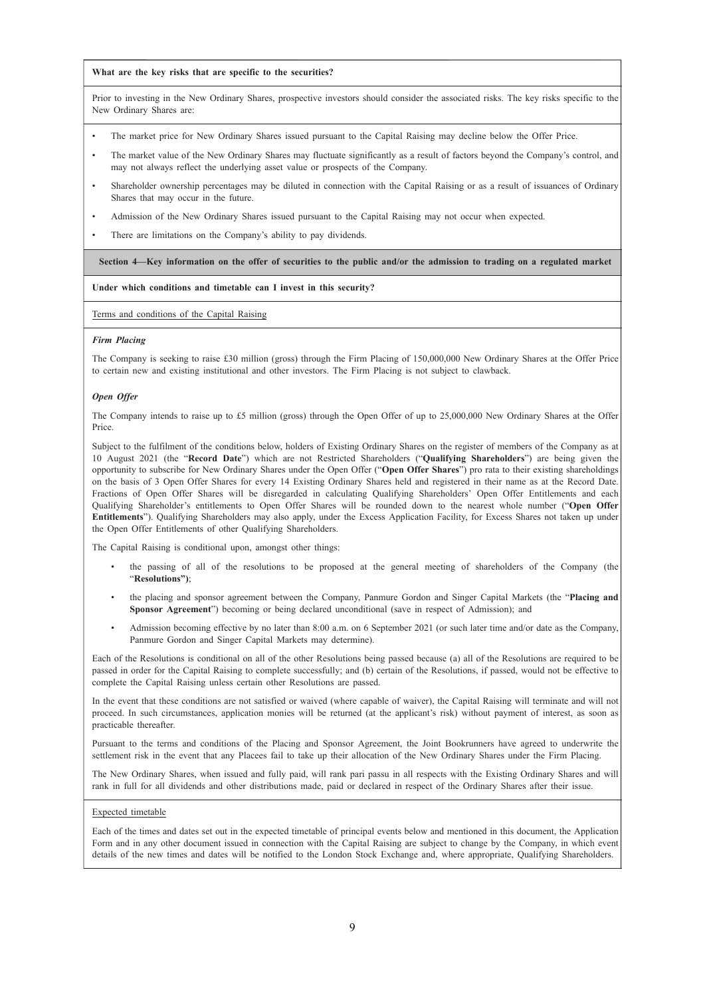#### **What are the key risks that are specific to the securities?**

Prior to investing in the New Ordinary Shares, prospective investors should consider the associated risks. The key risks specific to the New Ordinary Shares are:

- The market price for New Ordinary Shares issued pursuant to the Capital Raising may decline below the Offer Price.
- The market value of the New Ordinary Shares may fluctuate significantly as a result of factors beyond the Company's control, and may not always reflect the underlying asset value or prospects of the Company.
- Shareholder ownership percentages may be diluted in connection with the Capital Raising or as a result of issuances of Ordinary Shares that may occur in the future.
- Admission of the New Ordinary Shares issued pursuant to the Capital Raising may not occur when expected.
- There are limitations on the Company's ability to pay dividends.

Section 4—Key information on the offer of securities to the public and/or the admission to trading on a regulated market

#### **Under which conditions and timetable can I invest in this security?**

Terms and conditions of the Capital Raising

#### *Firm Placing*

The Company is seeking to raise £30 million (gross) through the Firm Placing of 150,000,000 New Ordinary Shares at the Offer Price to certain new and existing institutional and other investors. The Firm Placing is not subject to clawback.

#### *Open Offer*

The Company intends to raise up to £5 million (gross) through the Open Offer of up to 25,000,000 New Ordinary Shares at the Offer Price.

Subject to the fulfilment of the conditions below, holders of Existing Ordinary Shares on the register of members of the Company as at 10 August 2021 (the "**Record Date**") which are not Restricted Shareholders ("**Qualifying Shareholders**") are being given the opportunity to subscribe for New Ordinary Shares under the Open Offer ("**Open Offer Shares**") pro rata to their existing shareholdings on the basis of 3 Open Offer Shares for every 14 Existing Ordinary Shares held and registered in their name as at the Record Date. Fractions of Open Offer Shares will be disregarded in calculating Qualifying Shareholders' Open Offer Entitlements and each Qualifying Shareholder's entitlements to Open Offer Shares will be rounded down to the nearest whole number ("**Open Offer Entitlements**"). Qualifying Shareholders may also apply, under the Excess Application Facility, for Excess Shares not taken up under the Open Offer Entitlements of other Qualifying Shareholders.

The Capital Raising is conditional upon, amongst other things:

- the passing of all of the resolutions to be proposed at the general meeting of shareholders of the Company (the "**Resolutions")**;
- the placing and sponsor agreement between the Company, Panmure Gordon and Singer Capital Markets (the "**Placing and Sponsor Agreement**") becoming or being declared unconditional (save in respect of Admission); and
- Admission becoming effective by no later than 8:00 a.m. on 6 September 2021 (or such later time and/or date as the Company, Panmure Gordon and Singer Capital Markets may determine).

Each of the Resolutions is conditional on all of the other Resolutions being passed because (a) all of the Resolutions are required to be passed in order for the Capital Raising to complete successfully; and (b) certain of the Resolutions, if passed, would not be effective to complete the Capital Raising unless certain other Resolutions are passed.

In the event that these conditions are not satisfied or waived (where capable of waiver), the Capital Raising will terminate and will not proceed. In such circumstances, application monies will be returned (at the applicant's risk) without payment of interest, as soon as practicable thereafter.

Pursuant to the terms and conditions of the Placing and Sponsor Agreement, the Joint Bookrunners have agreed to underwrite the settlement risk in the event that any Placees fail to take up their allocation of the New Ordinary Shares under the Firm Placing.

The New Ordinary Shares, when issued and fully paid, will rank pari passu in all respects with the Existing Ordinary Shares and will rank in full for all dividends and other distributions made, paid or declared in respect of the Ordinary Shares after their issue.

#### Expected timetable

Each of the times and dates set out in the expected timetable of principal events below and mentioned in this document, the Application Form and in any other document issued in connection with the Capital Raising are subject to change by the Company, in which event details of the new times and dates will be notified to the London Stock Exchange and, where appropriate, Qualifying Shareholders.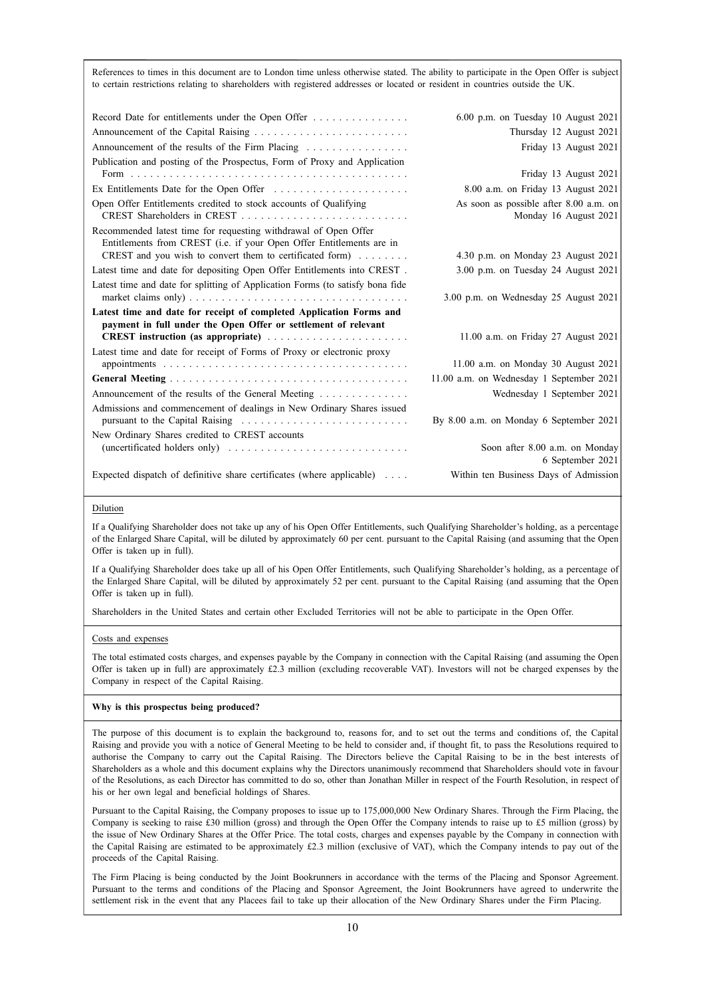References to times in this document are to London time unless otherwise stated. The ability to participate in the Open Offer is subject to certain restrictions relating to shareholders with registered addresses or located or resident in countries outside the UK.

| Record Date for entitlements under the Open Offer                             | $6.00$ p.m. on Tuesday 10 August 2021              |
|-------------------------------------------------------------------------------|----------------------------------------------------|
|                                                                               | Thursday 12 August 2021                            |
| Announcement of the results of the Firm Placing                               | Friday 13 August 2021                              |
| Publication and posting of the Prospectus, Form of Proxy and Application      |                                                    |
|                                                                               | Friday 13 August 2021                              |
| Ex Entitlements Date for the Open Offer                                       | 8.00 a.m. on Friday 13 August 2021                 |
| Open Offer Entitlements credited to stock accounts of Qualifying              | As soon as possible after 8.00 a.m. on             |
|                                                                               | Monday 16 August 2021                              |
| Recommended latest time for requesting withdrawal of Open Offer               |                                                    |
| Entitlements from CREST (i.e. if your Open Offer Entitlements are in          |                                                    |
| CREST and you wish to convert them to certificated form)                      | 4.30 p.m. on Monday 23 August 2021                 |
| Latest time and date for depositing Open Offer Entitlements into CREST.       | 3.00 p.m. on Tuesday 24 August 2021                |
| Latest time and date for splitting of Application Forms (to satisfy bona fide |                                                    |
|                                                                               | 3.00 p.m. on Wednesday 25 August 2021              |
| Latest time and date for receipt of completed Application Forms and           |                                                    |
| payment in full under the Open Offer or settlement of relevant                |                                                    |
| <b>CREST</b> instruction (as appropriate)                                     | 11.00 a.m. on Friday 27 August 2021                |
| Latest time and date for receipt of Forms of Proxy or electronic proxy        | 11.00 a.m. on Monday 30 August 2021                |
|                                                                               |                                                    |
|                                                                               | 11.00 a.m. on Wednesday 1 September 2021           |
| Announcement of the results of the General Meeting                            | Wednesday 1 September 2021                         |
| Admissions and commencement of dealings in New Ordinary Shares issued         |                                                    |
|                                                                               | By 8.00 a.m. on Monday 6 September 2021            |
| New Ordinary Shares credited to CREST accounts                                |                                                    |
|                                                                               | Soon after 8.00 a.m. on Monday<br>6 September 2021 |
| Expected dispatch of definitive share certificates (where applicable)         | Within ten Business Days of Admission              |
|                                                                               |                                                    |

#### Dilution

If a Qualifying Shareholder does not take up any of his Open Offer Entitlements, such Qualifying Shareholder's holding, as a percentage of the Enlarged Share Capital, will be diluted by approximately 60 per cent. pursuant to the Capital Raising (and assuming that the Open Offer is taken up in full).

If a Qualifying Shareholder does take up all of his Open Offer Entitlements, such Qualifying Shareholder's holding, as a percentage of the Enlarged Share Capital, will be diluted by approximately 52 per cent. pursuant to the Capital Raising (and assuming that the Open Offer is taken up in full).

Shareholders in the United States and certain other Excluded Territories will not be able to participate in the Open Offer.

#### Costs and expenses

The total estimated costs charges, and expenses payable by the Company in connection with the Capital Raising (and assuming the Open Offer is taken up in full) are approximately  $\pounds2.3$  million (excluding recoverable VAT). Investors will not be charged expenses by the Company in respect of the Capital Raising.

#### **Why is this prospectus being produced?**

The purpose of this document is to explain the background to, reasons for, and to set out the terms and conditions of, the Capital Raising and provide you with a notice of General Meeting to be held to consider and, if thought fit, to pass the Resolutions required to authorise the Company to carry out the Capital Raising. The Directors believe the Capital Raising to be in the best interests of Shareholders as a whole and this document explains why the Directors unanimously recommend that Shareholders should vote in favour of the Resolutions, as each Director has committed to do so, other than Jonathan Miller in respect of the Fourth Resolution, in respect of his or her own legal and beneficial holdings of Shares.

Pursuant to the Capital Raising, the Company proposes to issue up to 175,000,000 New Ordinary Shares. Through the Firm Placing, the Company is seeking to raise £30 million (gross) and through the Open Offer the Company intends to raise up to £5 million (gross) by the issue of New Ordinary Shares at the Offer Price. The total costs, charges and expenses payable by the Company in connection with the Capital Raising are estimated to be approximately £2.3 million (exclusive of VAT), which the Company intends to pay out of the proceeds of the Capital Raising.

The Firm Placing is being conducted by the Joint Bookrunners in accordance with the terms of the Placing and Sponsor Agreement. Pursuant to the terms and conditions of the Placing and Sponsor Agreement, the Joint Bookrunners have agreed to underwrite the settlement risk in the event that any Placees fail to take up their allocation of the New Ordinary Shares under the Firm Placing.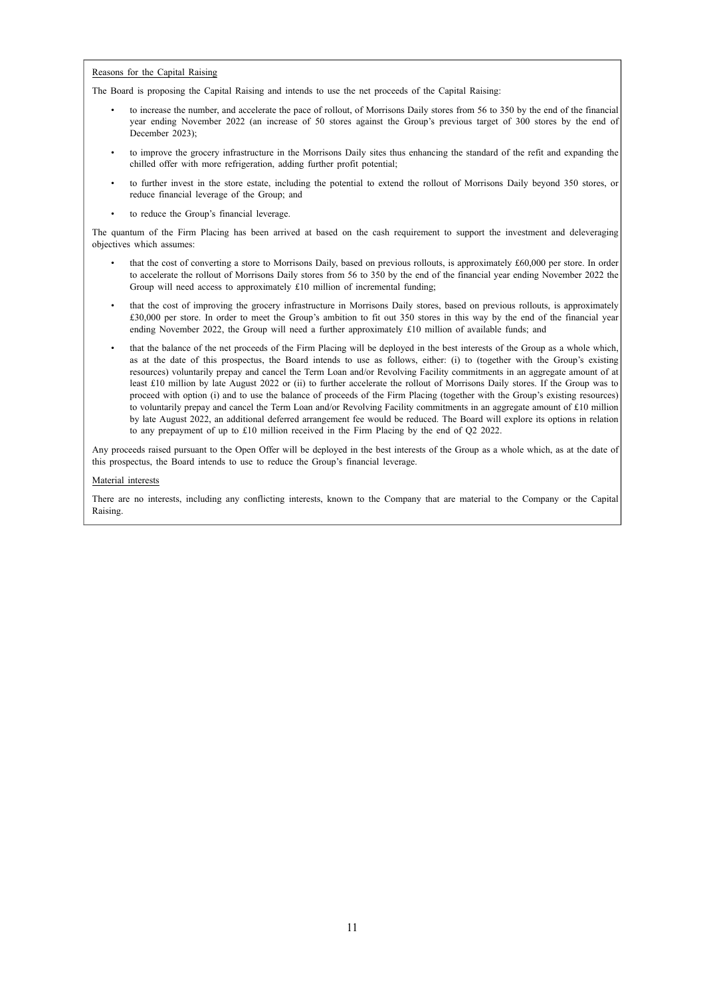#### Reasons for the Capital Raising

The Board is proposing the Capital Raising and intends to use the net proceeds of the Capital Raising:

- to increase the number, and accelerate the pace of rollout, of Morrisons Daily stores from 56 to 350 by the end of the financial year ending November 2022 (an increase of 50 stores against the Group's previous target of 300 stores by the end of December 2023);
- to improve the grocery infrastructure in the Morrisons Daily sites thus enhancing the standard of the refit and expanding the chilled offer with more refrigeration, adding further profit potential;
- to further invest in the store estate, including the potential to extend the rollout of Morrisons Daily beyond 350 stores, or reduce financial leverage of the Group; and
- to reduce the Group's financial leverage.

The quantum of the Firm Placing has been arrived at based on the cash requirement to support the investment and deleveraging objectives which assumes:

- that the cost of converting a store to Morrisons Daily, based on previous rollouts, is approximately £60,000 per store. In order to accelerate the rollout of Morrisons Daily stores from 56 to 350 by the end of the financial year ending November 2022 the Group will need access to approximately £10 million of incremental funding;
- that the cost of improving the grocery infrastructure in Morrisons Daily stores, based on previous rollouts, is approximately £30,000 per store. In order to meet the Group's ambition to fit out 350 stores in this way by the end of the financial year ending November 2022, the Group will need a further approximately £10 million of available funds; and
- that the balance of the net proceeds of the Firm Placing will be deployed in the best interests of the Group as a whole which, as at the date of this prospectus, the Board intends to use as follows, either: (i) to (together with the Group's existing resources) voluntarily prepay and cancel the Term Loan and/or Revolving Facility commitments in an aggregate amount of at least £10 million by late August 2022 or (ii) to further accelerate the rollout of Morrisons Daily stores. If the Group was to proceed with option (i) and to use the balance of proceeds of the Firm Placing (together with the Group's existing resources) to voluntarily prepay and cancel the Term Loan and/or Revolving Facility commitments in an aggregate amount of £10 million by late August 2022, an additional deferred arrangement fee would be reduced. The Board will explore its options in relation to any prepayment of up to £10 million received in the Firm Placing by the end of Q2 2022.

Any proceeds raised pursuant to the Open Offer will be deployed in the best interests of the Group as a whole which, as at the date of this prospectus, the Board intends to use to reduce the Group's financial leverage.

#### Material interests

There are no interests, including any conflicting interests, known to the Company that are material to the Company or the Capital Raising.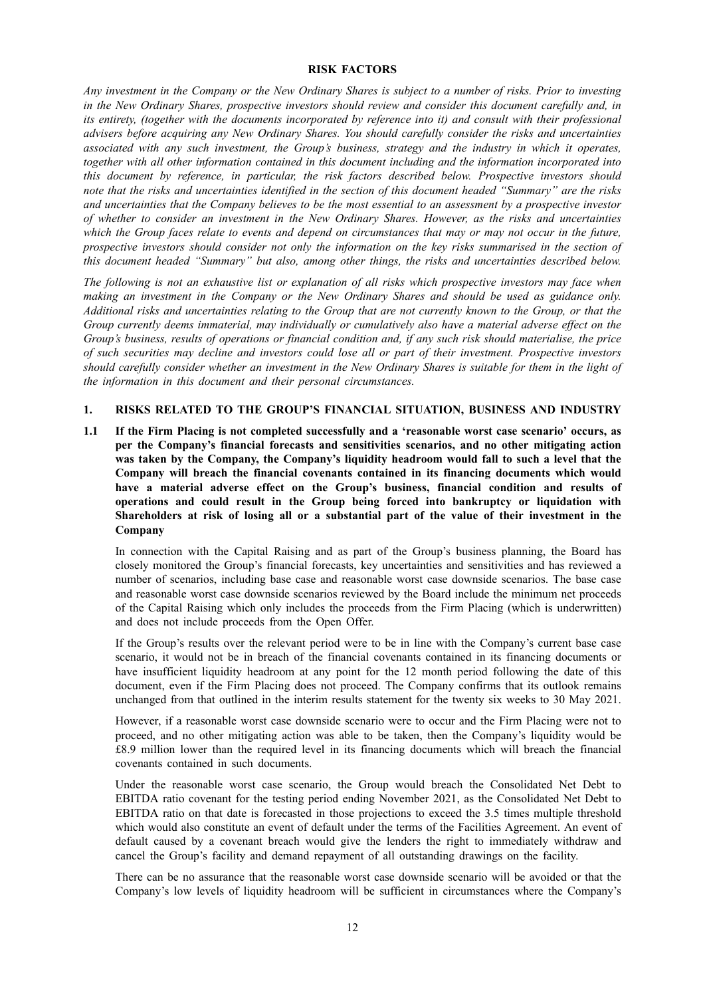#### **RISK FACTORS**

Any investment in the Company or the New Ordinary Shares is subject to a number of risks. Prior to investing *in the New Ordinary Shares, prospective investors should review and consider this document carefully and, in* its entirety, (together with the documents incorporated by reference into it) and consult with their professional *advisers before acquiring any New Ordinary Shares. You should carefully consider the risks and uncertainties associated with any such investment, the Group's business, strategy and the industry in which it operates, together with all other information contained in this document including and the information incorporated into this document by reference, in particular, the risk factors described below. Prospective investors should* note that the risks and uncertainties identified in the section of this document headed "Summary" are the risks and uncertainties that the Company believes to be the most essential to an assessment by a prospective investor *of whether to consider an investment in the New Ordinary Shares. However, as the risks and uncertainties* which the Group faces relate to events and depend on circumstances that may or may not occur in the future, prospective investors should consider not only the information on the key risks summarised in the section of *this document headed "Summary" but also, among other things, the risks and uncertainties described below.*

The following is not an exhaustive list or explanation of all risks which prospective investors may face when making an investment in the Company or the New Ordinary Shares and should be used as guidance only. Additional risks and uncertainties relating to the Group that are not currently known to the Group, or that the *Group currently deems immaterial, may individually or cumulatively also have a material adverse effect on the* Group's business, results of operations or financial condition and, if any such risk should materialise, the price of such securities may decline and investors could lose all or part of their investment. Prospective investors should carefully consider whether an investment in the New Ordinary Shares is suitable for them in the light of *the information in this document and their personal circumstances.*

### **1. RISKS RELATED TO THE GROUP'S FINANCIAL SITUATION, BUSINESS AND INDUSTRY**

**1.1 If the Firm Placing is not completed successfully and a 'reasonable worst case scenario' occurs, as per the Company's financial forecasts and sensitivities scenarios, and no other mitigating action was taken by the Company, the Company's liquidity headroom would fall to such a level that the Company will breach the financial covenants contained in its financing documents which would have a material adverse effect on the Group's business, financial condition and results of operations and could result in the Group being forced into bankruptcy or liquidation with Shareholders at risk of losing all or a substantial part of the value of their investment in the Company**

In connection with the Capital Raising and as part of the Group's business planning, the Board has closely monitored the Group's financial forecasts, key uncertainties and sensitivities and has reviewed a number of scenarios, including base case and reasonable worst case downside scenarios. The base case and reasonable worst case downside scenarios reviewed by the Board include the minimum net proceeds of the Capital Raising which only includes the proceeds from the Firm Placing (which is underwritten) and does not include proceeds from the Open Offer.

If the Group's results over the relevant period were to be in line with the Company's current base case scenario, it would not be in breach of the financial covenants contained in its financing documents or have insufficient liquidity headroom at any point for the 12 month period following the date of this document, even if the Firm Placing does not proceed. The Company confirms that its outlook remains unchanged from that outlined in the interim results statement for the twenty six weeks to 30 May 2021.

However, if a reasonable worst case downside scenario were to occur and the Firm Placing were not to proceed, and no other mitigating action was able to be taken, then the Company's liquidity would be £8.9 million lower than the required level in its financing documents which will breach the financial covenants contained in such documents.

Under the reasonable worst case scenario, the Group would breach the Consolidated Net Debt to EBITDA ratio covenant for the testing period ending November 2021, as the Consolidated Net Debt to EBITDA ratio on that date is forecasted in those projections to exceed the 3.5 times multiple threshold which would also constitute an event of default under the terms of the Facilities Agreement. An event of default caused by a covenant breach would give the lenders the right to immediately withdraw and cancel the Group's facility and demand repayment of all outstanding drawings on the facility.

There can be no assurance that the reasonable worst case downside scenario will be avoided or that the Company's low levels of liquidity headroom will be sufficient in circumstances where the Company's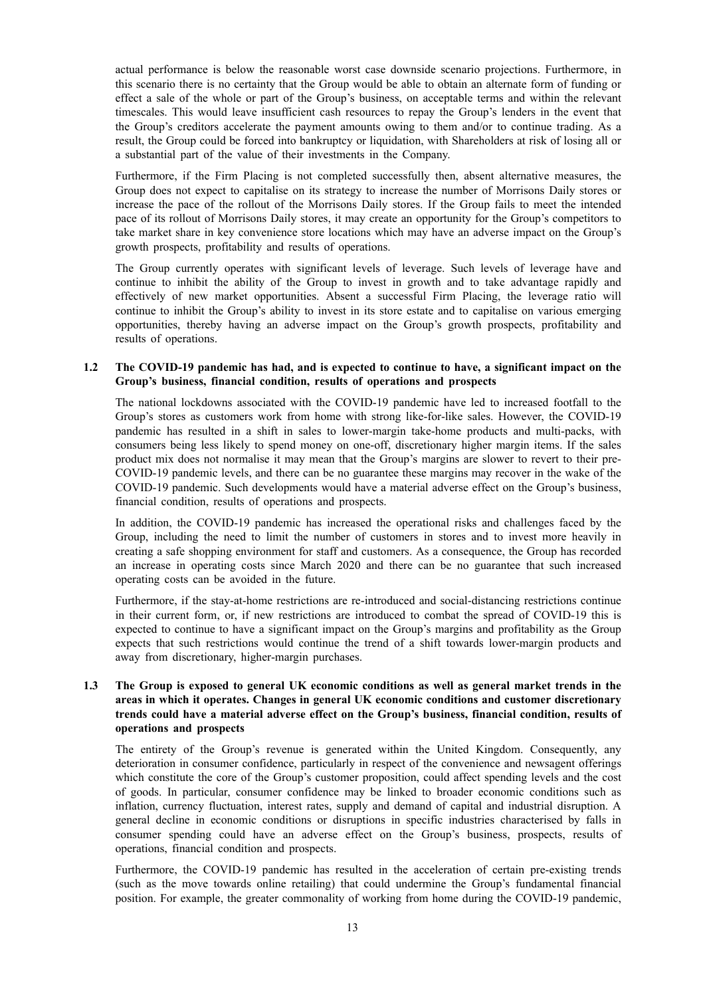actual performance is below the reasonable worst case downside scenario projections. Furthermore, in this scenario there is no certainty that the Group would be able to obtain an alternate form of funding or effect a sale of the whole or part of the Group's business, on acceptable terms and within the relevant timescales. This would leave insufficient cash resources to repay the Group's lenders in the event that the Group's creditors accelerate the payment amounts owing to them and/or to continue trading. As a result, the Group could be forced into bankruptcy or liquidation, with Shareholders at risk of losing all or a substantial part of the value of their investments in the Company.

Furthermore, if the Firm Placing is not completed successfully then, absent alternative measures, the Group does not expect to capitalise on its strategy to increase the number of Morrisons Daily stores or increase the pace of the rollout of the Morrisons Daily stores. If the Group fails to meet the intended pace of its rollout of Morrisons Daily stores, it may create an opportunity for the Group's competitors to take market share in key convenience store locations which may have an adverse impact on the Group's growth prospects, profitability and results of operations.

The Group currently operates with significant levels of leverage. Such levels of leverage have and continue to inhibit the ability of the Group to invest in growth and to take advantage rapidly and effectively of new market opportunities. Absent a successful Firm Placing, the leverage ratio will continue to inhibit the Group's ability to invest in its store estate and to capitalise on various emerging opportunities, thereby having an adverse impact on the Group's growth prospects, profitability and results of operations.

### 1.2 The COVID-19 pandemic has had, and is expected to continue to have, a significant impact on the **Group's business, financial condition, results of operations and prospects**

The national lockdowns associated with the COVID-19 pandemic have led to increased footfall to the Group's stores as customers work from home with strong like-for-like sales. However, the COVID-19 pandemic has resulted in a shift in sales to lower-margin take-home products and multi-packs, with consumers being less likely to spend money on one-off, discretionary higher margin items. If the sales product mix does not normalise it may mean that the Group's margins are slower to revert to their pre-COVID-19 pandemic levels, and there can be no guarantee these margins may recover in the wake of the COVID-19 pandemic. Such developments would have a material adverse effect on the Group's business, financial condition, results of operations and prospects.

In addition, the COVID-19 pandemic has increased the operational risks and challenges faced by the Group, including the need to limit the number of customers in stores and to invest more heavily in creating a safe shopping environment for staff and customers. As a consequence, the Group has recorded an increase in operating costs since March 2020 and there can be no guarantee that such increased operating costs can be avoided in the future.

Furthermore, if the stay-at-home restrictions are re-introduced and social-distancing restrictions continue in their current form, or, if new restrictions are introduced to combat the spread of COVID-19 this is expected to continue to have a significant impact on the Group's margins and profitability as the Group expects that such restrictions would continue the trend of a shift towards lower-margin products and away from discretionary, higher-margin purchases.

### **1.3 The Group is exposed to general UK economic conditions as well as general market trends in the areas in which it operates. Changes in general UK economic conditions and customer discretionary trends could have a material adverse effect on the Group's business, financial condition, results of operations and prospects**

The entirety of the Group's revenue is generated within the United Kingdom. Consequently, any deterioration in consumer confidence, particularly in respect of the convenience and newsagent offerings which constitute the core of the Group's customer proposition, could affect spending levels and the cost of goods. In particular, consumer confidence may be linked to broader economic conditions such as inflation, currency fluctuation, interest rates, supply and demand of capital and industrial disruption. A general decline in economic conditions or disruptions in specific industries characterised by falls in consumer spending could have an adverse effect on the Group's business, prospects, results of operations, financial condition and prospects.

Furthermore, the COVID-19 pandemic has resulted in the acceleration of certain pre-existing trends (such as the move towards online retailing) that could undermine the Group's fundamental financial position. For example, the greater commonality of working from home during the COVID-19 pandemic,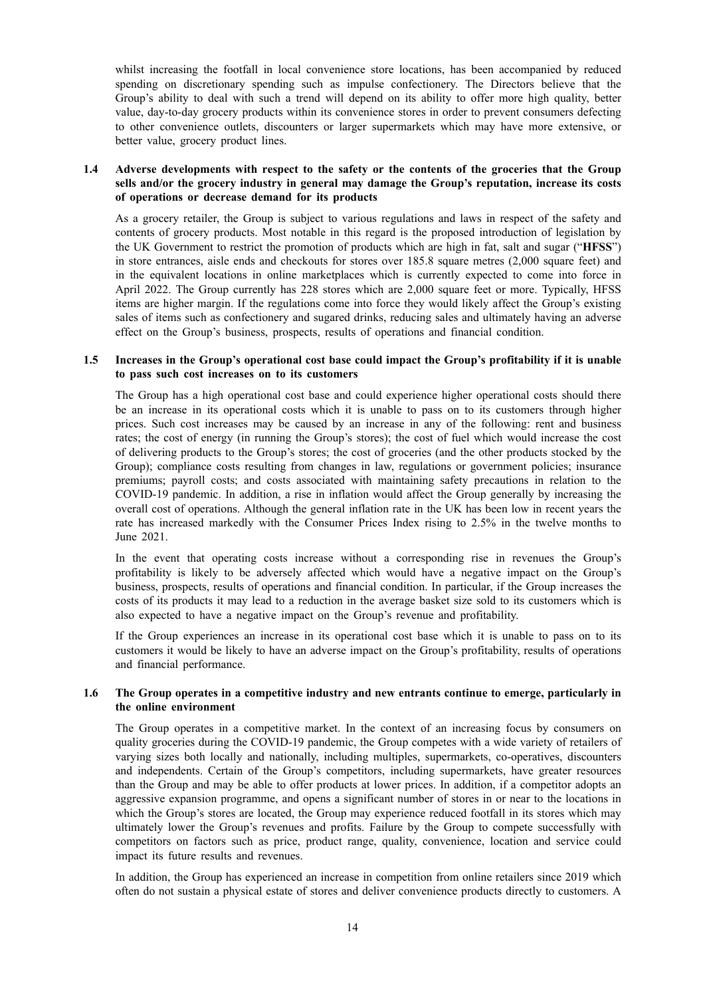whilst increasing the footfall in local convenience store locations, has been accompanied by reduced spending on discretionary spending such as impulse confectionery. The Directors believe that the Group's ability to deal with such a trend will depend on its ability to offer more high quality, better value, day-to-day grocery products within its convenience stores in order to prevent consumers defecting to other convenience outlets, discounters or larger supermarkets which may have more extensive, or better value, grocery product lines.

### **1.4 Adverse developments with respect to the safety or the contents of the groceries that the Group sells and/or the grocery industry in general may damage the Group's reputation, increase its costs of operations or decrease demand for its products**

As a grocery retailer, the Group is subject to various regulations and laws in respect of the safety and contents of grocery products. Most notable in this regard is the proposed introduction of legislation by the UK Government to restrict the promotion of products which are high in fat, salt and sugar ("**HFSS**") in store entrances, aisle ends and checkouts for stores over 185.8 square metres (2,000 square feet) and in the equivalent locations in online marketplaces which is currently expected to come into force in April 2022. The Group currently has 228 stores which are 2,000 square feet or more. Typically, HFSS items are higher margin. If the regulations come into force they would likely affect the Group's existing sales of items such as confectionery and sugared drinks, reducing sales and ultimately having an adverse effect on the Group's business, prospects, results of operations and financial condition.

### **1.5 Increases in the Group's operational cost base could impact the Group's profitability if it is unable to pass such cost increases on to its customers**

The Group has a high operational cost base and could experience higher operational costs should there be an increase in its operational costs which it is unable to pass on to its customers through higher prices. Such cost increases may be caused by an increase in any of the following: rent and business rates; the cost of energy (in running the Group's stores); the cost of fuel which would increase the cost of delivering products to the Group's stores; the cost of groceries (and the other products stocked by the Group); compliance costs resulting from changes in law, regulations or government policies; insurance premiums; payroll costs; and costs associated with maintaining safety precautions in relation to the COVID-19 pandemic. In addition, a rise in inflation would affect the Group generally by increasing the overall cost of operations. Although the general inflation rate in the UK has been low in recent years the rate has increased markedly with the Consumer Prices Index rising to 2.5% in the twelve months to June 2021.

In the event that operating costs increase without a corresponding rise in revenues the Group's profitability is likely to be adversely affected which would have a negative impact on the Group's business, prospects, results of operations and financial condition. In particular, if the Group increases the costs of its products it may lead to a reduction in the average basket size sold to its customers which is also expected to have a negative impact on the Group's revenue and profitability.

If the Group experiences an increase in its operational cost base which it is unable to pass on to its customers it would be likely to have an adverse impact on the Group's profitability, results of operations and financial performance.

#### **1.6 The Group operates in a competitive industry and new entrants continue to emerge, particularly in the online environment**

The Group operates in a competitive market. In the context of an increasing focus by consumers on quality groceries during the COVID-19 pandemic, the Group competes with a wide variety of retailers of varying sizes both locally and nationally, including multiples, supermarkets, co-operatives, discounters and independents. Certain of the Group's competitors, including supermarkets, have greater resources than the Group and may be able to offer products at lower prices. In addition, if a competitor adopts an aggressive expansion programme, and opens a significant number of stores in or near to the locations in which the Group's stores are located, the Group may experience reduced footfall in its stores which may ultimately lower the Group's revenues and profits. Failure by the Group to compete successfully with competitors on factors such as price, product range, quality, convenience, location and service could impact its future results and revenues.

In addition, the Group has experienced an increase in competition from online retailers since 2019 which often do not sustain a physical estate of stores and deliver convenience products directly to customers. A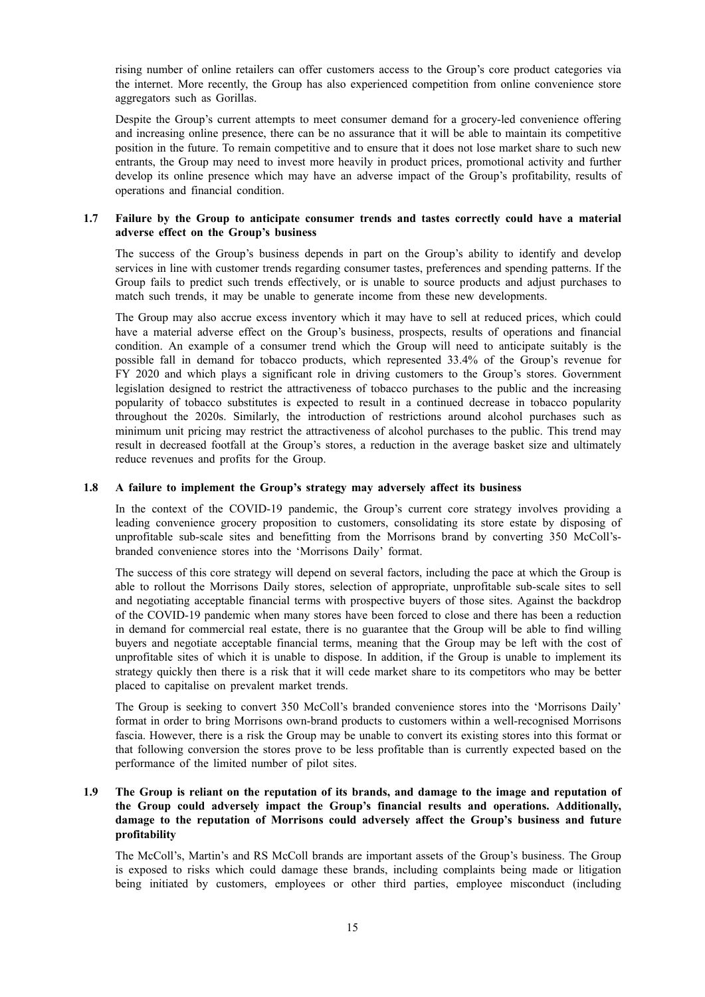rising number of online retailers can offer customers access to the Group's core product categories via the internet. More recently, the Group has also experienced competition from online convenience store aggregators such as Gorillas.

Despite the Group's current attempts to meet consumer demand for a grocery-led convenience offering and increasing online presence, there can be no assurance that it will be able to maintain its competitive position in the future. To remain competitive and to ensure that it does not lose market share to such new entrants, the Group may need to invest more heavily in product prices, promotional activity and further develop its online presence which may have an adverse impact of the Group's profitability, results of operations and financial condition.

#### **1.7 Failure by the Group to anticipate consumer trends and tastes correctly could have a material adverse effect on the Group's business**

The success of the Group's business depends in part on the Group's ability to identify and develop services in line with customer trends regarding consumer tastes, preferences and spending patterns. If the Group fails to predict such trends effectively, or is unable to source products and adjust purchases to match such trends, it may be unable to generate income from these new developments.

The Group may also accrue excess inventory which it may have to sell at reduced prices, which could have a material adverse effect on the Group's business, prospects, results of operations and financial condition. An example of a consumer trend which the Group will need to anticipate suitably is the possible fall in demand for tobacco products, which represented 33.4% of the Group's revenue for FY 2020 and which plays a significant role in driving customers to the Group's stores. Government legislation designed to restrict the attractiveness of tobacco purchases to the public and the increasing popularity of tobacco substitutes is expected to result in a continued decrease in tobacco popularity throughout the 2020s. Similarly, the introduction of restrictions around alcohol purchases such as minimum unit pricing may restrict the attractiveness of alcohol purchases to the public. This trend may result in decreased footfall at the Group's stores, a reduction in the average basket size and ultimately reduce revenues and profits for the Group.

#### **1.8 A failure to implement the Group's strategy may adversely affect its business**

In the context of the COVID-19 pandemic, the Group's current core strategy involves providing a leading convenience grocery proposition to customers, consolidating its store estate by disposing of unprofitable sub-scale sites and benefitting from the Morrisons brand by converting 350 McColl'sbranded convenience stores into the 'Morrisons Daily' format.

The success of this core strategy will depend on several factors, including the pace at which the Group is able to rollout the Morrisons Daily stores, selection of appropriate, unprofitable sub-scale sites to sell and negotiating acceptable financial terms with prospective buyers of those sites. Against the backdrop of the COVID-19 pandemic when many stores have been forced to close and there has been a reduction in demand for commercial real estate, there is no guarantee that the Group will be able to find willing buyers and negotiate acceptable financial terms, meaning that the Group may be left with the cost of unprofitable sites of which it is unable to dispose. In addition, if the Group is unable to implement its strategy quickly then there is a risk that it will cede market share to its competitors who may be better placed to capitalise on prevalent market trends.

The Group is seeking to convert 350 McColl's branded convenience stores into the 'Morrisons Daily' format in order to bring Morrisons own-brand products to customers within a well-recognised Morrisons fascia. However, there is a risk the Group may be unable to convert its existing stores into this format or that following conversion the stores prove to be less profitable than is currently expected based on the performance of the limited number of pilot sites.

### 1.9 The Group is reliant on the reputation of its brands, and damage to the image and reputation of **the Group could adversely impact the Group's financial results and operations. Additionally, damage to the reputation of Morrisons could adversely affect the Group's business and future profitability**

The McColl's, Martin's and RS McColl brands are important assets of the Group's business. The Group is exposed to risks which could damage these brands, including complaints being made or litigation being initiated by customers, employees or other third parties, employee misconduct (including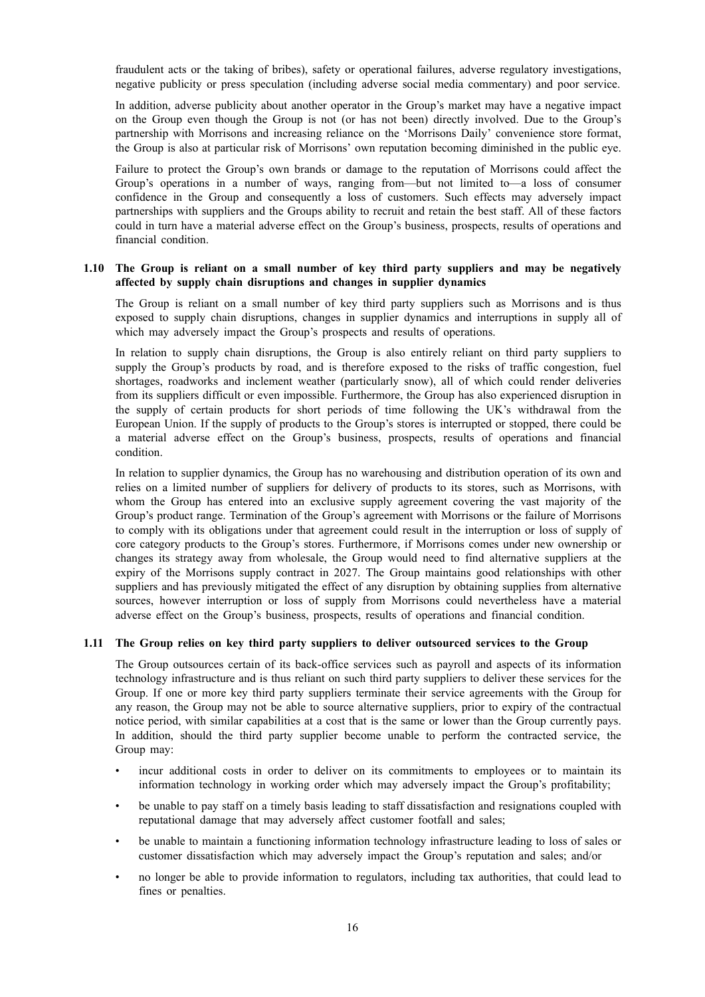fraudulent acts or the taking of bribes), safety or operational failures, adverse regulatory investigations, negative publicity or press speculation (including adverse social media commentary) and poor service.

In addition, adverse publicity about another operator in the Group's market may have a negative impact on the Group even though the Group is not (or has not been) directly involved. Due to the Group's partnership with Morrisons and increasing reliance on the 'Morrisons Daily' convenience store format, the Group is also at particular risk of Morrisons' own reputation becoming diminished in the public eye.

Failure to protect the Group's own brands or damage to the reputation of Morrisons could affect the Group's operations in a number of ways, ranging from—but not limited to—a loss of consumer confidence in the Group and consequently a loss of customers. Such effects may adversely impact partnerships with suppliers and the Groups ability to recruit and retain the best staff. All of these factors could in turn have a material adverse effect on the Group's business, prospects, results of operations and financial condition.

#### **1.10 The Group is reliant on a small number of key third party suppliers and may be negatively affected by supply chain disruptions and changes in supplier dynamics**

The Group is reliant on a small number of key third party suppliers such as Morrisons and is thus exposed to supply chain disruptions, changes in supplier dynamics and interruptions in supply all of which may adversely impact the Group's prospects and results of operations.

In relation to supply chain disruptions, the Group is also entirely reliant on third party suppliers to supply the Group's products by road, and is therefore exposed to the risks of traffic congestion, fuel shortages, roadworks and inclement weather (particularly snow), all of which could render deliveries from its suppliers difficult or even impossible. Furthermore, the Group has also experienced disruption in the supply of certain products for short periods of time following the UK's withdrawal from the European Union. If the supply of products to the Group's stores is interrupted or stopped, there could be a material adverse effect on the Group's business, prospects, results of operations and financial condition.

In relation to supplier dynamics, the Group has no warehousing and distribution operation of its own and relies on a limited number of suppliers for delivery of products to its stores, such as Morrisons, with whom the Group has entered into an exclusive supply agreement covering the vast majority of the Group's product range. Termination of the Group's agreement with Morrisons or the failure of Morrisons to comply with its obligations under that agreement could result in the interruption or loss of supply of core category products to the Group's stores. Furthermore, if Morrisons comes under new ownership or changes its strategy away from wholesale, the Group would need to find alternative suppliers at the expiry of the Morrisons supply contract in 2027. The Group maintains good relationships with other suppliers and has previously mitigated the effect of any disruption by obtaining supplies from alternative sources, however interruption or loss of supply from Morrisons could nevertheless have a material adverse effect on the Group's business, prospects, results of operations and financial condition.

### **1.11 The Group relies on key third party suppliers to deliver outsourced services to the Group**

The Group outsources certain of its back-office services such as payroll and aspects of its information technology infrastructure and is thus reliant on such third party suppliers to deliver these services for the Group. If one or more key third party suppliers terminate their service agreements with the Group for any reason, the Group may not be able to source alternative suppliers, prior to expiry of the contractual notice period, with similar capabilities at a cost that is the same or lower than the Group currently pays. In addition, should the third party supplier become unable to perform the contracted service, the Group may:

- incur additional costs in order to deliver on its commitments to employees or to maintain its information technology in working order which may adversely impact the Group's profitability;
- be unable to pay staff on a timely basis leading to staff dissatisfaction and resignations coupled with reputational damage that may adversely affect customer footfall and sales;
- be unable to maintain a functioning information technology infrastructure leading to loss of sales or customer dissatisfaction which may adversely impact the Group's reputation and sales; and/or
- no longer be able to provide information to regulators, including tax authorities, that could lead to fines or penalties.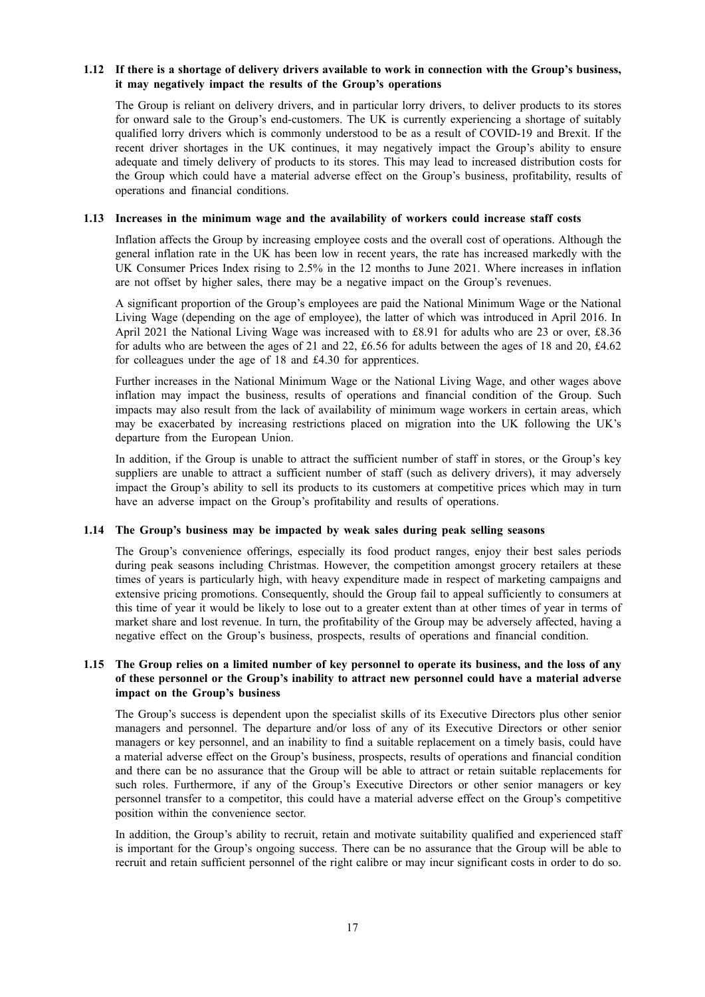### 1.12 If there is a shortage of delivery drivers available to work in connection with the Group's business, **it may negatively impact the results of the Group's operations**

The Group is reliant on delivery drivers, and in particular lorry drivers, to deliver products to its stores for onward sale to the Group's end-customers. The UK is currently experiencing a shortage of suitably qualified lorry drivers which is commonly understood to be as a result of COVID-19 and Brexit. If the recent driver shortages in the UK continues, it may negatively impact the Group's ability to ensure adequate and timely delivery of products to its stores. This may lead to increased distribution costs for the Group which could have a material adverse effect on the Group's business, profitability, results of operations and financial conditions.

### **1.13 Increases in the minimum wage and the availability of workers could increase staff costs**

Inflation affects the Group by increasing employee costs and the overall cost of operations. Although the general inflation rate in the UK has been low in recent years, the rate has increased markedly with the UK Consumer Prices Index rising to 2.5% in the 12 months to June 2021. Where increases in inflation are not offset by higher sales, there may be a negative impact on the Group's revenues.

A significant proportion of the Group's employees are paid the National Minimum Wage or the National Living Wage (depending on the age of employee), the latter of which was introduced in April 2016. In April 2021 the National Living Wage was increased with to £8.91 for adults who are 23 or over, £8.36 for adults who are between the ages of 21 and 22, £6.56 for adults between the ages of 18 and 20, £4.62 for colleagues under the age of 18 and £4.30 for apprentices.

Further increases in the National Minimum Wage or the National Living Wage, and other wages above inflation may impact the business, results of operations and financial condition of the Group. Such impacts may also result from the lack of availability of minimum wage workers in certain areas, which may be exacerbated by increasing restrictions placed on migration into the UK following the UK's departure from the European Union.

In addition, if the Group is unable to attract the sufficient number of staff in stores, or the Group's key suppliers are unable to attract a sufficient number of staff (such as delivery drivers), it may adversely impact the Group's ability to sell its products to its customers at competitive prices which may in turn have an adverse impact on the Group's profitability and results of operations.

### **1.14 The Group's business may be impacted by weak sales during peak selling seasons**

The Group's convenience offerings, especially its food product ranges, enjoy their best sales periods during peak seasons including Christmas. However, the competition amongst grocery retailers at these times of years is particularly high, with heavy expenditure made in respect of marketing campaigns and extensive pricing promotions. Consequently, should the Group fail to appeal sufficiently to consumers at this time of year it would be likely to lose out to a greater extent than at other times of year in terms of market share and lost revenue. In turn, the profitability of the Group may be adversely affected, having a negative effect on the Group's business, prospects, results of operations and financial condition.

### 1.15 The Group relies on a limited number of key personnel to operate its business, and the loss of any **of these personnel or the Group's inability to attract new personnel could have a material adverse impact on the Group's business**

The Group's success is dependent upon the specialist skills of its Executive Directors plus other senior managers and personnel. The departure and/or loss of any of its Executive Directors or other senior managers or key personnel, and an inability to find a suitable replacement on a timely basis, could have a material adverse effect on the Group's business, prospects, results of operations and financial condition and there can be no assurance that the Group will be able to attract or retain suitable replacements for such roles. Furthermore, if any of the Group's Executive Directors or other senior managers or key personnel transfer to a competitor, this could have a material adverse effect on the Group's competitive position within the convenience sector.

In addition, the Group's ability to recruit, retain and motivate suitability qualified and experienced staff is important for the Group's ongoing success. There can be no assurance that the Group will be able to recruit and retain sufficient personnel of the right calibre or may incur significant costs in order to do so.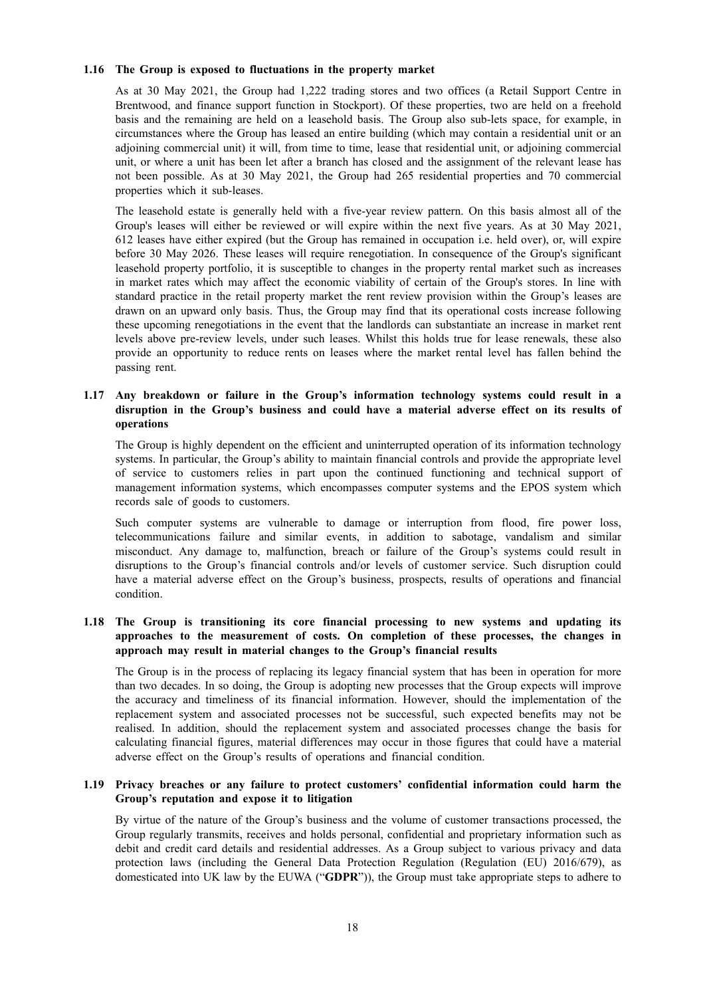#### **1.16 The Group is exposed to fluctuations in the property market**

As at 30 May 2021, the Group had 1,222 trading stores and two offices (a Retail Support Centre in Brentwood, and finance support function in Stockport). Of these properties, two are held on a freehold basis and the remaining are held on a leasehold basis. The Group also sub-lets space, for example, in circumstances where the Group has leased an entire building (which may contain a residential unit or an adjoining commercial unit) it will, from time to time, lease that residential unit, or adjoining commercial unit, or where a unit has been let after a branch has closed and the assignment of the relevant lease has not been possible. As at 30 May 2021, the Group had 265 residential properties and 70 commercial properties which it sub-leases.

The leasehold estate is generally held with a five-year review pattern. On this basis almost all of the Group's leases will either be reviewed or will expire within the next five years. As at 30 May 2021, 612 leases have either expired (but the Group has remained in occupation i.e. held over), or, will expire before 30 May 2026. These leases will require renegotiation. In consequence of the Group's significant leasehold property portfolio, it is susceptible to changes in the property rental market such as increases in market rates which may affect the economic viability of certain of the Group's stores. In line with standard practice in the retail property market the rent review provision within the Group's leases are drawn on an upward only basis. Thus, the Group may find that its operational costs increase following these upcoming renegotiations in the event that the landlords can substantiate an increase in market rent levels above pre-review levels, under such leases. Whilst this holds true for lease renewals, these also provide an opportunity to reduce rents on leases where the market rental level has fallen behind the passing rent.

### **1.17 Any breakdown or failure in the Group's information technology systems could result in a disruption in the Group's business and could have a material adverse effect on its results of operations**

The Group is highly dependent on the efficient and uninterrupted operation of its information technology systems. In particular, the Group's ability to maintain financial controls and provide the appropriate level of service to customers relies in part upon the continued functioning and technical support of management information systems, which encompasses computer systems and the EPOS system which records sale of goods to customers.

Such computer systems are vulnerable to damage or interruption from flood, fire power loss, telecommunications failure and similar events, in addition to sabotage, vandalism and similar misconduct. Any damage to, malfunction, breach or failure of the Group's systems could result in disruptions to the Group's financial controls and/or levels of customer service. Such disruption could have a material adverse effect on the Group's business, prospects, results of operations and financial condition.

### **1.18 The Group is transitioning its core financial processing to new systems and updating its approaches to the measurement of costs. On completion of these processes, the changes in approach may result in material changes to the Group's financial results**

The Group is in the process of replacing its legacy financial system that has been in operation for more than two decades. In so doing, the Group is adopting new processes that the Group expects will improve the accuracy and timeliness of its financial information. However, should the implementation of the replacement system and associated processes not be successful, such expected benefits may not be realised. In addition, should the replacement system and associated processes change the basis for calculating financial figures, material differences may occur in those figures that could have a material adverse effect on the Group's results of operations and financial condition.

### **1.19 Privacy breaches or any failure to protect customers' confidential information could harm the Group's reputation and expose it to litigation**

By virtue of the nature of the Group's business and the volume of customer transactions processed, the Group regularly transmits, receives and holds personal, confidential and proprietary information such as debit and credit card details and residential addresses. As a Group subject to various privacy and data protection laws (including the General Data Protection Regulation (Regulation (EU) 2016/679), as domesticated into UK law by the EUWA ("**GDPR**")), the Group must take appropriate steps to adhere to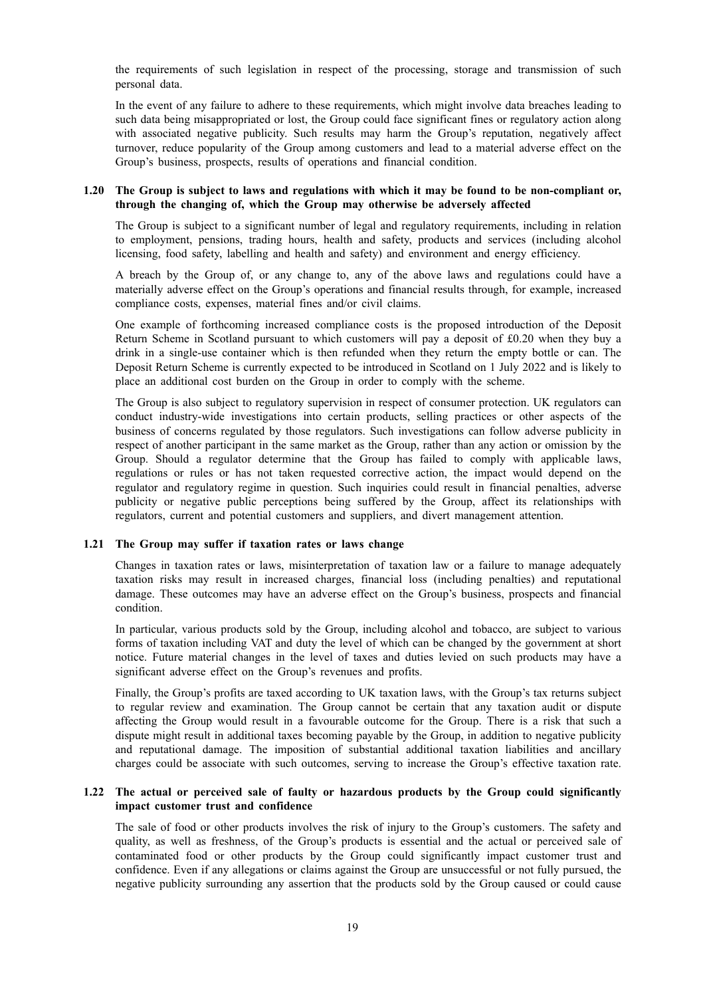the requirements of such legislation in respect of the processing, storage and transmission of such personal data.

In the event of any failure to adhere to these requirements, which might involve data breaches leading to such data being misappropriated or lost, the Group could face significant fines or regulatory action along with associated negative publicity. Such results may harm the Group's reputation, negatively affect turnover, reduce popularity of the Group among customers and lead to a material adverse effect on the Group's business, prospects, results of operations and financial condition.

#### 1.20 The Group is subject to laws and regulations with which it may be found to be non-compliant or, **through the changing of, which the Group may otherwise be adversely affected**

The Group is subject to a significant number of legal and regulatory requirements, including in relation to employment, pensions, trading hours, health and safety, products and services (including alcohol licensing, food safety, labelling and health and safety) and environment and energy efficiency.

A breach by the Group of, or any change to, any of the above laws and regulations could have a materially adverse effect on the Group's operations and financial results through, for example, increased compliance costs, expenses, material fines and/or civil claims.

One example of forthcoming increased compliance costs is the proposed introduction of the Deposit Return Scheme in Scotland pursuant to which customers will pay a deposit of £0.20 when they buy a drink in a single-use container which is then refunded when they return the empty bottle or can. The Deposit Return Scheme is currently expected to be introduced in Scotland on 1 July 2022 and is likely to place an additional cost burden on the Group in order to comply with the scheme.

The Group is also subject to regulatory supervision in respect of consumer protection. UK regulators can conduct industry-wide investigations into certain products, selling practices or other aspects of the business of concerns regulated by those regulators. Such investigations can follow adverse publicity in respect of another participant in the same market as the Group, rather than any action or omission by the Group. Should a regulator determine that the Group has failed to comply with applicable laws, regulations or rules or has not taken requested corrective action, the impact would depend on the regulator and regulatory regime in question. Such inquiries could result in financial penalties, adverse publicity or negative public perceptions being suffered by the Group, affect its relationships with regulators, current and potential customers and suppliers, and divert management attention.

#### **1.21 The Group may suffer if taxation rates or laws change**

Changes in taxation rates or laws, misinterpretation of taxation law or a failure to manage adequately taxation risks may result in increased charges, financial loss (including penalties) and reputational damage. These outcomes may have an adverse effect on the Group's business, prospects and financial condition.

In particular, various products sold by the Group, including alcohol and tobacco, are subject to various forms of taxation including VAT and duty the level of which can be changed by the government at short notice. Future material changes in the level of taxes and duties levied on such products may have a significant adverse effect on the Group's revenues and profits.

Finally, the Group's profits are taxed according to UK taxation laws, with the Group's tax returns subject to regular review and examination. The Group cannot be certain that any taxation audit or dispute affecting the Group would result in a favourable outcome for the Group. There is a risk that such a dispute might result in additional taxes becoming payable by the Group, in addition to negative publicity and reputational damage. The imposition of substantial additional taxation liabilities and ancillary charges could be associate with such outcomes, serving to increase the Group's effective taxation rate.

#### **1.22 The actual or perceived sale of faulty or hazardous products by the Group could significantly impact customer trust and confidence**

The sale of food or other products involves the risk of injury to the Group's customers. The safety and quality, as well as freshness, of the Group's products is essential and the actual or perceived sale of contaminated food or other products by the Group could significantly impact customer trust and confidence. Even if any allegations or claims against the Group are unsuccessful or not fully pursued, the negative publicity surrounding any assertion that the products sold by the Group caused or could cause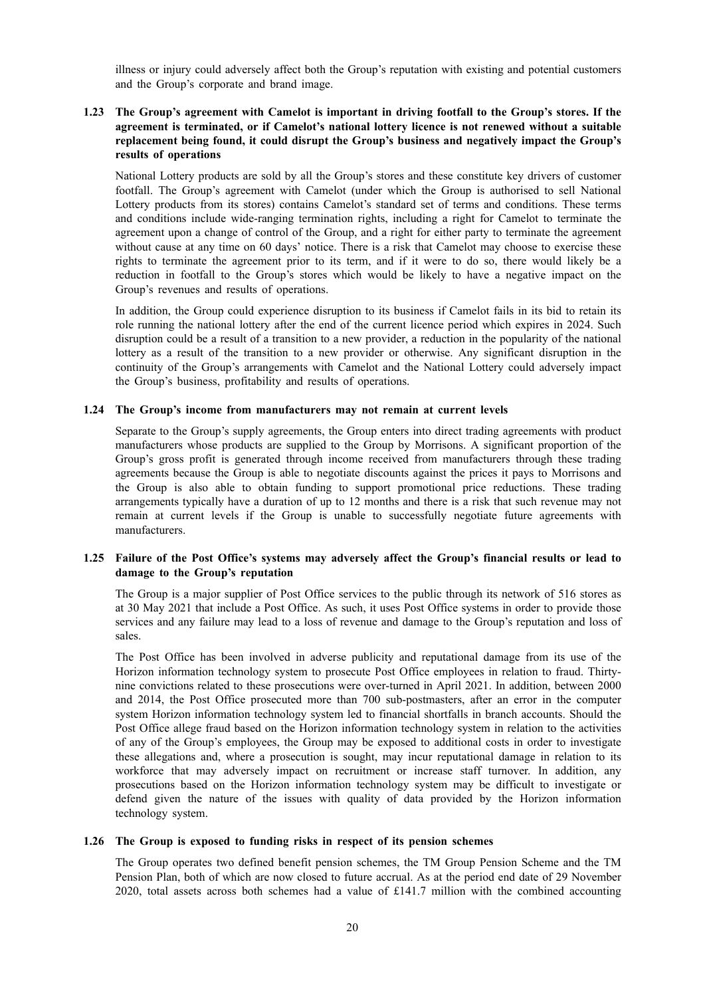illness or injury could adversely affect both the Group's reputation with existing and potential customers and the Group's corporate and brand image.

### **1.23 The Group's agreement with Camelot is important in driving footfall to the Group's stores. If the agreement is terminated, or if Camelot's national lottery licence is not renewed without a suitable replacement being found, it could disrupt the Group's business and negatively impact the Group's results of operations**

National Lottery products are sold by all the Group's stores and these constitute key drivers of customer footfall. The Group's agreement with Camelot (under which the Group is authorised to sell National Lottery products from its stores) contains Camelot's standard set of terms and conditions. These terms and conditions include wide-ranging termination rights, including a right for Camelot to terminate the agreement upon a change of control of the Group, and a right for either party to terminate the agreement without cause at any time on 60 days' notice. There is a risk that Camelot may choose to exercise these rights to terminate the agreement prior to its term, and if it were to do so, there would likely be a reduction in footfall to the Group's stores which would be likely to have a negative impact on the Group's revenues and results of operations.

In addition, the Group could experience disruption to its business if Camelot fails in its bid to retain its role running the national lottery after the end of the current licence period which expires in 2024. Such disruption could be a result of a transition to a new provider, a reduction in the popularity of the national lottery as a result of the transition to a new provider or otherwise. Any significant disruption in the continuity of the Group's arrangements with Camelot and the National Lottery could adversely impact the Group's business, profitability and results of operations.

#### **1.24 The Group's income from manufacturers may not remain at current levels**

Separate to the Group's supply agreements, the Group enters into direct trading agreements with product manufacturers whose products are supplied to the Group by Morrisons. A significant proportion of the Group's gross profit is generated through income received from manufacturers through these trading agreements because the Group is able to negotiate discounts against the prices it pays to Morrisons and the Group is also able to obtain funding to support promotional price reductions. These trading arrangements typically have a duration of up to 12 months and there is a risk that such revenue may not remain at current levels if the Group is unable to successfully negotiate future agreements with manufacturers.

### **1.25 Failure of the Post Office's systems may adversely affect the Group's financial results or lead to damage to the Group's reputation**

The Group is a major supplier of Post Office services to the public through its network of 516 stores as at 30 May 2021 that include a Post Office. As such, it uses Post Office systems in order to provide those services and any failure may lead to a loss of revenue and damage to the Group's reputation and loss of sales.

The Post Office has been involved in adverse publicity and reputational damage from its use of the Horizon information technology system to prosecute Post Office employees in relation to fraud. Thirtynine convictions related to these prosecutions were over-turned in April 2021. In addition, between 2000 and 2014, the Post Office prosecuted more than 700 sub-postmasters, after an error in the computer system Horizon information technology system led to financial shortfalls in branch accounts. Should the Post Office allege fraud based on the Horizon information technology system in relation to the activities of any of the Group's employees, the Group may be exposed to additional costs in order to investigate these allegations and, where a prosecution is sought, may incur reputational damage in relation to its workforce that may adversely impact on recruitment or increase staff turnover. In addition, any prosecutions based on the Horizon information technology system may be difficult to investigate or defend given the nature of the issues with quality of data provided by the Horizon information technology system.

### **1.26 The Group is exposed to funding risks in respect of its pension schemes**

The Group operates two defined benefit pension schemes, the TM Group Pension Scheme and the TM Pension Plan, both of which are now closed to future accrual. As at the period end date of 29 November 2020, total assets across both schemes had a value of £141.7 million with the combined accounting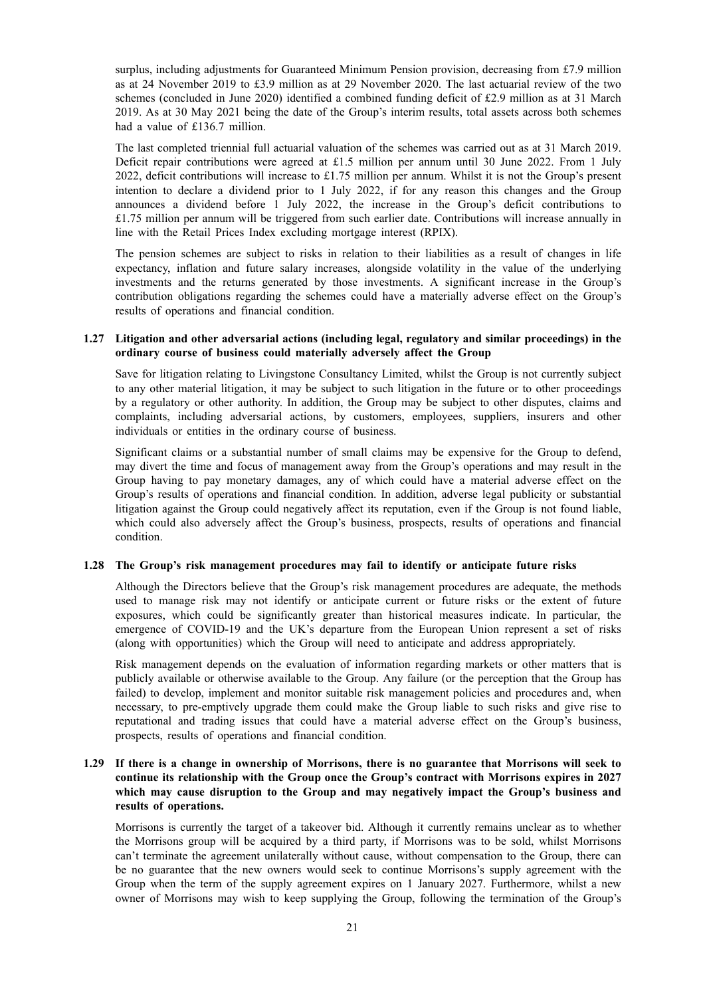surplus, including adjustments for Guaranteed Minimum Pension provision, decreasing from £7.9 million as at 24 November 2019 to £3.9 million as at 29 November 2020. The last actuarial review of the two schemes (concluded in June 2020) identified a combined funding deficit of £2.9 million as at 31 March 2019. As at 30 May 2021 being the date of the Group's interim results, total assets across both schemes had a value of £136.7 million.

The last completed triennial full actuarial valuation of the schemes was carried out as at 31 March 2019. Deficit repair contributions were agreed at £1.5 million per annum until 30 June 2022. From 1 July 2022, deficit contributions will increase to £1.75 million per annum. Whilst it is not the Group's present intention to declare a dividend prior to 1 July 2022, if for any reason this changes and the Group announces a dividend before 1 July 2022, the increase in the Group's deficit contributions to £1.75 million per annum will be triggered from such earlier date. Contributions will increase annually in line with the Retail Prices Index excluding mortgage interest (RPIX).

The pension schemes are subject to risks in relation to their liabilities as a result of changes in life expectancy, inflation and future salary increases, alongside volatility in the value of the underlying investments and the returns generated by those investments. A significant increase in the Group's contribution obligations regarding the schemes could have a materially adverse effect on the Group's results of operations and financial condition.

### **1.27 Litigation and other adversarial actions (including legal, regulatory and similar proceedings) in the ordinary course of business could materially adversely affect the Group**

Save for litigation relating to Livingstone Consultancy Limited, whilst the Group is not currently subject to any other material litigation, it may be subject to such litigation in the future or to other proceedings by a regulatory or other authority. In addition, the Group may be subject to other disputes, claims and complaints, including adversarial actions, by customers, employees, suppliers, insurers and other individuals or entities in the ordinary course of business.

Significant claims or a substantial number of small claims may be expensive for the Group to defend, may divert the time and focus of management away from the Group's operations and may result in the Group having to pay monetary damages, any of which could have a material adverse effect on the Group's results of operations and financial condition. In addition, adverse legal publicity or substantial litigation against the Group could negatively affect its reputation, even if the Group is not found liable, which could also adversely affect the Group's business, prospects, results of operations and financial condition.

### **1.28 The Group's risk management procedures may fail to identify or anticipate future risks**

Although the Directors believe that the Group's risk management procedures are adequate, the methods used to manage risk may not identify or anticipate current or future risks or the extent of future exposures, which could be significantly greater than historical measures indicate. In particular, the emergence of COVID-19 and the UK's departure from the European Union represent a set of risks (along with opportunities) which the Group will need to anticipate and address appropriately.

Risk management depends on the evaluation of information regarding markets or other matters that is publicly available or otherwise available to the Group. Any failure (or the perception that the Group has failed) to develop, implement and monitor suitable risk management policies and procedures and, when necessary, to pre-emptively upgrade them could make the Group liable to such risks and give rise to reputational and trading issues that could have a material adverse effect on the Group's business, prospects, results of operations and financial condition.

### 1.29 If there is a change in ownership of Morrisons, there is no guarantee that Morrisons will seek to **continue its relationship with the Group once the Group's contract with Morrisons expires in 2027 which may cause disruption to the Group and may negatively impact the Group's business and results of operations.**

Morrisons is currently the target of a takeover bid. Although it currently remains unclear as to whether the Morrisons group will be acquired by a third party, if Morrisons was to be sold, whilst Morrisons can't terminate the agreement unilaterally without cause, without compensation to the Group, there can be no guarantee that the new owners would seek to continue Morrisons's supply agreement with the Group when the term of the supply agreement expires on 1 January 2027. Furthermore, whilst a new owner of Morrisons may wish to keep supplying the Group, following the termination of the Group's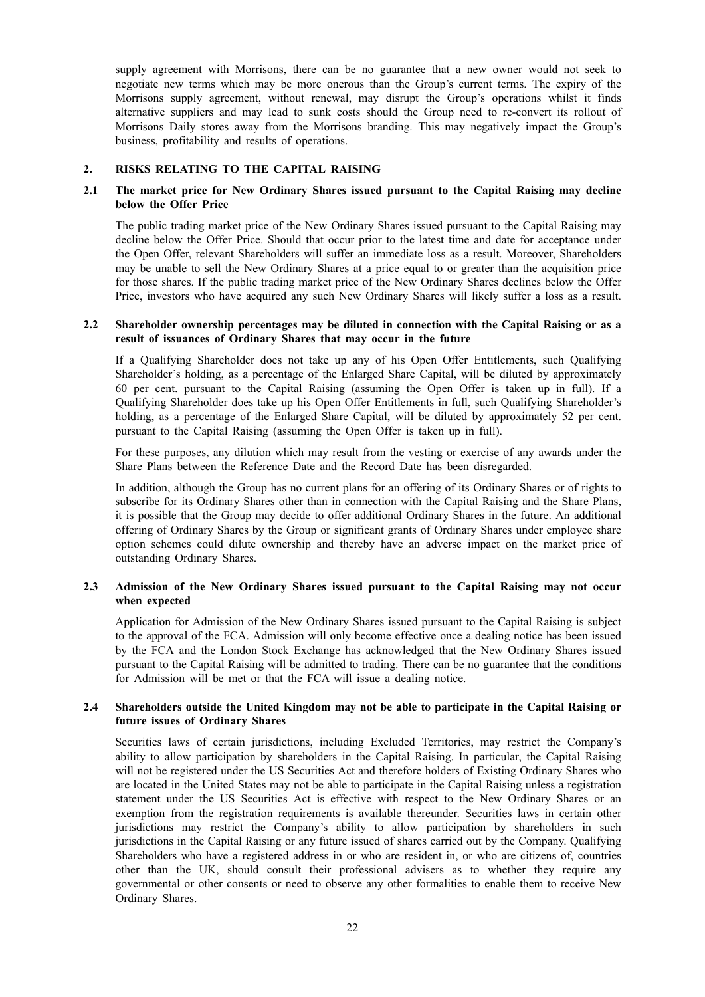supply agreement with Morrisons, there can be no guarantee that a new owner would not seek to negotiate new terms which may be more onerous than the Group's current terms. The expiry of the Morrisons supply agreement, without renewal, may disrupt the Group's operations whilst it finds alternative suppliers and may lead to sunk costs should the Group need to re-convert its rollout of Morrisons Daily stores away from the Morrisons branding. This may negatively impact the Group's business, profitability and results of operations.

#### **2. RISKS RELATING TO THE CAPITAL RAISING**

### **2.1 The market price for New Ordinary Shares issued pursuant to the Capital Raising may decline below the Offer Price**

The public trading market price of the New Ordinary Shares issued pursuant to the Capital Raising may decline below the Offer Price. Should that occur prior to the latest time and date for acceptance under the Open Offer, relevant Shareholders will suffer an immediate loss as a result. Moreover, Shareholders may be unable to sell the New Ordinary Shares at a price equal to or greater than the acquisition price for those shares. If the public trading market price of the New Ordinary Shares declines below the Offer Price, investors who have acquired any such New Ordinary Shares will likely suffer a loss as a result.

#### **2.2 Shareholder ownership percentages may be diluted in connection with the Capital Raising or as a result of issuances of Ordinary Shares that may occur in the future**

If a Qualifying Shareholder does not take up any of his Open Offer Entitlements, such Qualifying Shareholder's holding, as a percentage of the Enlarged Share Capital, will be diluted by approximately 60 per cent. pursuant to the Capital Raising (assuming the Open Offer is taken up in full). If a Qualifying Shareholder does take up his Open Offer Entitlements in full, such Qualifying Shareholder's holding, as a percentage of the Enlarged Share Capital, will be diluted by approximately 52 per cent. pursuant to the Capital Raising (assuming the Open Offer is taken up in full).

For these purposes, any dilution which may result from the vesting or exercise of any awards under the Share Plans between the Reference Date and the Record Date has been disregarded.

In addition, although the Group has no current plans for an offering of its Ordinary Shares or of rights to subscribe for its Ordinary Shares other than in connection with the Capital Raising and the Share Plans, it is possible that the Group may decide to offer additional Ordinary Shares in the future. An additional offering of Ordinary Shares by the Group or significant grants of Ordinary Shares under employee share option schemes could dilute ownership and thereby have an adverse impact on the market price of outstanding Ordinary Shares.

### **2.3 Admission of the New Ordinary Shares issued pursuant to the Capital Raising may not occur when expected**

Application for Admission of the New Ordinary Shares issued pursuant to the Capital Raising is subject to the approval of the FCA. Admission will only become effective once a dealing notice has been issued by the FCA and the London Stock Exchange has acknowledged that the New Ordinary Shares issued pursuant to the Capital Raising will be admitted to trading. There can be no guarantee that the conditions for Admission will be met or that the FCA will issue a dealing notice.

### **2.4 Shareholders outside the United Kingdom may not be able to participate in the Capital Raising or future issues of Ordinary Shares**

Securities laws of certain jurisdictions, including Excluded Territories, may restrict the Company's ability to allow participation by shareholders in the Capital Raising. In particular, the Capital Raising will not be registered under the US Securities Act and therefore holders of Existing Ordinary Shares who are located in the United States may not be able to participate in the Capital Raising unless a registration statement under the US Securities Act is effective with respect to the New Ordinary Shares or an exemption from the registration requirements is available thereunder. Securities laws in certain other jurisdictions may restrict the Company's ability to allow participation by shareholders in such jurisdictions in the Capital Raising or any future issued of shares carried out by the Company. Qualifying Shareholders who have a registered address in or who are resident in, or who are citizens of, countries other than the UK, should consult their professional advisers as to whether they require any governmental or other consents or need to observe any other formalities to enable them to receive New Ordinary Shares.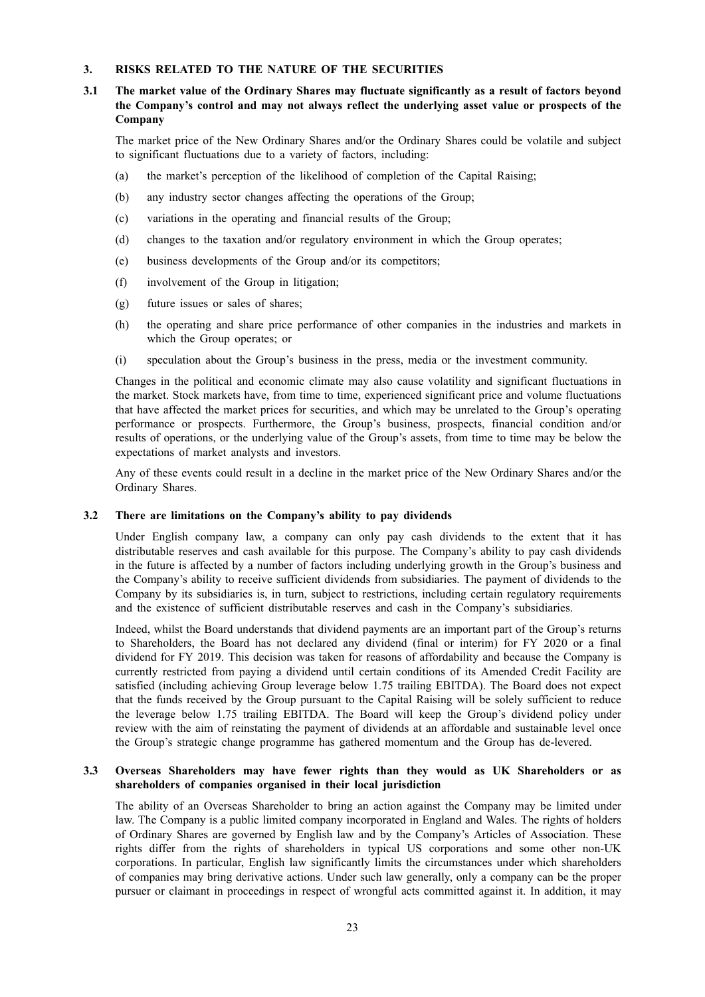### **3. RISKS RELATED TO THE NATURE OF THE SECURITIES**

### **3.1 The market value of the Ordinary Shares may fluctuate significantly as a result of factors beyond the Company's control and may not always reflect the underlying asset value or prospects of the Company**

The market price of the New Ordinary Shares and/or the Ordinary Shares could be volatile and subject to significant fluctuations due to a variety of factors, including:

- (a) the market's perception of the likelihood of completion of the Capital Raising;
- (b) any industry sector changes affecting the operations of the Group;
- (c) variations in the operating and financial results of the Group;
- (d) changes to the taxation and/or regulatory environment in which the Group operates;
- (e) business developments of the Group and/or its competitors;
- (f) involvement of the Group in litigation;
- (g) future issues or sales of shares;
- (h) the operating and share price performance of other companies in the industries and markets in which the Group operates; or
- (i) speculation about the Group's business in the press, media or the investment community.

Changes in the political and economic climate may also cause volatility and significant fluctuations in the market. Stock markets have, from time to time, experienced significant price and volume fluctuations that have affected the market prices for securities, and which may be unrelated to the Group's operating performance or prospects. Furthermore, the Group's business, prospects, financial condition and/or results of operations, or the underlying value of the Group's assets, from time to time may be below the expectations of market analysts and investors.

Any of these events could result in a decline in the market price of the New Ordinary Shares and/or the Ordinary Shares.

#### **3.2 There are limitations on the Company's ability to pay dividends**

Under English company law, a company can only pay cash dividends to the extent that it has distributable reserves and cash available for this purpose. The Company's ability to pay cash dividends in the future is affected by a number of factors including underlying growth in the Group's business and the Company's ability to receive sufficient dividends from subsidiaries. The payment of dividends to the Company by its subsidiaries is, in turn, subject to restrictions, including certain regulatory requirements and the existence of sufficient distributable reserves and cash in the Company's subsidiaries.

Indeed, whilst the Board understands that dividend payments are an important part of the Group's returns to Shareholders, the Board has not declared any dividend (final or interim) for FY 2020 or a final dividend for FY 2019. This decision was taken for reasons of affordability and because the Company is currently restricted from paying a dividend until certain conditions of its Amended Credit Facility are satisfied (including achieving Group leverage below 1.75 trailing EBITDA). The Board does not expect that the funds received by the Group pursuant to the Capital Raising will be solely sufficient to reduce the leverage below 1.75 trailing EBITDA. The Board will keep the Group's dividend policy under review with the aim of reinstating the payment of dividends at an affordable and sustainable level once the Group's strategic change programme has gathered momentum and the Group has de-levered.

#### **3.3 Overseas Shareholders may have fewer rights than they would as UK Shareholders or as shareholders of companies organised in their local jurisdiction**

The ability of an Overseas Shareholder to bring an action against the Company may be limited under law. The Company is a public limited company incorporated in England and Wales. The rights of holders of Ordinary Shares are governed by English law and by the Company's Articles of Association. These rights differ from the rights of shareholders in typical US corporations and some other non-UK corporations. In particular, English law significantly limits the circumstances under which shareholders of companies may bring derivative actions. Under such law generally, only a company can be the proper pursuer or claimant in proceedings in respect of wrongful acts committed against it. In addition, it may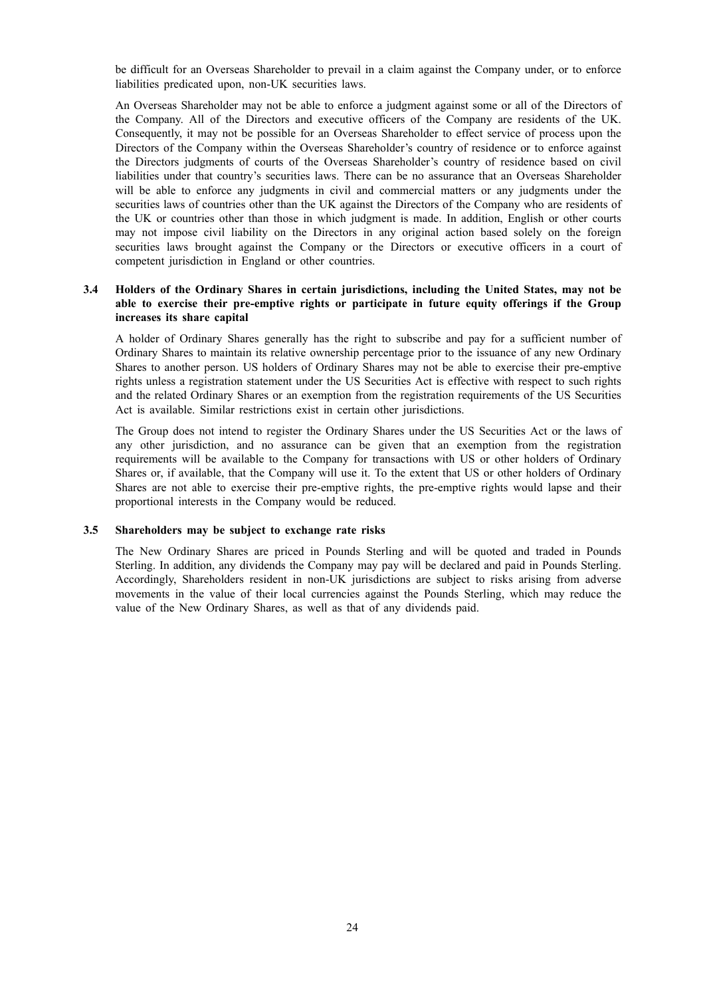be difficult for an Overseas Shareholder to prevail in a claim against the Company under, or to enforce liabilities predicated upon, non-UK securities laws.

An Overseas Shareholder may not be able to enforce a judgment against some or all of the Directors of the Company. All of the Directors and executive officers of the Company are residents of the UK. Consequently, it may not be possible for an Overseas Shareholder to effect service of process upon the Directors of the Company within the Overseas Shareholder's country of residence or to enforce against the Directors judgments of courts of the Overseas Shareholder's country of residence based on civil liabilities under that country's securities laws. There can be no assurance that an Overseas Shareholder will be able to enforce any judgments in civil and commercial matters or any judgments under the securities laws of countries other than the UK against the Directors of the Company who are residents of the UK or countries other than those in which judgment is made. In addition, English or other courts may not impose civil liability on the Directors in any original action based solely on the foreign securities laws brought against the Company or the Directors or executive officers in a court of competent jurisdiction in England or other countries.

### **3.4 Holders of the Ordinary Shares in certain jurisdictions, including the United States, may not be able to exercise their pre-emptive rights or participate in future equity offerings if the Group increases its share capital**

A holder of Ordinary Shares generally has the right to subscribe and pay for a sufficient number of Ordinary Shares to maintain its relative ownership percentage prior to the issuance of any new Ordinary Shares to another person. US holders of Ordinary Shares may not be able to exercise their pre-emptive rights unless a registration statement under the US Securities Act is effective with respect to such rights and the related Ordinary Shares or an exemption from the registration requirements of the US Securities Act is available. Similar restrictions exist in certain other jurisdictions.

The Group does not intend to register the Ordinary Shares under the US Securities Act or the laws of any other jurisdiction, and no assurance can be given that an exemption from the registration requirements will be available to the Company for transactions with US or other holders of Ordinary Shares or, if available, that the Company will use it. To the extent that US or other holders of Ordinary Shares are not able to exercise their pre-emptive rights, the pre-emptive rights would lapse and their proportional interests in the Company would be reduced.

### **3.5 Shareholders may be subject to exchange rate risks**

The New Ordinary Shares are priced in Pounds Sterling and will be quoted and traded in Pounds Sterling. In addition, any dividends the Company may pay will be declared and paid in Pounds Sterling. Accordingly, Shareholders resident in non-UK jurisdictions are subject to risks arising from adverse movements in the value of their local currencies against the Pounds Sterling, which may reduce the value of the New Ordinary Shares, as well as that of any dividends paid.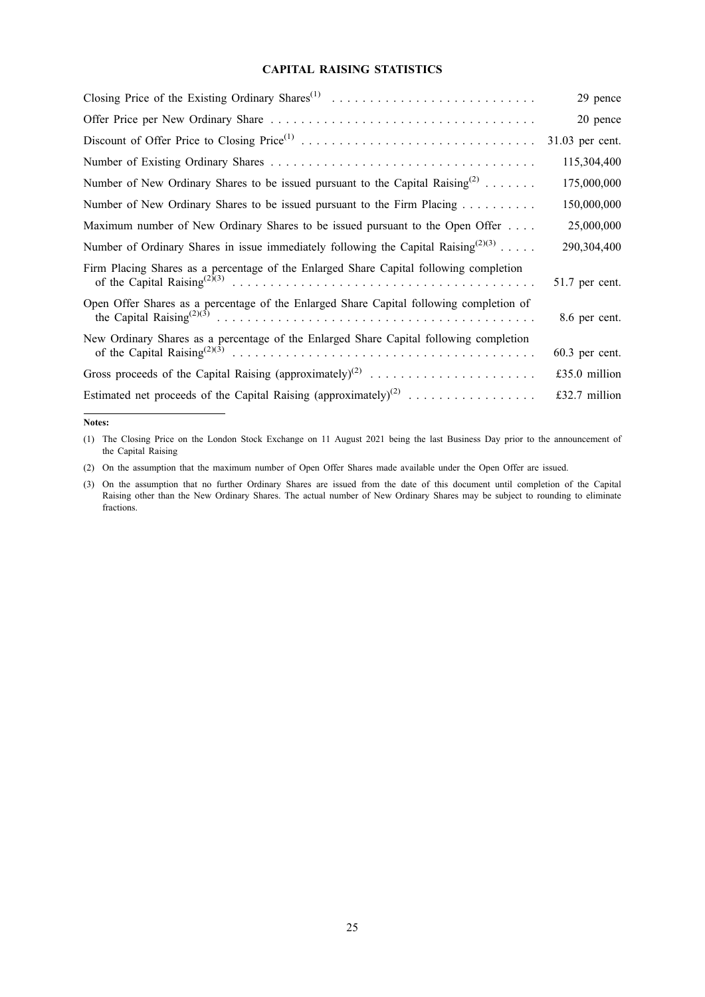#### **CAPITAL RAISING STATISTICS**

| Closing Price of the Existing Ordinary Shares <sup>(1)</sup>                                   | 29 pence         |
|------------------------------------------------------------------------------------------------|------------------|
|                                                                                                | 20 pence         |
|                                                                                                | 31.03 per cent.  |
|                                                                                                | 115,304,400      |
| Number of New Ordinary Shares to be issued pursuant to the Capital Raising <sup>(2)</sup>      | 175,000,000      |
|                                                                                                | 150,000,000      |
| Maximum number of New Ordinary Shares to be issued pursuant to the Open Offer                  | 25,000,000       |
| Number of Ordinary Shares in issue immediately following the Capital Raising <sup>(2)(3)</sup> | 290,304,400      |
| Firm Placing Shares as a percentage of the Enlarged Share Capital following completion         | 51.7 per cent.   |
| Open Offer Shares as a percentage of the Enlarged Share Capital following completion of        | 8.6 per cent.    |
| New Ordinary Shares as a percentage of the Enlarged Share Capital following completion         | $60.3$ per cent. |
| Gross proceeds of the Capital Raising (approximately) <sup>(2)</sup>                           | £35.0 million    |
| Estimated net proceeds of the Capital Raising (approximately) <sup>(2)</sup>                   | £32.7 million    |

#### **Notes:**

(1) The Closing Price on the London Stock Exchange on 11 August 2021 being the last Business Day prior to the announcement of the Capital Raising

(2) On the assumption that the maximum number of Open Offer Shares made available under the Open Offer are issued.

<sup>(3)</sup> On the assumption that no further Ordinary Shares are issued from the date of this document until completion of the Capital Raising other than the New Ordinary Shares. The actual number of New Ordinary Shares may be subject to rounding to eliminate fractions.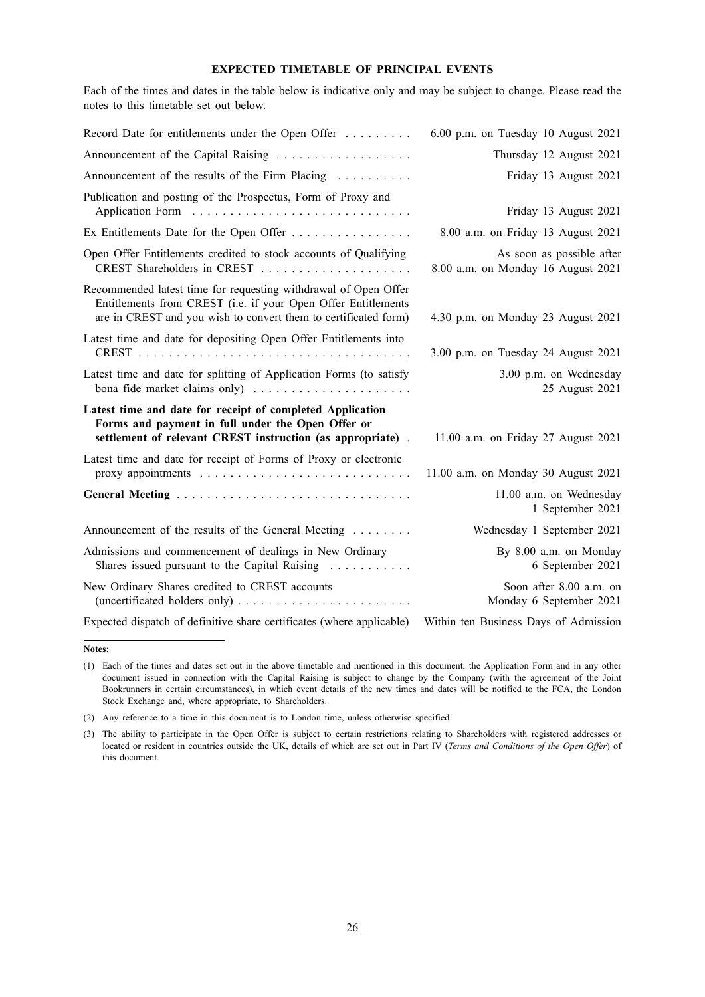#### **EXPECTED TIMETABLE OF PRINCIPAL EVENTS**

Each of the times and dates in the table below is indicative only and may be subject to change. Please read the notes to this timetable set out below.

| Record Date for entitlements under the Open Offer                                                                                                                                                   | 6.00 p.m. on Tuesday 10 August 2021                             |
|-----------------------------------------------------------------------------------------------------------------------------------------------------------------------------------------------------|-----------------------------------------------------------------|
|                                                                                                                                                                                                     | Thursday 12 August 2021                                         |
| Announcement of the results of the Firm Placing                                                                                                                                                     | Friday 13 August 2021                                           |
| Publication and posting of the Prospectus, Form of Proxy and                                                                                                                                        | Friday 13 August 2021                                           |
| Ex Entitlements Date for the Open Offer                                                                                                                                                             | 8.00 a.m. on Friday 13 August 2021                              |
| Open Offer Entitlements credited to stock accounts of Qualifying                                                                                                                                    | As soon as possible after<br>8.00 a.m. on Monday 16 August 2021 |
| Recommended latest time for requesting withdrawal of Open Offer<br>Entitlements from CREST (i.e. if your Open Offer Entitlements<br>are in CREST and you wish to convert them to certificated form) | 4.30 p.m. on Monday 23 August 2021                              |
| Latest time and date for depositing Open Offer Entitlements into                                                                                                                                    | 3.00 p.m. on Tuesday 24 August 2021                             |
| Latest time and date for splitting of Application Forms (to satisfy                                                                                                                                 | 3.00 p.m. on Wednesday<br>25 August 2021                        |
| Latest time and date for receipt of completed Application<br>Forms and payment in full under the Open Offer or<br>settlement of relevant CREST instruction (as appropriate).                        | 11.00 a.m. on Friday 27 August 2021                             |
| Latest time and date for receipt of Forms of Proxy or electronic                                                                                                                                    | 11.00 a.m. on Monday 30 August 2021                             |
|                                                                                                                                                                                                     | 11.00 a.m. on Wednesday<br>1 September 2021                     |
| Announcement of the results of the General Meeting                                                                                                                                                  | Wednesday 1 September 2021                                      |
| Admissions and commencement of dealings in New Ordinary<br>Shares issued pursuant to the Capital Raising                                                                                            | By 8.00 a.m. on Monday<br>6 September 2021                      |
| New Ordinary Shares credited to CREST accounts                                                                                                                                                      | Soon after 8.00 a.m. on<br>Monday 6 September 2021              |
| Expected dispatch of definitive share certificates (where applicable)                                                                                                                               | Within ten Business Days of Admission                           |

**Notes**:

<sup>(1)</sup> Each of the times and dates set out in the above timetable and mentioned in this document, the Application Form and in any other document issued in connection with the Capital Raising is subject to change by the Company (with the agreement of the Joint Bookrunners in certain circumstances), in which event details of the new times and dates will be notified to the FCA, the London Stock Exchange and, where appropriate, to Shareholders.

<sup>(2)</sup> Any reference to a time in this document is to London time, unless otherwise specified.

<sup>(3)</sup> The ability to participate in the Open Offer is subject to certain restrictions relating to Shareholders with registered addresses or located or resident in countries outside the UK, details of which are set out in Part IV (*Terms and Conditions of the Open Offer*) of this document.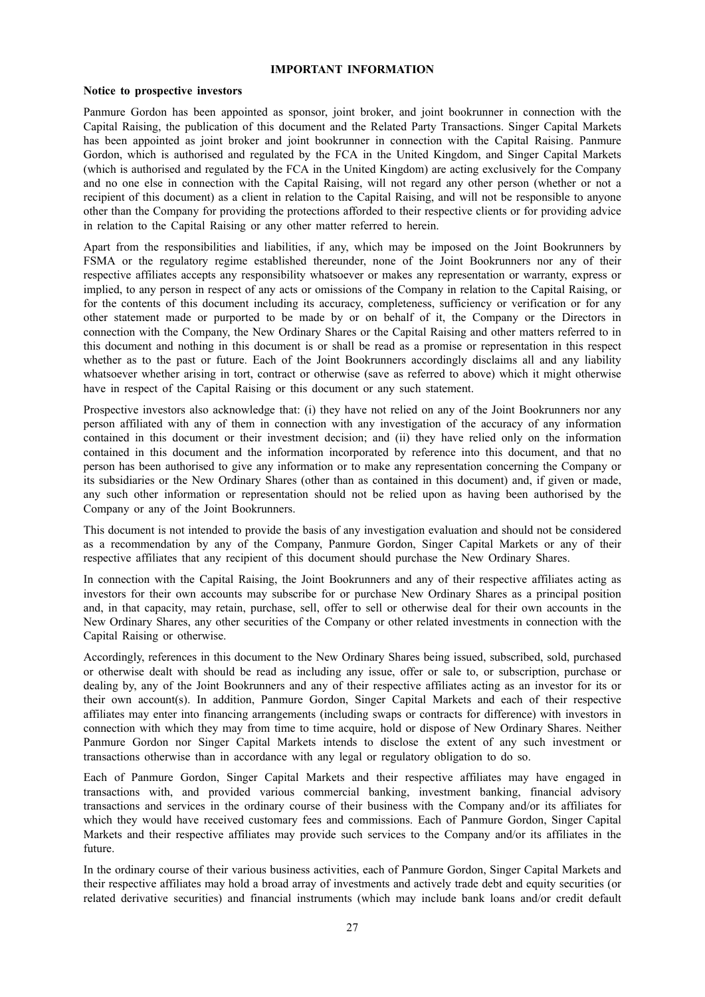#### **IMPORTANT INFORMATION**

#### **Notice to prospective investors**

Panmure Gordon has been appointed as sponsor, joint broker, and joint bookrunner in connection with the Capital Raising, the publication of this document and the Related Party Transactions. Singer Capital Markets has been appointed as joint broker and joint bookrunner in connection with the Capital Raising. Panmure Gordon, which is authorised and regulated by the FCA in the United Kingdom, and Singer Capital Markets (which is authorised and regulated by the FCA in the United Kingdom) are acting exclusively for the Company and no one else in connection with the Capital Raising, will not regard any other person (whether or not a recipient of this document) as a client in relation to the Capital Raising, and will not be responsible to anyone other than the Company for providing the protections afforded to their respective clients or for providing advice in relation to the Capital Raising or any other matter referred to herein.

Apart from the responsibilities and liabilities, if any, which may be imposed on the Joint Bookrunners by FSMA or the regulatory regime established thereunder, none of the Joint Bookrunners nor any of their respective affiliates accepts any responsibility whatsoever or makes any representation or warranty, express or implied, to any person in respect of any acts or omissions of the Company in relation to the Capital Raising, or for the contents of this document including its accuracy, completeness, sufficiency or verification or for any other statement made or purported to be made by or on behalf of it, the Company or the Directors in connection with the Company, the New Ordinary Shares or the Capital Raising and other matters referred to in this document and nothing in this document is or shall be read as a promise or representation in this respect whether as to the past or future. Each of the Joint Bookrunners accordingly disclaims all and any liability whatsoever whether arising in tort, contract or otherwise (save as referred to above) which it might otherwise have in respect of the Capital Raising or this document or any such statement.

Prospective investors also acknowledge that: (i) they have not relied on any of the Joint Bookrunners nor any person affiliated with any of them in connection with any investigation of the accuracy of any information contained in this document or their investment decision; and (ii) they have relied only on the information contained in this document and the information incorporated by reference into this document, and that no person has been authorised to give any information or to make any representation concerning the Company or its subsidiaries or the New Ordinary Shares (other than as contained in this document) and, if given or made, any such other information or representation should not be relied upon as having been authorised by the Company or any of the Joint Bookrunners.

This document is not intended to provide the basis of any investigation evaluation and should not be considered as a recommendation by any of the Company, Panmure Gordon, Singer Capital Markets or any of their respective affiliates that any recipient of this document should purchase the New Ordinary Shares.

In connection with the Capital Raising, the Joint Bookrunners and any of their respective affiliates acting as investors for their own accounts may subscribe for or purchase New Ordinary Shares as a principal position and, in that capacity, may retain, purchase, sell, offer to sell or otherwise deal for their own accounts in the New Ordinary Shares, any other securities of the Company or other related investments in connection with the Capital Raising or otherwise.

Accordingly, references in this document to the New Ordinary Shares being issued, subscribed, sold, purchased or otherwise dealt with should be read as including any issue, offer or sale to, or subscription, purchase or dealing by, any of the Joint Bookrunners and any of their respective affiliates acting as an investor for its or their own account(s). In addition, Panmure Gordon, Singer Capital Markets and each of their respective affiliates may enter into financing arrangements (including swaps or contracts for difference) with investors in connection with which they may from time to time acquire, hold or dispose of New Ordinary Shares. Neither Panmure Gordon nor Singer Capital Markets intends to disclose the extent of any such investment or transactions otherwise than in accordance with any legal or regulatory obligation to do so.

Each of Panmure Gordon, Singer Capital Markets and their respective affiliates may have engaged in transactions with, and provided various commercial banking, investment banking, financial advisory transactions and services in the ordinary course of their business with the Company and/or its affiliates for which they would have received customary fees and commissions. Each of Panmure Gordon, Singer Capital Markets and their respective affiliates may provide such services to the Company and/or its affiliates in the future.

In the ordinary course of their various business activities, each of Panmure Gordon, Singer Capital Markets and their respective affiliates may hold a broad array of investments and actively trade debt and equity securities (or related derivative securities) and financial instruments (which may include bank loans and/or credit default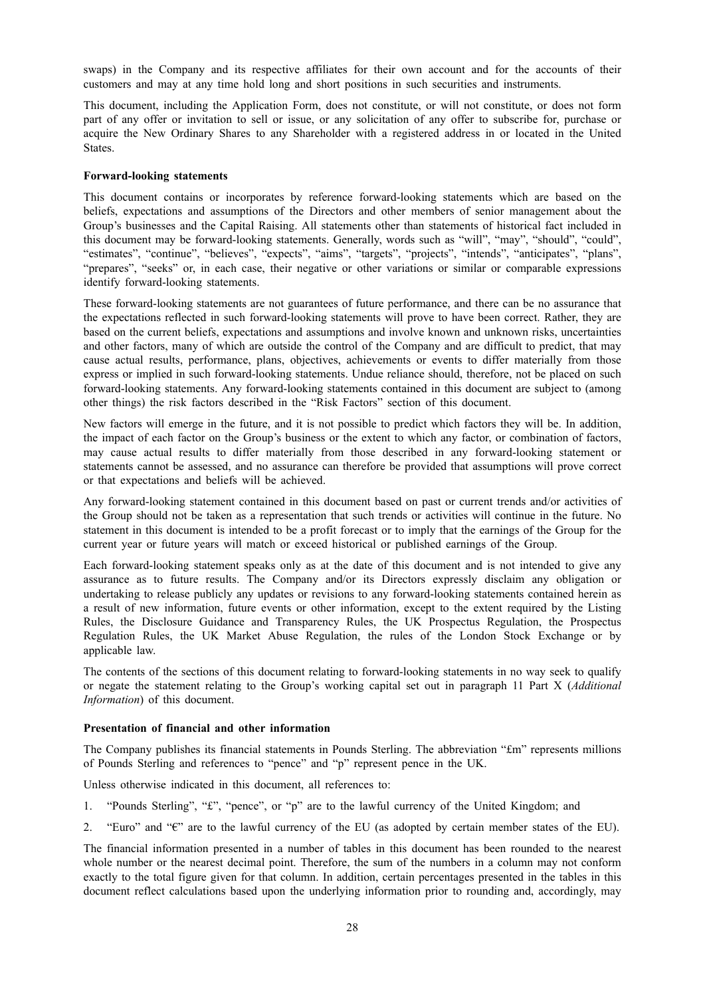swaps) in the Company and its respective affiliates for their own account and for the accounts of their customers and may at any time hold long and short positions in such securities and instruments.

This document, including the Application Form, does not constitute, or will not constitute, or does not form part of any offer or invitation to sell or issue, or any solicitation of any offer to subscribe for, purchase or acquire the New Ordinary Shares to any Shareholder with a registered address in or located in the United States.

#### **Forward-looking statements**

This document contains or incorporates by reference forward-looking statements which are based on the beliefs, expectations and assumptions of the Directors and other members of senior management about the Group's businesses and the Capital Raising. All statements other than statements of historical fact included in this document may be forward-looking statements. Generally, words such as "will", "may", "should", "could", "estimates", "continue", "believes", "expects", "aims", "targets", "projects", "intends", "anticipates", "plans", "prepares", "seeks" or, in each case, their negative or other variations or similar or comparable expressions identify forward-looking statements.

These forward-looking statements are not guarantees of future performance, and there can be no assurance that the expectations reflected in such forward-looking statements will prove to have been correct. Rather, they are based on the current beliefs, expectations and assumptions and involve known and unknown risks, uncertainties and other factors, many of which are outside the control of the Company and are difficult to predict, that may cause actual results, performance, plans, objectives, achievements or events to differ materially from those express or implied in such forward-looking statements. Undue reliance should, therefore, not be placed on such forward-looking statements. Any forward-looking statements contained in this document are subject to (among other things) the risk factors described in the "Risk Factors" section of this document.

New factors will emerge in the future, and it is not possible to predict which factors they will be. In addition, the impact of each factor on the Group's business or the extent to which any factor, or combination of factors, may cause actual results to differ materially from those described in any forward-looking statement or statements cannot be assessed, and no assurance can therefore be provided that assumptions will prove correct or that expectations and beliefs will be achieved.

Any forward-looking statement contained in this document based on past or current trends and/or activities of the Group should not be taken as a representation that such trends or activities will continue in the future. No statement in this document is intended to be a profit forecast or to imply that the earnings of the Group for the current year or future years will match or exceed historical or published earnings of the Group.

Each forward-looking statement speaks only as at the date of this document and is not intended to give any assurance as to future results. The Company and/or its Directors expressly disclaim any obligation or undertaking to release publicly any updates or revisions to any forward-looking statements contained herein as a result of new information, future events or other information, except to the extent required by the Listing Rules, the Disclosure Guidance and Transparency Rules, the UK Prospectus Regulation, the Prospectus Regulation Rules, the UK Market Abuse Regulation, the rules of the London Stock Exchange or by applicable law.

The contents of the sections of this document relating to forward-looking statements in no way seek to qualify or negate the statement relating to the Group's working capital set out in paragraph 11 Part X (*Additional Information*) of this document.

#### **Presentation of financial and other information**

The Company publishes its financial statements in Pounds Sterling. The abbreviation "£m" represents millions of Pounds Sterling and references to "pence" and "p" represent pence in the UK.

Unless otherwise indicated in this document, all references to:

- 1. "Pounds Sterling", "£", "pence", or "p" are to the lawful currency of the United Kingdom; and
- 2. "Euro" and " $\varepsilon$ " are to the lawful currency of the EU (as adopted by certain member states of the EU).

The financial information presented in a number of tables in this document has been rounded to the nearest whole number or the nearest decimal point. Therefore, the sum of the numbers in a column may not conform exactly to the total figure given for that column. In addition, certain percentages presented in the tables in this document reflect calculations based upon the underlying information prior to rounding and, accordingly, may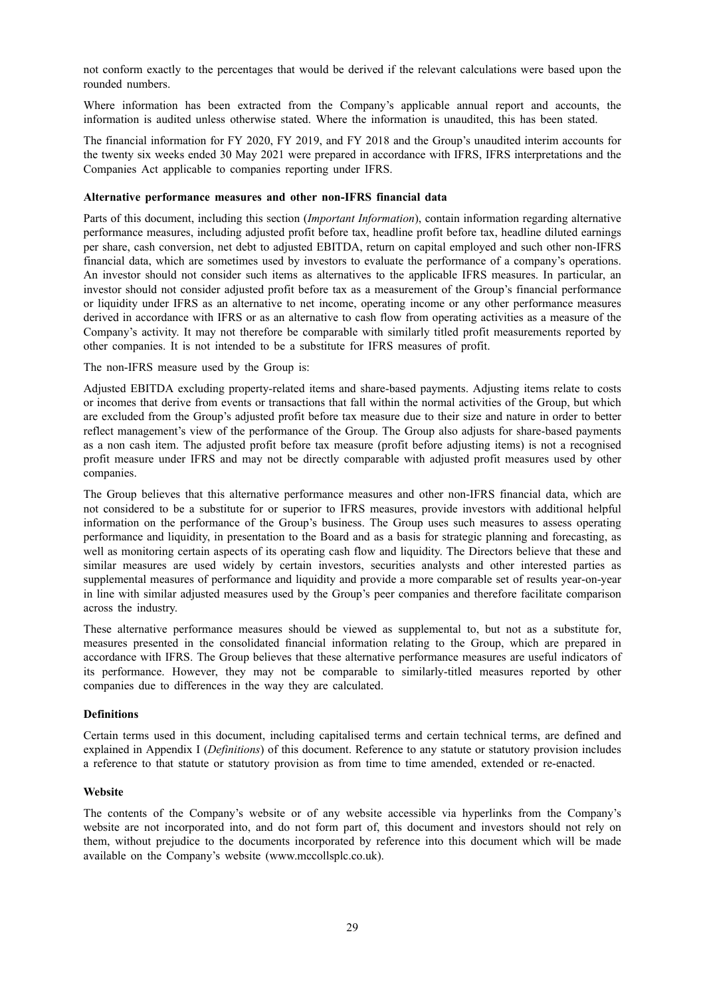not conform exactly to the percentages that would be derived if the relevant calculations were based upon the rounded numbers.

Where information has been extracted from the Company's applicable annual report and accounts, the information is audited unless otherwise stated. Where the information is unaudited, this has been stated.

The financial information for FY 2020, FY 2019, and FY 2018 and the Group's unaudited interim accounts for the twenty six weeks ended 30 May 2021 were prepared in accordance with IFRS, IFRS interpretations and the Companies Act applicable to companies reporting under IFRS.

#### **Alternative performance measures and other non-IFRS financial data**

Parts of this document, including this section (*Important Information*), contain information regarding alternative performance measures, including adjusted profit before tax, headline profit before tax, headline diluted earnings per share, cash conversion, net debt to adjusted EBITDA, return on capital employed and such other non-IFRS financial data, which are sometimes used by investors to evaluate the performance of a company's operations. An investor should not consider such items as alternatives to the applicable IFRS measures. In particular, an investor should not consider adjusted profit before tax as a measurement of the Group's financial performance or liquidity under IFRS as an alternative to net income, operating income or any other performance measures derived in accordance with IFRS or as an alternative to cash flow from operating activities as a measure of the Company's activity. It may not therefore be comparable with similarly titled profit measurements reported by other companies. It is not intended to be a substitute for IFRS measures of profit.

The non-IFRS measure used by the Group is:

Adjusted EBITDA excluding property-related items and share-based payments. Adjusting items relate to costs or incomes that derive from events or transactions that fall within the normal activities of the Group, but which are excluded from the Group's adjusted profit before tax measure due to their size and nature in order to better reflect management's view of the performance of the Group. The Group also adjusts for share-based payments as a non cash item. The adjusted profit before tax measure (profit before adjusting items) is not a recognised profit measure under IFRS and may not be directly comparable with adjusted profit measures used by other companies.

The Group believes that this alternative performance measures and other non-IFRS financial data, which are not considered to be a substitute for or superior to IFRS measures, provide investors with additional helpful information on the performance of the Group's business. The Group uses such measures to assess operating performance and liquidity, in presentation to the Board and as a basis for strategic planning and forecasting, as well as monitoring certain aspects of its operating cash flow and liquidity. The Directors believe that these and similar measures are used widely by certain investors, securities analysts and other interested parties as supplemental measures of performance and liquidity and provide a more comparable set of results year-on-year in line with similar adjusted measures used by the Group's peer companies and therefore facilitate comparison across the industry.

These alternative performance measures should be viewed as supplemental to, but not as a substitute for, measures presented in the consolidated financial information relating to the Group, which are prepared in accordance with IFRS. The Group believes that these alternative performance measures are useful indicators of its performance. However, they may not be comparable to similarly-titled measures reported by other companies due to differences in the way they are calculated.

#### **Definitions**

Certain terms used in this document, including capitalised terms and certain technical terms, are defined and explained in Appendix I (*Definitions*) of this document. Reference to any statute or statutory provision includes a reference to that statute or statutory provision as from time to time amended, extended or re-enacted.

### **Website**

The contents of the Company's website or of any website accessible via hyperlinks from the Company's website are not incorporated into, and do not form part of, this document and investors should not rely on them, without prejudice to the documents incorporated by reference into this document which will be made available on the Company's website (www.mccollsplc.co.uk).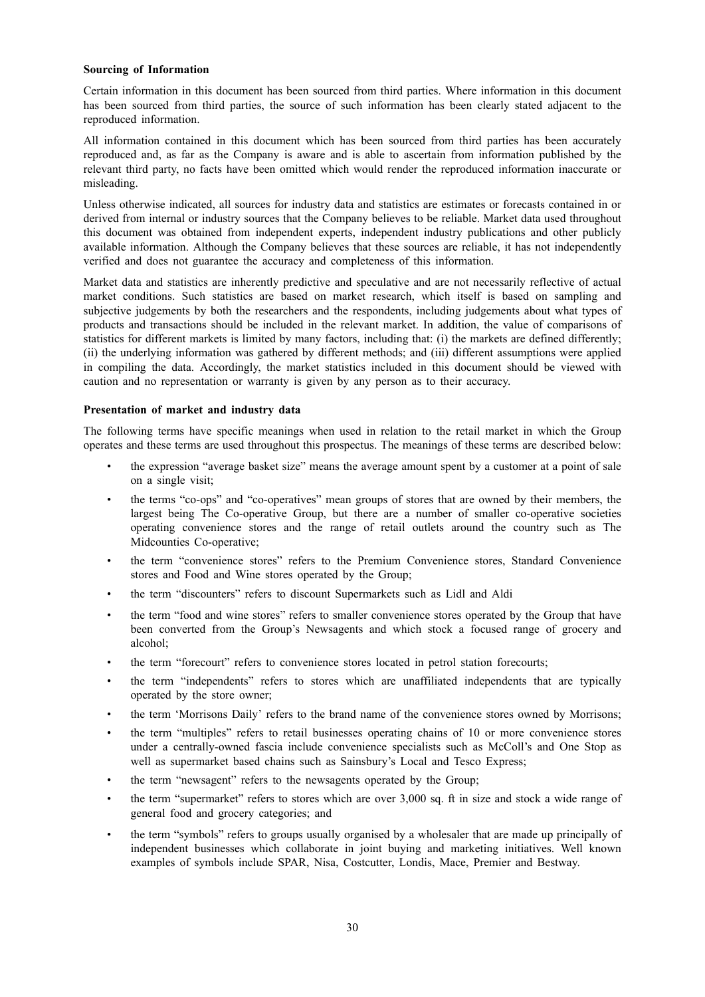#### **Sourcing of Information**

Certain information in this document has been sourced from third parties. Where information in this document has been sourced from third parties, the source of such information has been clearly stated adjacent to the reproduced information.

All information contained in this document which has been sourced from third parties has been accurately reproduced and, as far as the Company is aware and is able to ascertain from information published by the relevant third party, no facts have been omitted which would render the reproduced information inaccurate or misleading.

Unless otherwise indicated, all sources for industry data and statistics are estimates or forecasts contained in or derived from internal or industry sources that the Company believes to be reliable. Market data used throughout this document was obtained from independent experts, independent industry publications and other publicly available information. Although the Company believes that these sources are reliable, it has not independently verified and does not guarantee the accuracy and completeness of this information.

Market data and statistics are inherently predictive and speculative and are not necessarily reflective of actual market conditions. Such statistics are based on market research, which itself is based on sampling and subjective judgements by both the researchers and the respondents, including judgements about what types of products and transactions should be included in the relevant market. In addition, the value of comparisons of statistics for different markets is limited by many factors, including that: (i) the markets are defined differently; (ii) the underlying information was gathered by different methods; and (iii) different assumptions were applied in compiling the data. Accordingly, the market statistics included in this document should be viewed with caution and no representation or warranty is given by any person as to their accuracy.

#### **Presentation of market and industry data**

The following terms have specific meanings when used in relation to the retail market in which the Group operates and these terms are used throughout this prospectus. The meanings of these terms are described below:

- the expression "average basket size" means the average amount spent by a customer at a point of sale on a single visit;
- the terms "co-ops" and "co-operatives" mean groups of stores that are owned by their members, the largest being The Co-operative Group, but there are a number of smaller co-operative societies operating convenience stores and the range of retail outlets around the country such as The Midcounties Co-operative;
- the term "convenience stores" refers to the Premium Convenience stores, Standard Convenience stores and Food and Wine stores operated by the Group;
- the term "discounters" refers to discount Supermarkets such as Lidl and Aldi
- the term "food and wine stores" refers to smaller convenience stores operated by the Group that have been converted from the Group's Newsagents and which stock a focused range of grocery and alcohol;
- the term "forecourt" refers to convenience stores located in petrol station forecourts;
- the term "independents" refers to stores which are unaffiliated independents that are typically operated by the store owner;
- the term 'Morrisons Daily' refers to the brand name of the convenience stores owned by Morrisons;
- the term "multiples" refers to retail businesses operating chains of 10 or more convenience stores under a centrally-owned fascia include convenience specialists such as McColl's and One Stop as well as supermarket based chains such as Sainsbury's Local and Tesco Express;
- the term "newsagent" refers to the newsagents operated by the Group;
- the term "supermarket" refers to stores which are over 3,000 sq. ft in size and stock a wide range of general food and grocery categories; and
- the term "symbols" refers to groups usually organised by a wholesaler that are made up principally of independent businesses which collaborate in joint buying and marketing initiatives. Well known examples of symbols include SPAR, Nisa, Costcutter, Londis, Mace, Premier and Bestway.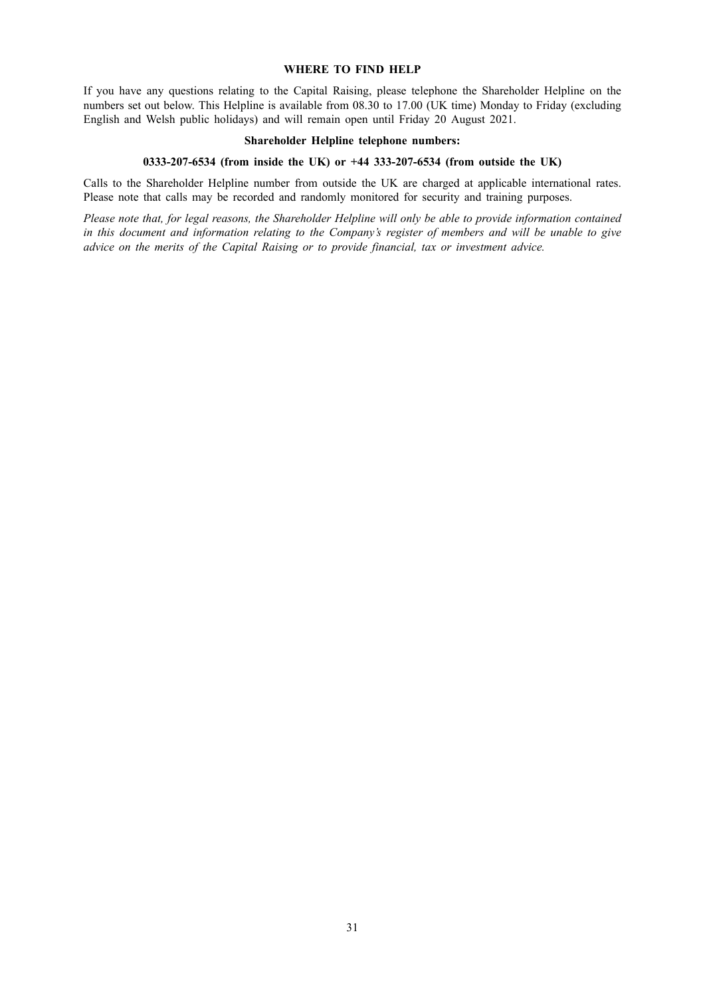#### **WHERE TO FIND HELP**

If you have any questions relating to the Capital Raising, please telephone the Shareholder Helpline on the numbers set out below. This Helpline is available from 08.30 to 17.00 (UK time) Monday to Friday (excluding English and Welsh public holidays) and will remain open until Friday 20 August 2021.

#### **Shareholder Helpline telephone numbers:**

### **0333-207-6534 (from inside the UK) or +44 333-207-6534 (from outside the UK)**

Calls to the Shareholder Helpline number from outside the UK are charged at applicable international rates. Please note that calls may be recorded and randomly monitored for security and training purposes.

Please note that, for legal reasons, the Shareholder Helpline will only be able to provide information contained in this document and information relating to the Company's register of members and will be unable to give *advice on the merits of the Capital Raising or to provide financial, tax or investment advice.*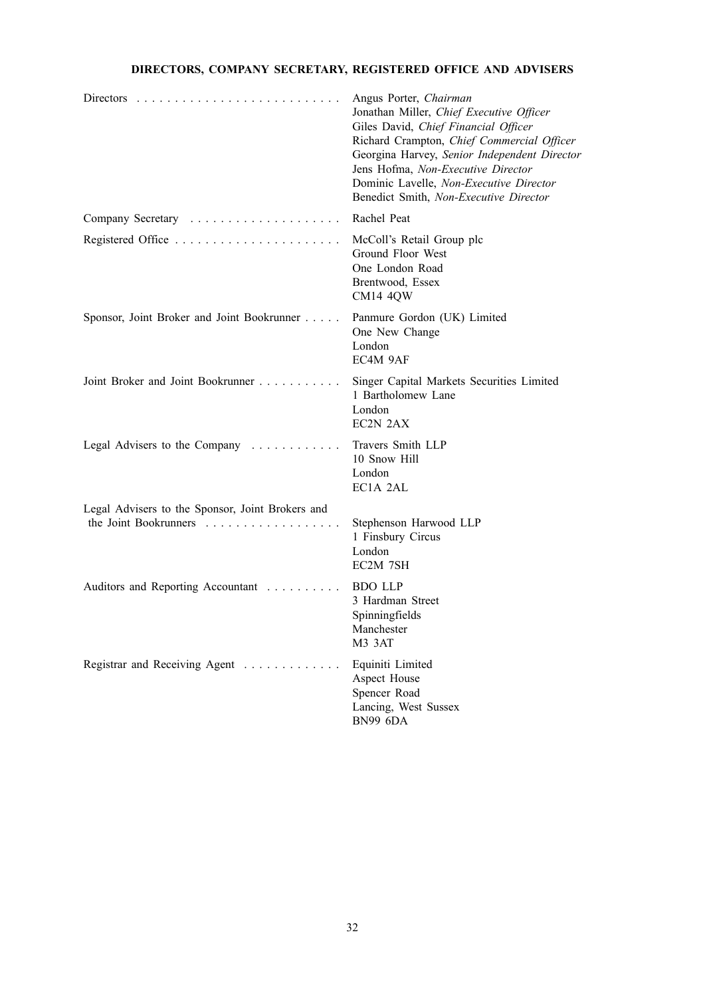## **DIRECTORS, COMPANY SECRETARY, REGISTERED OFFICE AND ADVISERS**

|                                                                           | Angus Porter, Chairman<br>Jonathan Miller, Chief Executive Officer<br>Giles David, Chief Financial Officer<br>Richard Crampton, Chief Commercial Officer<br>Georgina Harvey, Senior Independent Director<br>Jens Hofma, Non-Executive Director<br>Dominic Lavelle, Non-Executive Director<br>Benedict Smith, Non-Executive Director |
|---------------------------------------------------------------------------|-------------------------------------------------------------------------------------------------------------------------------------------------------------------------------------------------------------------------------------------------------------------------------------------------------------------------------------|
|                                                                           | Rachel Peat                                                                                                                                                                                                                                                                                                                         |
|                                                                           | McColl's Retail Group plc<br>Ground Floor West<br>One London Road<br>Brentwood, Essex<br><b>CM14 4QW</b>                                                                                                                                                                                                                            |
| Sponsor, Joint Broker and Joint Bookrunner                                | Panmure Gordon (UK) Limited<br>One New Change<br>London<br>EC4M 9AF                                                                                                                                                                                                                                                                 |
| Joint Broker and Joint Bookrunner                                         | Singer Capital Markets Securities Limited<br>1 Bartholomew Lane<br>London<br>EC2N 2AX                                                                                                                                                                                                                                               |
| Legal Advisers to the Company                                             | Travers Smith LLP<br>10 Snow Hill<br>London<br>EC1A 2AL                                                                                                                                                                                                                                                                             |
| Legal Advisers to the Sponsor, Joint Brokers and<br>the Joint Bookrunners | Stephenson Harwood LLP<br>1 Finsbury Circus<br>London<br>EC2M 7SH                                                                                                                                                                                                                                                                   |
| Auditors and Reporting Accountant                                         | <b>BDO LLP</b><br>3 Hardman Street<br>Spinningfields<br>Manchester<br>M3 3AT                                                                                                                                                                                                                                                        |
| Registrar and Receiving Agent                                             | Equiniti Limited<br>Aspect House<br>Spencer Road<br>Lancing, West Sussex<br>BN99 6DA                                                                                                                                                                                                                                                |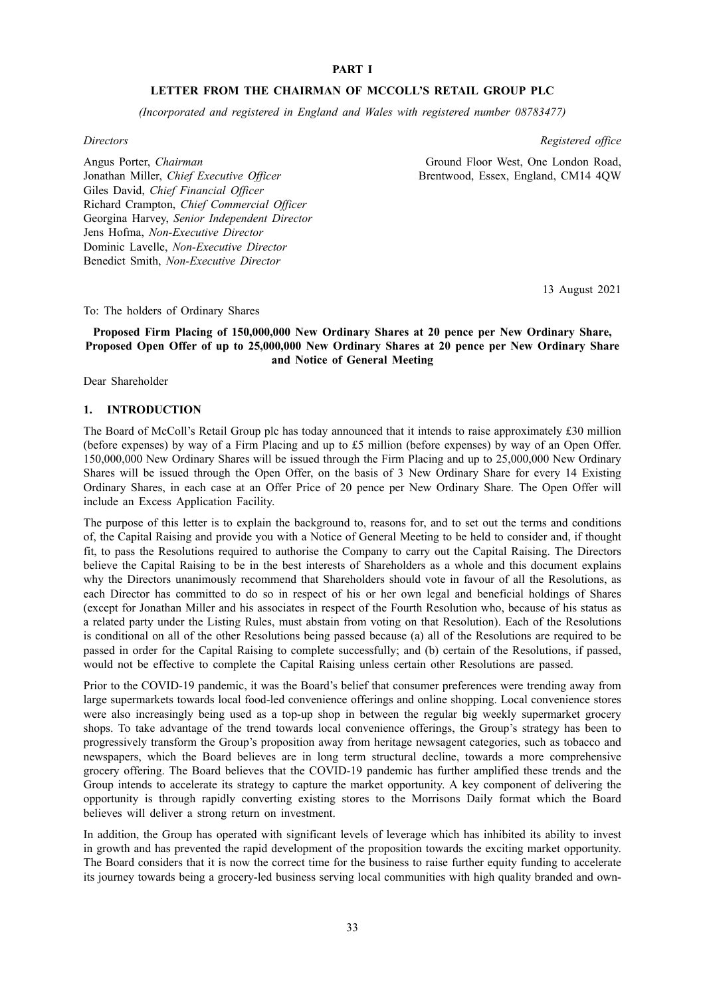### **PART I**

#### **LETTER FROM THE CHAIRMAN OF MCCOLL'S RETAIL GROUP PLC**

*(Incorporated and registered in England and Wales with registered number 08783477)*

#### *Directors*

*Registered office*

Ground Floor West, One London Road, Brentwood, Essex, England, CM14 4QW

Angus Porter, *Chairman* Jonathan Miller, *Chief Executive Officer* Giles David, *Chief Financial Officer* Richard Crampton, *Chief Commercial Officer* Georgina Harvey, *Senior Independent Director* Jens Hofma, *Non-Executive Director* Dominic Lavelle, *Non-Executive Director* Benedict Smith, *Non-Executive Director*

13 August 2021

To: The holders of Ordinary Shares

### **Proposed Firm Placing of 150,000,000 New Ordinary Shares at 20 pence per New Ordinary Share, Proposed Open Offer of up to 25,000,000 New Ordinary Shares at 20 pence per New Ordinary Share and Notice of General Meeting**

Dear Shareholder

### **1. INTRODUCTION**

The Board of McColl's Retail Group plc has today announced that it intends to raise approximately £30 million (before expenses) by way of a Firm Placing and up to £5 million (before expenses) by way of an Open Offer. 150,000,000 New Ordinary Shares will be issued through the Firm Placing and up to 25,000,000 New Ordinary Shares will be issued through the Open Offer, on the basis of 3 New Ordinary Share for every 14 Existing Ordinary Shares, in each case at an Offer Price of 20 pence per New Ordinary Share. The Open Offer will include an Excess Application Facility.

The purpose of this letter is to explain the background to, reasons for, and to set out the terms and conditions of, the Capital Raising and provide you with a Notice of General Meeting to be held to consider and, if thought fit, to pass the Resolutions required to authorise the Company to carry out the Capital Raising. The Directors believe the Capital Raising to be in the best interests of Shareholders as a whole and this document explains why the Directors unanimously recommend that Shareholders should vote in favour of all the Resolutions, as each Director has committed to do so in respect of his or her own legal and beneficial holdings of Shares (except for Jonathan Miller and his associates in respect of the Fourth Resolution who, because of his status as a related party under the Listing Rules, must abstain from voting on that Resolution). Each of the Resolutions is conditional on all of the other Resolutions being passed because (a) all of the Resolutions are required to be passed in order for the Capital Raising to complete successfully; and (b) certain of the Resolutions, if passed, would not be effective to complete the Capital Raising unless certain other Resolutions are passed.

Prior to the COVID-19 pandemic, it was the Board's belief that consumer preferences were trending away from large supermarkets towards local food-led convenience offerings and online shopping. Local convenience stores were also increasingly being used as a top-up shop in between the regular big weekly supermarket grocery shops. To take advantage of the trend towards local convenience offerings, the Group's strategy has been to progressively transform the Group's proposition away from heritage newsagent categories, such as tobacco and newspapers, which the Board believes are in long term structural decline, towards a more comprehensive grocery offering. The Board believes that the COVID-19 pandemic has further amplified these trends and the Group intends to accelerate its strategy to capture the market opportunity. A key component of delivering the opportunity is through rapidly converting existing stores to the Morrisons Daily format which the Board believes will deliver a strong return on investment.

In addition, the Group has operated with significant levels of leverage which has inhibited its ability to invest in growth and has prevented the rapid development of the proposition towards the exciting market opportunity. The Board considers that it is now the correct time for the business to raise further equity funding to accelerate its journey towards being a grocery-led business serving local communities with high quality branded and own-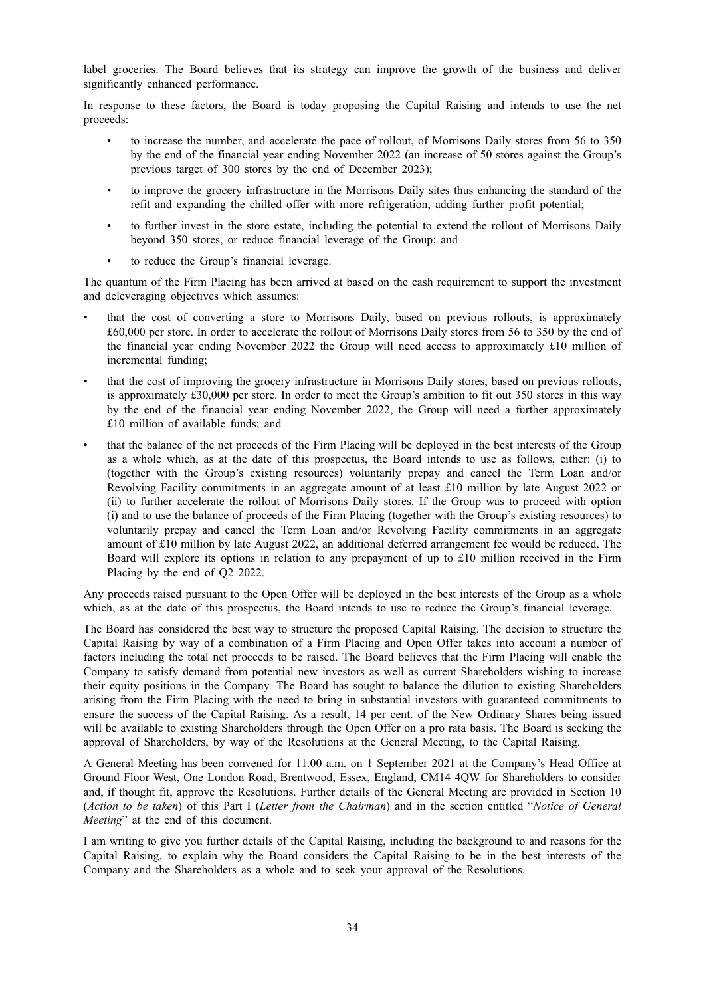label groceries. The Board believes that its strategy can improve the growth of the business and deliver significantly enhanced performance.

In response to these factors, the Board is today proposing the Capital Raising and intends to use the net proceeds:

- to increase the number, and accelerate the pace of rollout, of Morrisons Daily stores from 56 to 350 by the end of the financial year ending November 2022 (an increase of 50 stores against the Group's previous target of 300 stores by the end of December 2023);
- to improve the grocery infrastructure in the Morrisons Daily sites thus enhancing the standard of the refit and expanding the chilled offer with more refrigeration, adding further profit potential;
- to further invest in the store estate, including the potential to extend the rollout of Morrisons Daily beyond 350 stores, or reduce financial leverage of the Group; and
- to reduce the Group's financial leverage.

The quantum of the Firm Placing has been arrived at based on the cash requirement to support the investment and deleveraging objectives which assumes:

- that the cost of converting a store to Morrisons Daily, based on previous rollouts, is approximately £60,000 per store. In order to accelerate the rollout of Morrisons Daily stores from 56 to 350 by the end of the financial year ending November 2022 the Group will need access to approximately £10 million of incremental funding;
- that the cost of improving the grocery infrastructure in Morrisons Daily stores, based on previous rollouts, is approximately £30,000 per store. In order to meet the Group's ambition to fit out 350 stores in this way by the end of the financial year ending November 2022, the Group will need a further approximately £10 million of available funds; and
- that the balance of the net proceeds of the Firm Placing will be deployed in the best interests of the Group as a whole which, as at the date of this prospectus, the Board intends to use as follows, either: (i) to (together with the Group's existing resources) voluntarily prepay and cancel the Term Loan and/or Revolving Facility commitments in an aggregate amount of at least £10 million by late August 2022 or (ii) to further accelerate the rollout of Morrisons Daily stores. If the Group was to proceed with option (i) and to use the balance of proceeds of the Firm Placing (together with the Group's existing resources) to voluntarily prepay and cancel the Term Loan and/or Revolving Facility commitments in an aggregate amount of £10 million by late August 2022, an additional deferred arrangement fee would be reduced. The Board will explore its options in relation to any prepayment of up to £10 million received in the Firm Placing by the end of Q2 2022.

Any proceeds raised pursuant to the Open Offer will be deployed in the best interests of the Group as a whole which, as at the date of this prospectus, the Board intends to use to reduce the Group's financial leverage.

The Board has considered the best way to structure the proposed Capital Raising. The decision to structure the Capital Raising by way of a combination of a Firm Placing and Open Offer takes into account a number of factors including the total net proceeds to be raised. The Board believes that the Firm Placing will enable the Company to satisfy demand from potential new investors as well as current Shareholders wishing to increase their equity positions in the Company. The Board has sought to balance the dilution to existing Shareholders arising from the Firm Placing with the need to bring in substantial investors with guaranteed commitments to ensure the success of the Capital Raising. As a result, 14 per cent. of the New Ordinary Shares being issued will be available to existing Shareholders through the Open Offer on a pro rata basis. The Board is seeking the approval of Shareholders, by way of the Resolutions at the General Meeting, to the Capital Raising.

A General Meeting has been convened for 11.00 a.m. on 1 September 2021 at the Company's Head Office at Ground Floor West, One London Road, Brentwood, Essex, England, CM14 4QW for Shareholders to consider and, if thought fit, approve the Resolutions. Further details of the General Meeting are provided in Section 10 (*Action to be taken*) of this Part I (*Letter from the Chairman*) and in the section entitled "*Notice of General Meeting*" at the end of this document.

I am writing to give you further details of the Capital Raising, including the background to and reasons for the Capital Raising, to explain why the Board considers the Capital Raising to be in the best interests of the Company and the Shareholders as a whole and to seek your approval of the Resolutions.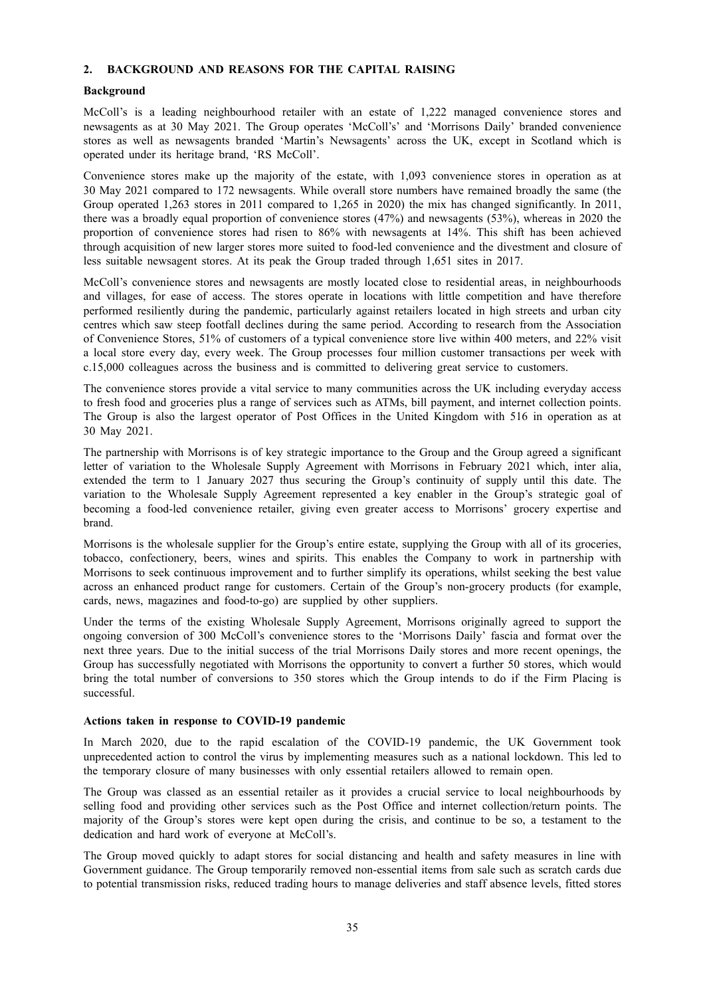## **2. BACKGROUND AND REASONS FOR THE CAPITAL RAISING**

#### **Background**

McColl's is a leading neighbourhood retailer with an estate of 1,222 managed convenience stores and newsagents as at 30 May 2021. The Group operates 'McColl's' and 'Morrisons Daily' branded convenience stores as well as newsagents branded 'Martin's Newsagents' across the UK, except in Scotland which is operated under its heritage brand, 'RS McColl'.

Convenience stores make up the majority of the estate, with 1,093 convenience stores in operation as at 30 May 2021 compared to 172 newsagents. While overall store numbers have remained broadly the same (the Group operated 1,263 stores in 2011 compared to 1,265 in 2020) the mix has changed significantly. In 2011, there was a broadly equal proportion of convenience stores (47%) and newsagents (53%), whereas in 2020 the proportion of convenience stores had risen to 86% with newsagents at 14%. This shift has been achieved through acquisition of new larger stores more suited to food-led convenience and the divestment and closure of less suitable newsagent stores. At its peak the Group traded through 1,651 sites in 2017.

McColl's convenience stores and newsagents are mostly located close to residential areas, in neighbourhoods and villages, for ease of access. The stores operate in locations with little competition and have therefore performed resiliently during the pandemic, particularly against retailers located in high streets and urban city centres which saw steep footfall declines during the same period. According to research from the Association of Convenience Stores, 51% of customers of a typical convenience store live within 400 meters, and 22% visit a local store every day, every week. The Group processes four million customer transactions per week with c.15,000 colleagues across the business and is committed to delivering great service to customers.

The convenience stores provide a vital service to many communities across the UK including everyday access to fresh food and groceries plus a range of services such as ATMs, bill payment, and internet collection points. The Group is also the largest operator of Post Offices in the United Kingdom with 516 in operation as at 30 May 2021.

The partnership with Morrisons is of key strategic importance to the Group and the Group agreed a significant letter of variation to the Wholesale Supply Agreement with Morrisons in February 2021 which, inter alia, extended the term to 1 January 2027 thus securing the Group's continuity of supply until this date. The variation to the Wholesale Supply Agreement represented a key enabler in the Group's strategic goal of becoming a food-led convenience retailer, giving even greater access to Morrisons' grocery expertise and brand.

Morrisons is the wholesale supplier for the Group's entire estate, supplying the Group with all of its groceries, tobacco, confectionery, beers, wines and spirits. This enables the Company to work in partnership with Morrisons to seek continuous improvement and to further simplify its operations, whilst seeking the best value across an enhanced product range for customers. Certain of the Group's non-grocery products (for example, cards, news, magazines and food-to-go) are supplied by other suppliers.

Under the terms of the existing Wholesale Supply Agreement, Morrisons originally agreed to support the ongoing conversion of 300 McColl's convenience stores to the 'Morrisons Daily' fascia and format over the next three years. Due to the initial success of the trial Morrisons Daily stores and more recent openings, the Group has successfully negotiated with Morrisons the opportunity to convert a further 50 stores, which would bring the total number of conversions to 350 stores which the Group intends to do if the Firm Placing is successful.

### **Actions taken in response to COVID-19 pandemic**

In March 2020, due to the rapid escalation of the COVID-19 pandemic, the UK Government took unprecedented action to control the virus by implementing measures such as a national lockdown. This led to the temporary closure of many businesses with only essential retailers allowed to remain open.

The Group was classed as an essential retailer as it provides a crucial service to local neighbourhoods by selling food and providing other services such as the Post Office and internet collection/return points. The majority of the Group's stores were kept open during the crisis, and continue to be so, a testament to the dedication and hard work of everyone at McColl's.

The Group moved quickly to adapt stores for social distancing and health and safety measures in line with Government guidance. The Group temporarily removed non-essential items from sale such as scratch cards due to potential transmission risks, reduced trading hours to manage deliveries and staff absence levels, fitted stores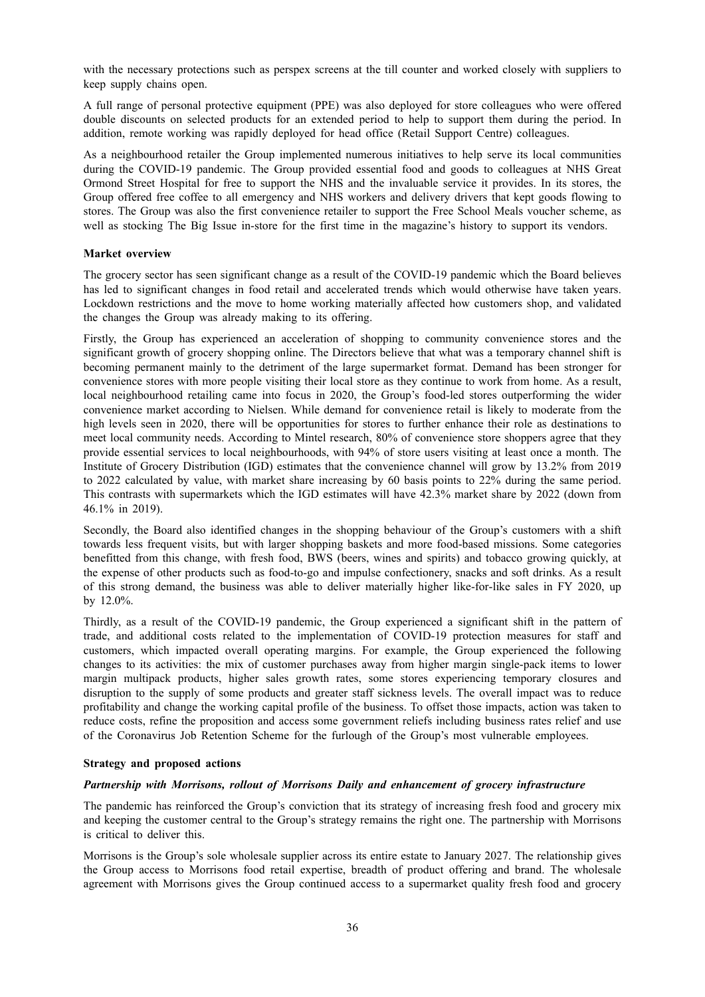with the necessary protections such as perspex screens at the till counter and worked closely with suppliers to keep supply chains open.

A full range of personal protective equipment (PPE) was also deployed for store colleagues who were offered double discounts on selected products for an extended period to help to support them during the period. In addition, remote working was rapidly deployed for head office (Retail Support Centre) colleagues.

As a neighbourhood retailer the Group implemented numerous initiatives to help serve its local communities during the COVID-19 pandemic. The Group provided essential food and goods to colleagues at NHS Great Ormond Street Hospital for free to support the NHS and the invaluable service it provides. In its stores, the Group offered free coffee to all emergency and NHS workers and delivery drivers that kept goods flowing to stores. The Group was also the first convenience retailer to support the Free School Meals voucher scheme, as well as stocking The Big Issue in-store for the first time in the magazine's history to support its vendors.

### **Market overview**

The grocery sector has seen significant change as a result of the COVID-19 pandemic which the Board believes has led to significant changes in food retail and accelerated trends which would otherwise have taken years. Lockdown restrictions and the move to home working materially affected how customers shop, and validated the changes the Group was already making to its offering.

Firstly, the Group has experienced an acceleration of shopping to community convenience stores and the significant growth of grocery shopping online. The Directors believe that what was a temporary channel shift is becoming permanent mainly to the detriment of the large supermarket format. Demand has been stronger for convenience stores with more people visiting their local store as they continue to work from home. As a result, local neighbourhood retailing came into focus in 2020, the Group's food-led stores outperforming the wider convenience market according to Nielsen. While demand for convenience retail is likely to moderate from the high levels seen in 2020, there will be opportunities for stores to further enhance their role as destinations to meet local community needs. According to Mintel research, 80% of convenience store shoppers agree that they provide essential services to local neighbourhoods, with 94% of store users visiting at least once a month. The Institute of Grocery Distribution (IGD) estimates that the convenience channel will grow by 13.2% from 2019 to 2022 calculated by value, with market share increasing by 60 basis points to 22% during the same period. This contrasts with supermarkets which the IGD estimates will have 42.3% market share by 2022 (down from 46.1% in 2019).

Secondly, the Board also identified changes in the shopping behaviour of the Group's customers with a shift towards less frequent visits, but with larger shopping baskets and more food-based missions. Some categories benefitted from this change, with fresh food, BWS (beers, wines and spirits) and tobacco growing quickly, at the expense of other products such as food-to-go and impulse confectionery, snacks and soft drinks. As a result of this strong demand, the business was able to deliver materially higher like-for-like sales in FY 2020, up by 12.0%.

Thirdly, as a result of the COVID-19 pandemic, the Group experienced a significant shift in the pattern of trade, and additional costs related to the implementation of COVID-19 protection measures for staff and customers, which impacted overall operating margins. For example, the Group experienced the following changes to its activities: the mix of customer purchases away from higher margin single-pack items to lower margin multipack products, higher sales growth rates, some stores experiencing temporary closures and disruption to the supply of some products and greater staff sickness levels. The overall impact was to reduce profitability and change the working capital profile of the business. To offset those impacts, action was taken to reduce costs, refine the proposition and access some government reliefs including business rates relief and use of the Coronavirus Job Retention Scheme for the furlough of the Group's most vulnerable employees.

#### **Strategy and proposed actions**

# *Partnership with Morrisons, rollout of Morrisons Daily and enhancement of grocery infrastructure*

The pandemic has reinforced the Group's conviction that its strategy of increasing fresh food and grocery mix and keeping the customer central to the Group's strategy remains the right one. The partnership with Morrisons is critical to deliver this.

Morrisons is the Group's sole wholesale supplier across its entire estate to January 2027. The relationship gives the Group access to Morrisons food retail expertise, breadth of product offering and brand. The wholesale agreement with Morrisons gives the Group continued access to a supermarket quality fresh food and grocery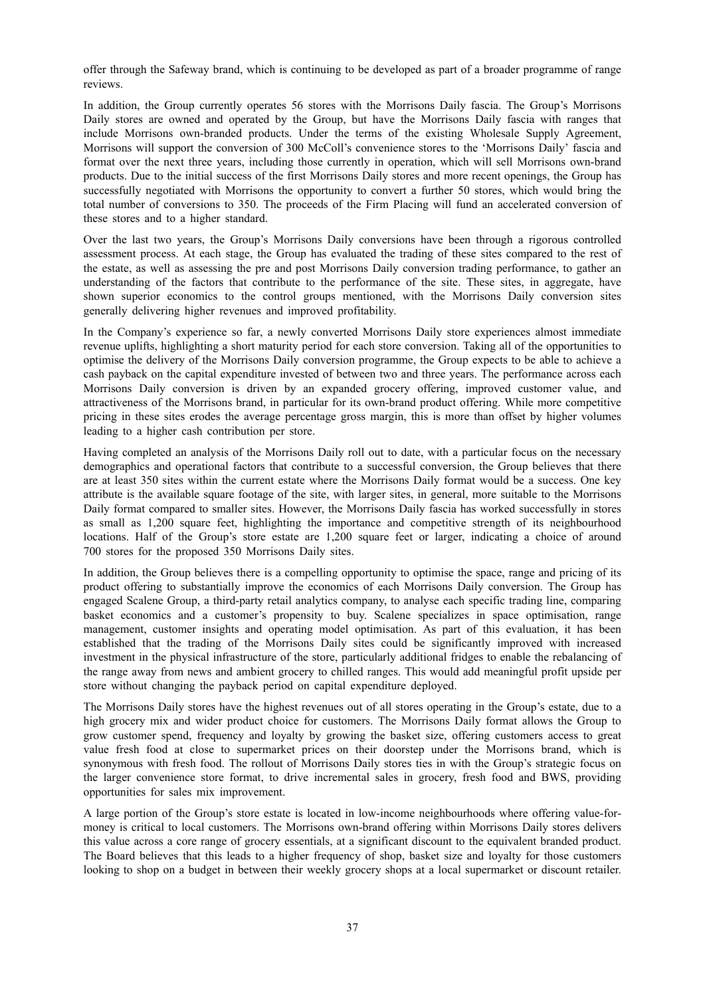offer through the Safeway brand, which is continuing to be developed as part of a broader programme of range reviews.

In addition, the Group currently operates 56 stores with the Morrisons Daily fascia. The Group's Morrisons Daily stores are owned and operated by the Group, but have the Morrisons Daily fascia with ranges that include Morrisons own-branded products. Under the terms of the existing Wholesale Supply Agreement, Morrisons will support the conversion of 300 McColl's convenience stores to the 'Morrisons Daily' fascia and format over the next three years, including those currently in operation, which will sell Morrisons own-brand products. Due to the initial success of the first Morrisons Daily stores and more recent openings, the Group has successfully negotiated with Morrisons the opportunity to convert a further 50 stores, which would bring the total number of conversions to 350. The proceeds of the Firm Placing will fund an accelerated conversion of these stores and to a higher standard.

Over the last two years, the Group's Morrisons Daily conversions have been through a rigorous controlled assessment process. At each stage, the Group has evaluated the trading of these sites compared to the rest of the estate, as well as assessing the pre and post Morrisons Daily conversion trading performance, to gather an understanding of the factors that contribute to the performance of the site. These sites, in aggregate, have shown superior economics to the control groups mentioned, with the Morrisons Daily conversion sites generally delivering higher revenues and improved profitability.

In the Company's experience so far, a newly converted Morrisons Daily store experiences almost immediate revenue uplifts, highlighting a short maturity period for each store conversion. Taking all of the opportunities to optimise the delivery of the Morrisons Daily conversion programme, the Group expects to be able to achieve a cash payback on the capital expenditure invested of between two and three years. The performance across each Morrisons Daily conversion is driven by an expanded grocery offering, improved customer value, and attractiveness of the Morrisons brand, in particular for its own-brand product offering. While more competitive pricing in these sites erodes the average percentage gross margin, this is more than offset by higher volumes leading to a higher cash contribution per store.

Having completed an analysis of the Morrisons Daily roll out to date, with a particular focus on the necessary demographics and operational factors that contribute to a successful conversion, the Group believes that there are at least 350 sites within the current estate where the Morrisons Daily format would be a success. One key attribute is the available square footage of the site, with larger sites, in general, more suitable to the Morrisons Daily format compared to smaller sites. However, the Morrisons Daily fascia has worked successfully in stores as small as 1,200 square feet, highlighting the importance and competitive strength of its neighbourhood locations. Half of the Group's store estate are 1,200 square feet or larger, indicating a choice of around 700 stores for the proposed 350 Morrisons Daily sites.

In addition, the Group believes there is a compelling opportunity to optimise the space, range and pricing of its product offering to substantially improve the economics of each Morrisons Daily conversion. The Group has engaged Scalene Group, a third-party retail analytics company, to analyse each specific trading line, comparing basket economics and a customer's propensity to buy. Scalene specializes in space optimisation, range management, customer insights and operating model optimisation. As part of this evaluation, it has been established that the trading of the Morrisons Daily sites could be significantly improved with increased investment in the physical infrastructure of the store, particularly additional fridges to enable the rebalancing of the range away from news and ambient grocery to chilled ranges. This would add meaningful profit upside per store without changing the payback period on capital expenditure deployed.

The Morrisons Daily stores have the highest revenues out of all stores operating in the Group's estate, due to a high grocery mix and wider product choice for customers. The Morrisons Daily format allows the Group to grow customer spend, frequency and loyalty by growing the basket size, offering customers access to great value fresh food at close to supermarket prices on their doorstep under the Morrisons brand, which is synonymous with fresh food. The rollout of Morrisons Daily stores ties in with the Group's strategic focus on the larger convenience store format, to drive incremental sales in grocery, fresh food and BWS, providing opportunities for sales mix improvement.

A large portion of the Group's store estate is located in low-income neighbourhoods where offering value-formoney is critical to local customers. The Morrisons own-brand offering within Morrisons Daily stores delivers this value across a core range of grocery essentials, at a significant discount to the equivalent branded product. The Board believes that this leads to a higher frequency of shop, basket size and loyalty for those customers looking to shop on a budget in between their weekly grocery shops at a local supermarket or discount retailer.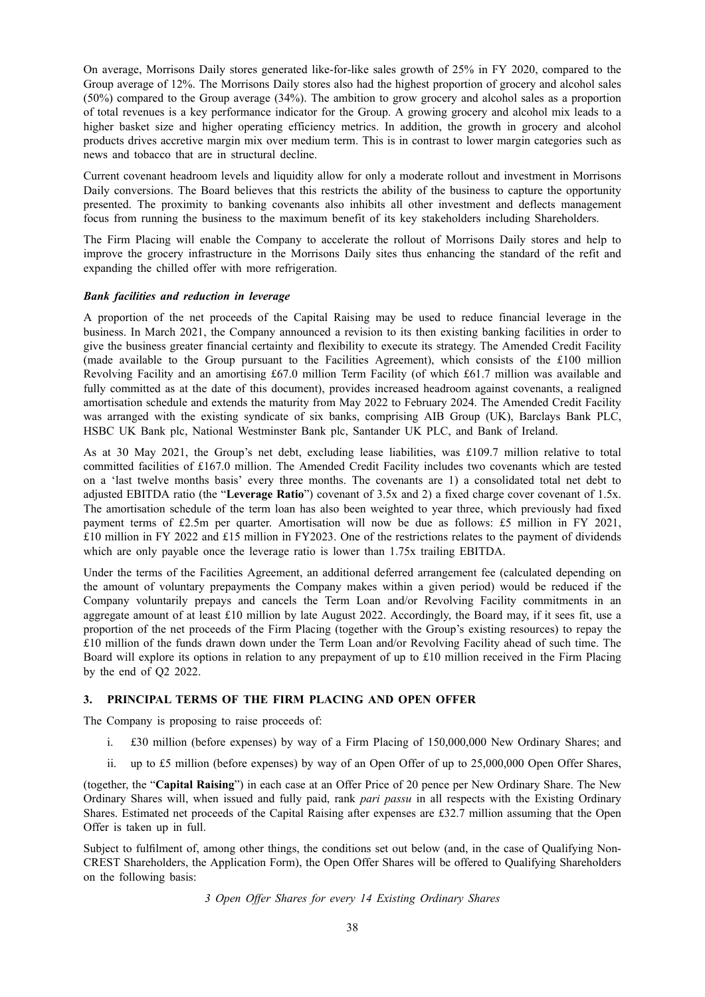On average, Morrisons Daily stores generated like-for-like sales growth of 25% in FY 2020, compared to the Group average of 12%. The Morrisons Daily stores also had the highest proportion of grocery and alcohol sales (50%) compared to the Group average (34%). The ambition to grow grocery and alcohol sales as a proportion of total revenues is a key performance indicator for the Group. A growing grocery and alcohol mix leads to a higher basket size and higher operating efficiency metrics. In addition, the growth in grocery and alcohol products drives accretive margin mix over medium term. This is in contrast to lower margin categories such as news and tobacco that are in structural decline.

Current covenant headroom levels and liquidity allow for only a moderate rollout and investment in Morrisons Daily conversions. The Board believes that this restricts the ability of the business to capture the opportunity presented. The proximity to banking covenants also inhibits all other investment and deflects management focus from running the business to the maximum benefit of its key stakeholders including Shareholders.

The Firm Placing will enable the Company to accelerate the rollout of Morrisons Daily stores and help to improve the grocery infrastructure in the Morrisons Daily sites thus enhancing the standard of the refit and expanding the chilled offer with more refrigeration.

### *Bank facilities and reduction in leverage*

A proportion of the net proceeds of the Capital Raising may be used to reduce financial leverage in the business. In March 2021, the Company announced a revision to its then existing banking facilities in order to give the business greater financial certainty and flexibility to execute its strategy. The Amended Credit Facility (made available to the Group pursuant to the Facilities Agreement), which consists of the £100 million Revolving Facility and an amortising £67.0 million Term Facility (of which £61.7 million was available and fully committed as at the date of this document), provides increased headroom against covenants, a realigned amortisation schedule and extends the maturity from May 2022 to February 2024. The Amended Credit Facility was arranged with the existing syndicate of six banks, comprising AIB Group (UK), Barclays Bank PLC, HSBC UK Bank plc, National Westminster Bank plc, Santander UK PLC, and Bank of Ireland.

As at 30 May 2021, the Group's net debt, excluding lease liabilities, was £109.7 million relative to total committed facilities of £167.0 million. The Amended Credit Facility includes two covenants which are tested on a 'last twelve months basis' every three months. The covenants are 1) a consolidated total net debt to adjusted EBITDA ratio (the "**Leverage Ratio**") covenant of 3.5x and 2) a fixed charge cover covenant of 1.5x. The amortisation schedule of the term loan has also been weighted to year three, which previously had fixed payment terms of £2.5m per quarter. Amortisation will now be due as follows: £5 million in FY 2021, £10 million in FY 2022 and £15 million in FY2023. One of the restrictions relates to the payment of dividends which are only payable once the leverage ratio is lower than 1.75x trailing EBITDA.

Under the terms of the Facilities Agreement, an additional deferred arrangement fee (calculated depending on the amount of voluntary prepayments the Company makes within a given period) would be reduced if the Company voluntarily prepays and cancels the Term Loan and/or Revolving Facility commitments in an aggregate amount of at least £10 million by late August 2022. Accordingly, the Board may, if it sees fit, use a proportion of the net proceeds of the Firm Placing (together with the Group's existing resources) to repay the £10 million of the funds drawn down under the Term Loan and/or Revolving Facility ahead of such time. The Board will explore its options in relation to any prepayment of up to £10 million received in the Firm Placing by the end of Q2 2022.

# **3. PRINCIPAL TERMS OF THE FIRM PLACING AND OPEN OFFER**

The Company is proposing to raise proceeds of:

- i. £30 million (before expenses) by way of a Firm Placing of 150,000,000 New Ordinary Shares; and
- ii. up to £5 million (before expenses) by way of an Open Offer of up to 25,000,000 Open Offer Shares,

(together, the "**Capital Raising**") in each case at an Offer Price of 20 pence per New Ordinary Share. The New Ordinary Shares will, when issued and fully paid, rank *pari passu* in all respects with the Existing Ordinary Shares. Estimated net proceeds of the Capital Raising after expenses are £32.7 million assuming that the Open Offer is taken up in full.

Subject to fulfilment of, among other things, the conditions set out below (and, in the case of Qualifying Non-CREST Shareholders, the Application Form), the Open Offer Shares will be offered to Qualifying Shareholders on the following basis:

*3 Open Offer Shares for every 14 Existing Ordinary Shares*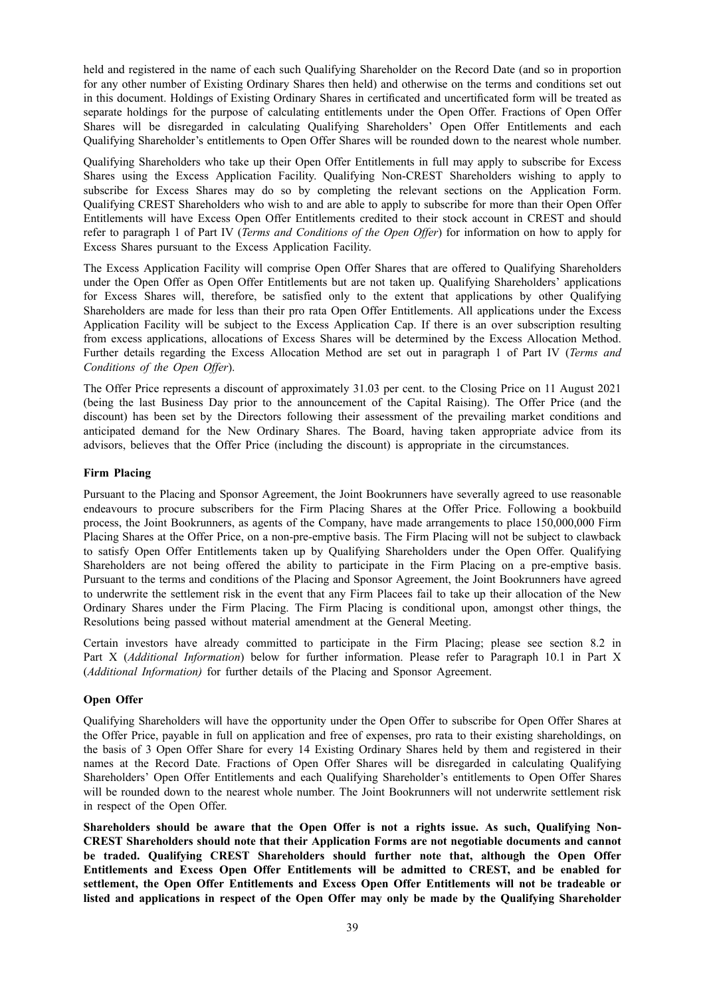held and registered in the name of each such Qualifying Shareholder on the Record Date (and so in proportion for any other number of Existing Ordinary Shares then held) and otherwise on the terms and conditions set out in this document. Holdings of Existing Ordinary Shares in certificated and uncertificated form will be treated as separate holdings for the purpose of calculating entitlements under the Open Offer. Fractions of Open Offer Shares will be disregarded in calculating Qualifying Shareholders' Open Offer Entitlements and each Qualifying Shareholder's entitlements to Open Offer Shares will be rounded down to the nearest whole number.

Qualifying Shareholders who take up their Open Offer Entitlements in full may apply to subscribe for Excess Shares using the Excess Application Facility. Qualifying Non-CREST Shareholders wishing to apply to subscribe for Excess Shares may do so by completing the relevant sections on the Application Form. Qualifying CREST Shareholders who wish to and are able to apply to subscribe for more than their Open Offer Entitlements will have Excess Open Offer Entitlements credited to their stock account in CREST and should refer to paragraph 1 of Part IV (*Terms and Conditions of the Open Offer*) for information on how to apply for Excess Shares pursuant to the Excess Application Facility.

The Excess Application Facility will comprise Open Offer Shares that are offered to Qualifying Shareholders under the Open Offer as Open Offer Entitlements but are not taken up. Qualifying Shareholders' applications for Excess Shares will, therefore, be satisfied only to the extent that applications by other Qualifying Shareholders are made for less than their pro rata Open Offer Entitlements. All applications under the Excess Application Facility will be subject to the Excess Application Cap. If there is an over subscription resulting from excess applications, allocations of Excess Shares will be determined by the Excess Allocation Method. Further details regarding the Excess Allocation Method are set out in paragraph 1 of Part IV (*Terms and Conditions of the Open Offer*).

The Offer Price represents a discount of approximately 31.03 per cent. to the Closing Price on 11 August 2021 (being the last Business Day prior to the announcement of the Capital Raising). The Offer Price (and the discount) has been set by the Directors following their assessment of the prevailing market conditions and anticipated demand for the New Ordinary Shares. The Board, having taken appropriate advice from its advisors, believes that the Offer Price (including the discount) is appropriate in the circumstances.

# **Firm Placing**

Pursuant to the Placing and Sponsor Agreement, the Joint Bookrunners have severally agreed to use reasonable endeavours to procure subscribers for the Firm Placing Shares at the Offer Price. Following a bookbuild process, the Joint Bookrunners, as agents of the Company, have made arrangements to place 150,000,000 Firm Placing Shares at the Offer Price, on a non-pre-emptive basis. The Firm Placing will not be subject to clawback to satisfy Open Offer Entitlements taken up by Qualifying Shareholders under the Open Offer. Qualifying Shareholders are not being offered the ability to participate in the Firm Placing on a pre-emptive basis. Pursuant to the terms and conditions of the Placing and Sponsor Agreement, the Joint Bookrunners have agreed to underwrite the settlement risk in the event that any Firm Placees fail to take up their allocation of the New Ordinary Shares under the Firm Placing. The Firm Placing is conditional upon, amongst other things, the Resolutions being passed without material amendment at the General Meeting.

Certain investors have already committed to participate in the Firm Placing; please see section 8.2 in Part X (*Additional Information*) below for further information. Please refer to Paragraph 10.1 in Part X (*Additional Information)* for further details of the Placing and Sponsor Agreement.

# **Open Offer**

Qualifying Shareholders will have the opportunity under the Open Offer to subscribe for Open Offer Shares at the Offer Price, payable in full on application and free of expenses, pro rata to their existing shareholdings, on the basis of 3 Open Offer Share for every 14 Existing Ordinary Shares held by them and registered in their names at the Record Date. Fractions of Open Offer Shares will be disregarded in calculating Qualifying Shareholders' Open Offer Entitlements and each Qualifying Shareholder's entitlements to Open Offer Shares will be rounded down to the nearest whole number. The Joint Bookrunners will not underwrite settlement risk in respect of the Open Offer.

**Shareholders should be aware that the Open Offer is not a rights issue. As such, Qualifying Non-CREST Shareholders should note that their Application Forms are not negotiable documents and cannot be traded. Qualifying CREST Shareholders should further note that, although the Open Offer Entitlements and Excess Open Offer Entitlements will be admitted to CREST, and be enabled for settlement, the Open Offer Entitlements and Excess Open Offer Entitlements will not be tradeable or listed and applications in respect of the Open Offer may only be made by the Qualifying Shareholder**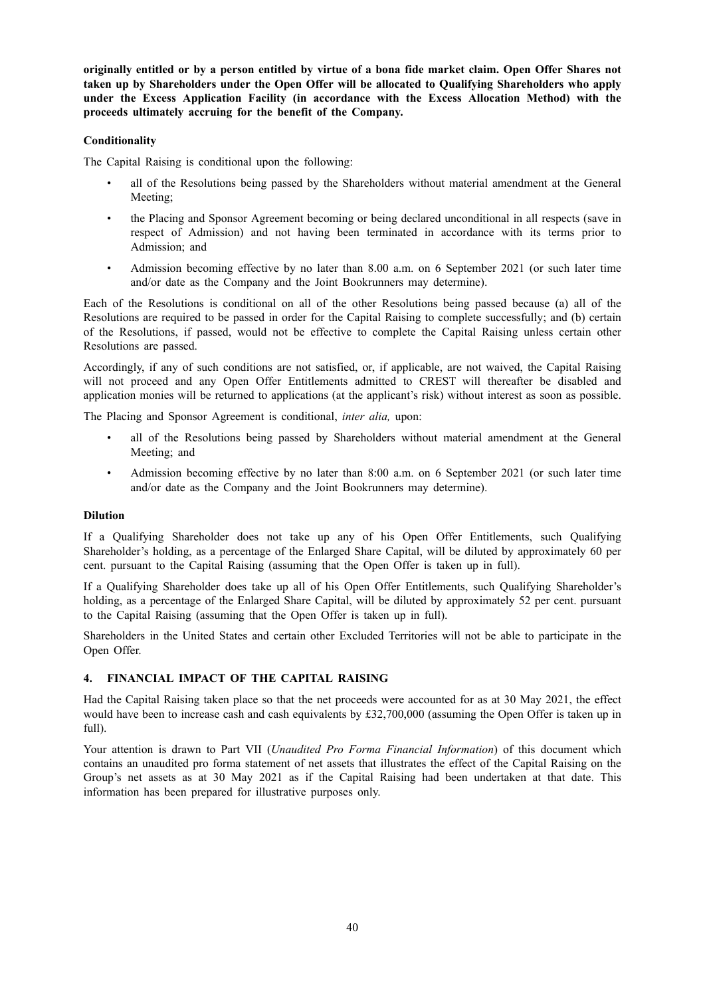originally entitled or by a person entitled by virtue of a bona fide market claim. Open Offer Shares not **taken up by Shareholders under the Open Offer will be allocated to Qualifying Shareholders who apply under the Excess Application Facility (in accordance with the Excess Allocation Method) with the proceeds ultimately accruing for the benefit of the Company.**

# **Conditionality**

The Capital Raising is conditional upon the following:

- all of the Resolutions being passed by the Shareholders without material amendment at the General Meeting;
- the Placing and Sponsor Agreement becoming or being declared unconditional in all respects (save in respect of Admission) and not having been terminated in accordance with its terms prior to Admission; and
- Admission becoming effective by no later than 8.00 a.m. on 6 September 2021 (or such later time and/or date as the Company and the Joint Bookrunners may determine).

Each of the Resolutions is conditional on all of the other Resolutions being passed because (a) all of the Resolutions are required to be passed in order for the Capital Raising to complete successfully; and (b) certain of the Resolutions, if passed, would not be effective to complete the Capital Raising unless certain other Resolutions are passed.

Accordingly, if any of such conditions are not satisfied, or, if applicable, are not waived, the Capital Raising will not proceed and any Open Offer Entitlements admitted to CREST will thereafter be disabled and application monies will be returned to applications (at the applicant's risk) without interest as soon as possible.

The Placing and Sponsor Agreement is conditional, *inter alia,* upon:

- all of the Resolutions being passed by Shareholders without material amendment at the General Meeting; and
- Admission becoming effective by no later than 8:00 a.m. on 6 September 2021 (or such later time and/or date as the Company and the Joint Bookrunners may determine).

# **Dilution**

If a Qualifying Shareholder does not take up any of his Open Offer Entitlements, such Qualifying Shareholder's holding, as a percentage of the Enlarged Share Capital, will be diluted by approximately 60 per cent. pursuant to the Capital Raising (assuming that the Open Offer is taken up in full).

If a Qualifying Shareholder does take up all of his Open Offer Entitlements, such Qualifying Shareholder's holding, as a percentage of the Enlarged Share Capital, will be diluted by approximately 52 per cent. pursuant to the Capital Raising (assuming that the Open Offer is taken up in full).

Shareholders in the United States and certain other Excluded Territories will not be able to participate in the Open Offer.

# **4. FINANCIAL IMPACT OF THE CAPITAL RAISING**

Had the Capital Raising taken place so that the net proceeds were accounted for as at 30 May 2021, the effect would have been to increase cash and cash equivalents by £32,700,000 (assuming the Open Offer is taken up in full).

Your attention is drawn to Part VII (*Unaudited Pro Forma Financial Information*) of this document which contains an unaudited pro forma statement of net assets that illustrates the effect of the Capital Raising on the Group's net assets as at 30 May 2021 as if the Capital Raising had been undertaken at that date. This information has been prepared for illustrative purposes only.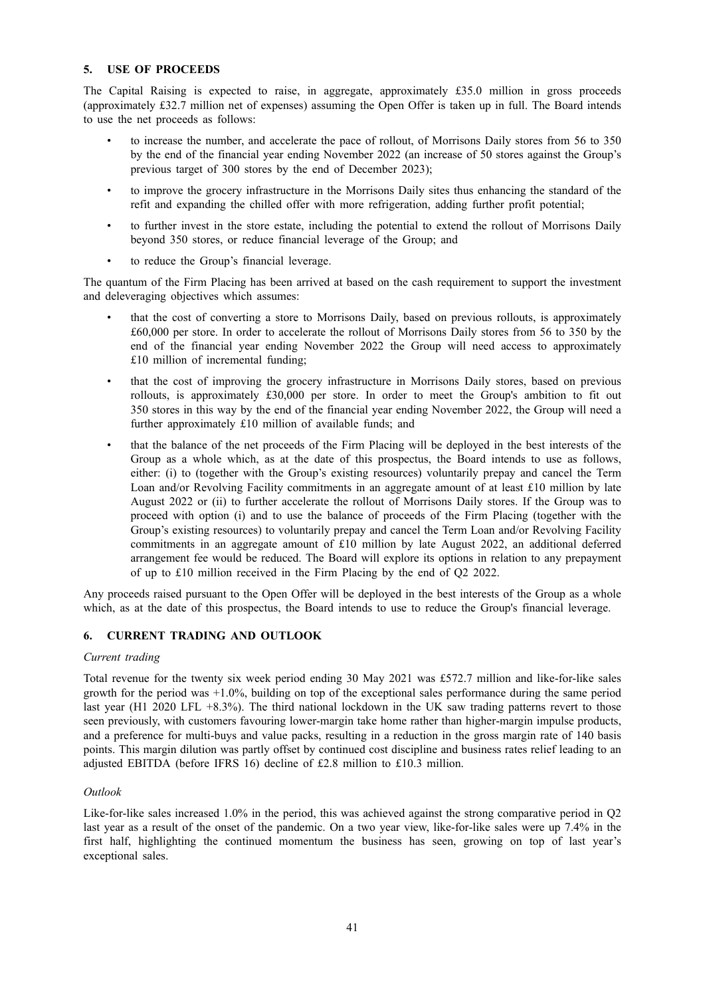## **5. USE OF PROCEEDS**

The Capital Raising is expected to raise, in aggregate, approximately £35.0 million in gross proceeds (approximately £32.7 million net of expenses) assuming the Open Offer is taken up in full. The Board intends to use the net proceeds as follows:

- to increase the number, and accelerate the pace of rollout, of Morrisons Daily stores from 56 to 350 by the end of the financial year ending November 2022 (an increase of 50 stores against the Group's previous target of 300 stores by the end of December 2023);
- to improve the grocery infrastructure in the Morrisons Daily sites thus enhancing the standard of the refit and expanding the chilled offer with more refrigeration, adding further profit potential;
- to further invest in the store estate, including the potential to extend the rollout of Morrisons Daily beyond 350 stores, or reduce financial leverage of the Group; and
- to reduce the Group's financial leverage.

The quantum of the Firm Placing has been arrived at based on the cash requirement to support the investment and deleveraging objectives which assumes:

- that the cost of converting a store to Morrisons Daily, based on previous rollouts, is approximately £60,000 per store. In order to accelerate the rollout of Morrisons Daily stores from 56 to 350 by the end of the financial year ending November 2022 the Group will need access to approximately £10 million of incremental funding;
- that the cost of improving the grocery infrastructure in Morrisons Daily stores, based on previous rollouts, is approximately £30,000 per store. In order to meet the Group's ambition to fit out 350 stores in this way by the end of the financial year ending November 2022, the Group will need a further approximately £10 million of available funds; and
- that the balance of the net proceeds of the Firm Placing will be deployed in the best interests of the Group as a whole which, as at the date of this prospectus, the Board intends to use as follows, either: (i) to (together with the Group's existing resources) voluntarily prepay and cancel the Term Loan and/or Revolving Facility commitments in an aggregate amount of at least £10 million by late August 2022 or (ii) to further accelerate the rollout of Morrisons Daily stores. If the Group was to proceed with option (i) and to use the balance of proceeds of the Firm Placing (together with the Group's existing resources) to voluntarily prepay and cancel the Term Loan and/or Revolving Facility commitments in an aggregate amount of £10 million by late August 2022, an additional deferred arrangement fee would be reduced. The Board will explore its options in relation to any prepayment of up to £10 million received in the Firm Placing by the end of Q2 2022.

Any proceeds raised pursuant to the Open Offer will be deployed in the best interests of the Group as a whole which, as at the date of this prospectus, the Board intends to use to reduce the Group's financial leverage.

# **6. CURRENT TRADING AND OUTLOOK**

#### *Current trading*

Total revenue for the twenty six week period ending 30 May 2021 was £572.7 million and like-for-like sales growth for the period was +1.0%, building on top of the exceptional sales performance during the same period last year (H1 2020 LFL +8.3%). The third national lockdown in the UK saw trading patterns revert to those seen previously, with customers favouring lower-margin take home rather than higher-margin impulse products, and a preference for multi-buys and value packs, resulting in a reduction in the gross margin rate of 140 basis points. This margin dilution was partly offset by continued cost discipline and business rates relief leading to an adjusted EBITDA (before IFRS 16) decline of £2.8 million to £10.3 million.

#### *Outlook*

Like-for-like sales increased 1.0% in the period, this was achieved against the strong comparative period in Q2 last year as a result of the onset of the pandemic. On a two year view, like-for-like sales were up 7.4% in the first half, highlighting the continued momentum the business has seen, growing on top of last year's exceptional sales.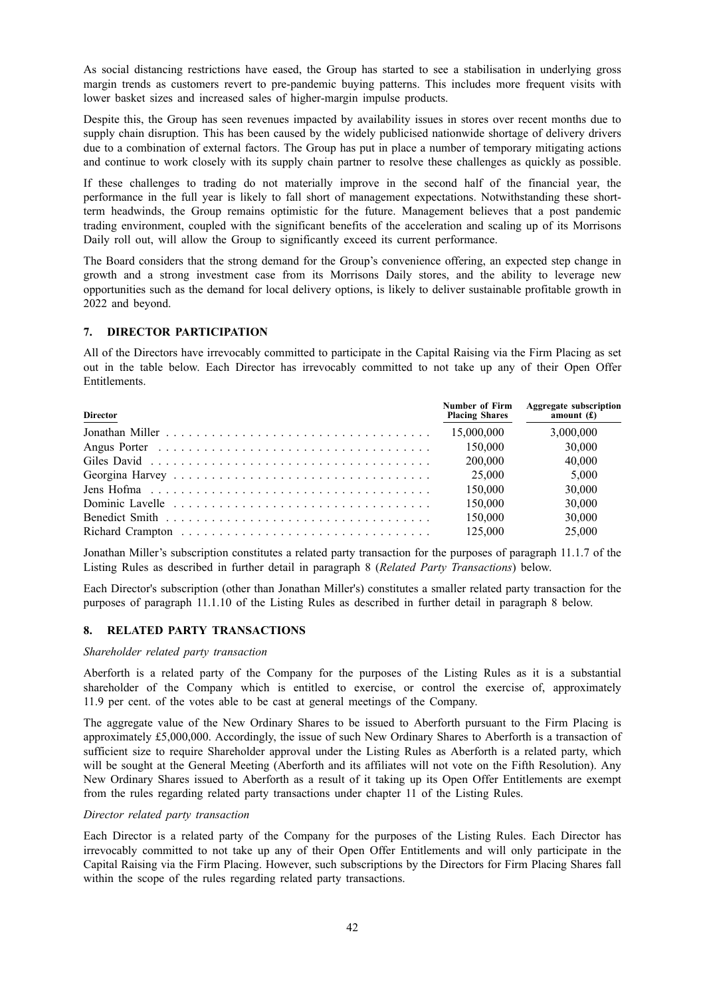As social distancing restrictions have eased, the Group has started to see a stabilisation in underlying gross margin trends as customers revert to pre-pandemic buying patterns. This includes more frequent visits with lower basket sizes and increased sales of higher-margin impulse products.

Despite this, the Group has seen revenues impacted by availability issues in stores over recent months due to supply chain disruption. This has been caused by the widely publicised nationwide shortage of delivery drivers due to a combination of external factors. The Group has put in place a number of temporary mitigating actions and continue to work closely with its supply chain partner to resolve these challenges as quickly as possible.

If these challenges to trading do not materially improve in the second half of the financial year, the performance in the full year is likely to fall short of management expectations. Notwithstanding these shortterm headwinds, the Group remains optimistic for the future. Management believes that a post pandemic trading environment, coupled with the significant benefits of the acceleration and scaling up of its Morrisons Daily roll out, will allow the Group to significantly exceed its current performance.

The Board considers that the strong demand for the Group's convenience offering, an expected step change in growth and a strong investment case from its Morrisons Daily stores, and the ability to leverage new opportunities such as the demand for local delivery options, is likely to deliver sustainable profitable growth in 2022 and beyond.

# **7. DIRECTOR PARTICIPATION**

All of the Directors have irrevocably committed to participate in the Capital Raising via the Firm Placing as set out in the table below. Each Director has irrevocably committed to not take up any of their Open Offer Entitlements.

| <b>Director</b> | Number of Firm<br><b>Placing Shares</b> | <b>Aggregate subscription</b><br>amount $(f)$ |
|-----------------|-----------------------------------------|-----------------------------------------------|
|                 | 15,000,000                              | 3,000,000                                     |
|                 | 150,000                                 | 30,000                                        |
|                 | 200,000                                 | 40,000                                        |
|                 | 25,000                                  | 5.000                                         |
|                 | 150,000                                 | 30,000                                        |
|                 | 150,000                                 | 30,000                                        |
|                 | 150.000                                 | 30,000                                        |
|                 | 125,000                                 | 25,000                                        |

Jonathan Miller's subscription constitutes a related party transaction for the purposes of paragraph 11.1.7 of the Listing Rules as described in further detail in paragraph 8 (*Related Party Transactions*) below.

Each Director's subscription (other than Jonathan Miller's) constitutes a smaller related party transaction for the purposes of paragraph 11.1.10 of the Listing Rules as described in further detail in paragraph 8 below.

# **8. RELATED PARTY TRANSACTIONS**

#### *Shareholder related party transaction*

Aberforth is a related party of the Company for the purposes of the Listing Rules as it is a substantial shareholder of the Company which is entitled to exercise, or control the exercise of, approximately 11.9 per cent. of the votes able to be cast at general meetings of the Company.

The aggregate value of the New Ordinary Shares to be issued to Aberforth pursuant to the Firm Placing is approximately £5,000,000. Accordingly, the issue of such New Ordinary Shares to Aberforth is a transaction of sufficient size to require Shareholder approval under the Listing Rules as Aberforth is a related party, which will be sought at the General Meeting (Aberforth and its affiliates will not vote on the Fifth Resolution). Any New Ordinary Shares issued to Aberforth as a result of it taking up its Open Offer Entitlements are exempt from the rules regarding related party transactions under chapter 11 of the Listing Rules.

# *Director related party transaction*

Each Director is a related party of the Company for the purposes of the Listing Rules. Each Director has irrevocably committed to not take up any of their Open Offer Entitlements and will only participate in the Capital Raising via the Firm Placing. However, such subscriptions by the Directors for Firm Placing Shares fall within the scope of the rules regarding related party transactions.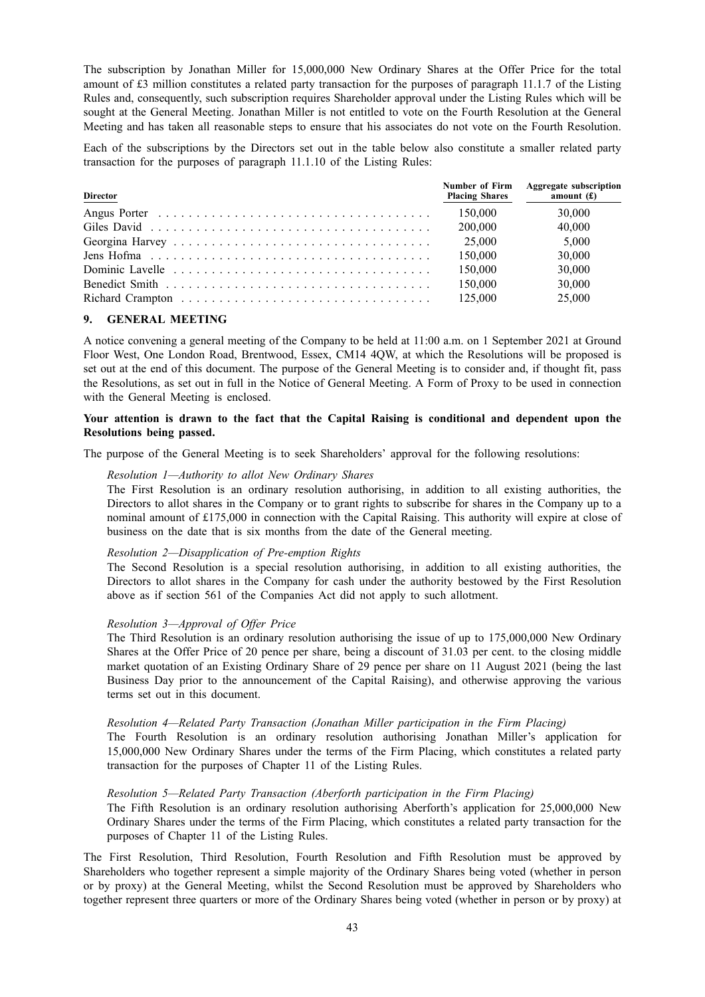The subscription by Jonathan Miller for 15,000,000 New Ordinary Shares at the Offer Price for the total amount of £3 million constitutes a related party transaction for the purposes of paragraph 11.1.7 of the Listing Rules and, consequently, such subscription requires Shareholder approval under the Listing Rules which will be sought at the General Meeting. Jonathan Miller is not entitled to vote on the Fourth Resolution at the General Meeting and has taken all reasonable steps to ensure that his associates do not vote on the Fourth Resolution.

Each of the subscriptions by the Directors set out in the table below also constitute a smaller related party transaction for the purposes of paragraph 11.1.10 of the Listing Rules:

| <b>Director</b> | Number of Firm<br><b>Placing Shares</b> | <b>Aggregate subscription</b><br>amount $(f)$ |
|-----------------|-----------------------------------------|-----------------------------------------------|
|                 | 150,000                                 | 30.000                                        |
|                 | 200,000                                 | 40.000                                        |
|                 | 25,000                                  | 5.000                                         |
|                 | 150.000                                 | 30.000                                        |
|                 | 150,000                                 | 30.000                                        |
|                 | 150,000                                 | 30,000                                        |
|                 | 125,000                                 | 25,000                                        |

## **9. GENERAL MEETING**

A notice convening a general meeting of the Company to be held at 11:00 a.m. on 1 September 2021 at Ground Floor West, One London Road, Brentwood, Essex, CM14 4QW, at which the Resolutions will be proposed is set out at the end of this document. The purpose of the General Meeting is to consider and, if thought fit, pass the Resolutions, as set out in full in the Notice of General Meeting. A Form of Proxy to be used in connection with the General Meeting is enclosed.

## **Your attention is drawn to the fact that the Capital Raising is conditional and dependent upon the Resolutions being passed.**

The purpose of the General Meeting is to seek Shareholders' approval for the following resolutions:

# *Resolution 1—Authority to allot New Ordinary Shares*

The First Resolution is an ordinary resolution authorising, in addition to all existing authorities, the Directors to allot shares in the Company or to grant rights to subscribe for shares in the Company up to a nominal amount of £175,000 in connection with the Capital Raising. This authority will expire at close of business on the date that is six months from the date of the General meeting.

## *Resolution 2—Disapplication of Pre-emption Rights*

The Second Resolution is a special resolution authorising, in addition to all existing authorities, the Directors to allot shares in the Company for cash under the authority bestowed by the First Resolution above as if section 561 of the Companies Act did not apply to such allotment.

#### *Resolution 3—Approval of Offer Price*

The Third Resolution is an ordinary resolution authorising the issue of up to 175,000,000 New Ordinary Shares at the Offer Price of 20 pence per share, being a discount of 31.03 per cent. to the closing middle market quotation of an Existing Ordinary Share of 29 pence per share on 11 August 2021 (being the last Business Day prior to the announcement of the Capital Raising), and otherwise approving the various terms set out in this document.

#### *Resolution 4—Related Party Transaction (Jonathan Miller participation in the Firm Placing)*

The Fourth Resolution is an ordinary resolution authorising Jonathan Miller's application for 15,000,000 New Ordinary Shares under the terms of the Firm Placing, which constitutes a related party transaction for the purposes of Chapter 11 of the Listing Rules.

#### *Resolution 5—Related Party Transaction (Aberforth participation in the Firm Placing)*

The Fifth Resolution is an ordinary resolution authorising Aberforth's application for 25,000,000 New Ordinary Shares under the terms of the Firm Placing, which constitutes a related party transaction for the purposes of Chapter 11 of the Listing Rules.

The First Resolution, Third Resolution, Fourth Resolution and Fifth Resolution must be approved by Shareholders who together represent a simple majority of the Ordinary Shares being voted (whether in person or by proxy) at the General Meeting, whilst the Second Resolution must be approved by Shareholders who together represent three quarters or more of the Ordinary Shares being voted (whether in person or by proxy) at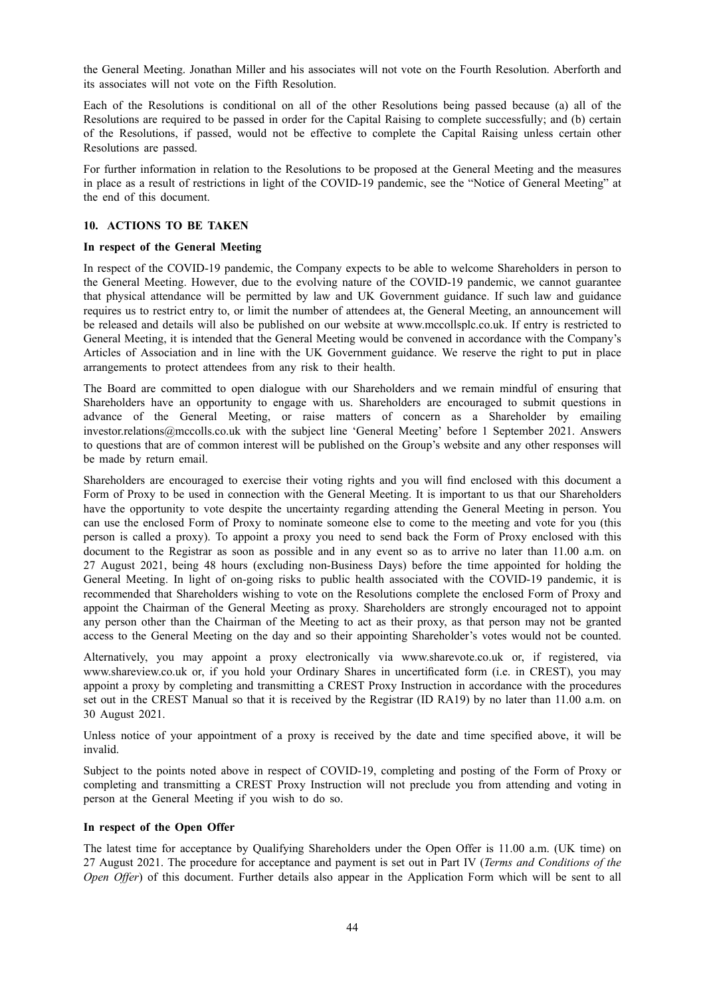the General Meeting. Jonathan Miller and his associates will not vote on the Fourth Resolution. Aberforth and its associates will not vote on the Fifth Resolution.

Each of the Resolutions is conditional on all of the other Resolutions being passed because (a) all of the Resolutions are required to be passed in order for the Capital Raising to complete successfully; and (b) certain of the Resolutions, if passed, would not be effective to complete the Capital Raising unless certain other Resolutions are passed.

For further information in relation to the Resolutions to be proposed at the General Meeting and the measures in place as a result of restrictions in light of the COVID-19 pandemic, see the "Notice of General Meeting" at the end of this document.

# **10. ACTIONS TO BE TAKEN**

## **In respect of the General Meeting**

In respect of the COVID-19 pandemic, the Company expects to be able to welcome Shareholders in person to the General Meeting. However, due to the evolving nature of the COVID-19 pandemic, we cannot guarantee that physical attendance will be permitted by law and UK Government guidance. If such law and guidance requires us to restrict entry to, or limit the number of attendees at, the General Meeting, an announcement will be released and details will also be published on our website at www.mccollsplc.co.uk. If entry is restricted to General Meeting, it is intended that the General Meeting would be convened in accordance with the Company's Articles of Association and in line with the UK Government guidance. We reserve the right to put in place arrangements to protect attendees from any risk to their health.

The Board are committed to open dialogue with our Shareholders and we remain mindful of ensuring that Shareholders have an opportunity to engage with us. Shareholders are encouraged to submit questions in advance of the General Meeting, or raise matters of concern as a Shareholder by emailing investor.relations@mccolls.co.uk with the subject line 'General Meeting' before 1 September 2021. Answers to questions that are of common interest will be published on the Group's website and any other responses will be made by return email.

Shareholders are encouraged to exercise their voting rights and you will find enclosed with this document a Form of Proxy to be used in connection with the General Meeting. It is important to us that our Shareholders have the opportunity to vote despite the uncertainty regarding attending the General Meeting in person. You can use the enclosed Form of Proxy to nominate someone else to come to the meeting and vote for you (this person is called a proxy). To appoint a proxy you need to send back the Form of Proxy enclosed with this document to the Registrar as soon as possible and in any event so as to arrive no later than 11.00 a.m. on 27 August 2021, being 48 hours (excluding non-Business Days) before the time appointed for holding the General Meeting. In light of on-going risks to public health associated with the COVID-19 pandemic, it is recommended that Shareholders wishing to vote on the Resolutions complete the enclosed Form of Proxy and appoint the Chairman of the General Meeting as proxy. Shareholders are strongly encouraged not to appoint any person other than the Chairman of the Meeting to act as their proxy, as that person may not be granted access to the General Meeting on the day and so their appointing Shareholder's votes would not be counted.

Alternatively, you may appoint a proxy electronically via www.sharevote.co.uk or, if registered, via www.shareview.co.uk or, if you hold your Ordinary Shares in uncertificated form (i.e. in CREST), you may appoint a proxy by completing and transmitting a CREST Proxy Instruction in accordance with the procedures set out in the CREST Manual so that it is received by the Registrar (ID RA19) by no later than 11.00 a.m. on 30 August 2021.

Unless notice of your appointment of a proxy is received by the date and time specified above, it will be invalid.

Subject to the points noted above in respect of COVID-19, completing and posting of the Form of Proxy or completing and transmitting a CREST Proxy Instruction will not preclude you from attending and voting in person at the General Meeting if you wish to do so.

# **In respect of the Open Offer**

The latest time for acceptance by Qualifying Shareholders under the Open Offer is 11.00 a.m. (UK time) on 27 August 2021. The procedure for acceptance and payment is set out in Part IV (*Terms and Conditions of the Open Offer*) of this document. Further details also appear in the Application Form which will be sent to all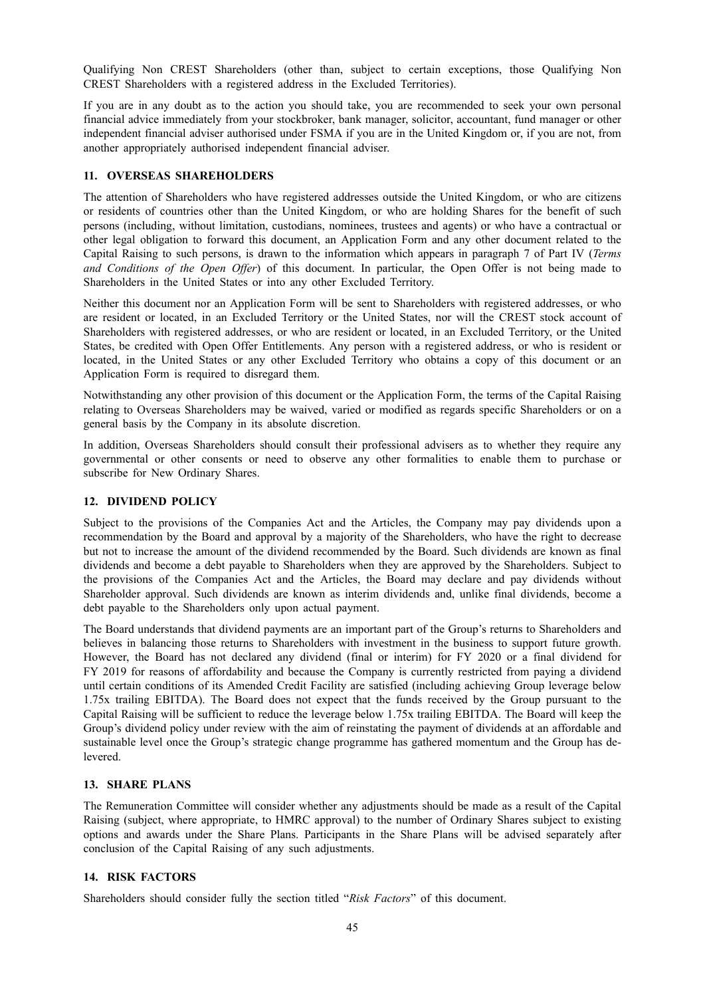Qualifying Non CREST Shareholders (other than, subject to certain exceptions, those Qualifying Non CREST Shareholders with a registered address in the Excluded Territories).

If you are in any doubt as to the action you should take, you are recommended to seek your own personal financial advice immediately from your stockbroker, bank manager, solicitor, accountant, fund manager or other independent financial adviser authorised under FSMA if you are in the United Kingdom or, if you are not, from another appropriately authorised independent financial adviser.

## **11. OVERSEAS SHAREHOLDERS**

The attention of Shareholders who have registered addresses outside the United Kingdom, or who are citizens or residents of countries other than the United Kingdom, or who are holding Shares for the benefit of such persons (including, without limitation, custodians, nominees, trustees and agents) or who have a contractual or other legal obligation to forward this document, an Application Form and any other document related to the Capital Raising to such persons, is drawn to the information which appears in paragraph 7 of Part IV (*Terms and Conditions of the Open Offer*) of this document. In particular, the Open Offer is not being made to Shareholders in the United States or into any other Excluded Territory.

Neither this document nor an Application Form will be sent to Shareholders with registered addresses, or who are resident or located, in an Excluded Territory or the United States, nor will the CREST stock account of Shareholders with registered addresses, or who are resident or located, in an Excluded Territory, or the United States, be credited with Open Offer Entitlements. Any person with a registered address, or who is resident or located, in the United States or any other Excluded Territory who obtains a copy of this document or an Application Form is required to disregard them.

Notwithstanding any other provision of this document or the Application Form, the terms of the Capital Raising relating to Overseas Shareholders may be waived, varied or modified as regards specific Shareholders or on a general basis by the Company in its absolute discretion.

In addition, Overseas Shareholders should consult their professional advisers as to whether they require any governmental or other consents or need to observe any other formalities to enable them to purchase or subscribe for New Ordinary Shares.

## **12. DIVIDEND POLICY**

Subject to the provisions of the Companies Act and the Articles, the Company may pay dividends upon a recommendation by the Board and approval by a majority of the Shareholders, who have the right to decrease but not to increase the amount of the dividend recommended by the Board. Such dividends are known as final dividends and become a debt payable to Shareholders when they are approved by the Shareholders. Subject to the provisions of the Companies Act and the Articles, the Board may declare and pay dividends without Shareholder approval. Such dividends are known as interim dividends and, unlike final dividends, become a debt payable to the Shareholders only upon actual payment.

The Board understands that dividend payments are an important part of the Group's returns to Shareholders and believes in balancing those returns to Shareholders with investment in the business to support future growth. However, the Board has not declared any dividend (final or interim) for FY 2020 or a final dividend for FY 2019 for reasons of affordability and because the Company is currently restricted from paying a dividend until certain conditions of its Amended Credit Facility are satisfied (including achieving Group leverage below 1.75x trailing EBITDA). The Board does not expect that the funds received by the Group pursuant to the Capital Raising will be sufficient to reduce the leverage below 1.75x trailing EBITDA. The Board will keep the Group's dividend policy under review with the aim of reinstating the payment of dividends at an affordable and sustainable level once the Group's strategic change programme has gathered momentum and the Group has delevered.

# **13. SHARE PLANS**

The Remuneration Committee will consider whether any adjustments should be made as a result of the Capital Raising (subject, where appropriate, to HMRC approval) to the number of Ordinary Shares subject to existing options and awards under the Share Plans. Participants in the Share Plans will be advised separately after conclusion of the Capital Raising of any such adjustments.

# **14. RISK FACTORS**

Shareholders should consider fully the section titled "*Risk Factors*" of this document.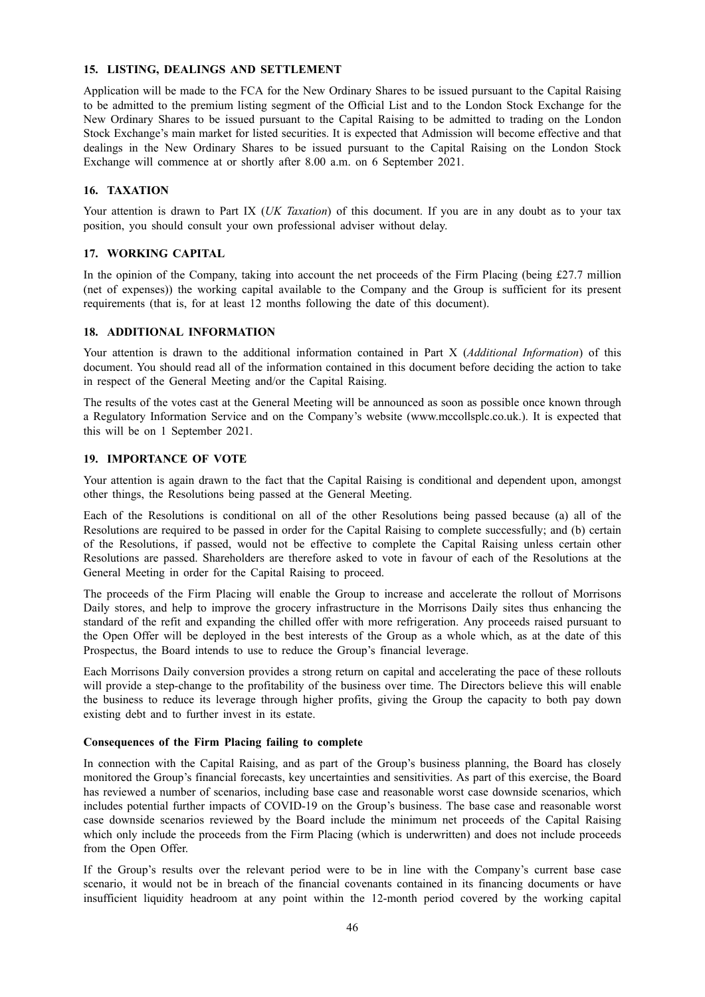# **15. LISTING, DEALINGS AND SETTLEMENT**

Application will be made to the FCA for the New Ordinary Shares to be issued pursuant to the Capital Raising to be admitted to the premium listing segment of the Official List and to the London Stock Exchange for the New Ordinary Shares to be issued pursuant to the Capital Raising to be admitted to trading on the London Stock Exchange's main market for listed securities. It is expected that Admission will become effective and that dealings in the New Ordinary Shares to be issued pursuant to the Capital Raising on the London Stock Exchange will commence at or shortly after 8.00 a.m. on 6 September 2021.

## **16. TAXATION**

Your attention is drawn to Part IX (*UK Taxation*) of this document. If you are in any doubt as to your tax position, you should consult your own professional adviser without delay.

### **17. WORKING CAPITAL**

In the opinion of the Company, taking into account the net proceeds of the Firm Placing (being £27.7 million (net of expenses)) the working capital available to the Company and the Group is sufficient for its present requirements (that is, for at least 12 months following the date of this document).

### **18. ADDITIONAL INFORMATION**

Your attention is drawn to the additional information contained in Part X (*Additional Information*) of this document. You should read all of the information contained in this document before deciding the action to take in respect of the General Meeting and/or the Capital Raising.

The results of the votes cast at the General Meeting will be announced as soon as possible once known through a Regulatory Information Service and on the Company's website (www.mccollsplc.co.uk.). It is expected that this will be on 1 September 2021.

#### **19. IMPORTANCE OF VOTE**

Your attention is again drawn to the fact that the Capital Raising is conditional and dependent upon, amongst other things, the Resolutions being passed at the General Meeting.

Each of the Resolutions is conditional on all of the other Resolutions being passed because (a) all of the Resolutions are required to be passed in order for the Capital Raising to complete successfully; and (b) certain of the Resolutions, if passed, would not be effective to complete the Capital Raising unless certain other Resolutions are passed. Shareholders are therefore asked to vote in favour of each of the Resolutions at the General Meeting in order for the Capital Raising to proceed.

The proceeds of the Firm Placing will enable the Group to increase and accelerate the rollout of Morrisons Daily stores, and help to improve the grocery infrastructure in the Morrisons Daily sites thus enhancing the standard of the refit and expanding the chilled offer with more refrigeration. Any proceeds raised pursuant to the Open Offer will be deployed in the best interests of the Group as a whole which, as at the date of this Prospectus, the Board intends to use to reduce the Group's financial leverage.

Each Morrisons Daily conversion provides a strong return on capital and accelerating the pace of these rollouts will provide a step-change to the profitability of the business over time. The Directors believe this will enable the business to reduce its leverage through higher profits, giving the Group the capacity to both pay down existing debt and to further invest in its estate.

#### **Consequences of the Firm Placing failing to complete**

In connection with the Capital Raising, and as part of the Group's business planning, the Board has closely monitored the Group's financial forecasts, key uncertainties and sensitivities. As part of this exercise, the Board has reviewed a number of scenarios, including base case and reasonable worst case downside scenarios, which includes potential further impacts of COVID-19 on the Group's business. The base case and reasonable worst case downside scenarios reviewed by the Board include the minimum net proceeds of the Capital Raising which only include the proceeds from the Firm Placing (which is underwritten) and does not include proceeds from the Open Offer.

If the Group's results over the relevant period were to be in line with the Company's current base case scenario, it would not be in breach of the financial covenants contained in its financing documents or have insufficient liquidity headroom at any point within the 12-month period covered by the working capital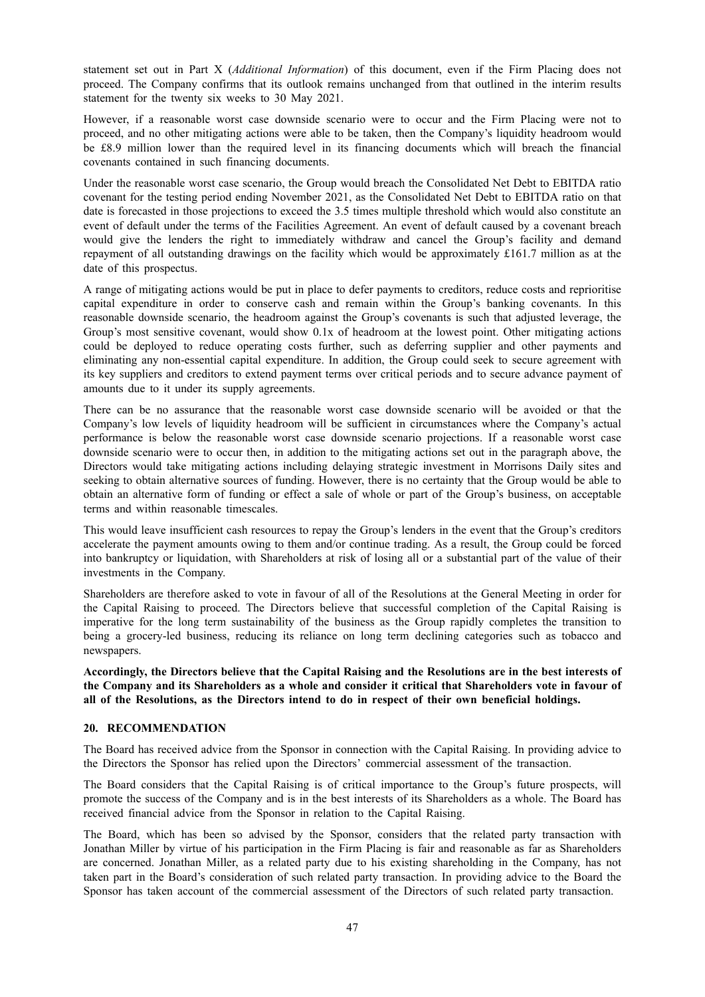statement set out in Part X (*Additional Information*) of this document, even if the Firm Placing does not proceed. The Company confirms that its outlook remains unchanged from that outlined in the interim results statement for the twenty six weeks to 30 May 2021.

However, if a reasonable worst case downside scenario were to occur and the Firm Placing were not to proceed, and no other mitigating actions were able to be taken, then the Company's liquidity headroom would be £8.9 million lower than the required level in its financing documents which will breach the financial covenants contained in such financing documents.

Under the reasonable worst case scenario, the Group would breach the Consolidated Net Debt to EBITDA ratio covenant for the testing period ending November 2021, as the Consolidated Net Debt to EBITDA ratio on that date is forecasted in those projections to exceed the 3.5 times multiple threshold which would also constitute an event of default under the terms of the Facilities Agreement. An event of default caused by a covenant breach would give the lenders the right to immediately withdraw and cancel the Group's facility and demand repayment of all outstanding drawings on the facility which would be approximately £161.7 million as at the date of this prospectus.

A range of mitigating actions would be put in place to defer payments to creditors, reduce costs and reprioritise capital expenditure in order to conserve cash and remain within the Group's banking covenants. In this reasonable downside scenario, the headroom against the Group's covenants is such that adjusted leverage, the Group's most sensitive covenant, would show 0.1x of headroom at the lowest point. Other mitigating actions could be deployed to reduce operating costs further, such as deferring supplier and other payments and eliminating any non-essential capital expenditure. In addition, the Group could seek to secure agreement with its key suppliers and creditors to extend payment terms over critical periods and to secure advance payment of amounts due to it under its supply agreements.

There can be no assurance that the reasonable worst case downside scenario will be avoided or that the Company's low levels of liquidity headroom will be sufficient in circumstances where the Company's actual performance is below the reasonable worst case downside scenario projections. If a reasonable worst case downside scenario were to occur then, in addition to the mitigating actions set out in the paragraph above, the Directors would take mitigating actions including delaying strategic investment in Morrisons Daily sites and seeking to obtain alternative sources of funding. However, there is no certainty that the Group would be able to obtain an alternative form of funding or effect a sale of whole or part of the Group's business, on acceptable terms and within reasonable timescales.

This would leave insufficient cash resources to repay the Group's lenders in the event that the Group's creditors accelerate the payment amounts owing to them and/or continue trading. As a result, the Group could be forced into bankruptcy or liquidation, with Shareholders at risk of losing all or a substantial part of the value of their investments in the Company.

Shareholders are therefore asked to vote in favour of all of the Resolutions at the General Meeting in order for the Capital Raising to proceed. The Directors believe that successful completion of the Capital Raising is imperative for the long term sustainability of the business as the Group rapidly completes the transition to being a grocery-led business, reducing its reliance on long term declining categories such as tobacco and newspapers.

Accordingly, the Directors believe that the Capital Raising and the Resolutions are in the best interests of the Company and its Shareholders as a whole and consider it critical that Shareholders vote in favour of **all of the Resolutions, as the Directors intend to do in respect of their own beneficial holdings.**

# **20. RECOMMENDATION**

The Board has received advice from the Sponsor in connection with the Capital Raising. In providing advice to the Directors the Sponsor has relied upon the Directors' commercial assessment of the transaction.

The Board considers that the Capital Raising is of critical importance to the Group's future prospects, will promote the success of the Company and is in the best interests of its Shareholders as a whole. The Board has received financial advice from the Sponsor in relation to the Capital Raising.

The Board, which has been so advised by the Sponsor, considers that the related party transaction with Jonathan Miller by virtue of his participation in the Firm Placing is fair and reasonable as far as Shareholders are concerned. Jonathan Miller, as a related party due to his existing shareholding in the Company, has not taken part in the Board's consideration of such related party transaction. In providing advice to the Board the Sponsor has taken account of the commercial assessment of the Directors of such related party transaction.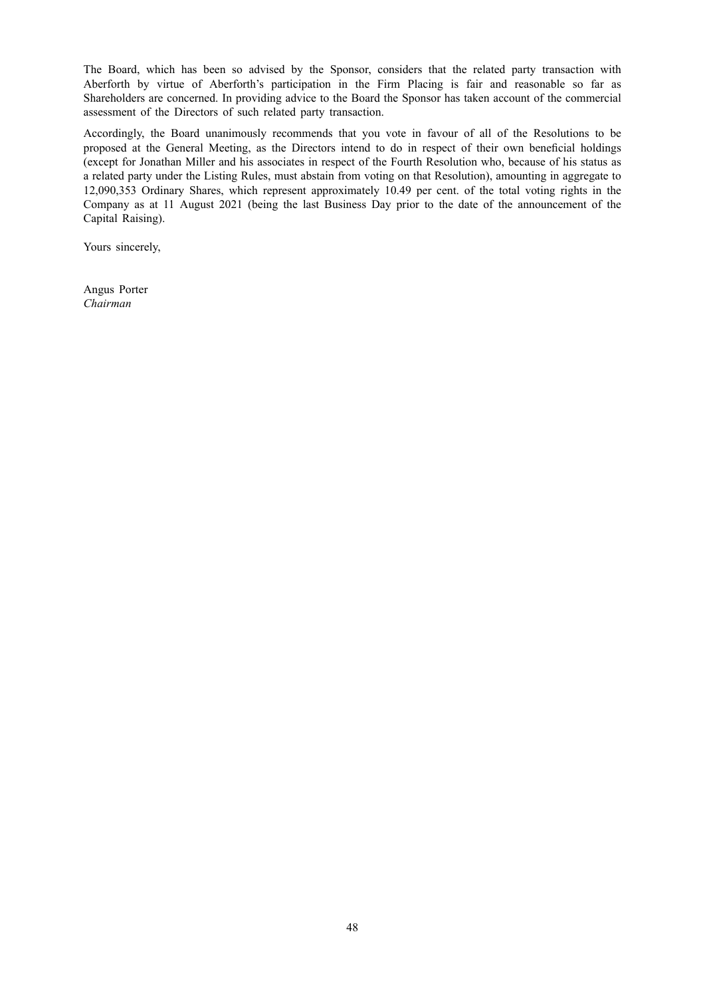The Board, which has been so advised by the Sponsor, considers that the related party transaction with Aberforth by virtue of Aberforth's participation in the Firm Placing is fair and reasonable so far as Shareholders are concerned. In providing advice to the Board the Sponsor has taken account of the commercial assessment of the Directors of such related party transaction.

Accordingly, the Board unanimously recommends that you vote in favour of all of the Resolutions to be proposed at the General Meeting, as the Directors intend to do in respect of their own beneficial holdings (except for Jonathan Miller and his associates in respect of the Fourth Resolution who, because of his status as a related party under the Listing Rules, must abstain from voting on that Resolution), amounting in aggregate to 12,090,353 Ordinary Shares, which represent approximately 10.49 per cent. of the total voting rights in the Company as at 11 August 2021 (being the last Business Day prior to the date of the announcement of the Capital Raising).

Yours sincerely,

Angus Porter *Chairman*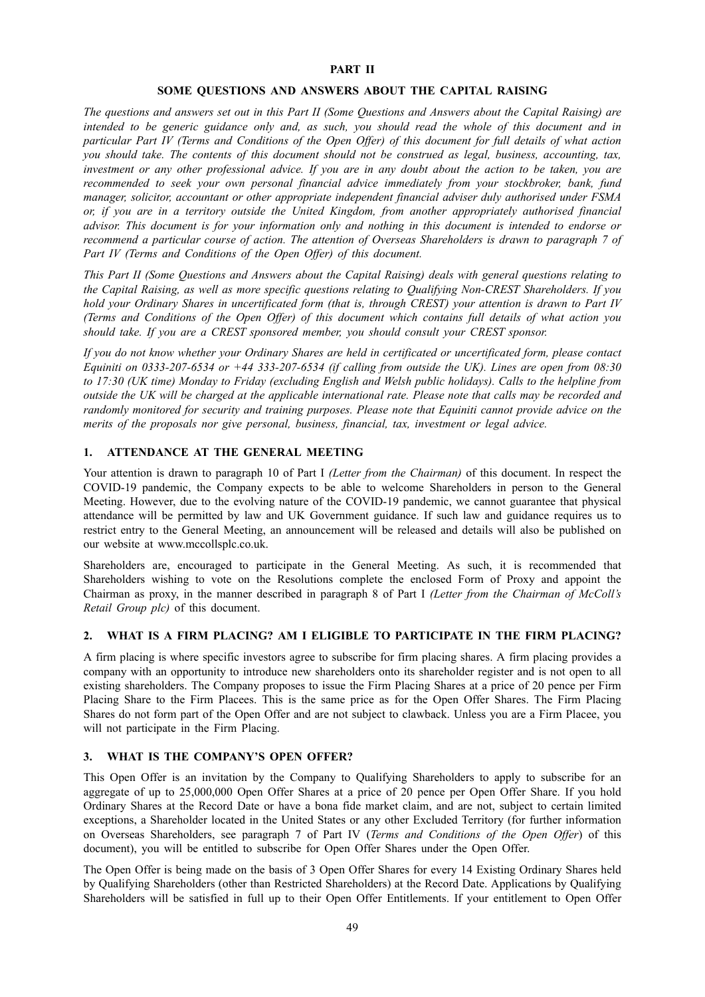### **PART II**

#### **SOME QUESTIONS AND ANSWERS ABOUT THE CAPITAL RAISING**

The questions and answers set out in this Part II (Some Ouestions and Answers about the Capital Raising) are intended to be generic guidance only and, as such, you should read the whole of this document and in particular Part IV (Terms and Conditions of the Open Offer) of this document for full details of what action you should take. The contents of this document should not be construed as legal, business, accounting, tax, investment or any other professional advice. If you are in any doubt about the action to be taken, you are *recommended to seek your own personal financial advice immediately from your stockbroker, bank, fund manager, solicitor, accountant or other appropriate independent financial adviser duly authorised under FSMA or, if you are in a territory outside the United Kingdom, from another appropriately authorised financial* advisor. This document is for your information only and nothing in this document is intended to endorse or recommend a particular course of action. The attention of Overseas Shareholders is drawn to paragraph 7 of *Part IV (Terms and Conditions of the Open Offer) of this document.*

This Part II (Some Questions and Answers about the Capital Raising) deals with general questions relating to *the Capital Raising, as well as more specific questions relating to Qualifying Non-CREST Shareholders. If you* hold your Ordinary Shares in uncertificated form (that is, through CREST) your attention is drawn to Part IV (Terms and Conditions of the Open Offer) of this document which contains full details of what action you *should take. If you are a CREST sponsored member, you should consult your CREST sponsor.*

If you do not know whether your Ordinary Shares are held in certificated or uncertificated form, please contact *Equiniti on 0333-207-6534 or +44 333-207-6534 (if calling from outside the UK). Lines are open from 08:30* to 17:30 (UK time) Monday to Friday (excluding English and Welsh public holidays). Calls to the helpline from outside the UK will be charged at the applicable international rate. Please note that calls may be recorded and *randomly monitored for security and training purposes. Please note that Equiniti cannot provide advice on the merits of the proposals nor give personal, business, financial, tax, investment or legal advice.*

## **1. ATTENDANCE AT THE GENERAL MEETING**

Your attention is drawn to paragraph 10 of Part I *(Letter from the Chairman)* of this document. In respect the COVID-19 pandemic, the Company expects to be able to welcome Shareholders in person to the General Meeting. However, due to the evolving nature of the COVID-19 pandemic, we cannot guarantee that physical attendance will be permitted by law and UK Government guidance. If such law and guidance requires us to restrict entry to the General Meeting, an announcement will be released and details will also be published on our website at www.mccollsplc.co.uk.

Shareholders are, encouraged to participate in the General Meeting. As such, it is recommended that Shareholders wishing to vote on the Resolutions complete the enclosed Form of Proxy and appoint the Chairman as proxy, in the manner described in paragraph 8 of Part I *(Letter from the Chairman of McColl's Retail Group plc)* of this document.

#### **2. WHAT IS A FIRM PLACING? AM I ELIGIBLE TO PARTICIPATE IN THE FIRM PLACING?**

A firm placing is where specific investors agree to subscribe for firm placing shares. A firm placing provides a company with an opportunity to introduce new shareholders onto its shareholder register and is not open to all existing shareholders. The Company proposes to issue the Firm Placing Shares at a price of 20 pence per Firm Placing Share to the Firm Placees. This is the same price as for the Open Offer Shares. The Firm Placing Shares do not form part of the Open Offer and are not subject to clawback. Unless you are a Firm Placee, you will not participate in the Firm Placing.

### **3. WHAT IS THE COMPANY'S OPEN OFFER?**

This Open Offer is an invitation by the Company to Qualifying Shareholders to apply to subscribe for an aggregate of up to 25,000,000 Open Offer Shares at a price of 20 pence per Open Offer Share. If you hold Ordinary Shares at the Record Date or have a bona fide market claim, and are not, subject to certain limited exceptions, a Shareholder located in the United States or any other Excluded Territory (for further information on Overseas Shareholders, see paragraph 7 of Part IV (*Terms and Conditions of the Open Offer*) of this document), you will be entitled to subscribe for Open Offer Shares under the Open Offer.

The Open Offer is being made on the basis of 3 Open Offer Shares for every 14 Existing Ordinary Shares held by Qualifying Shareholders (other than Restricted Shareholders) at the Record Date. Applications by Qualifying Shareholders will be satisfied in full up to their Open Offer Entitlements. If your entitlement to Open Offer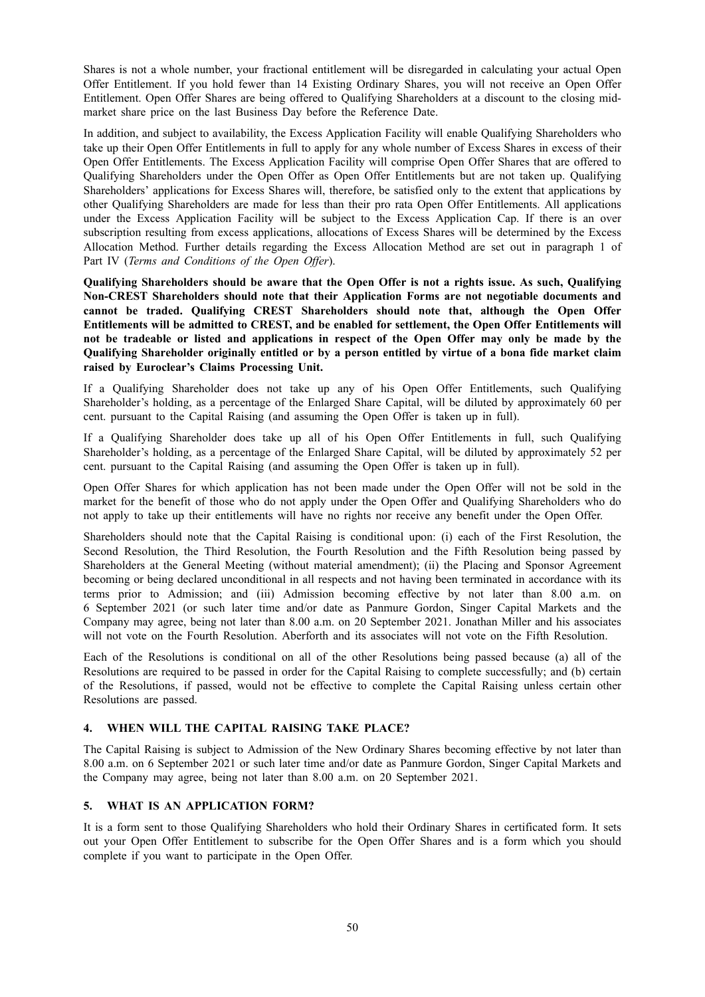Shares is not a whole number, your fractional entitlement will be disregarded in calculating your actual Open Offer Entitlement. If you hold fewer than 14 Existing Ordinary Shares, you will not receive an Open Offer Entitlement. Open Offer Shares are being offered to Qualifying Shareholders at a discount to the closing midmarket share price on the last Business Day before the Reference Date.

In addition, and subject to availability, the Excess Application Facility will enable Qualifying Shareholders who take up their Open Offer Entitlements in full to apply for any whole number of Excess Shares in excess of their Open Offer Entitlements. The Excess Application Facility will comprise Open Offer Shares that are offered to Qualifying Shareholders under the Open Offer as Open Offer Entitlements but are not taken up. Qualifying Shareholders' applications for Excess Shares will, therefore, be satisfied only to the extent that applications by other Qualifying Shareholders are made for less than their pro rata Open Offer Entitlements. All applications under the Excess Application Facility will be subject to the Excess Application Cap. If there is an over subscription resulting from excess applications, allocations of Excess Shares will be determined by the Excess Allocation Method. Further details regarding the Excess Allocation Method are set out in paragraph 1 of Part IV (*Terms and Conditions of the Open Offer*).

**Qualifying Shareholders should be aware that the Open Offer is not a rights issue. As such, Qualifying Non-CREST Shareholders should note that their Application Forms are not negotiable documents and cannot be traded. Qualifying CREST Shareholders should note that, although the Open Offer Entitlements will be admitted to CREST, and be enabled for settlement, the Open Offer Entitlements will** not be tradeable or listed and applications in respect of the Open Offer may only be made by the **Qualifying Shareholder originally entitled or by a person entitled by virtue of a bona fide market claim raised by Euroclear's Claims Processing Unit.**

If a Qualifying Shareholder does not take up any of his Open Offer Entitlements, such Qualifying Shareholder's holding, as a percentage of the Enlarged Share Capital, will be diluted by approximately 60 per cent. pursuant to the Capital Raising (and assuming the Open Offer is taken up in full).

If a Qualifying Shareholder does take up all of his Open Offer Entitlements in full, such Qualifying Shareholder's holding, as a percentage of the Enlarged Share Capital, will be diluted by approximately 52 per cent. pursuant to the Capital Raising (and assuming the Open Offer is taken up in full).

Open Offer Shares for which application has not been made under the Open Offer will not be sold in the market for the benefit of those who do not apply under the Open Offer and Qualifying Shareholders who do not apply to take up their entitlements will have no rights nor receive any benefit under the Open Offer.

Shareholders should note that the Capital Raising is conditional upon: (i) each of the First Resolution, the Second Resolution, the Third Resolution, the Fourth Resolution and the Fifth Resolution being passed by Shareholders at the General Meeting (without material amendment); (ii) the Placing and Sponsor Agreement becoming or being declared unconditional in all respects and not having been terminated in accordance with its terms prior to Admission; and (iii) Admission becoming effective by not later than 8.00 a.m. on 6 September 2021 (or such later time and/or date as Panmure Gordon, Singer Capital Markets and the Company may agree, being not later than 8.00 a.m. on 20 September 2021. Jonathan Miller and his associates will not vote on the Fourth Resolution. Aberforth and its associates will not vote on the Fifth Resolution.

Each of the Resolutions is conditional on all of the other Resolutions being passed because (a) all of the Resolutions are required to be passed in order for the Capital Raising to complete successfully; and (b) certain of the Resolutions, if passed, would not be effective to complete the Capital Raising unless certain other Resolutions are passed.

# **4. WHEN WILL THE CAPITAL RAISING TAKE PLACE?**

The Capital Raising is subject to Admission of the New Ordinary Shares becoming effective by not later than 8.00 a.m. on 6 September 2021 or such later time and/or date as Panmure Gordon, Singer Capital Markets and the Company may agree, being not later than 8.00 a.m. on 20 September 2021.

# **5. WHAT IS AN APPLICATION FORM?**

It is a form sent to those Qualifying Shareholders who hold their Ordinary Shares in certificated form. It sets out your Open Offer Entitlement to subscribe for the Open Offer Shares and is a form which you should complete if you want to participate in the Open Offer.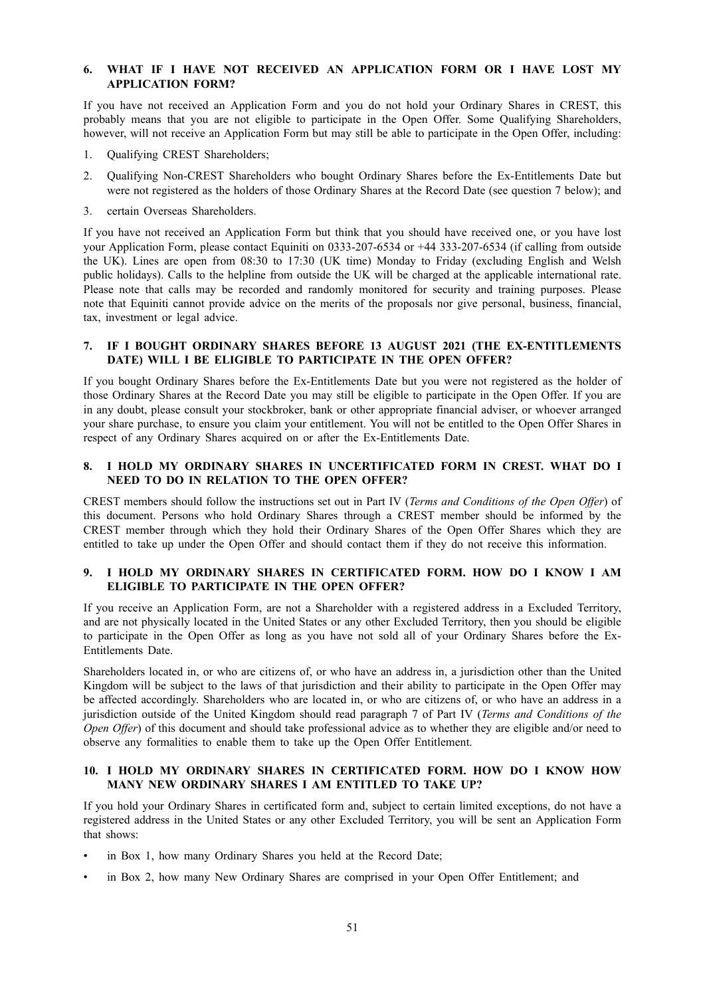# **6. WHAT IF I HAVE NOT RECEIVED AN APPLICATION FORM OR I HAVE LOST MY APPLICATION FORM?**

If you have not received an Application Form and you do not hold your Ordinary Shares in CREST, this probably means that you are not eligible to participate in the Open Offer. Some Qualifying Shareholders, however, will not receive an Application Form but may still be able to participate in the Open Offer, including:

- 1. Qualifying CREST Shareholders;
- 2. Qualifying Non-CREST Shareholders who bought Ordinary Shares before the Ex-Entitlements Date but were not registered as the holders of those Ordinary Shares at the Record Date (see question 7 below); and
- 3. certain Overseas Shareholders.

If you have not received an Application Form but think that you should have received one, or you have lost your Application Form, please contact Equiniti on 0333-207-6534 or +44 333-207-6534 (if calling from outside the UK). Lines are open from 08:30 to 17:30 (UK time) Monday to Friday (excluding English and Welsh public holidays). Calls to the helpline from outside the UK will be charged at the applicable international rate. Please note that calls may be recorded and randomly monitored for security and training purposes. Please note that Equiniti cannot provide advice on the merits of the proposals nor give personal, business, financial, tax, investment or legal advice.

# **7. IF I BOUGHT ORDINARY SHARES BEFORE 13 AUGUST 2021 (THE EX-ENTITLEMENTS DATE) WILL I BE ELIGIBLE TO PARTICIPATE IN THE OPEN OFFER?**

If you bought Ordinary Shares before the Ex-Entitlements Date but you were not registered as the holder of those Ordinary Shares at the Record Date you may still be eligible to participate in the Open Offer. If you are in any doubt, please consult your stockbroker, bank or other appropriate financial adviser, or whoever arranged your share purchase, to ensure you claim your entitlement. You will not be entitled to the Open Offer Shares in respect of any Ordinary Shares acquired on or after the Ex-Entitlements Date.

# **8. I HOLD MY ORDINARY SHARES IN UNCERTIFICATED FORM IN CREST. WHAT DO I NEED TO DO IN RELATION TO THE OPEN OFFER?**

CREST members should follow the instructions set out in Part IV (*Terms and Conditions of the Open Offer*) of this document. Persons who hold Ordinary Shares through a CREST member should be informed by the CREST member through which they hold their Ordinary Shares of the Open Offer Shares which they are entitled to take up under the Open Offer and should contact them if they do not receive this information.

# **9. I HOLD MY ORDINARY SHARES IN CERTIFICATED FORM. HOW DO I KNOW I AM ELIGIBLE TO PARTICIPATE IN THE OPEN OFFER?**

If you receive an Application Form, are not a Shareholder with a registered address in a Excluded Territory, and are not physically located in the United States or any other Excluded Territory, then you should be eligible to participate in the Open Offer as long as you have not sold all of your Ordinary Shares before the Ex-Entitlements Date.

Shareholders located in, or who are citizens of, or who have an address in, a jurisdiction other than the United Kingdom will be subject to the laws of that jurisdiction and their ability to participate in the Open Offer may be affected accordingly. Shareholders who are located in, or who are citizens of, or who have an address in a jurisdiction outside of the United Kingdom should read paragraph 7 of Part IV (*Terms and Conditions of the Open Offer*) of this document and should take professional advice as to whether they are eligible and/or need to observe any formalities to enable them to take up the Open Offer Entitlement.

# **10. I HOLD MY ORDINARY SHARES IN CERTIFICATED FORM. HOW DO I KNOW HOW MANY NEW ORDINARY SHARES I AM ENTITLED TO TAKE UP?**

If you hold your Ordinary Shares in certificated form and, subject to certain limited exceptions, do not have a registered address in the United States or any other Excluded Territory, you will be sent an Application Form that shows:

- in Box 1, how many Ordinary Shares you held at the Record Date;
- in Box 2, how many New Ordinary Shares are comprised in your Open Offer Entitlement; and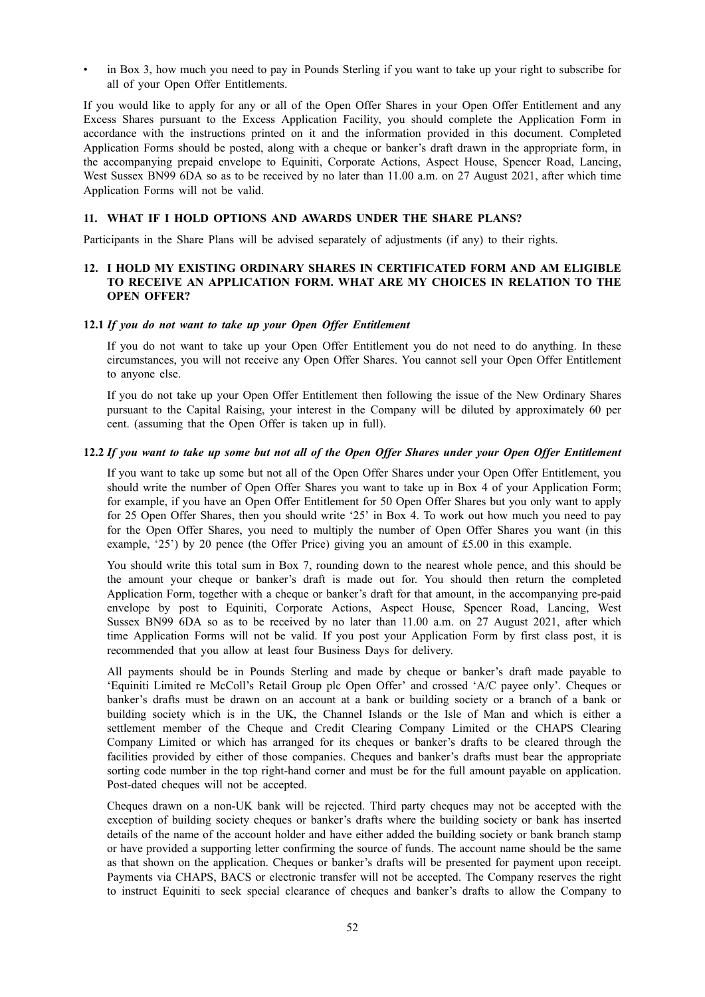• in Box 3, how much you need to pay in Pounds Sterling if you want to take up your right to subscribe for all of your Open Offer Entitlements.

If you would like to apply for any or all of the Open Offer Shares in your Open Offer Entitlement and any Excess Shares pursuant to the Excess Application Facility, you should complete the Application Form in accordance with the instructions printed on it and the information provided in this document. Completed Application Forms should be posted, along with a cheque or banker's draft drawn in the appropriate form, in the accompanying prepaid envelope to Equiniti, Corporate Actions, Aspect House, Spencer Road, Lancing, West Sussex BN99 6DA so as to be received by no later than 11.00 a.m. on 27 August 2021, after which time Application Forms will not be valid.

### **11. WHAT IF I HOLD OPTIONS AND AWARDS UNDER THE SHARE PLANS?**

Participants in the Share Plans will be advised separately of adjustments (if any) to their rights.

# **12. I HOLD MY EXISTING ORDINARY SHARES IN CERTIFICATED FORM AND AM ELIGIBLE TO RECEIVE AN APPLICATION FORM. WHAT ARE MY CHOICES IN RELATION TO THE OPEN OFFER?**

#### **12.1** *If you do not want to take up your Open Offer Entitlement*

If you do not want to take up your Open Offer Entitlement you do not need to do anything. In these circumstances, you will not receive any Open Offer Shares. You cannot sell your Open Offer Entitlement to anyone else.

If you do not take up your Open Offer Entitlement then following the issue of the New Ordinary Shares pursuant to the Capital Raising, your interest in the Company will be diluted by approximately 60 per cent. (assuming that the Open Offer is taken up in full).

### 12.2 If you want to take up some but not all of the Open Offer Shares under your Open Offer Entitlement

If you want to take up some but not all of the Open Offer Shares under your Open Offer Entitlement, you should write the number of Open Offer Shares you want to take up in Box 4 of your Application Form; for example, if you have an Open Offer Entitlement for 50 Open Offer Shares but you only want to apply for 25 Open Offer Shares, then you should write '25' in Box 4. To work out how much you need to pay for the Open Offer Shares, you need to multiply the number of Open Offer Shares you want (in this example, '25') by 20 pence (the Offer Price) giving you an amount of £5.00 in this example.

You should write this total sum in Box 7, rounding down to the nearest whole pence, and this should be the amount your cheque or banker's draft is made out for. You should then return the completed Application Form, together with a cheque or banker's draft for that amount, in the accompanying pre-paid envelope by post to Equiniti, Corporate Actions, Aspect House, Spencer Road, Lancing, West Sussex BN99 6DA so as to be received by no later than 11.00 a.m. on 27 August 2021, after which time Application Forms will not be valid. If you post your Application Form by first class post, it is recommended that you allow at least four Business Days for delivery.

All payments should be in Pounds Sterling and made by cheque or banker's draft made payable to 'Equiniti Limited re McColl's Retail Group plc Open Offer' and crossed 'A/C payee only'. Cheques or banker's drafts must be drawn on an account at a bank or building society or a branch of a bank or building society which is in the UK, the Channel Islands or the Isle of Man and which is either a settlement member of the Cheque and Credit Clearing Company Limited or the CHAPS Clearing Company Limited or which has arranged for its cheques or banker's drafts to be cleared through the facilities provided by either of those companies. Cheques and banker's drafts must bear the appropriate sorting code number in the top right-hand corner and must be for the full amount payable on application. Post-dated cheques will not be accepted.

Cheques drawn on a non-UK bank will be rejected. Third party cheques may not be accepted with the exception of building society cheques or banker's drafts where the building society or bank has inserted details of the name of the account holder and have either added the building society or bank branch stamp or have provided a supporting letter confirming the source of funds. The account name should be the same as that shown on the application. Cheques or banker's drafts will be presented for payment upon receipt. Payments via CHAPS, BACS or electronic transfer will not be accepted. The Company reserves the right to instruct Equiniti to seek special clearance of cheques and banker's drafts to allow the Company to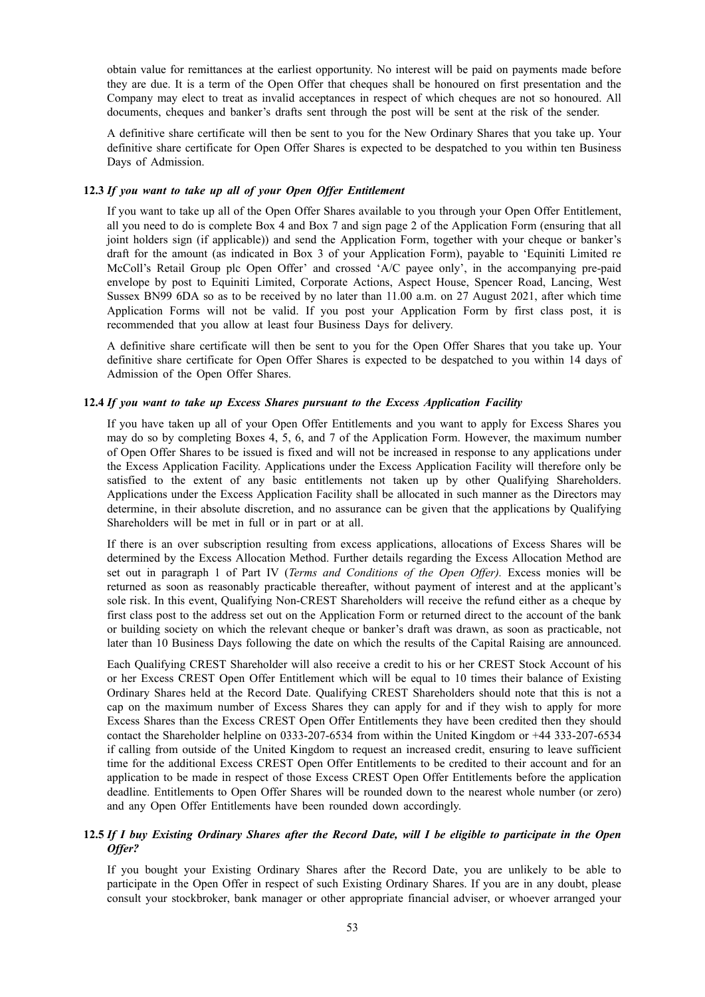obtain value for remittances at the earliest opportunity. No interest will be paid on payments made before they are due. It is a term of the Open Offer that cheques shall be honoured on first presentation and the Company may elect to treat as invalid acceptances in respect of which cheques are not so honoured. All documents, cheques and banker's drafts sent through the post will be sent at the risk of the sender.

A definitive share certificate will then be sent to you for the New Ordinary Shares that you take up. Your definitive share certificate for Open Offer Shares is expected to be despatched to you within ten Business Days of Admission.

## **12.3** *If you want to take up all of your Open Offer Entitlement*

If you want to take up all of the Open Offer Shares available to you through your Open Offer Entitlement, all you need to do is complete Box 4 and Box 7 and sign page 2 of the Application Form (ensuring that all joint holders sign (if applicable)) and send the Application Form, together with your cheque or banker's draft for the amount (as indicated in Box 3 of your Application Form), payable to 'Equiniti Limited re McColl's Retail Group plc Open Offer' and crossed 'A/C payee only', in the accompanying pre-paid envelope by post to Equiniti Limited, Corporate Actions, Aspect House, Spencer Road, Lancing, West Sussex BN99 6DA so as to be received by no later than 11.00 a.m. on 27 August 2021, after which time Application Forms will not be valid. If you post your Application Form by first class post, it is recommended that you allow at least four Business Days for delivery.

A definitive share certificate will then be sent to you for the Open Offer Shares that you take up. Your definitive share certificate for Open Offer Shares is expected to be despatched to you within 14 days of Admission of the Open Offer Shares.

### **12.4** *If you want to take up Excess Shares pursuant to the Excess Application Facility*

If you have taken up all of your Open Offer Entitlements and you want to apply for Excess Shares you may do so by completing Boxes 4, 5, 6, and 7 of the Application Form. However, the maximum number of Open Offer Shares to be issued is fixed and will not be increased in response to any applications under the Excess Application Facility. Applications under the Excess Application Facility will therefore only be satisfied to the extent of any basic entitlements not taken up by other Qualifying Shareholders. Applications under the Excess Application Facility shall be allocated in such manner as the Directors may determine, in their absolute discretion, and no assurance can be given that the applications by Qualifying Shareholders will be met in full or in part or at all.

If there is an over subscription resulting from excess applications, allocations of Excess Shares will be determined by the Excess Allocation Method. Further details regarding the Excess Allocation Method are set out in paragraph 1 of Part IV (*Terms and Conditions of the Open Offer).* Excess monies will be returned as soon as reasonably practicable thereafter, without payment of interest and at the applicant's sole risk. In this event, Qualifying Non-CREST Shareholders will receive the refund either as a cheque by first class post to the address set out on the Application Form or returned direct to the account of the bank or building society on which the relevant cheque or banker's draft was drawn, as soon as practicable, not later than 10 Business Days following the date on which the results of the Capital Raising are announced.

Each Qualifying CREST Shareholder will also receive a credit to his or her CREST Stock Account of his or her Excess CREST Open Offer Entitlement which will be equal to 10 times their balance of Existing Ordinary Shares held at the Record Date. Qualifying CREST Shareholders should note that this is not a cap on the maximum number of Excess Shares they can apply for and if they wish to apply for more Excess Shares than the Excess CREST Open Offer Entitlements they have been credited then they should contact the Shareholder helpline on 0333-207-6534 from within the United Kingdom or +44 333-207-6534 if calling from outside of the United Kingdom to request an increased credit, ensuring to leave sufficient time for the additional Excess CREST Open Offer Entitlements to be credited to their account and for an application to be made in respect of those Excess CREST Open Offer Entitlements before the application deadline. Entitlements to Open Offer Shares will be rounded down to the nearest whole number (or zero) and any Open Offer Entitlements have been rounded down accordingly.

# 12.5 If I buy Existing Ordinary Shares after the Record Date, will I be eligible to participate in the Open *Offer?*

If you bought your Existing Ordinary Shares after the Record Date, you are unlikely to be able to participate in the Open Offer in respect of such Existing Ordinary Shares. If you are in any doubt, please consult your stockbroker, bank manager or other appropriate financial adviser, or whoever arranged your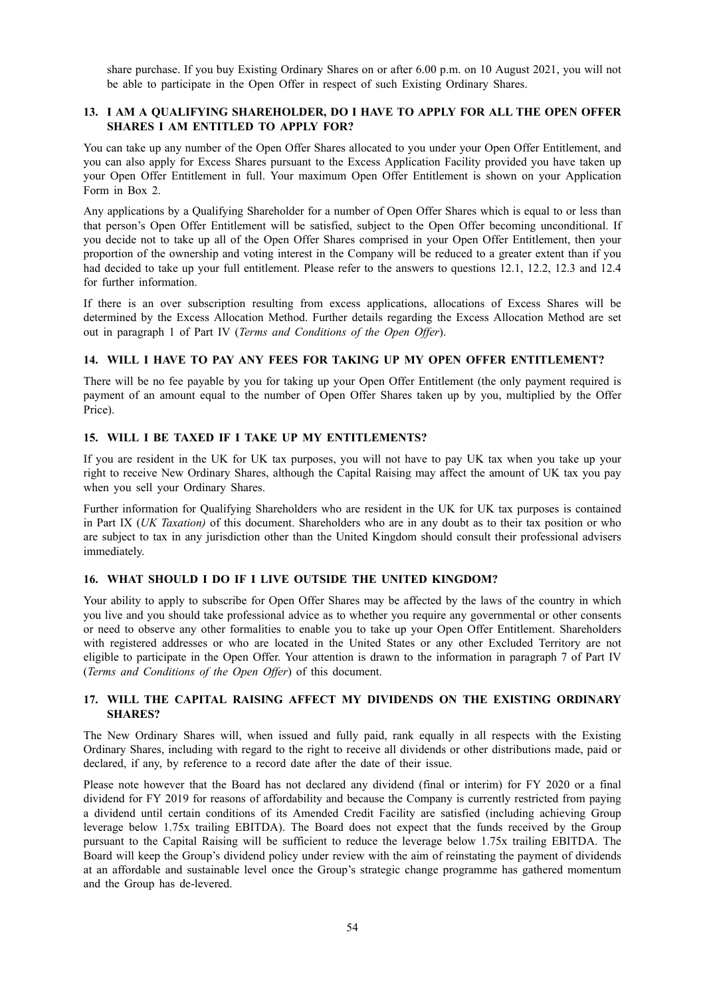share purchase. If you buy Existing Ordinary Shares on or after 6.00 p.m. on 10 August 2021, you will not be able to participate in the Open Offer in respect of such Existing Ordinary Shares.

# **13. I AM A QUALIFYING SHAREHOLDER, DO I HAVE TO APPLY FOR ALL THE OPEN OFFER SHARES I AM ENTITLED TO APPLY FOR?**

You can take up any number of the Open Offer Shares allocated to you under your Open Offer Entitlement, and you can also apply for Excess Shares pursuant to the Excess Application Facility provided you have taken up your Open Offer Entitlement in full. Your maximum Open Offer Entitlement is shown on your Application Form in Box 2.

Any applications by a Qualifying Shareholder for a number of Open Offer Shares which is equal to or less than that person's Open Offer Entitlement will be satisfied, subject to the Open Offer becoming unconditional. If you decide not to take up all of the Open Offer Shares comprised in your Open Offer Entitlement, then your proportion of the ownership and voting interest in the Company will be reduced to a greater extent than if you had decided to take up your full entitlement. Please refer to the answers to questions 12.1, 12.2, 12.3 and 12.4 for further information.

If there is an over subscription resulting from excess applications, allocations of Excess Shares will be determined by the Excess Allocation Method. Further details regarding the Excess Allocation Method are set out in paragraph 1 of Part IV (*Terms and Conditions of the Open Offer*).

# **14. WILL I HAVE TO PAY ANY FEES FOR TAKING UP MY OPEN OFFER ENTITLEMENT?**

There will be no fee payable by you for taking up your Open Offer Entitlement (the only payment required is payment of an amount equal to the number of Open Offer Shares taken up by you, multiplied by the Offer Price).

# **15. WILL I BE TAXED IF I TAKE UP MY ENTITLEMENTS?**

If you are resident in the UK for UK tax purposes, you will not have to pay UK tax when you take up your right to receive New Ordinary Shares, although the Capital Raising may affect the amount of UK tax you pay when you sell your Ordinary Shares.

Further information for Qualifying Shareholders who are resident in the UK for UK tax purposes is contained in Part IX (*UK Taxation)* of this document. Shareholders who are in any doubt as to their tax position or who are subject to tax in any jurisdiction other than the United Kingdom should consult their professional advisers immediately.

# **16. WHAT SHOULD I DO IF I LIVE OUTSIDE THE UNITED KINGDOM?**

Your ability to apply to subscribe for Open Offer Shares may be affected by the laws of the country in which you live and you should take professional advice as to whether you require any governmental or other consents or need to observe any other formalities to enable you to take up your Open Offer Entitlement. Shareholders with registered addresses or who are located in the United States or any other Excluded Territory are not eligible to participate in the Open Offer. Your attention is drawn to the information in paragraph 7 of Part IV (*Terms and Conditions of the Open Offer*) of this document.

# **17. WILL THE CAPITAL RAISING AFFECT MY DIVIDENDS ON THE EXISTING ORDINARY SHARES?**

The New Ordinary Shares will, when issued and fully paid, rank equally in all respects with the Existing Ordinary Shares, including with regard to the right to receive all dividends or other distributions made, paid or declared, if any, by reference to a record date after the date of their issue.

Please note however that the Board has not declared any dividend (final or interim) for FY 2020 or a final dividend for FY 2019 for reasons of affordability and because the Company is currently restricted from paying a dividend until certain conditions of its Amended Credit Facility are satisfied (including achieving Group leverage below 1.75x trailing EBITDA). The Board does not expect that the funds received by the Group pursuant to the Capital Raising will be sufficient to reduce the leverage below 1.75x trailing EBITDA. The Board will keep the Group's dividend policy under review with the aim of reinstating the payment of dividends at an affordable and sustainable level once the Group's strategic change programme has gathered momentum and the Group has de-levered.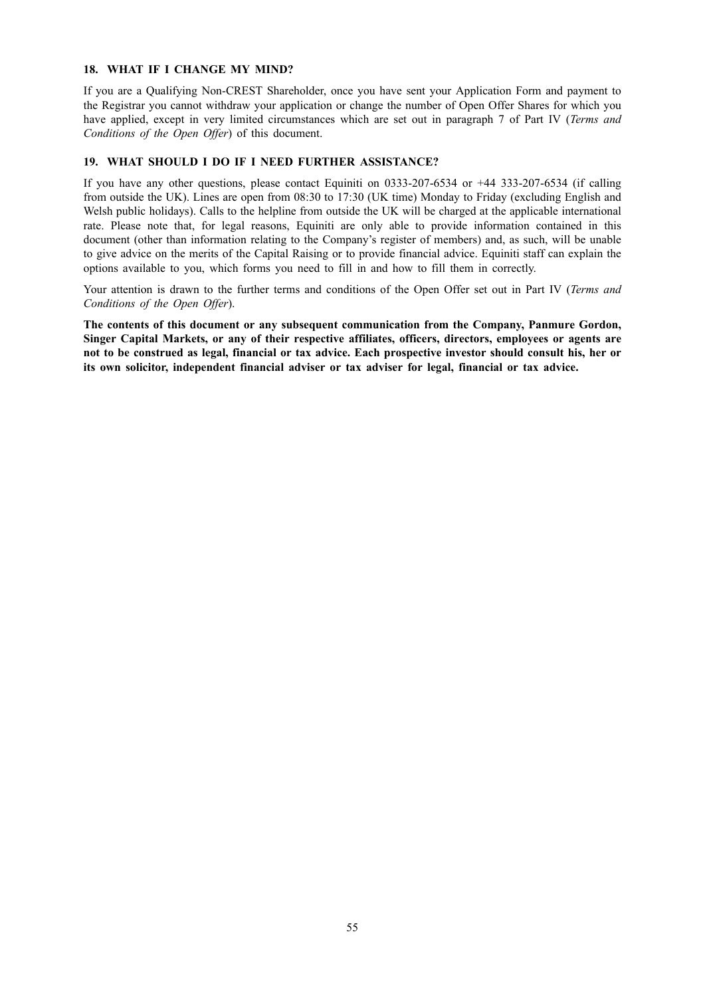## **18. WHAT IF I CHANGE MY MIND?**

If you are a Qualifying Non-CREST Shareholder, once you have sent your Application Form and payment to the Registrar you cannot withdraw your application or change the number of Open Offer Shares for which you have applied, except in very limited circumstances which are set out in paragraph 7 of Part IV (*Terms and Conditions of the Open Offer*) of this document.

# **19. WHAT SHOULD I DO IF I NEED FURTHER ASSISTANCE?**

If you have any other questions, please contact Equiniti on 0333-207-6534 or +44 333-207-6534 (if calling from outside the UK). Lines are open from 08:30 to 17:30 (UK time) Monday to Friday (excluding English and Welsh public holidays). Calls to the helpline from outside the UK will be charged at the applicable international rate. Please note that, for legal reasons, Equiniti are only able to provide information contained in this document (other than information relating to the Company's register of members) and, as such, will be unable to give advice on the merits of the Capital Raising or to provide financial advice. Equiniti staff can explain the options available to you, which forms you need to fill in and how to fill them in correctly.

Your attention is drawn to the further terms and conditions of the Open Offer set out in Part IV (*Terms and Conditions of the Open Offer*).

**The contents of this document or any subsequent communication from the Company, Panmure Gordon, Singer Capital Markets, or any of their respective affiliates, officers, directors, employees or agents are** not to be construed as legal, financial or tax advice. Each prospective investor should consult his, her or **its own solicitor, independent financial adviser or tax adviser for legal, financial or tax advice.**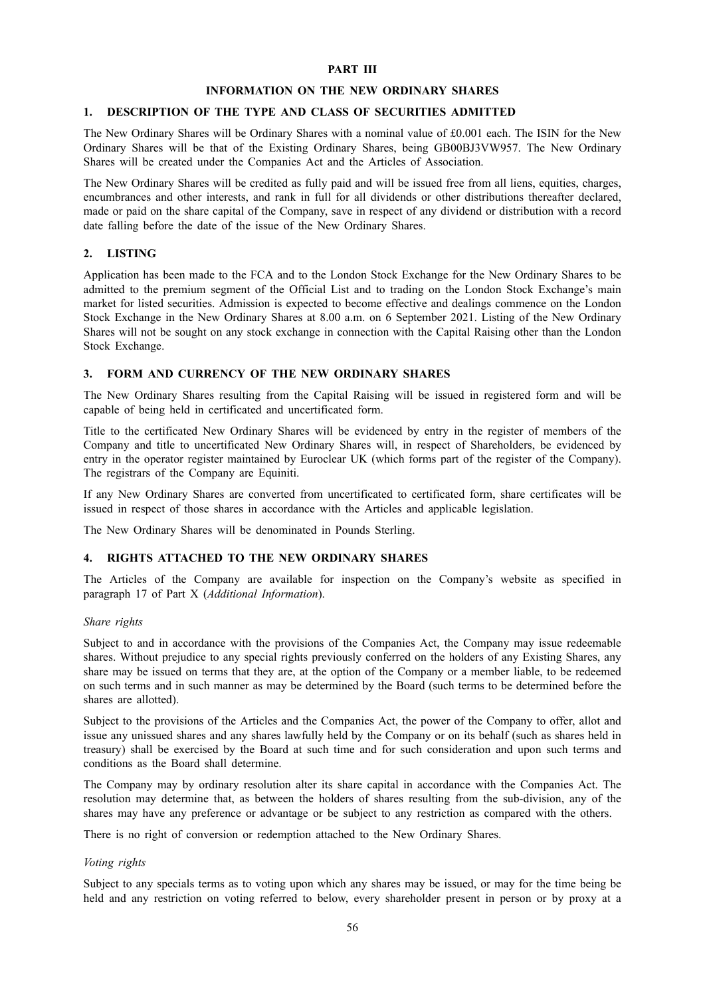### **PART III**

#### **INFORMATION ON THE NEW ORDINARY SHARES**

### **1. DESCRIPTION OF THE TYPE AND CLASS OF SECURITIES ADMITTED**

The New Ordinary Shares will be Ordinary Shares with a nominal value of £0.001 each. The ISIN for the New Ordinary Shares will be that of the Existing Ordinary Shares, being GB00BJ3VW957. The New Ordinary Shares will be created under the Companies Act and the Articles of Association.

The New Ordinary Shares will be credited as fully paid and will be issued free from all liens, equities, charges, encumbrances and other interests, and rank in full for all dividends or other distributions thereafter declared, made or paid on the share capital of the Company, save in respect of any dividend or distribution with a record date falling before the date of the issue of the New Ordinary Shares.

# **2. LISTING**

Application has been made to the FCA and to the London Stock Exchange for the New Ordinary Shares to be admitted to the premium segment of the Official List and to trading on the London Stock Exchange's main market for listed securities. Admission is expected to become effective and dealings commence on the London Stock Exchange in the New Ordinary Shares at 8.00 a.m. on 6 September 2021. Listing of the New Ordinary Shares will not be sought on any stock exchange in connection with the Capital Raising other than the London Stock Exchange.

# **3. FORM AND CURRENCY OF THE NEW ORDINARY SHARES**

The New Ordinary Shares resulting from the Capital Raising will be issued in registered form and will be capable of being held in certificated and uncertificated form.

Title to the certificated New Ordinary Shares will be evidenced by entry in the register of members of the Company and title to uncertificated New Ordinary Shares will, in respect of Shareholders, be evidenced by entry in the operator register maintained by Euroclear UK (which forms part of the register of the Company). The registrars of the Company are Equiniti.

If any New Ordinary Shares are converted from uncertificated to certificated form, share certificates will be issued in respect of those shares in accordance with the Articles and applicable legislation.

The New Ordinary Shares will be denominated in Pounds Sterling.

# **4. RIGHTS ATTACHED TO THE NEW ORDINARY SHARES**

The Articles of the Company are available for inspection on the Company's website as specified in paragraph 17 of Part X (*Additional Information*).

### *Share rights*

Subject to and in accordance with the provisions of the Companies Act, the Company may issue redeemable shares. Without prejudice to any special rights previously conferred on the holders of any Existing Shares, any share may be issued on terms that they are, at the option of the Company or a member liable, to be redeemed on such terms and in such manner as may be determined by the Board (such terms to be determined before the shares are allotted).

Subject to the provisions of the Articles and the Companies Act, the power of the Company to offer, allot and issue any unissued shares and any shares lawfully held by the Company or on its behalf (such as shares held in treasury) shall be exercised by the Board at such time and for such consideration and upon such terms and conditions as the Board shall determine.

The Company may by ordinary resolution alter its share capital in accordance with the Companies Act. The resolution may determine that, as between the holders of shares resulting from the sub-division, any of the shares may have any preference or advantage or be subject to any restriction as compared with the others.

There is no right of conversion or redemption attached to the New Ordinary Shares.

### *Voting rights*

Subject to any specials terms as to voting upon which any shares may be issued, or may for the time being be held and any restriction on voting referred to below, every shareholder present in person or by proxy at a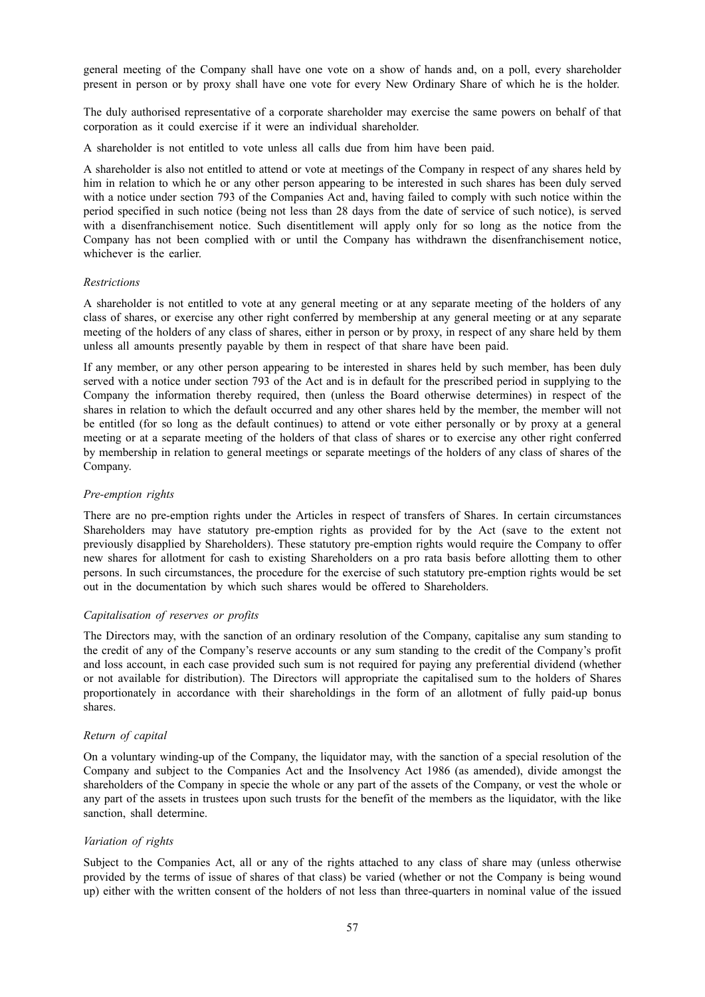general meeting of the Company shall have one vote on a show of hands and, on a poll, every shareholder present in person or by proxy shall have one vote for every New Ordinary Share of which he is the holder.

The duly authorised representative of a corporate shareholder may exercise the same powers on behalf of that corporation as it could exercise if it were an individual shareholder.

A shareholder is not entitled to vote unless all calls due from him have been paid.

A shareholder is also not entitled to attend or vote at meetings of the Company in respect of any shares held by him in relation to which he or any other person appearing to be interested in such shares has been duly served with a notice under section 793 of the Companies Act and, having failed to comply with such notice within the period specified in such notice (being not less than 28 days from the date of service of such notice), is served with a disenfranchisement notice. Such disentitlement will apply only for so long as the notice from the Company has not been complied with or until the Company has withdrawn the disenfranchisement notice, whichever is the earlier.

### *Restrictions*

A shareholder is not entitled to vote at any general meeting or at any separate meeting of the holders of any class of shares, or exercise any other right conferred by membership at any general meeting or at any separate meeting of the holders of any class of shares, either in person or by proxy, in respect of any share held by them unless all amounts presently payable by them in respect of that share have been paid.

If any member, or any other person appearing to be interested in shares held by such member, has been duly served with a notice under section 793 of the Act and is in default for the prescribed period in supplying to the Company the information thereby required, then (unless the Board otherwise determines) in respect of the shares in relation to which the default occurred and any other shares held by the member, the member will not be entitled (for so long as the default continues) to attend or vote either personally or by proxy at a general meeting or at a separate meeting of the holders of that class of shares or to exercise any other right conferred by membership in relation to general meetings or separate meetings of the holders of any class of shares of the Company.

### *Pre-emption rights*

There are no pre-emption rights under the Articles in respect of transfers of Shares. In certain circumstances Shareholders may have statutory pre-emption rights as provided for by the Act (save to the extent not previously disapplied by Shareholders). These statutory pre-emption rights would require the Company to offer new shares for allotment for cash to existing Shareholders on a pro rata basis before allotting them to other persons. In such circumstances, the procedure for the exercise of such statutory pre-emption rights would be set out in the documentation by which such shares would be offered to Shareholders.

# *Capitalisation of reserves or profits*

The Directors may, with the sanction of an ordinary resolution of the Company, capitalise any sum standing to the credit of any of the Company's reserve accounts or any sum standing to the credit of the Company's profit and loss account, in each case provided such sum is not required for paying any preferential dividend (whether or not available for distribution). The Directors will appropriate the capitalised sum to the holders of Shares proportionately in accordance with their shareholdings in the form of an allotment of fully paid-up bonus shares.

# *Return of capital*

On a voluntary winding-up of the Company, the liquidator may, with the sanction of a special resolution of the Company and subject to the Companies Act and the Insolvency Act 1986 (as amended), divide amongst the shareholders of the Company in specie the whole or any part of the assets of the Company, or vest the whole or any part of the assets in trustees upon such trusts for the benefit of the members as the liquidator, with the like sanction, shall determine.

#### *Variation of rights*

Subject to the Companies Act, all or any of the rights attached to any class of share may (unless otherwise provided by the terms of issue of shares of that class) be varied (whether or not the Company is being wound up) either with the written consent of the holders of not less than three-quarters in nominal value of the issued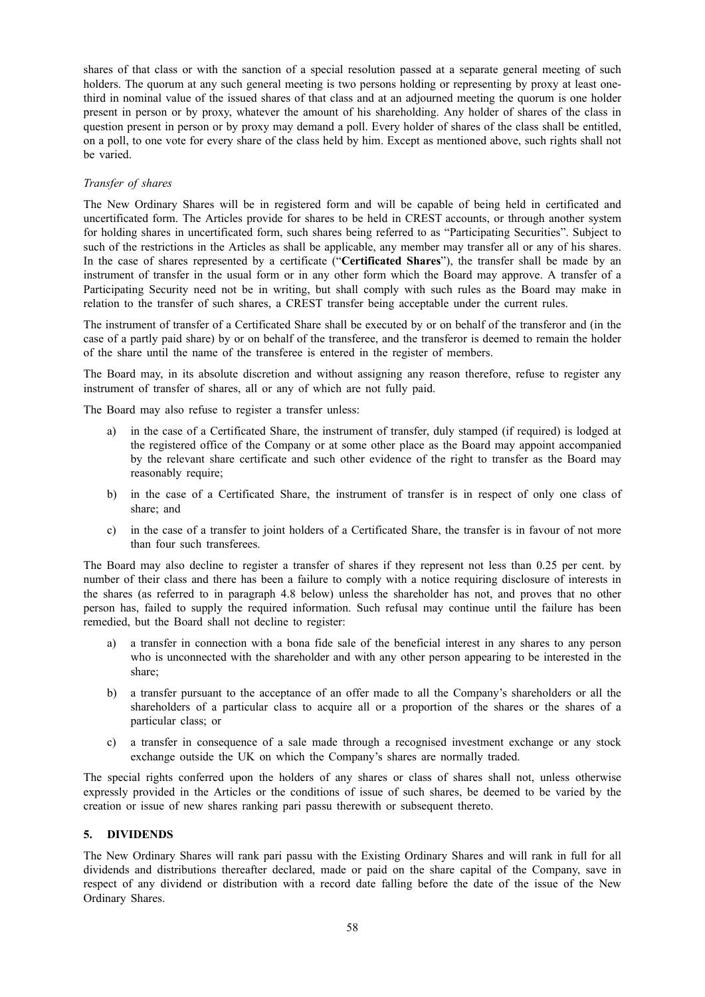shares of that class or with the sanction of a special resolution passed at a separate general meeting of such holders. The quorum at any such general meeting is two persons holding or representing by proxy at least onethird in nominal value of the issued shares of that class and at an adjourned meeting the quorum is one holder present in person or by proxy, whatever the amount of his shareholding. Any holder of shares of the class in question present in person or by proxy may demand a poll. Every holder of shares of the class shall be entitled, on a poll, to one vote for every share of the class held by him. Except as mentioned above, such rights shall not be varied.

# *Transfer of shares*

The New Ordinary Shares will be in registered form and will be capable of being held in certificated and uncertificated form. The Articles provide for shares to be held in CREST accounts, or through another system for holding shares in uncertificated form, such shares being referred to as "Participating Securities". Subject to such of the restrictions in the Articles as shall be applicable, any member may transfer all or any of his shares. In the case of shares represented by a certificate ("**Certificated Shares**"), the transfer shall be made by an instrument of transfer in the usual form or in any other form which the Board may approve. A transfer of a Participating Security need not be in writing, but shall comply with such rules as the Board may make in relation to the transfer of such shares, a CREST transfer being acceptable under the current rules.

The instrument of transfer of a Certificated Share shall be executed by or on behalf of the transferor and (in the case of a partly paid share) by or on behalf of the transferee, and the transferor is deemed to remain the holder of the share until the name of the transferee is entered in the register of members.

The Board may, in its absolute discretion and without assigning any reason therefore, refuse to register any instrument of transfer of shares, all or any of which are not fully paid.

The Board may also refuse to register a transfer unless:

- in the case of a Certificated Share, the instrument of transfer, duly stamped (if required) is lodged at the registered office of the Company or at some other place as the Board may appoint accompanied by the relevant share certificate and such other evidence of the right to transfer as the Board may reasonably require;
- b) in the case of a Certificated Share, the instrument of transfer is in respect of only one class of share; and
- c) in the case of a transfer to joint holders of a Certificated Share, the transfer is in favour of not more than four such transferees.

The Board may also decline to register a transfer of shares if they represent not less than 0.25 per cent. by number of their class and there has been a failure to comply with a notice requiring disclosure of interests in the shares (as referred to in paragraph 4.8 below) unless the shareholder has not, and proves that no other person has, failed to supply the required information. Such refusal may continue until the failure has been remedied, but the Board shall not decline to register:

- a) a transfer in connection with a bona fide sale of the beneficial interest in any shares to any person who is unconnected with the shareholder and with any other person appearing to be interested in the share;
- b) a transfer pursuant to the acceptance of an offer made to all the Company's shareholders or all the shareholders of a particular class to acquire all or a proportion of the shares or the shares of a particular class; or
- c) a transfer in consequence of a sale made through a recognised investment exchange or any stock exchange outside the UK on which the Company's shares are normally traded.

The special rights conferred upon the holders of any shares or class of shares shall not, unless otherwise expressly provided in the Articles or the conditions of issue of such shares, be deemed to be varied by the creation or issue of new shares ranking pari passu therewith or subsequent thereto.

# **5. DIVIDENDS**

The New Ordinary Shares will rank pari passu with the Existing Ordinary Shares and will rank in full for all dividends and distributions thereafter declared, made or paid on the share capital of the Company, save in respect of any dividend or distribution with a record date falling before the date of the issue of the New Ordinary Shares.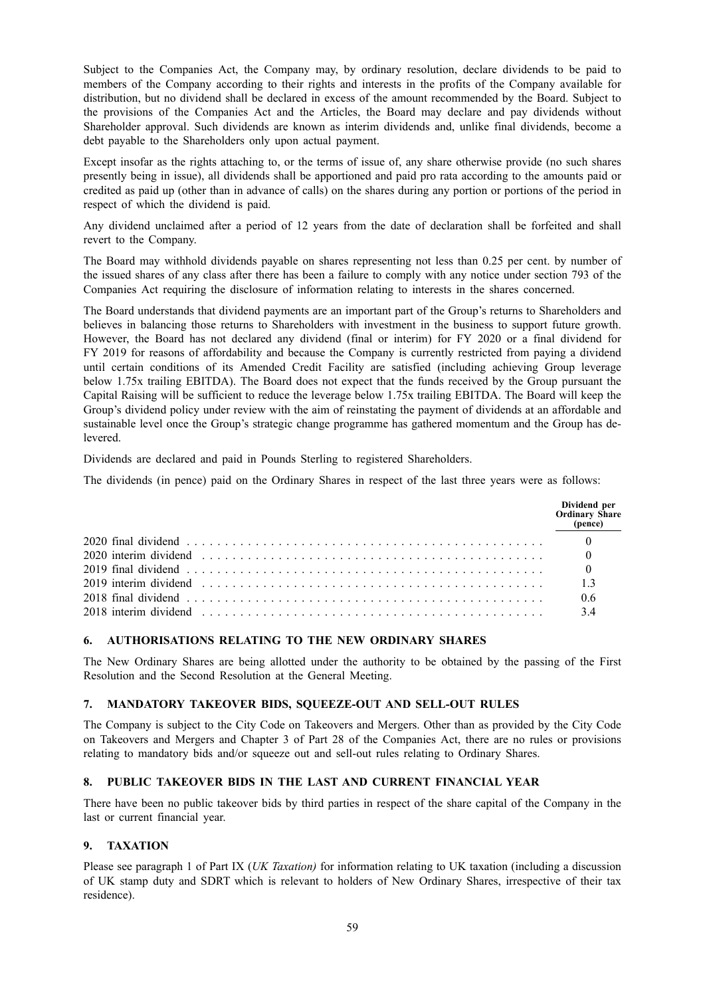Subject to the Companies Act, the Company may, by ordinary resolution, declare dividends to be paid to members of the Company according to their rights and interests in the profits of the Company available for distribution, but no dividend shall be declared in excess of the amount recommended by the Board. Subject to the provisions of the Companies Act and the Articles, the Board may declare and pay dividends without Shareholder approval. Such dividends are known as interim dividends and, unlike final dividends, become a debt payable to the Shareholders only upon actual payment.

Except insofar as the rights attaching to, or the terms of issue of, any share otherwise provide (no such shares presently being in issue), all dividends shall be apportioned and paid pro rata according to the amounts paid or credited as paid up (other than in advance of calls) on the shares during any portion or portions of the period in respect of which the dividend is paid.

Any dividend unclaimed after a period of 12 years from the date of declaration shall be forfeited and shall revert to the Company.

The Board may withhold dividends payable on shares representing not less than 0.25 per cent. by number of the issued shares of any class after there has been a failure to comply with any notice under section 793 of the Companies Act requiring the disclosure of information relating to interests in the shares concerned.

The Board understands that dividend payments are an important part of the Group's returns to Shareholders and believes in balancing those returns to Shareholders with investment in the business to support future growth. However, the Board has not declared any dividend (final or interim) for FY 2020 or a final dividend for FY 2019 for reasons of affordability and because the Company is currently restricted from paying a dividend until certain conditions of its Amended Credit Facility are satisfied (including achieving Group leverage below 1.75x trailing EBITDA). The Board does not expect that the funds received by the Group pursuant the Capital Raising will be sufficient to reduce the leverage below 1.75x trailing EBITDA. The Board will keep the Group's dividend policy under review with the aim of reinstating the payment of dividends at an affordable and sustainable level once the Group's strategic change programme has gathered momentum and the Group has delevered.

Dividends are declared and paid in Pounds Sterling to registered Shareholders.

The dividends (in pence) paid on the Ordinary Shares in respect of the last three years were as follows:

|                                                                                                                                                            | Dividend per<br><b>Ordinary Share</b><br>(pence) |
|------------------------------------------------------------------------------------------------------------------------------------------------------------|--------------------------------------------------|
| 2020 final dividend $\ldots$ $\ldots$ $\ldots$ $\ldots$ $\ldots$ $\ldots$ $\ldots$ $\ldots$ $\ldots$ $\ldots$ $\ldots$ $\ldots$ $\ldots$ $\ldots$ $\ldots$ |                                                  |
|                                                                                                                                                            |                                                  |
|                                                                                                                                                            |                                                  |
|                                                                                                                                                            |                                                  |
|                                                                                                                                                            | 06                                               |
|                                                                                                                                                            | 34                                               |

# **6. AUTHORISATIONS RELATING TO THE NEW ORDINARY SHARES**

The New Ordinary Shares are being allotted under the authority to be obtained by the passing of the First Resolution and the Second Resolution at the General Meeting.

#### **7. MANDATORY TAKEOVER BIDS, SQUEEZE-OUT AND SELL-OUT RULES**

The Company is subject to the City Code on Takeovers and Mergers. Other than as provided by the City Code on Takeovers and Mergers and Chapter 3 of Part 28 of the Companies Act, there are no rules or provisions relating to mandatory bids and/or squeeze out and sell-out rules relating to Ordinary Shares.

# **8. PUBLIC TAKEOVER BIDS IN THE LAST AND CURRENT FINANCIAL YEAR**

There have been no public takeover bids by third parties in respect of the share capital of the Company in the last or current financial year.

# **9. TAXATION**

Please see paragraph 1 of Part IX (*UK Taxation)* for information relating to UK taxation (including a discussion of UK stamp duty and SDRT which is relevant to holders of New Ordinary Shares, irrespective of their tax residence).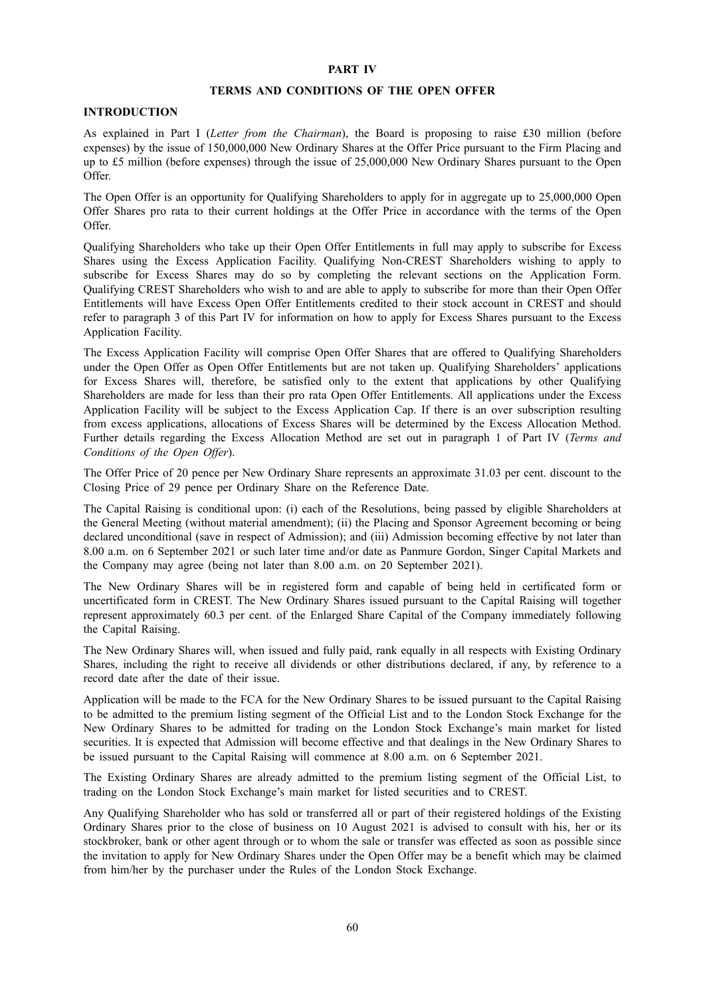### **PART IV**

#### **TERMS AND CONDITIONS OF THE OPEN OFFER**

# **INTRODUCTION**

As explained in Part I (*Letter from the Chairman*), the Board is proposing to raise £30 million (before expenses) by the issue of 150,000,000 New Ordinary Shares at the Offer Price pursuant to the Firm Placing and up to £5 million (before expenses) through the issue of 25,000,000 New Ordinary Shares pursuant to the Open Offer.

The Open Offer is an opportunity for Qualifying Shareholders to apply for in aggregate up to 25,000,000 Open Offer Shares pro rata to their current holdings at the Offer Price in accordance with the terms of the Open Offer.

Qualifying Shareholders who take up their Open Offer Entitlements in full may apply to subscribe for Excess Shares using the Excess Application Facility. Qualifying Non-CREST Shareholders wishing to apply to subscribe for Excess Shares may do so by completing the relevant sections on the Application Form. Qualifying CREST Shareholders who wish to and are able to apply to subscribe for more than their Open Offer Entitlements will have Excess Open Offer Entitlements credited to their stock account in CREST and should refer to paragraph 3 of this Part IV for information on how to apply for Excess Shares pursuant to the Excess Application Facility.

The Excess Application Facility will comprise Open Offer Shares that are offered to Qualifying Shareholders under the Open Offer as Open Offer Entitlements but are not taken up. Qualifying Shareholders' applications for Excess Shares will, therefore, be satisfied only to the extent that applications by other Qualifying Shareholders are made for less than their pro rata Open Offer Entitlements. All applications under the Excess Application Facility will be subject to the Excess Application Cap. If there is an over subscription resulting from excess applications, allocations of Excess Shares will be determined by the Excess Allocation Method. Further details regarding the Excess Allocation Method are set out in paragraph 1 of Part IV (*Terms and Conditions of the Open Offer*).

The Offer Price of 20 pence per New Ordinary Share represents an approximate 31.03 per cent. discount to the Closing Price of 29 pence per Ordinary Share on the Reference Date.

The Capital Raising is conditional upon: (i) each of the Resolutions, being passed by eligible Shareholders at the General Meeting (without material amendment); (ii) the Placing and Sponsor Agreement becoming or being declared unconditional (save in respect of Admission); and (iii) Admission becoming effective by not later than 8.00 a.m. on 6 September 2021 or such later time and/or date as Panmure Gordon, Singer Capital Markets and the Company may agree (being not later than 8.00 a.m. on 20 September 2021).

The New Ordinary Shares will be in registered form and capable of being held in certificated form or uncertificated form in CREST. The New Ordinary Shares issued pursuant to the Capital Raising will together represent approximately 60.3 per cent. of the Enlarged Share Capital of the Company immediately following the Capital Raising.

The New Ordinary Shares will, when issued and fully paid, rank equally in all respects with Existing Ordinary Shares, including the right to receive all dividends or other distributions declared, if any, by reference to a record date after the date of their issue.

Application will be made to the FCA for the New Ordinary Shares to be issued pursuant to the Capital Raising to be admitted to the premium listing segment of the Official List and to the London Stock Exchange for the New Ordinary Shares to be admitted for trading on the London Stock Exchange's main market for listed securities. It is expected that Admission will become effective and that dealings in the New Ordinary Shares to be issued pursuant to the Capital Raising will commence at 8.00 a.m. on 6 September 2021.

The Existing Ordinary Shares are already admitted to the premium listing segment of the Official List, to trading on the London Stock Exchange's main market for listed securities and to CREST.

Any Qualifying Shareholder who has sold or transferred all or part of their registered holdings of the Existing Ordinary Shares prior to the close of business on 10 August 2021 is advised to consult with his, her or its stockbroker, bank or other agent through or to whom the sale or transfer was effected as soon as possible since the invitation to apply for New Ordinary Shares under the Open Offer may be a benefit which may be claimed from him/her by the purchaser under the Rules of the London Stock Exchange.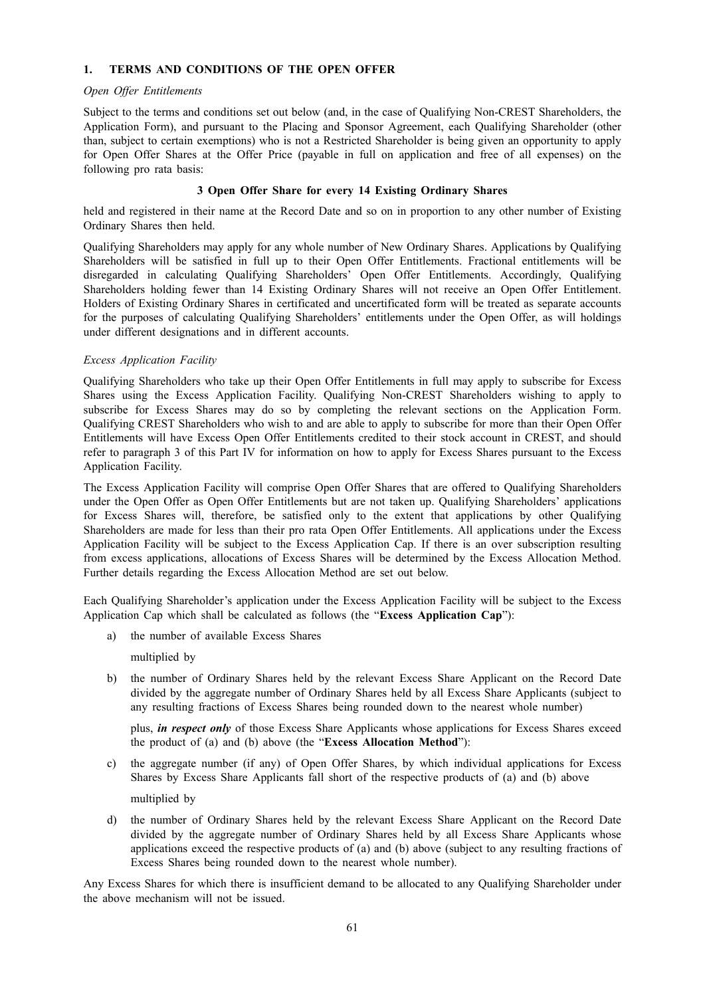# **1. TERMS AND CONDITIONS OF THE OPEN OFFER**

## *Open Offer Entitlements*

Subject to the terms and conditions set out below (and, in the case of Qualifying Non-CREST Shareholders, the Application Form), and pursuant to the Placing and Sponsor Agreement, each Qualifying Shareholder (other than, subject to certain exemptions) who is not a Restricted Shareholder is being given an opportunity to apply for Open Offer Shares at the Offer Price (payable in full on application and free of all expenses) on the following pro rata basis:

# **3 Open Offer Share for every 14 Existing Ordinary Shares**

held and registered in their name at the Record Date and so on in proportion to any other number of Existing Ordinary Shares then held.

Qualifying Shareholders may apply for any whole number of New Ordinary Shares. Applications by Qualifying Shareholders will be satisfied in full up to their Open Offer Entitlements. Fractional entitlements will be disregarded in calculating Qualifying Shareholders' Open Offer Entitlements. Accordingly, Qualifying Shareholders holding fewer than 14 Existing Ordinary Shares will not receive an Open Offer Entitlement. Holders of Existing Ordinary Shares in certificated and uncertificated form will be treated as separate accounts for the purposes of calculating Qualifying Shareholders' entitlements under the Open Offer, as will holdings under different designations and in different accounts.

# *Excess Application Facility*

Qualifying Shareholders who take up their Open Offer Entitlements in full may apply to subscribe for Excess Shares using the Excess Application Facility. Qualifying Non-CREST Shareholders wishing to apply to subscribe for Excess Shares may do so by completing the relevant sections on the Application Form. Qualifying CREST Shareholders who wish to and are able to apply to subscribe for more than their Open Offer Entitlements will have Excess Open Offer Entitlements credited to their stock account in CREST, and should refer to paragraph 3 of this Part IV for information on how to apply for Excess Shares pursuant to the Excess Application Facility.

The Excess Application Facility will comprise Open Offer Shares that are offered to Qualifying Shareholders under the Open Offer as Open Offer Entitlements but are not taken up. Qualifying Shareholders' applications for Excess Shares will, therefore, be satisfied only to the extent that applications by other Qualifying Shareholders are made for less than their pro rata Open Offer Entitlements. All applications under the Excess Application Facility will be subject to the Excess Application Cap. If there is an over subscription resulting from excess applications, allocations of Excess Shares will be determined by the Excess Allocation Method. Further details regarding the Excess Allocation Method are set out below.

Each Qualifying Shareholder's application under the Excess Application Facility will be subject to the Excess Application Cap which shall be calculated as follows (the "**Excess Application Cap**"):

a) the number of available Excess Shares

multiplied by

b) the number of Ordinary Shares held by the relevant Excess Share Applicant on the Record Date divided by the aggregate number of Ordinary Shares held by all Excess Share Applicants (subject to any resulting fractions of Excess Shares being rounded down to the nearest whole number)

plus, *in respect only* of those Excess Share Applicants whose applications for Excess Shares exceed the product of (a) and (b) above (the "**Excess Allocation Method**"):

c) the aggregate number (if any) of Open Offer Shares, by which individual applications for Excess Shares by Excess Share Applicants fall short of the respective products of (a) and (b) above

multiplied by

d) the number of Ordinary Shares held by the relevant Excess Share Applicant on the Record Date divided by the aggregate number of Ordinary Shares held by all Excess Share Applicants whose applications exceed the respective products of (a) and (b) above (subject to any resulting fractions of Excess Shares being rounded down to the nearest whole number).

Any Excess Shares for which there is insufficient demand to be allocated to any Qualifying Shareholder under the above mechanism will not be issued.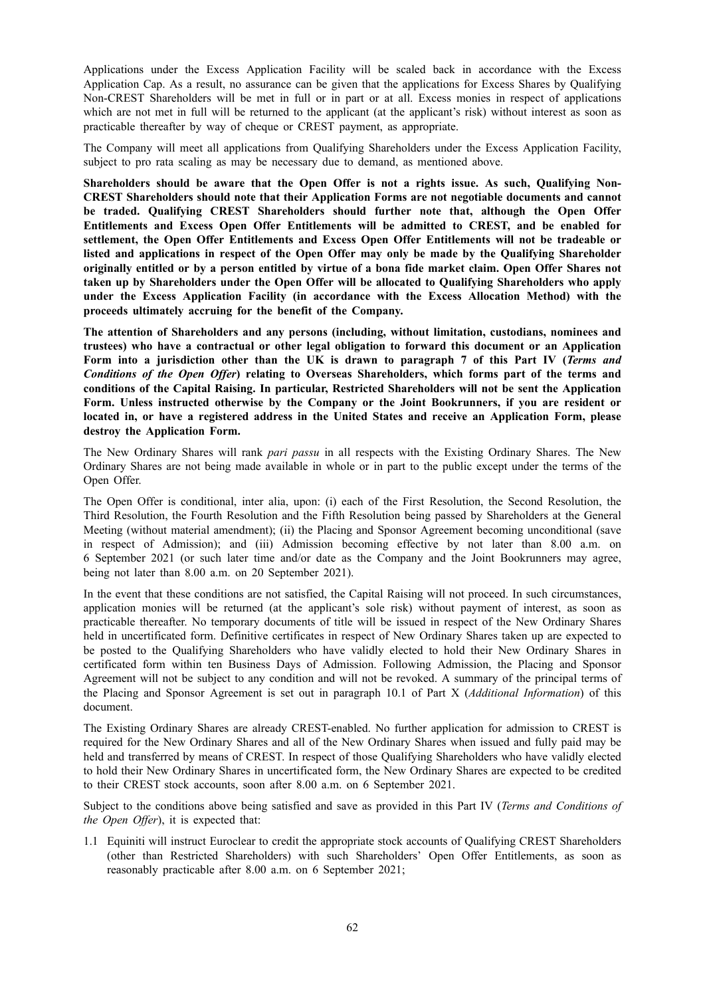Applications under the Excess Application Facility will be scaled back in accordance with the Excess Application Cap. As a result, no assurance can be given that the applications for Excess Shares by Qualifying Non-CREST Shareholders will be met in full or in part or at all. Excess monies in respect of applications which are not met in full will be returned to the applicant (at the applicant's risk) without interest as soon as practicable thereafter by way of cheque or CREST payment, as appropriate.

The Company will meet all applications from Qualifying Shareholders under the Excess Application Facility, subject to pro rata scaling as may be necessary due to demand, as mentioned above.

**Shareholders should be aware that the Open Offer is not a rights issue. As such, Qualifying Non-CREST Shareholders should note that their Application Forms are not negotiable documents and cannot be traded. Qualifying CREST Shareholders should further note that, although the Open Offer Entitlements and Excess Open Offer Entitlements will be admitted to CREST, and be enabled for settlement, the Open Offer Entitlements and Excess Open Offer Entitlements will not be tradeable or listed and applications in respect of the Open Offer may only be made by the Qualifying Shareholder** originally entitled or by a person entitled by virtue of a bona fide market claim. Open Offer Shares not **taken up by Shareholders under the Open Offer will be allocated to Qualifying Shareholders who apply under the Excess Application Facility (in accordance with the Excess Allocation Method) with the proceeds ultimately accruing for the benefit of the Company.**

**The attention of Shareholders and any persons (including, without limitation, custodians, nominees and trustees) who have a contractual or other legal obligation to forward this document or an Application** Form into a jurisdiction other than the UK is drawn to paragraph 7 of this Part IV (Terms and *Conditions of the Open Offer***) relating to Overseas Shareholders, which forms part of the terms and conditions of the Capital Raising. In particular, Restricted Shareholders will not be sent the Application Form. Unless instructed otherwise by the Company or the Joint Bookrunners, if you are resident or located in, or have a registered address in the United States and receive an Application Form, please destroy the Application Form.**

The New Ordinary Shares will rank *pari passu* in all respects with the Existing Ordinary Shares. The New Ordinary Shares are not being made available in whole or in part to the public except under the terms of the Open Offer.

The Open Offer is conditional, inter alia, upon: (i) each of the First Resolution, the Second Resolution, the Third Resolution, the Fourth Resolution and the Fifth Resolution being passed by Shareholders at the General Meeting (without material amendment); (ii) the Placing and Sponsor Agreement becoming unconditional (save in respect of Admission); and (iii) Admission becoming effective by not later than 8.00 a.m. on 6 September 2021 (or such later time and/or date as the Company and the Joint Bookrunners may agree, being not later than 8.00 a.m. on 20 September 2021).

In the event that these conditions are not satisfied, the Capital Raising will not proceed. In such circumstances, application monies will be returned (at the applicant's sole risk) without payment of interest, as soon as practicable thereafter. No temporary documents of title will be issued in respect of the New Ordinary Shares held in uncertificated form. Definitive certificates in respect of New Ordinary Shares taken up are expected to be posted to the Qualifying Shareholders who have validly elected to hold their New Ordinary Shares in certificated form within ten Business Days of Admission. Following Admission, the Placing and Sponsor Agreement will not be subject to any condition and will not be revoked. A summary of the principal terms of the Placing and Sponsor Agreement is set out in paragraph 10.1 of Part X (*Additional Information*) of this document.

The Existing Ordinary Shares are already CREST-enabled. No further application for admission to CREST is required for the New Ordinary Shares and all of the New Ordinary Shares when issued and fully paid may be held and transferred by means of CREST. In respect of those Qualifying Shareholders who have validly elected to hold their New Ordinary Shares in uncertificated form, the New Ordinary Shares are expected to be credited to their CREST stock accounts, soon after 8.00 a.m. on 6 September 2021.

Subject to the conditions above being satisfied and save as provided in this Part IV (*Terms and Conditions of the Open Offer*), it is expected that:

1.1 Equiniti will instruct Euroclear to credit the appropriate stock accounts of Qualifying CREST Shareholders (other than Restricted Shareholders) with such Shareholders' Open Offer Entitlements, as soon as reasonably practicable after 8.00 a.m. on 6 September 2021;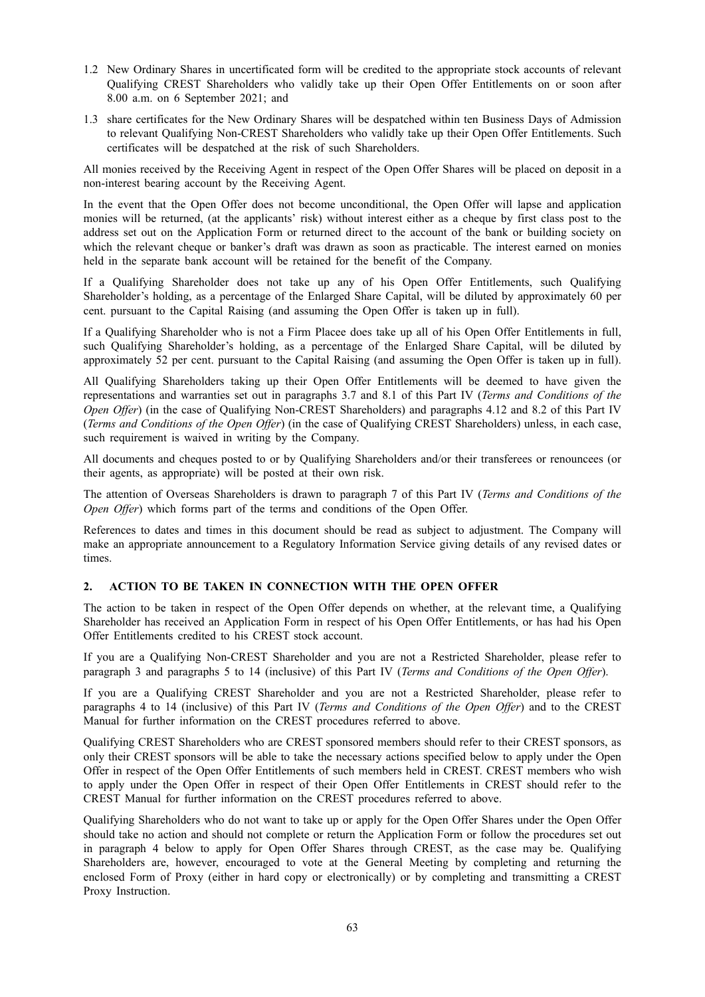- 1.2 New Ordinary Shares in uncertificated form will be credited to the appropriate stock accounts of relevant Qualifying CREST Shareholders who validly take up their Open Offer Entitlements on or soon after 8.00 a.m. on 6 September 2021; and
- 1.3 share certificates for the New Ordinary Shares will be despatched within ten Business Days of Admission to relevant Qualifying Non-CREST Shareholders who validly take up their Open Offer Entitlements. Such certificates will be despatched at the risk of such Shareholders.

All monies received by the Receiving Agent in respect of the Open Offer Shares will be placed on deposit in a non-interest bearing account by the Receiving Agent.

In the event that the Open Offer does not become unconditional, the Open Offer will lapse and application monies will be returned, (at the applicants' risk) without interest either as a cheque by first class post to the address set out on the Application Form or returned direct to the account of the bank or building society on which the relevant cheque or banker's draft was drawn as soon as practicable. The interest earned on monies held in the separate bank account will be retained for the benefit of the Company.

If a Qualifying Shareholder does not take up any of his Open Offer Entitlements, such Qualifying Shareholder's holding, as a percentage of the Enlarged Share Capital, will be diluted by approximately 60 per cent. pursuant to the Capital Raising (and assuming the Open Offer is taken up in full).

If a Qualifying Shareholder who is not a Firm Placee does take up all of his Open Offer Entitlements in full, such Qualifying Shareholder's holding, as a percentage of the Enlarged Share Capital, will be diluted by approximately 52 per cent. pursuant to the Capital Raising (and assuming the Open Offer is taken up in full).

All Qualifying Shareholders taking up their Open Offer Entitlements will be deemed to have given the representations and warranties set out in paragraphs 3.7 and 8.1 of this Part IV (*Terms and Conditions of the Open Offer*) (in the case of Qualifying Non-CREST Shareholders) and paragraphs 4.12 and 8.2 of this Part IV (*Terms and Conditions of the Open Offer*) (in the case of Qualifying CREST Shareholders) unless, in each case, such requirement is waived in writing by the Company.

All documents and cheques posted to or by Qualifying Shareholders and/or their transferees or renouncees (or their agents, as appropriate) will be posted at their own risk.

The attention of Overseas Shareholders is drawn to paragraph 7 of this Part IV (*Terms and Conditions of the Open Offer*) which forms part of the terms and conditions of the Open Offer.

References to dates and times in this document should be read as subject to adjustment. The Company will make an appropriate announcement to a Regulatory Information Service giving details of any revised dates or times.

# **2. ACTION TO BE TAKEN IN CONNECTION WITH THE OPEN OFFER**

The action to be taken in respect of the Open Offer depends on whether, at the relevant time, a Qualifying Shareholder has received an Application Form in respect of his Open Offer Entitlements, or has had his Open Offer Entitlements credited to his CREST stock account.

If you are a Qualifying Non-CREST Shareholder and you are not a Restricted Shareholder, please refer to paragraph 3 and paragraphs 5 to 14 (inclusive) of this Part IV (*Terms and Conditions of the Open Offer*).

If you are a Qualifying CREST Shareholder and you are not a Restricted Shareholder, please refer to paragraphs 4 to 14 (inclusive) of this Part IV (*Terms and Conditions of the Open Offer*) and to the CREST Manual for further information on the CREST procedures referred to above.

Qualifying CREST Shareholders who are CREST sponsored members should refer to their CREST sponsors, as only their CREST sponsors will be able to take the necessary actions specified below to apply under the Open Offer in respect of the Open Offer Entitlements of such members held in CREST. CREST members who wish to apply under the Open Offer in respect of their Open Offer Entitlements in CREST should refer to the CREST Manual for further information on the CREST procedures referred to above.

Qualifying Shareholders who do not want to take up or apply for the Open Offer Shares under the Open Offer should take no action and should not complete or return the Application Form or follow the procedures set out in paragraph 4 below to apply for Open Offer Shares through CREST, as the case may be. Qualifying Shareholders are, however, encouraged to vote at the General Meeting by completing and returning the enclosed Form of Proxy (either in hard copy or electronically) or by completing and transmitting a CREST Proxy Instruction.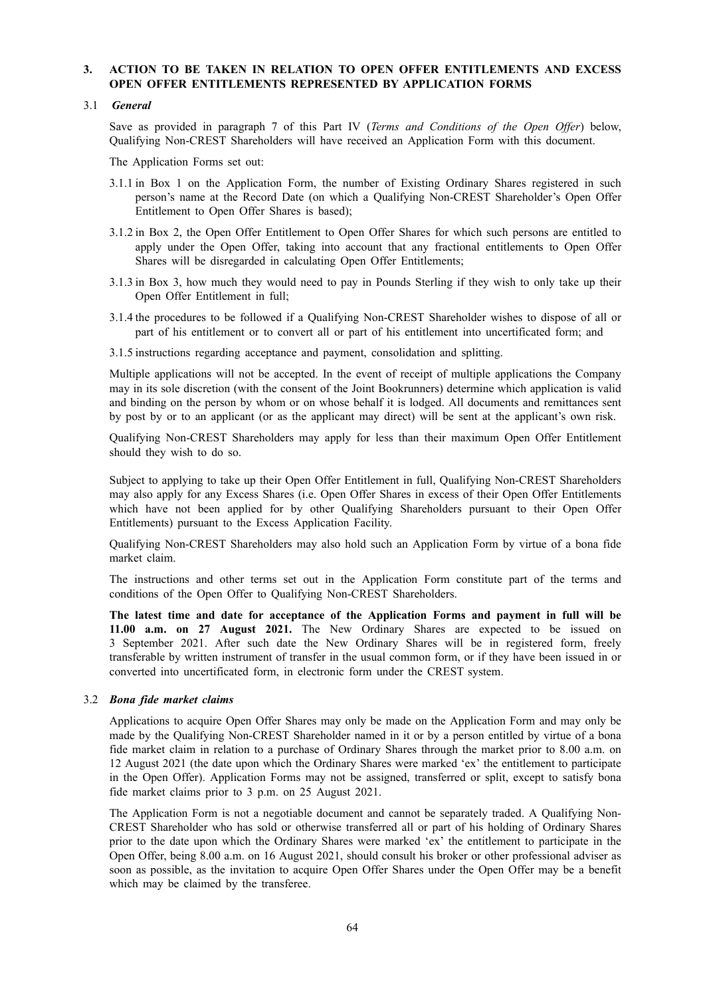# **3. ACTION TO BE TAKEN IN RELATION TO OPEN OFFER ENTITLEMENTS AND EXCESS OPEN OFFER ENTITLEMENTS REPRESENTED BY APPLICATION FORMS**

#### 3.1 *General*

Save as provided in paragraph 7 of this Part IV (*Terms and Conditions of the Open Offer*) below, Qualifying Non-CREST Shareholders will have received an Application Form with this document.

The Application Forms set out:

- 3.1.1 in Box 1 on the Application Form, the number of Existing Ordinary Shares registered in such person's name at the Record Date (on which a Qualifying Non-CREST Shareholder's Open Offer Entitlement to Open Offer Shares is based);
- 3.1.2 in Box 2, the Open Offer Entitlement to Open Offer Shares for which such persons are entitled to apply under the Open Offer, taking into account that any fractional entitlements to Open Offer Shares will be disregarded in calculating Open Offer Entitlements;
- 3.1.3 in Box 3, how much they would need to pay in Pounds Sterling if they wish to only take up their Open Offer Entitlement in full;
- 3.1.4 the procedures to be followed if a Qualifying Non-CREST Shareholder wishes to dispose of all or part of his entitlement or to convert all or part of his entitlement into uncertificated form; and
- 3.1.5 instructions regarding acceptance and payment, consolidation and splitting.

Multiple applications will not be accepted. In the event of receipt of multiple applications the Company may in its sole discretion (with the consent of the Joint Bookrunners) determine which application is valid and binding on the person by whom or on whose behalf it is lodged. All documents and remittances sent by post by or to an applicant (or as the applicant may direct) will be sent at the applicant's own risk.

Qualifying Non-CREST Shareholders may apply for less than their maximum Open Offer Entitlement should they wish to do so.

Subject to applying to take up their Open Offer Entitlement in full, Qualifying Non-CREST Shareholders may also apply for any Excess Shares (i.e. Open Offer Shares in excess of their Open Offer Entitlements which have not been applied for by other Qualifying Shareholders pursuant to their Open Offer Entitlements) pursuant to the Excess Application Facility.

Qualifying Non-CREST Shareholders may also hold such an Application Form by virtue of a bona fide market claim.

The instructions and other terms set out in the Application Form constitute part of the terms and conditions of the Open Offer to Qualifying Non-CREST Shareholders.

**The latest time and date for acceptance of the Application Forms and payment in full will be 11.00 a.m. on 27 August 2021.** The New Ordinary Shares are expected to be issued on 3 September 2021. After such date the New Ordinary Shares will be in registered form, freely transferable by written instrument of transfer in the usual common form, or if they have been issued in or converted into uncertificated form, in electronic form under the CREST system.

#### 3.2 *Bona fide market claims*

Applications to acquire Open Offer Shares may only be made on the Application Form and may only be made by the Qualifying Non-CREST Shareholder named in it or by a person entitled by virtue of a bona fide market claim in relation to a purchase of Ordinary Shares through the market prior to 8.00 a.m. on 12 August 2021 (the date upon which the Ordinary Shares were marked 'ex' the entitlement to participate in the Open Offer). Application Forms may not be assigned, transferred or split, except to satisfy bona fide market claims prior to 3 p.m. on 25 August 2021.

The Application Form is not a negotiable document and cannot be separately traded. A Qualifying Non-CREST Shareholder who has sold or otherwise transferred all or part of his holding of Ordinary Shares prior to the date upon which the Ordinary Shares were marked 'ex' the entitlement to participate in the Open Offer, being 8.00 a.m. on 16 August 2021, should consult his broker or other professional adviser as soon as possible, as the invitation to acquire Open Offer Shares under the Open Offer may be a benefit which may be claimed by the transferee.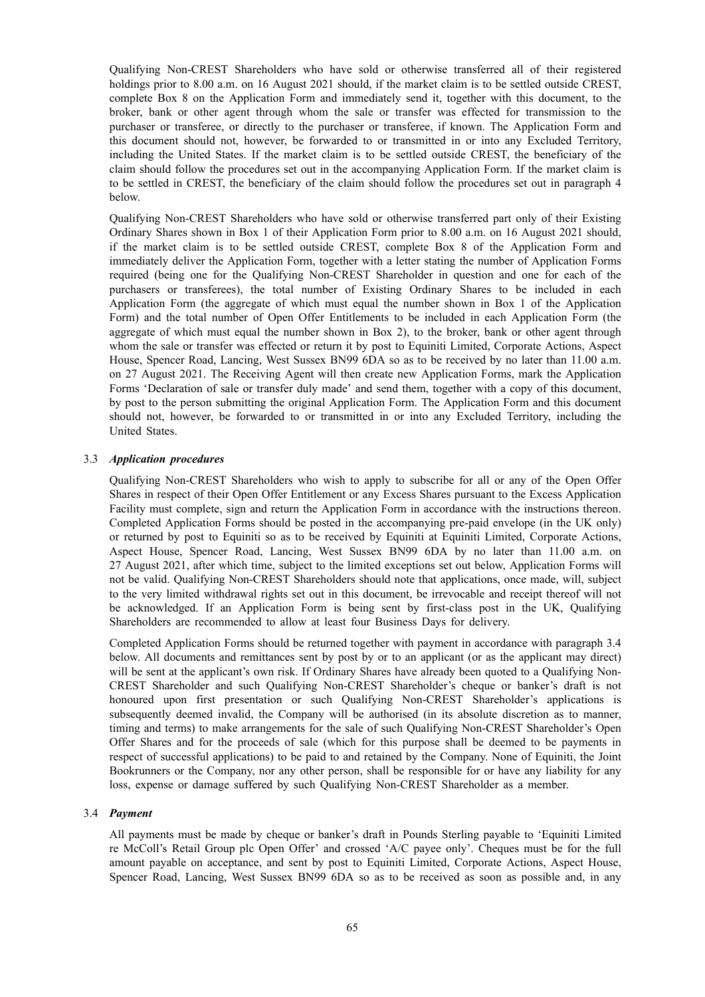Qualifying Non-CREST Shareholders who have sold or otherwise transferred all of their registered holdings prior to 8.00 a.m. on 16 August 2021 should, if the market claim is to be settled outside CREST, complete Box 8 on the Application Form and immediately send it, together with this document, to the broker, bank or other agent through whom the sale or transfer was effected for transmission to the purchaser or transferee, or directly to the purchaser or transferee, if known. The Application Form and this document should not, however, be forwarded to or transmitted in or into any Excluded Territory, including the United States. If the market claim is to be settled outside CREST, the beneficiary of the claim should follow the procedures set out in the accompanying Application Form. If the market claim is to be settled in CREST, the beneficiary of the claim should follow the procedures set out in paragraph 4 below.

Qualifying Non-CREST Shareholders who have sold or otherwise transferred part only of their Existing Ordinary Shares shown in Box 1 of their Application Form prior to 8.00 a.m. on 16 August 2021 should, if the market claim is to be settled outside CREST, complete Box 8 of the Application Form and immediately deliver the Application Form, together with a letter stating the number of Application Forms required (being one for the Qualifying Non-CREST Shareholder in question and one for each of the purchasers or transferees), the total number of Existing Ordinary Shares to be included in each Application Form (the aggregate of which must equal the number shown in Box 1 of the Application Form) and the total number of Open Offer Entitlements to be included in each Application Form (the aggregate of which must equal the number shown in Box 2), to the broker, bank or other agent through whom the sale or transfer was effected or return it by post to Equiniti Limited, Corporate Actions, Aspect House, Spencer Road, Lancing, West Sussex BN99 6DA so as to be received by no later than 11.00 a.m. on 27 August 2021. The Receiving Agent will then create new Application Forms, mark the Application Forms 'Declaration of sale or transfer duly made' and send them, together with a copy of this document, by post to the person submitting the original Application Form. The Application Form and this document should not, however, be forwarded to or transmitted in or into any Excluded Territory, including the United States.

# 3.3 *Application procedures*

Qualifying Non-CREST Shareholders who wish to apply to subscribe for all or any of the Open Offer Shares in respect of their Open Offer Entitlement or any Excess Shares pursuant to the Excess Application Facility must complete, sign and return the Application Form in accordance with the instructions thereon. Completed Application Forms should be posted in the accompanying pre-paid envelope (in the UK only) or returned by post to Equiniti so as to be received by Equiniti at Equiniti Limited, Corporate Actions, Aspect House, Spencer Road, Lancing, West Sussex BN99 6DA by no later than 11.00 a.m. on 27 August 2021, after which time, subject to the limited exceptions set out below, Application Forms will not be valid. Qualifying Non-CREST Shareholders should note that applications, once made, will, subject to the very limited withdrawal rights set out in this document, be irrevocable and receipt thereof will not be acknowledged. If an Application Form is being sent by first-class post in the UK, Qualifying Shareholders are recommended to allow at least four Business Days for delivery.

Completed Application Forms should be returned together with payment in accordance with paragraph 3.4 below. All documents and remittances sent by post by or to an applicant (or as the applicant may direct) will be sent at the applicant's own risk. If Ordinary Shares have already been quoted to a Qualifying Non-CREST Shareholder and such Qualifying Non-CREST Shareholder's cheque or banker's draft is not honoured upon first presentation or such Qualifying Non-CREST Shareholder's applications is subsequently deemed invalid, the Company will be authorised (in its absolute discretion as to manner, timing and terms) to make arrangements for the sale of such Qualifying Non-CREST Shareholder's Open Offer Shares and for the proceeds of sale (which for this purpose shall be deemed to be payments in respect of successful applications) to be paid to and retained by the Company. None of Equiniti, the Joint Bookrunners or the Company, nor any other person, shall be responsible for or have any liability for any loss, expense or damage suffered by such Qualifying Non-CREST Shareholder as a member.

#### 3.4 *Payment*

All payments must be made by cheque or banker's draft in Pounds Sterling payable to 'Equiniti Limited re McColl's Retail Group plc Open Offer' and crossed 'A/C payee only'. Cheques must be for the full amount payable on acceptance, and sent by post to Equiniti Limited, Corporate Actions, Aspect House, Spencer Road, Lancing, West Sussex BN99 6DA so as to be received as soon as possible and, in any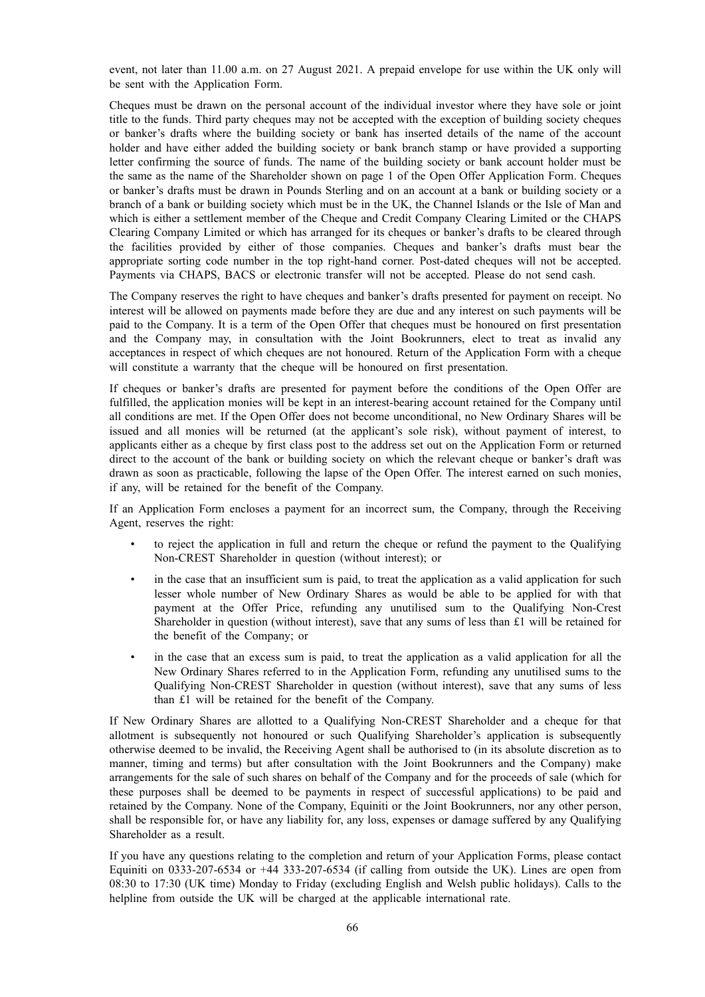event, not later than 11.00 a.m. on 27 August 2021. A prepaid envelope for use within the UK only will be sent with the Application Form.

Cheques must be drawn on the personal account of the individual investor where they have sole or joint title to the funds. Third party cheques may not be accepted with the exception of building society cheques or banker's drafts where the building society or bank has inserted details of the name of the account holder and have either added the building society or bank branch stamp or have provided a supporting letter confirming the source of funds. The name of the building society or bank account holder must be the same as the name of the Shareholder shown on page 1 of the Open Offer Application Form. Cheques or banker's drafts must be drawn in Pounds Sterling and on an account at a bank or building society or a branch of a bank or building society which must be in the UK, the Channel Islands or the Isle of Man and which is either a settlement member of the Cheque and Credit Company Clearing Limited or the CHAPS Clearing Company Limited or which has arranged for its cheques or banker's drafts to be cleared through the facilities provided by either of those companies. Cheques and banker's drafts must bear the appropriate sorting code number in the top right-hand corner. Post-dated cheques will not be accepted. Payments via CHAPS, BACS or electronic transfer will not be accepted. Please do not send cash.

The Company reserves the right to have cheques and banker's drafts presented for payment on receipt. No interest will be allowed on payments made before they are due and any interest on such payments will be paid to the Company. It is a term of the Open Offer that cheques must be honoured on first presentation and the Company may, in consultation with the Joint Bookrunners, elect to treat as invalid any acceptances in respect of which cheques are not honoured. Return of the Application Form with a cheque will constitute a warranty that the cheque will be honoured on first presentation.

If cheques or banker's drafts are presented for payment before the conditions of the Open Offer are fulfilled, the application monies will be kept in an interest-bearing account retained for the Company until all conditions are met. If the Open Offer does not become unconditional, no New Ordinary Shares will be issued and all monies will be returned (at the applicant's sole risk), without payment of interest, to applicants either as a cheque by first class post to the address set out on the Application Form or returned direct to the account of the bank or building society on which the relevant cheque or banker's draft was drawn as soon as practicable, following the lapse of the Open Offer. The interest earned on such monies, if any, will be retained for the benefit of the Company.

If an Application Form encloses a payment for an incorrect sum, the Company, through the Receiving Agent, reserves the right:

- to reject the application in full and return the cheque or refund the payment to the Qualifying Non-CREST Shareholder in question (without interest); or
- in the case that an insufficient sum is paid, to treat the application as a valid application for such lesser whole number of New Ordinary Shares as would be able to be applied for with that payment at the Offer Price, refunding any unutilised sum to the Qualifying Non-Crest Shareholder in question (without interest), save that any sums of less than £1 will be retained for the benefit of the Company; or
- in the case that an excess sum is paid, to treat the application as a valid application for all the New Ordinary Shares referred to in the Application Form, refunding any unutilised sums to the Qualifying Non-CREST Shareholder in question (without interest), save that any sums of less than £1 will be retained for the benefit of the Company.

If New Ordinary Shares are allotted to a Qualifying Non-CREST Shareholder and a cheque for that allotment is subsequently not honoured or such Qualifying Shareholder's application is subsequently otherwise deemed to be invalid, the Receiving Agent shall be authorised to (in its absolute discretion as to manner, timing and terms) but after consultation with the Joint Bookrunners and the Company) make arrangements for the sale of such shares on behalf of the Company and for the proceeds of sale (which for these purposes shall be deemed to be payments in respect of successful applications) to be paid and retained by the Company. None of the Company, Equiniti or the Joint Bookrunners, nor any other person, shall be responsible for, or have any liability for, any loss, expenses or damage suffered by any Qualifying Shareholder as a result.

If you have any questions relating to the completion and return of your Application Forms, please contact Equiniti on 0333-207-6534 or +44 333-207-6534 (if calling from outside the UK). Lines are open from 08:30 to 17:30 (UK time) Monday to Friday (excluding English and Welsh public holidays). Calls to the helpline from outside the UK will be charged at the applicable international rate.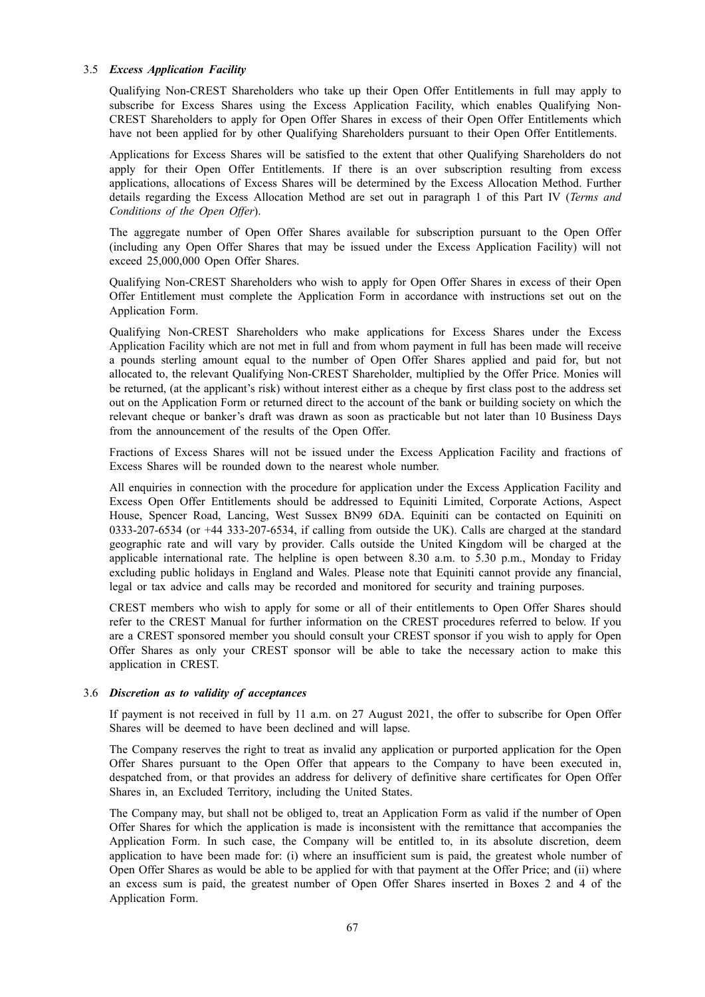#### 3.5 *Excess Application Facility*

Qualifying Non-CREST Shareholders who take up their Open Offer Entitlements in full may apply to subscribe for Excess Shares using the Excess Application Facility, which enables Qualifying Non-CREST Shareholders to apply for Open Offer Shares in excess of their Open Offer Entitlements which have not been applied for by other Qualifying Shareholders pursuant to their Open Offer Entitlements.

Applications for Excess Shares will be satisfied to the extent that other Qualifying Shareholders do not apply for their Open Offer Entitlements. If there is an over subscription resulting from excess applications, allocations of Excess Shares will be determined by the Excess Allocation Method. Further details regarding the Excess Allocation Method are set out in paragraph 1 of this Part IV (*Terms and Conditions of the Open Offer*).

The aggregate number of Open Offer Shares available for subscription pursuant to the Open Offer (including any Open Offer Shares that may be issued under the Excess Application Facility) will not exceed 25,000,000 Open Offer Shares.

Qualifying Non-CREST Shareholders who wish to apply for Open Offer Shares in excess of their Open Offer Entitlement must complete the Application Form in accordance with instructions set out on the Application Form.

Qualifying Non-CREST Shareholders who make applications for Excess Shares under the Excess Application Facility which are not met in full and from whom payment in full has been made will receive a pounds sterling amount equal to the number of Open Offer Shares applied and paid for, but not allocated to, the relevant Qualifying Non-CREST Shareholder, multiplied by the Offer Price. Monies will be returned, (at the applicant's risk) without interest either as a cheque by first class post to the address set out on the Application Form or returned direct to the account of the bank or building society on which the relevant cheque or banker's draft was drawn as soon as practicable but not later than 10 Business Days from the announcement of the results of the Open Offer.

Fractions of Excess Shares will not be issued under the Excess Application Facility and fractions of Excess Shares will be rounded down to the nearest whole number.

All enquiries in connection with the procedure for application under the Excess Application Facility and Excess Open Offer Entitlements should be addressed to Equiniti Limited, Corporate Actions, Aspect House, Spencer Road, Lancing, West Sussex BN99 6DA. Equiniti can be contacted on Equiniti on 0333-207-6534 (or +44 333-207-6534, if calling from outside the UK). Calls are charged at the standard geographic rate and will vary by provider. Calls outside the United Kingdom will be charged at the applicable international rate. The helpline is open between 8.30 a.m. to 5.30 p.m., Monday to Friday excluding public holidays in England and Wales. Please note that Equiniti cannot provide any financial, legal or tax advice and calls may be recorded and monitored for security and training purposes.

CREST members who wish to apply for some or all of their entitlements to Open Offer Shares should refer to the CREST Manual for further information on the CREST procedures referred to below. If you are a CREST sponsored member you should consult your CREST sponsor if you wish to apply for Open Offer Shares as only your CREST sponsor will be able to take the necessary action to make this application in CREST.

#### 3.6 *Discretion as to validity of acceptances*

If payment is not received in full by 11 a.m. on 27 August 2021, the offer to subscribe for Open Offer Shares will be deemed to have been declined and will lapse.

The Company reserves the right to treat as invalid any application or purported application for the Open Offer Shares pursuant to the Open Offer that appears to the Company to have been executed in, despatched from, or that provides an address for delivery of definitive share certificates for Open Offer Shares in, an Excluded Territory, including the United States.

The Company may, but shall not be obliged to, treat an Application Form as valid if the number of Open Offer Shares for which the application is made is inconsistent with the remittance that accompanies the Application Form. In such case, the Company will be entitled to, in its absolute discretion, deem application to have been made for: (i) where an insufficient sum is paid, the greatest whole number of Open Offer Shares as would be able to be applied for with that payment at the Offer Price; and (ii) where an excess sum is paid, the greatest number of Open Offer Shares inserted in Boxes 2 and 4 of the Application Form.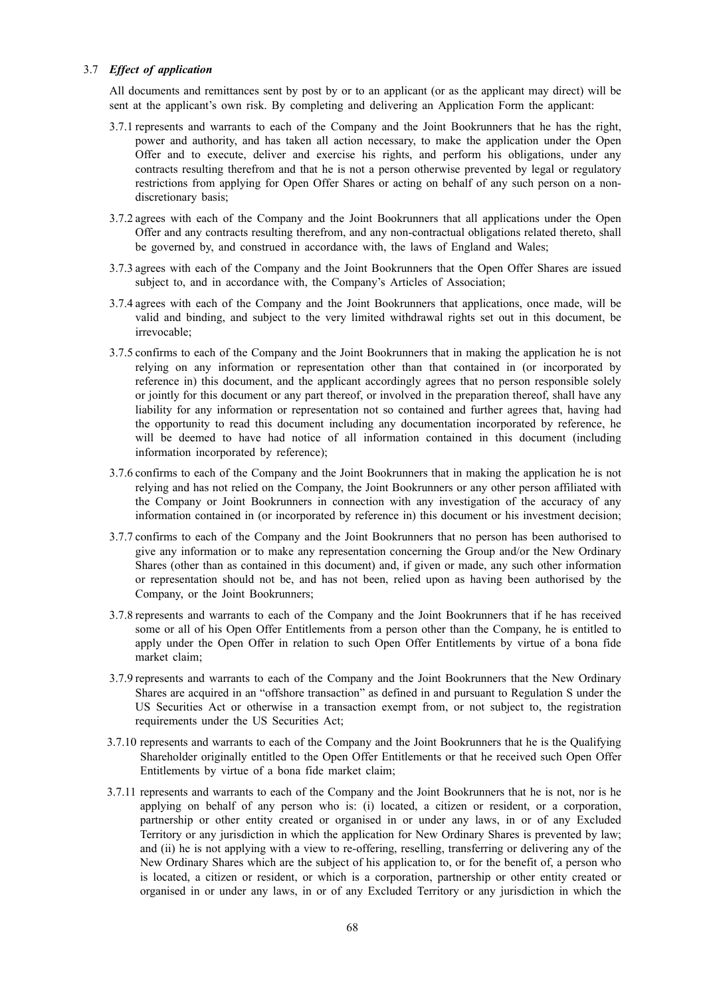## 3.7 *Effect of application*

All documents and remittances sent by post by or to an applicant (or as the applicant may direct) will be sent at the applicant's own risk. By completing and delivering an Application Form the applicant:

- 3.7.1 represents and warrants to each of the Company and the Joint Bookrunners that he has the right, power and authority, and has taken all action necessary, to make the application under the Open Offer and to execute, deliver and exercise his rights, and perform his obligations, under any contracts resulting therefrom and that he is not a person otherwise prevented by legal or regulatory restrictions from applying for Open Offer Shares or acting on behalf of any such person on a nondiscretionary basis;
- 3.7.2 agrees with each of the Company and the Joint Bookrunners that all applications under the Open Offer and any contracts resulting therefrom, and any non-contractual obligations related thereto, shall be governed by, and construed in accordance with, the laws of England and Wales;
- 3.7.3 agrees with each of the Company and the Joint Bookrunners that the Open Offer Shares are issued subject to, and in accordance with, the Company's Articles of Association;
- 3.7.4 agrees with each of the Company and the Joint Bookrunners that applications, once made, will be valid and binding, and subject to the very limited withdrawal rights set out in this document, be irrevocable;
- 3.7.5 confirms to each of the Company and the Joint Bookrunners that in making the application he is not relying on any information or representation other than that contained in (or incorporated by reference in) this document, and the applicant accordingly agrees that no person responsible solely or jointly for this document or any part thereof, or involved in the preparation thereof, shall have any liability for any information or representation not so contained and further agrees that, having had the opportunity to read this document including any documentation incorporated by reference, he will be deemed to have had notice of all information contained in this document (including information incorporated by reference);
- 3.7.6 confirms to each of the Company and the Joint Bookrunners that in making the application he is not relying and has not relied on the Company, the Joint Bookrunners or any other person affiliated with the Company or Joint Bookrunners in connection with any investigation of the accuracy of any information contained in (or incorporated by reference in) this document or his investment decision;
- 3.7.7 confirms to each of the Company and the Joint Bookrunners that no person has been authorised to give any information or to make any representation concerning the Group and/or the New Ordinary Shares (other than as contained in this document) and, if given or made, any such other information or representation should not be, and has not been, relied upon as having been authorised by the Company, or the Joint Bookrunners;
- 3.7.8 represents and warrants to each of the Company and the Joint Bookrunners that if he has received some or all of his Open Offer Entitlements from a person other than the Company, he is entitled to apply under the Open Offer in relation to such Open Offer Entitlements by virtue of a bona fide market claim;
- 3.7.9 represents and warrants to each of the Company and the Joint Bookrunners that the New Ordinary Shares are acquired in an "offshore transaction" as defined in and pursuant to Regulation S under the US Securities Act or otherwise in a transaction exempt from, or not subject to, the registration requirements under the US Securities Act;
- 3.7.10 represents and warrants to each of the Company and the Joint Bookrunners that he is the Qualifying Shareholder originally entitled to the Open Offer Entitlements or that he received such Open Offer Entitlements by virtue of a bona fide market claim;
- 3.7.11 represents and warrants to each of the Company and the Joint Bookrunners that he is not, nor is he applying on behalf of any person who is: (i) located, a citizen or resident, or a corporation, partnership or other entity created or organised in or under any laws, in or of any Excluded Territory or any jurisdiction in which the application for New Ordinary Shares is prevented by law; and (ii) he is not applying with a view to re-offering, reselling, transferring or delivering any of the New Ordinary Shares which are the subject of his application to, or for the benefit of, a person who is located, a citizen or resident, or which is a corporation, partnership or other entity created or organised in or under any laws, in or of any Excluded Territory or any jurisdiction in which the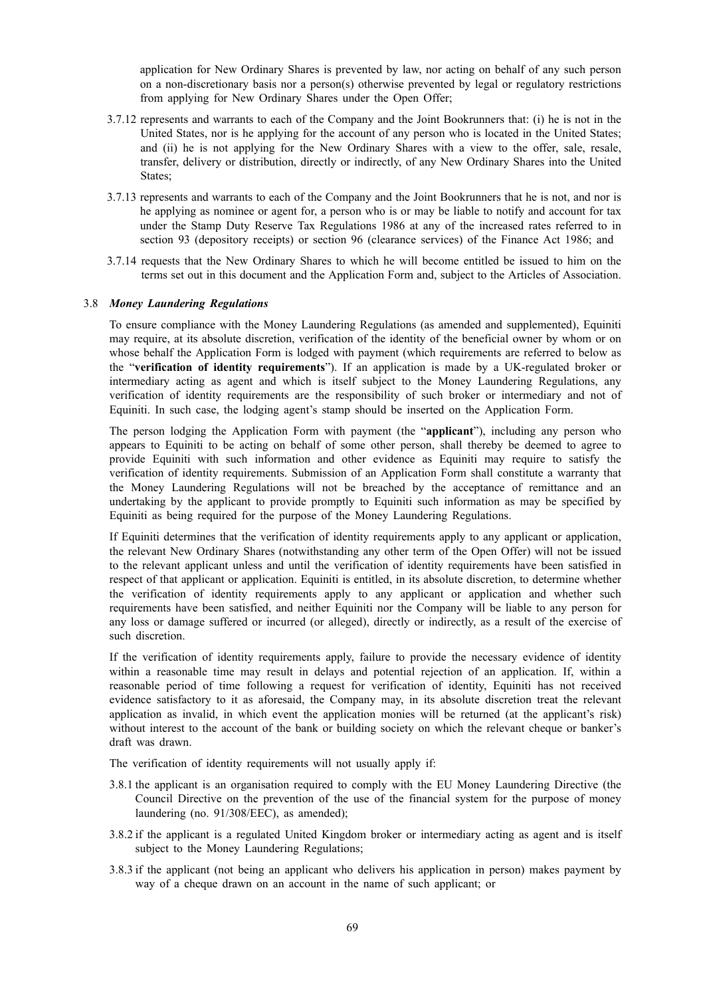application for New Ordinary Shares is prevented by law, nor acting on behalf of any such person on a non-discretionary basis nor a person(s) otherwise prevented by legal or regulatory restrictions from applying for New Ordinary Shares under the Open Offer;

- 3.7.12 represents and warrants to each of the Company and the Joint Bookrunners that: (i) he is not in the United States, nor is he applying for the account of any person who is located in the United States; and (ii) he is not applying for the New Ordinary Shares with a view to the offer, sale, resale, transfer, delivery or distribution, directly or indirectly, of any New Ordinary Shares into the United States;
- 3.7.13 represents and warrants to each of the Company and the Joint Bookrunners that he is not, and nor is he applying as nominee or agent for, a person who is or may be liable to notify and account for tax under the Stamp Duty Reserve Tax Regulations 1986 at any of the increased rates referred to in section 93 (depository receipts) or section 96 (clearance services) of the Finance Act 1986; and
- 3.7.14 requests that the New Ordinary Shares to which he will become entitled be issued to him on the terms set out in this document and the Application Form and, subject to the Articles of Association.

## 3.8 *Money Laundering Regulations*

To ensure compliance with the Money Laundering Regulations (as amended and supplemented), Equiniti may require, at its absolute discretion, verification of the identity of the beneficial owner by whom or on whose behalf the Application Form is lodged with payment (which requirements are referred to below as the "**verification of identity requirements**"). If an application is made by a UK-regulated broker or intermediary acting as agent and which is itself subject to the Money Laundering Regulations, any verification of identity requirements are the responsibility of such broker or intermediary and not of Equiniti. In such case, the lodging agent's stamp should be inserted on the Application Form.

The person lodging the Application Form with payment (the "**applicant**"), including any person who appears to Equiniti to be acting on behalf of some other person, shall thereby be deemed to agree to provide Equiniti with such information and other evidence as Equiniti may require to satisfy the verification of identity requirements. Submission of an Application Form shall constitute a warranty that the Money Laundering Regulations will not be breached by the acceptance of remittance and an undertaking by the applicant to provide promptly to Equiniti such information as may be specified by Equiniti as being required for the purpose of the Money Laundering Regulations.

If Equiniti determines that the verification of identity requirements apply to any applicant or application, the relevant New Ordinary Shares (notwithstanding any other term of the Open Offer) will not be issued to the relevant applicant unless and until the verification of identity requirements have been satisfied in respect of that applicant or application. Equiniti is entitled, in its absolute discretion, to determine whether the verification of identity requirements apply to any applicant or application and whether such requirements have been satisfied, and neither Equiniti nor the Company will be liable to any person for any loss or damage suffered or incurred (or alleged), directly or indirectly, as a result of the exercise of such discretion.

If the verification of identity requirements apply, failure to provide the necessary evidence of identity within a reasonable time may result in delays and potential rejection of an application. If, within a reasonable period of time following a request for verification of identity, Equiniti has not received evidence satisfactory to it as aforesaid, the Company may, in its absolute discretion treat the relevant application as invalid, in which event the application monies will be returned (at the applicant's risk) without interest to the account of the bank or building society on which the relevant cheque or banker's draft was drawn.

The verification of identity requirements will not usually apply if:

- 3.8.1 the applicant is an organisation required to comply with the EU Money Laundering Directive (the Council Directive on the prevention of the use of the financial system for the purpose of money laundering (no. 91/308/EEC), as amended);
- 3.8.2 if the applicant is a regulated United Kingdom broker or intermediary acting as agent and is itself subject to the Money Laundering Regulations;
- 3.8.3 if the applicant (not being an applicant who delivers his application in person) makes payment by way of a cheque drawn on an account in the name of such applicant; or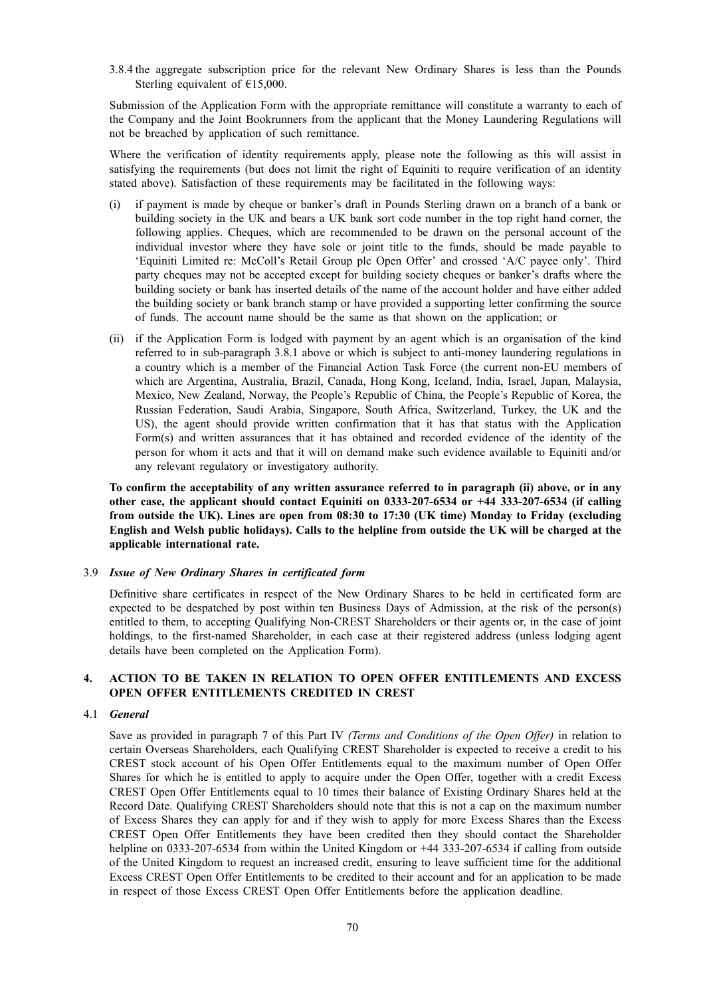3.8.4 the aggregate subscription price for the relevant New Ordinary Shares is less than the Pounds Sterling equivalent of  $£15,000$ .

Submission of the Application Form with the appropriate remittance will constitute a warranty to each of the Company and the Joint Bookrunners from the applicant that the Money Laundering Regulations will not be breached by application of such remittance.

Where the verification of identity requirements apply, please note the following as this will assist in satisfying the requirements (but does not limit the right of Equiniti to require verification of an identity stated above). Satisfaction of these requirements may be facilitated in the following ways:

- (i) if payment is made by cheque or banker's draft in Pounds Sterling drawn on a branch of a bank or building society in the UK and bears a UK bank sort code number in the top right hand corner, the following applies. Cheques, which are recommended to be drawn on the personal account of the individual investor where they have sole or joint title to the funds, should be made payable to 'Equiniti Limited re: McColl's Retail Group plc Open Offer' and crossed 'A/C payee only'. Third party cheques may not be accepted except for building society cheques or banker's drafts where the building society or bank has inserted details of the name of the account holder and have either added the building society or bank branch stamp or have provided a supporting letter confirming the source of funds. The account name should be the same as that shown on the application; or
- (ii) if the Application Form is lodged with payment by an agent which is an organisation of the kind referred to in sub-paragraph 3.8.1 above or which is subject to anti-money laundering regulations in a country which is a member of the Financial Action Task Force (the current non-EU members of which are Argentina, Australia, Brazil, Canada, Hong Kong, Iceland, India, Israel, Japan, Malaysia, Mexico, New Zealand, Norway, the People's Republic of China, the People's Republic of Korea, the Russian Federation, Saudi Arabia, Singapore, South Africa, Switzerland, Turkey, the UK and the US), the agent should provide written confirmation that it has that status with the Application Form(s) and written assurances that it has obtained and recorded evidence of the identity of the person for whom it acts and that it will on demand make such evidence available to Equiniti and/or any relevant regulatory or investigatory authority.

**To confirm the acceptability of any written assurance referred to in paragraph (ii) above, or in any other case, the applicant should contact Equiniti on 0333-207-6534 or +44 333-207-6534 (if calling from outside the UK). Lines are open from 08:30 to 17:30 (UK time) Monday to Friday (excluding** English and Welsh public holidays). Calls to the helpline from outside the UK will be charged at the **applicable international rate.**

#### 3.9 *Issue of New Ordinary Shares in certificated form*

Definitive share certificates in respect of the New Ordinary Shares to be held in certificated form are expected to be despatched by post within ten Business Days of Admission, at the risk of the person(s) entitled to them, to accepting Qualifying Non-CREST Shareholders or their agents or, in the case of joint holdings, to the first-named Shareholder, in each case at their registered address (unless lodging agent details have been completed on the Application Form).

# **4. ACTION TO BE TAKEN IN RELATION TO OPEN OFFER ENTITLEMENTS AND EXCESS OPEN OFFER ENTITLEMENTS CREDITED IN CREST**

#### 4.1 *General*

Save as provided in paragraph 7 of this Part IV *(Terms and Conditions of the Open Offer)* in relation to certain Overseas Shareholders, each Qualifying CREST Shareholder is expected to receive a credit to his CREST stock account of his Open Offer Entitlements equal to the maximum number of Open Offer Shares for which he is entitled to apply to acquire under the Open Offer, together with a credit Excess CREST Open Offer Entitlements equal to 10 times their balance of Existing Ordinary Shares held at the Record Date. Qualifying CREST Shareholders should note that this is not a cap on the maximum number of Excess Shares they can apply for and if they wish to apply for more Excess Shares than the Excess CREST Open Offer Entitlements they have been credited then they should contact the Shareholder helpline on 0333-207-6534 from within the United Kingdom or +44 333-207-6534 if calling from outside of the United Kingdom to request an increased credit, ensuring to leave sufficient time for the additional Excess CREST Open Offer Entitlements to be credited to their account and for an application to be made in respect of those Excess CREST Open Offer Entitlements before the application deadline.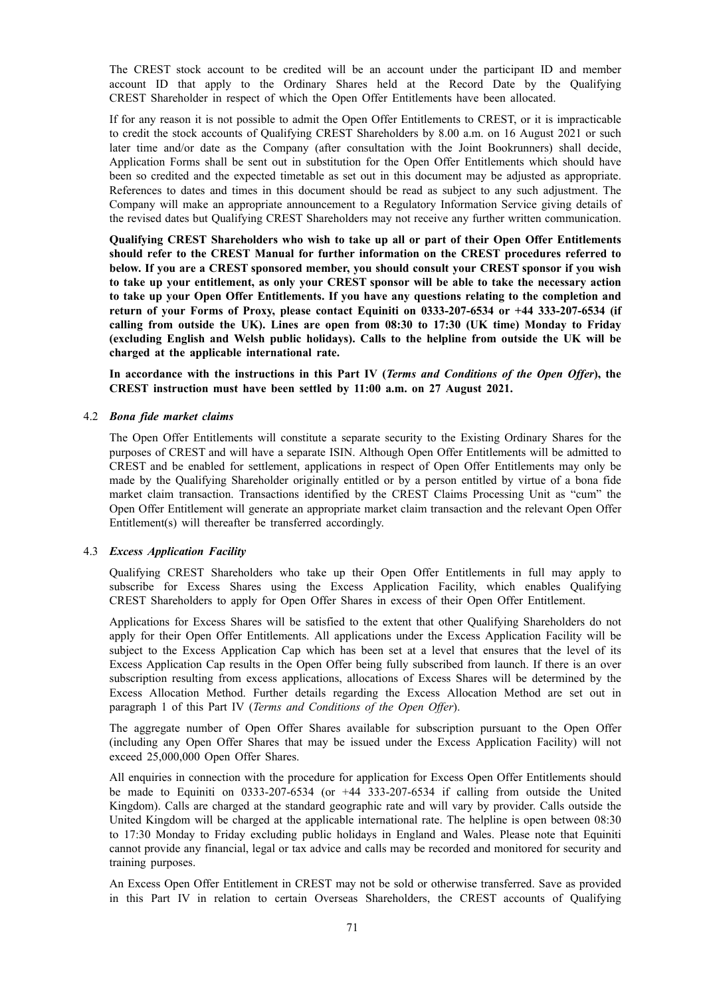The CREST stock account to be credited will be an account under the participant ID and member account ID that apply to the Ordinary Shares held at the Record Date by the Qualifying CREST Shareholder in respect of which the Open Offer Entitlements have been allocated.

If for any reason it is not possible to admit the Open Offer Entitlements to CREST, or it is impracticable to credit the stock accounts of Qualifying CREST Shareholders by 8.00 a.m. on 16 August 2021 or such later time and/or date as the Company (after consultation with the Joint Bookrunners) shall decide, Application Forms shall be sent out in substitution for the Open Offer Entitlements which should have been so credited and the expected timetable as set out in this document may be adjusted as appropriate. References to dates and times in this document should be read as subject to any such adjustment. The Company will make an appropriate announcement to a Regulatory Information Service giving details of the revised dates but Qualifying CREST Shareholders may not receive any further written communication.

**Qualifying CREST Shareholders who wish to take up all or part of their Open Offer Entitlements should refer to the CREST Manual for further information on the CREST procedures referred to below. If you are a CREST sponsored member, you should consult your CREST sponsor if you wish to take up your entitlement, as only your CREST sponsor will be able to take the necessary action to take up your Open Offer Entitlements. If you have any questions relating to the completion and return of your Forms of Proxy, please contact Equiniti on 0333-207-6534 or +44 333-207-6534 (if calling from outside the UK). Lines are open from 08:30 to 17:30 (UK time) Monday to Friday (excluding English and Welsh public holidays). Calls to the helpline from outside the UK will be charged at the applicable international rate.**

In accordance with the instructions in this Part IV (Terms and Conditions of the Open Offer), the **CREST instruction must have been settled by 11:00 a.m. on 27 August 2021.**

#### 4.2 *Bona fide market claims*

The Open Offer Entitlements will constitute a separate security to the Existing Ordinary Shares for the purposes of CREST and will have a separate ISIN. Although Open Offer Entitlements will be admitted to CREST and be enabled for settlement, applications in respect of Open Offer Entitlements may only be made by the Qualifying Shareholder originally entitled or by a person entitled by virtue of a bona fide market claim transaction. Transactions identified by the CREST Claims Processing Unit as "cum" the Open Offer Entitlement will generate an appropriate market claim transaction and the relevant Open Offer Entitlement(s) will thereafter be transferred accordingly.

#### 4.3 *Excess Application Facility*

Qualifying CREST Shareholders who take up their Open Offer Entitlements in full may apply to subscribe for Excess Shares using the Excess Application Facility, which enables Qualifying CREST Shareholders to apply for Open Offer Shares in excess of their Open Offer Entitlement.

Applications for Excess Shares will be satisfied to the extent that other Qualifying Shareholders do not apply for their Open Offer Entitlements. All applications under the Excess Application Facility will be subject to the Excess Application Cap which has been set at a level that ensures that the level of its Excess Application Cap results in the Open Offer being fully subscribed from launch. If there is an over subscription resulting from excess applications, allocations of Excess Shares will be determined by the Excess Allocation Method. Further details regarding the Excess Allocation Method are set out in paragraph 1 of this Part IV (*Terms and Conditions of the Open Offer*).

The aggregate number of Open Offer Shares available for subscription pursuant to the Open Offer (including any Open Offer Shares that may be issued under the Excess Application Facility) will not exceed 25,000,000 Open Offer Shares.

All enquiries in connection with the procedure for application for Excess Open Offer Entitlements should be made to Equiniti on 0333-207-6534 (or +44 333-207-6534 if calling from outside the United Kingdom). Calls are charged at the standard geographic rate and will vary by provider. Calls outside the United Kingdom will be charged at the applicable international rate. The helpline is open between 08:30 to 17:30 Monday to Friday excluding public holidays in England and Wales. Please note that Equiniti cannot provide any financial, legal or tax advice and calls may be recorded and monitored for security and training purposes.

An Excess Open Offer Entitlement in CREST may not be sold or otherwise transferred. Save as provided in this Part IV in relation to certain Overseas Shareholders, the CREST accounts of Qualifying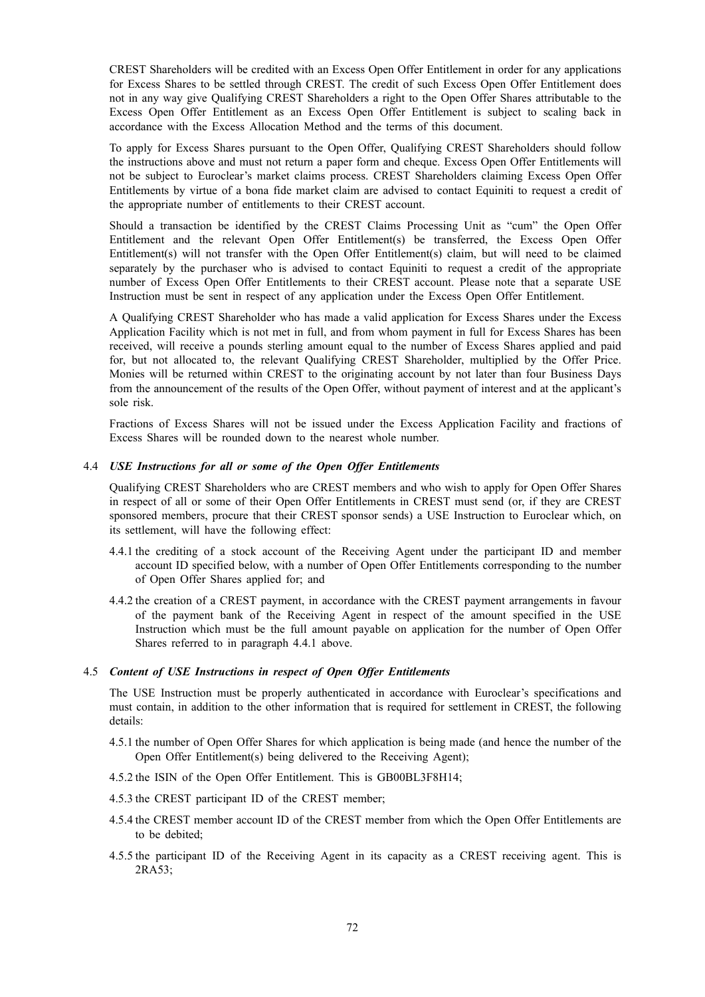CREST Shareholders will be credited with an Excess Open Offer Entitlement in order for any applications for Excess Shares to be settled through CREST. The credit of such Excess Open Offer Entitlement does not in any way give Qualifying CREST Shareholders a right to the Open Offer Shares attributable to the Excess Open Offer Entitlement as an Excess Open Offer Entitlement is subject to scaling back in accordance with the Excess Allocation Method and the terms of this document.

To apply for Excess Shares pursuant to the Open Offer, Qualifying CREST Shareholders should follow the instructions above and must not return a paper form and cheque. Excess Open Offer Entitlements will not be subject to Euroclear's market claims process. CREST Shareholders claiming Excess Open Offer Entitlements by virtue of a bona fide market claim are advised to contact Equiniti to request a credit of the appropriate number of entitlements to their CREST account.

Should a transaction be identified by the CREST Claims Processing Unit as "cum" the Open Offer Entitlement and the relevant Open Offer Entitlement(s) be transferred, the Excess Open Offer Entitlement(s) will not transfer with the Open Offer Entitlement(s) claim, but will need to be claimed separately by the purchaser who is advised to contact Equiniti to request a credit of the appropriate number of Excess Open Offer Entitlements to their CREST account. Please note that a separate USE Instruction must be sent in respect of any application under the Excess Open Offer Entitlement.

A Qualifying CREST Shareholder who has made a valid application for Excess Shares under the Excess Application Facility which is not met in full, and from whom payment in full for Excess Shares has been received, will receive a pounds sterling amount equal to the number of Excess Shares applied and paid for, but not allocated to, the relevant Qualifying CREST Shareholder, multiplied by the Offer Price. Monies will be returned within CREST to the originating account by not later than four Business Days from the announcement of the results of the Open Offer, without payment of interest and at the applicant's sole risk.

Fractions of Excess Shares will not be issued under the Excess Application Facility and fractions of Excess Shares will be rounded down to the nearest whole number.

# 4.4 *USE Instructions for all or some of the Open Offer Entitlements*

Qualifying CREST Shareholders who are CREST members and who wish to apply for Open Offer Shares in respect of all or some of their Open Offer Entitlements in CREST must send (or, if they are CREST sponsored members, procure that their CREST sponsor sends) a USE Instruction to Euroclear which, on its settlement, will have the following effect:

- 4.4.1 the crediting of a stock account of the Receiving Agent under the participant ID and member account ID specified below, with a number of Open Offer Entitlements corresponding to the number of Open Offer Shares applied for; and
- 4.4.2 the creation of a CREST payment, in accordance with the CREST payment arrangements in favour of the payment bank of the Receiving Agent in respect of the amount specified in the USE Instruction which must be the full amount payable on application for the number of Open Offer Shares referred to in paragraph 4.4.1 above.

#### 4.5 *Content of USE Instructions in respect of Open Offer Entitlements*

The USE Instruction must be properly authenticated in accordance with Euroclear's specifications and must contain, in addition to the other information that is required for settlement in CREST, the following details:

- 4.5.1 the number of Open Offer Shares for which application is being made (and hence the number of the Open Offer Entitlement(s) being delivered to the Receiving Agent);
- 4.5.2 the ISIN of the Open Offer Entitlement. This is GB00BL3F8H14;
- 4.5.3 the CREST participant ID of the CREST member;
- 4.5.4 the CREST member account ID of the CREST member from which the Open Offer Entitlements are to be debited;
- 4.5.5 the participant ID of the Receiving Agent in its capacity as a CREST receiving agent. This is 2RA53;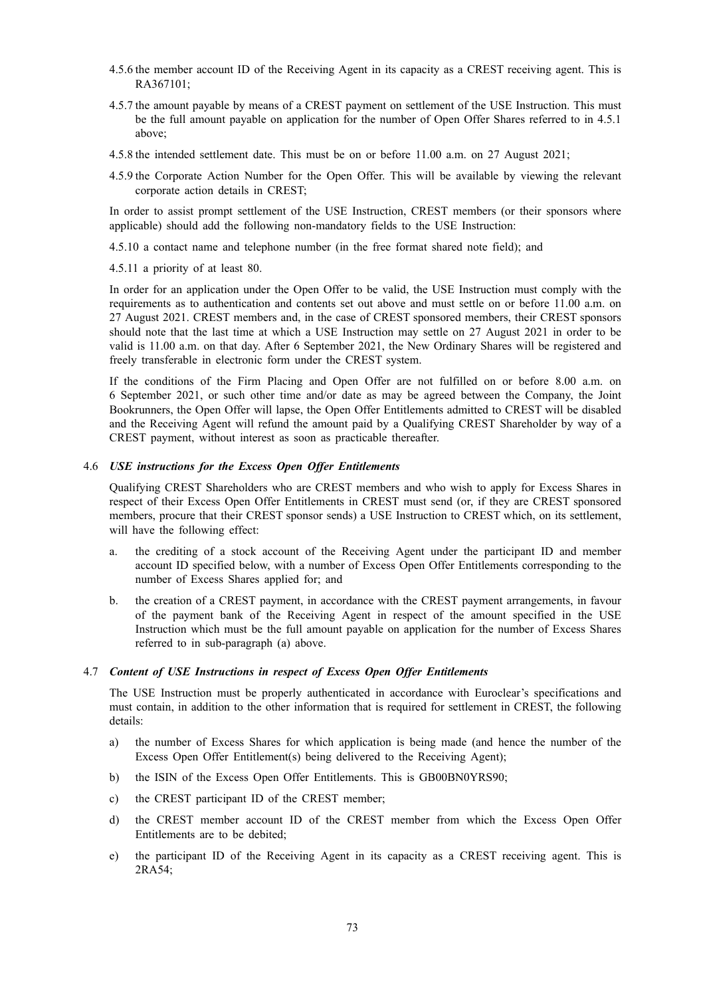- 4.5.6 the member account ID of the Receiving Agent in its capacity as a CREST receiving agent. This is RA367101;
- 4.5.7 the amount payable by means of a CREST payment on settlement of the USE Instruction. This must be the full amount payable on application for the number of Open Offer Shares referred to in 4.5.1 above;
- 4.5.8 the intended settlement date. This must be on or before 11.00 a.m. on 27 August 2021;
- 4.5.9 the Corporate Action Number for the Open Offer. This will be available by viewing the relevant corporate action details in CREST;

In order to assist prompt settlement of the USE Instruction, CREST members (or their sponsors where applicable) should add the following non-mandatory fields to the USE Instruction:

4.5.10 a contact name and telephone number (in the free format shared note field); and

4.5.11 a priority of at least 80.

In order for an application under the Open Offer to be valid, the USE Instruction must comply with the requirements as to authentication and contents set out above and must settle on or before 11.00 a.m. on 27 August 2021. CREST members and, in the case of CREST sponsored members, their CREST sponsors should note that the last time at which a USE Instruction may settle on 27 August 2021 in order to be valid is 11.00 a.m. on that day. After 6 September 2021, the New Ordinary Shares will be registered and freely transferable in electronic form under the CREST system.

If the conditions of the Firm Placing and Open Offer are not fulfilled on or before 8.00 a.m. on 6 September 2021, or such other time and/or date as may be agreed between the Company, the Joint Bookrunners, the Open Offer will lapse, the Open Offer Entitlements admitted to CREST will be disabled and the Receiving Agent will refund the amount paid by a Qualifying CREST Shareholder by way of a CREST payment, without interest as soon as practicable thereafter.

#### 4.6 *USE instructions for the Excess Open Offer Entitlements*

Qualifying CREST Shareholders who are CREST members and who wish to apply for Excess Shares in respect of their Excess Open Offer Entitlements in CREST must send (or, if they are CREST sponsored members, procure that their CREST sponsor sends) a USE Instruction to CREST which, on its settlement, will have the following effect:

- a. the crediting of a stock account of the Receiving Agent under the participant ID and member account ID specified below, with a number of Excess Open Offer Entitlements corresponding to the number of Excess Shares applied for; and
- b. the creation of a CREST payment, in accordance with the CREST payment arrangements, in favour of the payment bank of the Receiving Agent in respect of the amount specified in the USE Instruction which must be the full amount payable on application for the number of Excess Shares referred to in sub-paragraph (a) above.

#### 4.7 *Content of USE Instructions in respect of Excess Open Offer Entitlements*

The USE Instruction must be properly authenticated in accordance with Euroclear's specifications and must contain, in addition to the other information that is required for settlement in CREST, the following details:

- a) the number of Excess Shares for which application is being made (and hence the number of the Excess Open Offer Entitlement(s) being delivered to the Receiving Agent);
- b) the ISIN of the Excess Open Offer Entitlements. This is GB00BN0YRS90;
- c) the CREST participant ID of the CREST member;
- d) the CREST member account ID of the CREST member from which the Excess Open Offer Entitlements are to be debited;
- e) the participant ID of the Receiving Agent in its capacity as a CREST receiving agent. This is 2RA54;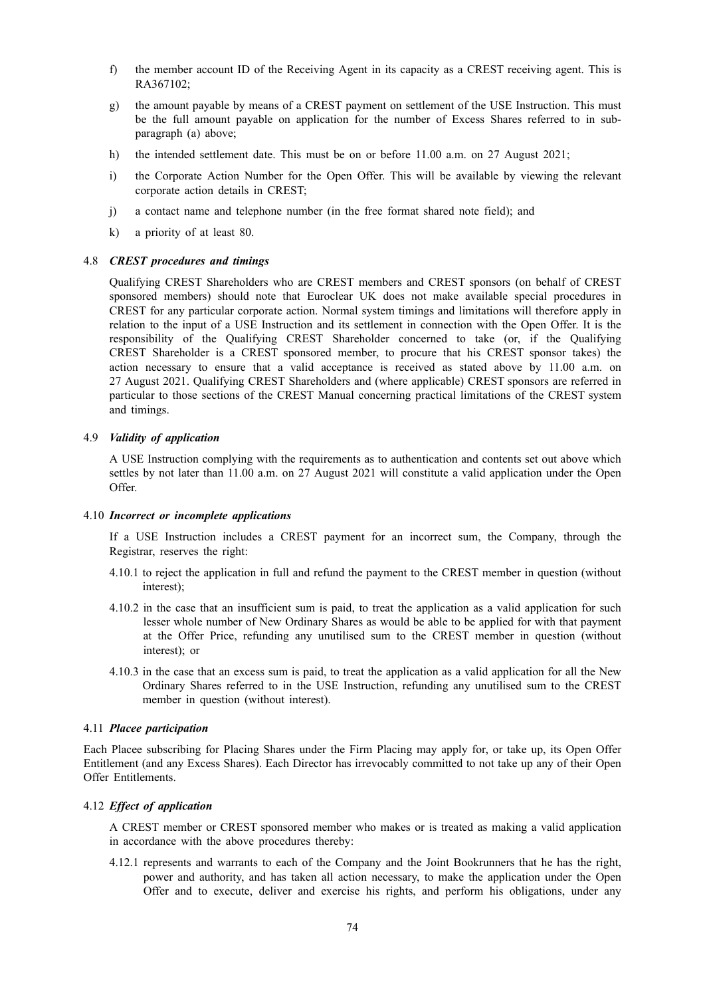- f) the member account ID of the Receiving Agent in its capacity as a CREST receiving agent. This is RA367102;
- g) the amount payable by means of a CREST payment on settlement of the USE Instruction. This must be the full amount payable on application for the number of Excess Shares referred to in subparagraph (a) above;
- h) the intended settlement date. This must be on or before 11.00 a.m. on 27 August 2021;
- i) the Corporate Action Number for the Open Offer. This will be available by viewing the relevant corporate action details in CREST;
- j) a contact name and telephone number (in the free format shared note field); and
- k) a priority of at least 80.

## 4.8 *CREST procedures and timings*

Qualifying CREST Shareholders who are CREST members and CREST sponsors (on behalf of CREST sponsored members) should note that Euroclear UK does not make available special procedures in CREST for any particular corporate action. Normal system timings and limitations will therefore apply in relation to the input of a USE Instruction and its settlement in connection with the Open Offer. It is the responsibility of the Qualifying CREST Shareholder concerned to take (or, if the Qualifying CREST Shareholder is a CREST sponsored member, to procure that his CREST sponsor takes) the action necessary to ensure that a valid acceptance is received as stated above by 11.00 a.m. on 27 August 2021. Qualifying CREST Shareholders and (where applicable) CREST sponsors are referred in particular to those sections of the CREST Manual concerning practical limitations of the CREST system and timings.

## 4.9 *Validity of application*

A USE Instruction complying with the requirements as to authentication and contents set out above which settles by not later than 11.00 a.m. on 27 August 2021 will constitute a valid application under the Open Offer.

## 4.10 *Incorrect or incomplete applications*

If a USE Instruction includes a CREST payment for an incorrect sum, the Company, through the Registrar, reserves the right:

- 4.10.1 to reject the application in full and refund the payment to the CREST member in question (without interest);
- 4.10.2 in the case that an insufficient sum is paid, to treat the application as a valid application for such lesser whole number of New Ordinary Shares as would be able to be applied for with that payment at the Offer Price, refunding any unutilised sum to the CREST member in question (without interest); or
- 4.10.3 in the case that an excess sum is paid, to treat the application as a valid application for all the New Ordinary Shares referred to in the USE Instruction, refunding any unutilised sum to the CREST member in question (without interest).

#### 4.11 *Placee participation*

Each Placee subscribing for Placing Shares under the Firm Placing may apply for, or take up, its Open Offer Entitlement (and any Excess Shares). Each Director has irrevocably committed to not take up any of their Open Offer Entitlements.

# 4.12 *Effect of application*

A CREST member or CREST sponsored member who makes or is treated as making a valid application in accordance with the above procedures thereby:

4.12.1 represents and warrants to each of the Company and the Joint Bookrunners that he has the right, power and authority, and has taken all action necessary, to make the application under the Open Offer and to execute, deliver and exercise his rights, and perform his obligations, under any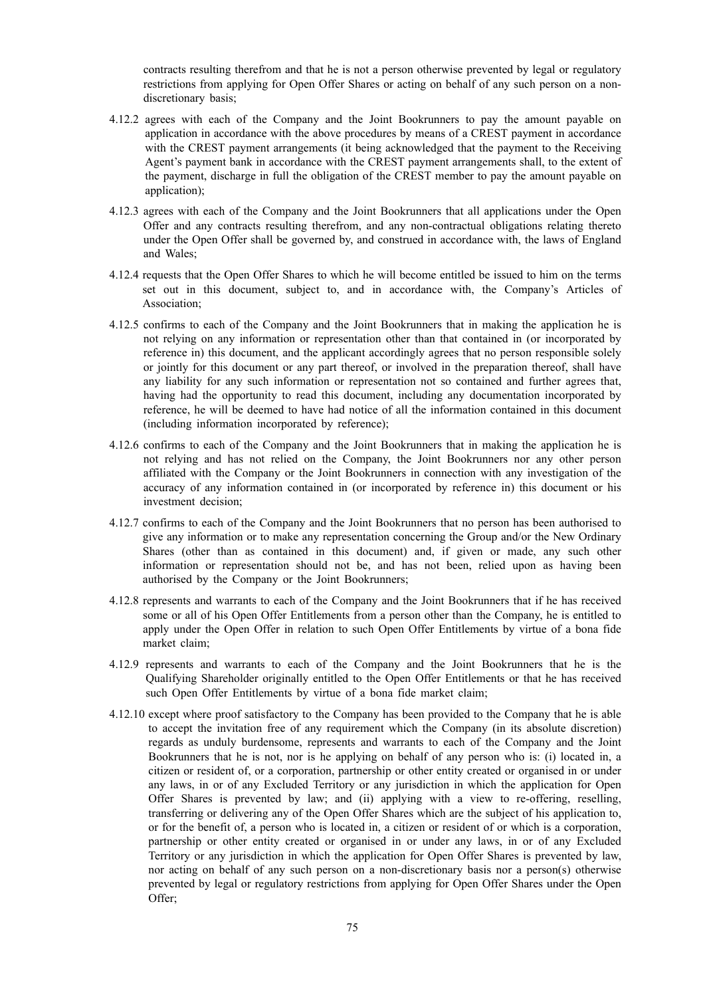contracts resulting therefrom and that he is not a person otherwise prevented by legal or regulatory restrictions from applying for Open Offer Shares or acting on behalf of any such person on a nondiscretionary basis;

- 4.12.2 agrees with each of the Company and the Joint Bookrunners to pay the amount payable on application in accordance with the above procedures by means of a CREST payment in accordance with the CREST payment arrangements (it being acknowledged that the payment to the Receiving Agent's payment bank in accordance with the CREST payment arrangements shall, to the extent of the payment, discharge in full the obligation of the CREST member to pay the amount payable on application);
- 4.12.3 agrees with each of the Company and the Joint Bookrunners that all applications under the Open Offer and any contracts resulting therefrom, and any non-contractual obligations relating thereto under the Open Offer shall be governed by, and construed in accordance with, the laws of England and Wales;
- 4.12.4 requests that the Open Offer Shares to which he will become entitled be issued to him on the terms set out in this document, subject to, and in accordance with, the Company's Articles of Association;
- 4.12.5 confirms to each of the Company and the Joint Bookrunners that in making the application he is not relying on any information or representation other than that contained in (or incorporated by reference in) this document, and the applicant accordingly agrees that no person responsible solely or jointly for this document or any part thereof, or involved in the preparation thereof, shall have any liability for any such information or representation not so contained and further agrees that, having had the opportunity to read this document, including any documentation incorporated by reference, he will be deemed to have had notice of all the information contained in this document (including information incorporated by reference);
- 4.12.6 confirms to each of the Company and the Joint Bookrunners that in making the application he is not relying and has not relied on the Company, the Joint Bookrunners nor any other person affiliated with the Company or the Joint Bookrunners in connection with any investigation of the accuracy of any information contained in (or incorporated by reference in) this document or his investment decision;
- 4.12.7 confirms to each of the Company and the Joint Bookrunners that no person has been authorised to give any information or to make any representation concerning the Group and/or the New Ordinary Shares (other than as contained in this document) and, if given or made, any such other information or representation should not be, and has not been, relied upon as having been authorised by the Company or the Joint Bookrunners;
- 4.12.8 represents and warrants to each of the Company and the Joint Bookrunners that if he has received some or all of his Open Offer Entitlements from a person other than the Company, he is entitled to apply under the Open Offer in relation to such Open Offer Entitlements by virtue of a bona fide market claim;
- 4.12.9 represents and warrants to each of the Company and the Joint Bookrunners that he is the Qualifying Shareholder originally entitled to the Open Offer Entitlements or that he has received such Open Offer Entitlements by virtue of a bona fide market claim;
- 4.12.10 except where proof satisfactory to the Company has been provided to the Company that he is able to accept the invitation free of any requirement which the Company (in its absolute discretion) regards as unduly burdensome, represents and warrants to each of the Company and the Joint Bookrunners that he is not, nor is he applying on behalf of any person who is: (i) located in, a citizen or resident of, or a corporation, partnership or other entity created or organised in or under any laws, in or of any Excluded Territory or any jurisdiction in which the application for Open Offer Shares is prevented by law; and (ii) applying with a view to re-offering, reselling, transferring or delivering any of the Open Offer Shares which are the subject of his application to, or for the benefit of, a person who is located in, a citizen or resident of or which is a corporation, partnership or other entity created or organised in or under any laws, in or of any Excluded Territory or any jurisdiction in which the application for Open Offer Shares is prevented by law, nor acting on behalf of any such person on a non-discretionary basis nor a person(s) otherwise prevented by legal or regulatory restrictions from applying for Open Offer Shares under the Open Offer;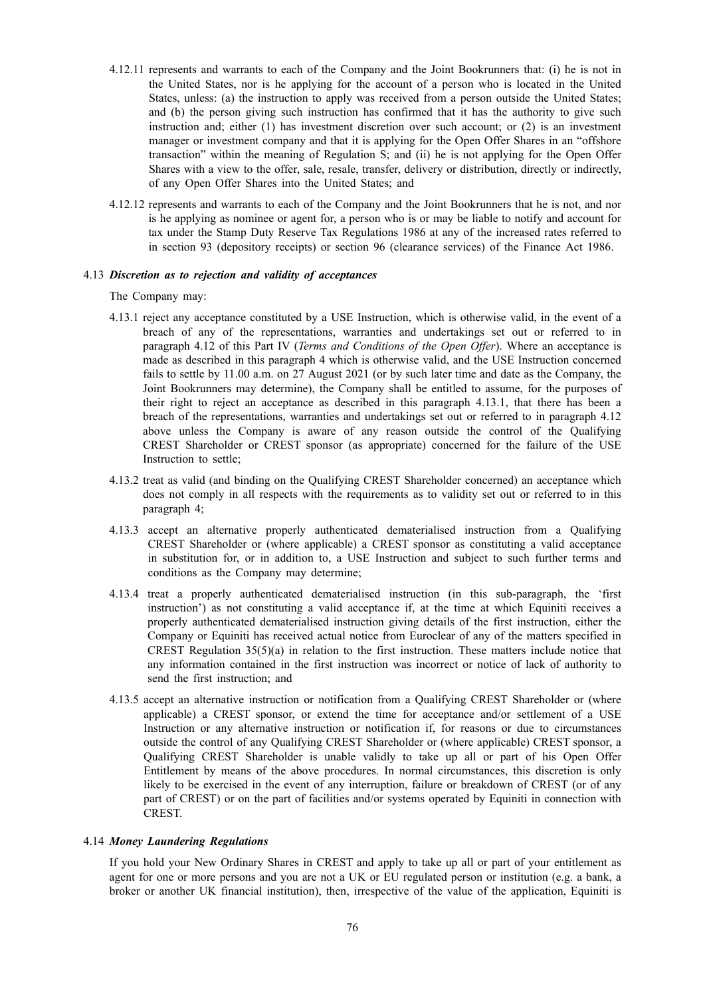- 4.12.11 represents and warrants to each of the Company and the Joint Bookrunners that: (i) he is not in the United States, nor is he applying for the account of a person who is located in the United States, unless: (a) the instruction to apply was received from a person outside the United States; and (b) the person giving such instruction has confirmed that it has the authority to give such instruction and; either (1) has investment discretion over such account; or (2) is an investment manager or investment company and that it is applying for the Open Offer Shares in an "offshore transaction" within the meaning of Regulation S; and (ii) he is not applying for the Open Offer Shares with a view to the offer, sale, resale, transfer, delivery or distribution, directly or indirectly, of any Open Offer Shares into the United States; and
- 4.12.12 represents and warrants to each of the Company and the Joint Bookrunners that he is not, and nor is he applying as nominee or agent for, a person who is or may be liable to notify and account for tax under the Stamp Duty Reserve Tax Regulations 1986 at any of the increased rates referred to in section 93 (depository receipts) or section 96 (clearance services) of the Finance Act 1986.

#### 4.13 *Discretion as to rejection and validity of acceptances*

The Company may:

- 4.13.1 reject any acceptance constituted by a USE Instruction, which is otherwise valid, in the event of a breach of any of the representations, warranties and undertakings set out or referred to in paragraph 4.12 of this Part IV (*Terms and Conditions of the Open Offer*). Where an acceptance is made as described in this paragraph 4 which is otherwise valid, and the USE Instruction concerned fails to settle by 11.00 a.m. on 27 August 2021 (or by such later time and date as the Company, the Joint Bookrunners may determine), the Company shall be entitled to assume, for the purposes of their right to reject an acceptance as described in this paragraph 4.13.1, that there has been a breach of the representations, warranties and undertakings set out or referred to in paragraph 4.12 above unless the Company is aware of any reason outside the control of the Qualifying CREST Shareholder or CREST sponsor (as appropriate) concerned for the failure of the USE Instruction to settle;
- 4.13.2 treat as valid (and binding on the Qualifying CREST Shareholder concerned) an acceptance which does not comply in all respects with the requirements as to validity set out or referred to in this paragraph 4;
- 4.13.3 accept an alternative properly authenticated dematerialised instruction from a Qualifying CREST Shareholder or (where applicable) a CREST sponsor as constituting a valid acceptance in substitution for, or in addition to, a USE Instruction and subject to such further terms and conditions as the Company may determine;
- 4.13.4 treat a properly authenticated dematerialised instruction (in this sub-paragraph, the 'first instruction') as not constituting a valid acceptance if, at the time at which Equiniti receives a properly authenticated dematerialised instruction giving details of the first instruction, either the Company or Equiniti has received actual notice from Euroclear of any of the matters specified in CREST Regulation  $35(5)(a)$  in relation to the first instruction. These matters include notice that any information contained in the first instruction was incorrect or notice of lack of authority to send the first instruction; and
- 4.13.5 accept an alternative instruction or notification from a Qualifying CREST Shareholder or (where applicable) a CREST sponsor, or extend the time for acceptance and/or settlement of a USE Instruction or any alternative instruction or notification if, for reasons or due to circumstances outside the control of any Qualifying CREST Shareholder or (where applicable) CREST sponsor, a Qualifying CREST Shareholder is unable validly to take up all or part of his Open Offer Entitlement by means of the above procedures. In normal circumstances, this discretion is only likely to be exercised in the event of any interruption, failure or breakdown of CREST (or of any part of CREST) or on the part of facilities and/or systems operated by Equiniti in connection with CREST.

#### 4.14 *Money Laundering Regulations*

If you hold your New Ordinary Shares in CREST and apply to take up all or part of your entitlement as agent for one or more persons and you are not a UK or EU regulated person or institution (e.g. a bank, a broker or another UK financial institution), then, irrespective of the value of the application, Equiniti is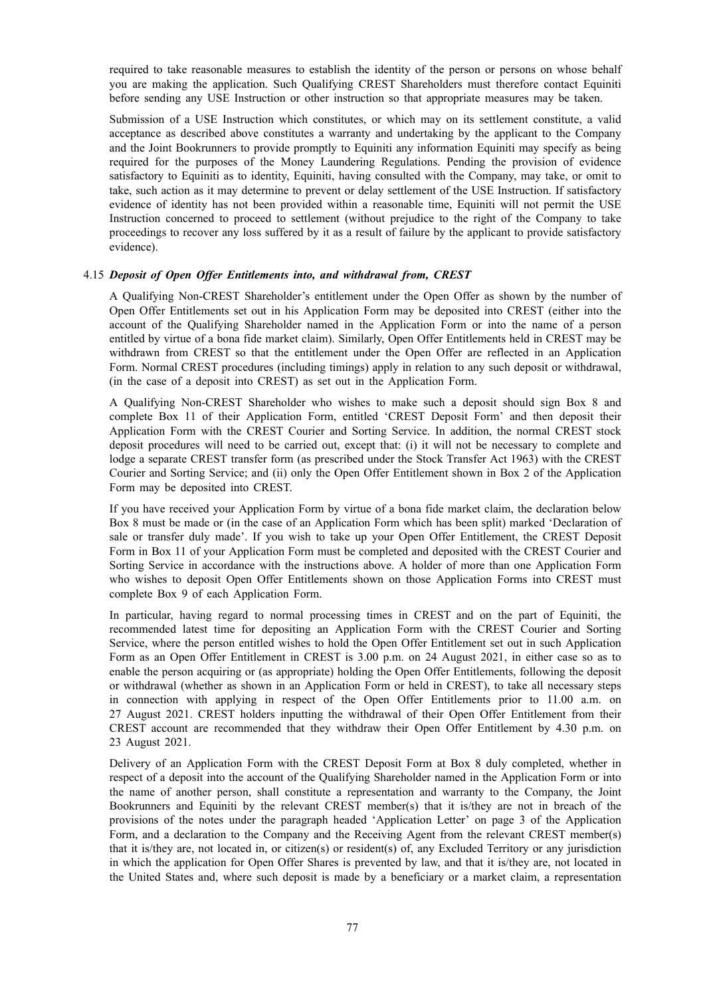required to take reasonable measures to establish the identity of the person or persons on whose behalf you are making the application. Such Qualifying CREST Shareholders must therefore contact Equiniti before sending any USE Instruction or other instruction so that appropriate measures may be taken.

Submission of a USE Instruction which constitutes, or which may on its settlement constitute, a valid acceptance as described above constitutes a warranty and undertaking by the applicant to the Company and the Joint Bookrunners to provide promptly to Equiniti any information Equiniti may specify as being required for the purposes of the Money Laundering Regulations. Pending the provision of evidence satisfactory to Equiniti as to identity, Equiniti, having consulted with the Company, may take, or omit to take, such action as it may determine to prevent or delay settlement of the USE Instruction. If satisfactory evidence of identity has not been provided within a reasonable time, Equiniti will not permit the USE Instruction concerned to proceed to settlement (without prejudice to the right of the Company to take proceedings to recover any loss suffered by it as a result of failure by the applicant to provide satisfactory evidence).

#### 4.15 *Deposit of Open Offer Entitlements into, and withdrawal from, CREST*

A Qualifying Non-CREST Shareholder's entitlement under the Open Offer as shown by the number of Open Offer Entitlements set out in his Application Form may be deposited into CREST (either into the account of the Qualifying Shareholder named in the Application Form or into the name of a person entitled by virtue of a bona fide market claim). Similarly, Open Offer Entitlements held in CREST may be withdrawn from CREST so that the entitlement under the Open Offer are reflected in an Application Form. Normal CREST procedures (including timings) apply in relation to any such deposit or withdrawal, (in the case of a deposit into CREST) as set out in the Application Form.

A Qualifying Non-CREST Shareholder who wishes to make such a deposit should sign Box 8 and complete Box 11 of their Application Form, entitled 'CREST Deposit Form' and then deposit their Application Form with the CREST Courier and Sorting Service. In addition, the normal CREST stock deposit procedures will need to be carried out, except that: (i) it will not be necessary to complete and lodge a separate CREST transfer form (as prescribed under the Stock Transfer Act 1963) with the CREST Courier and Sorting Service; and (ii) only the Open Offer Entitlement shown in Box 2 of the Application Form may be deposited into CREST.

If you have received your Application Form by virtue of a bona fide market claim, the declaration below Box 8 must be made or (in the case of an Application Form which has been split) marked 'Declaration of sale or transfer duly made'. If you wish to take up your Open Offer Entitlement, the CREST Deposit Form in Box 11 of your Application Form must be completed and deposited with the CREST Courier and Sorting Service in accordance with the instructions above. A holder of more than one Application Form who wishes to deposit Open Offer Entitlements shown on those Application Forms into CREST must complete Box 9 of each Application Form.

In particular, having regard to normal processing times in CREST and on the part of Equiniti, the recommended latest time for depositing an Application Form with the CREST Courier and Sorting Service, where the person entitled wishes to hold the Open Offer Entitlement set out in such Application Form as an Open Offer Entitlement in CREST is 3.00 p.m. on 24 August 2021, in either case so as to enable the person acquiring or (as appropriate) holding the Open Offer Entitlements, following the deposit or withdrawal (whether as shown in an Application Form or held in CREST), to take all necessary steps in connection with applying in respect of the Open Offer Entitlements prior to 11.00 a.m. on 27 August 2021. CREST holders inputting the withdrawal of their Open Offer Entitlement from their CREST account are recommended that they withdraw their Open Offer Entitlement by 4.30 p.m. on 23 August 2021.

Delivery of an Application Form with the CREST Deposit Form at Box 8 duly completed, whether in respect of a deposit into the account of the Qualifying Shareholder named in the Application Form or into the name of another person, shall constitute a representation and warranty to the Company, the Joint Bookrunners and Equiniti by the relevant CREST member(s) that it is/they are not in breach of the provisions of the notes under the paragraph headed 'Application Letter' on page 3 of the Application Form, and a declaration to the Company and the Receiving Agent from the relevant CREST member(s) that it is/they are, not located in, or citizen(s) or resident(s) of, any Excluded Territory or any jurisdiction in which the application for Open Offer Shares is prevented by law, and that it is/they are, not located in the United States and, where such deposit is made by a beneficiary or a market claim, a representation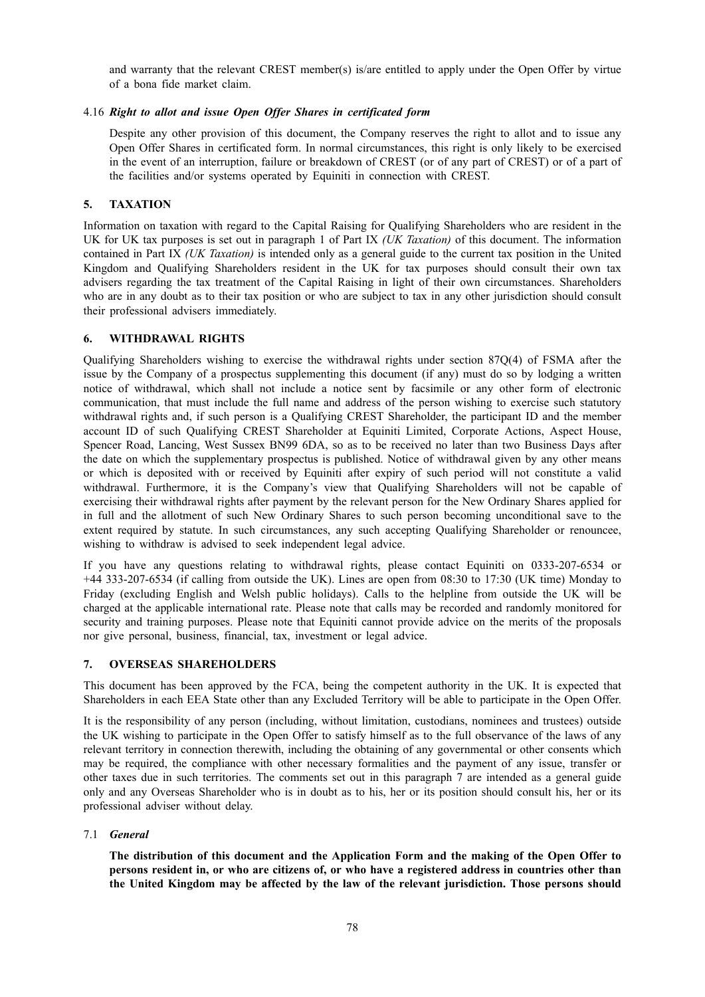and warranty that the relevant CREST member(s) is/are entitled to apply under the Open Offer by virtue of a bona fide market claim.

# 4.16 *Right to allot and issue Open Offer Shares in certificated form*

Despite any other provision of this document, the Company reserves the right to allot and to issue any Open Offer Shares in certificated form. In normal circumstances, this right is only likely to be exercised in the event of an interruption, failure or breakdown of CREST (or of any part of CREST) or of a part of the facilities and/or systems operated by Equiniti in connection with CREST.

# **5. TAXATION**

Information on taxation with regard to the Capital Raising for Qualifying Shareholders who are resident in the UK for UK tax purposes is set out in paragraph 1 of Part IX *(UK Taxation)* of this document. The information contained in Part IX *(UK Taxation)* is intended only as a general guide to the current tax position in the United Kingdom and Qualifying Shareholders resident in the UK for tax purposes should consult their own tax advisers regarding the tax treatment of the Capital Raising in light of their own circumstances. Shareholders who are in any doubt as to their tax position or who are subject to tax in any other jurisdiction should consult their professional advisers immediately.

#### **6. WITHDRAWAL RIGHTS**

Qualifying Shareholders wishing to exercise the withdrawal rights under section 87Q(4) of FSMA after the issue by the Company of a prospectus supplementing this document (if any) must do so by lodging a written notice of withdrawal, which shall not include a notice sent by facsimile or any other form of electronic communication, that must include the full name and address of the person wishing to exercise such statutory withdrawal rights and, if such person is a Qualifying CREST Shareholder, the participant ID and the member account ID of such Qualifying CREST Shareholder at Equiniti Limited, Corporate Actions, Aspect House, Spencer Road, Lancing, West Sussex BN99 6DA, so as to be received no later than two Business Days after the date on which the supplementary prospectus is published. Notice of withdrawal given by any other means or which is deposited with or received by Equiniti after expiry of such period will not constitute a valid withdrawal. Furthermore, it is the Company's view that Qualifying Shareholders will not be capable of exercising their withdrawal rights after payment by the relevant person for the New Ordinary Shares applied for in full and the allotment of such New Ordinary Shares to such person becoming unconditional save to the extent required by statute. In such circumstances, any such accepting Qualifying Shareholder or renouncee, wishing to withdraw is advised to seek independent legal advice.

If you have any questions relating to withdrawal rights, please contact Equiniti on 0333-207-6534 or +44 333-207-6534 (if calling from outside the UK). Lines are open from 08:30 to 17:30 (UK time) Monday to Friday (excluding English and Welsh public holidays). Calls to the helpline from outside the UK will be charged at the applicable international rate. Please note that calls may be recorded and randomly monitored for security and training purposes. Please note that Equiniti cannot provide advice on the merits of the proposals nor give personal, business, financial, tax, investment or legal advice.

#### **7. OVERSEAS SHAREHOLDERS**

This document has been approved by the FCA, being the competent authority in the UK. It is expected that Shareholders in each EEA State other than any Excluded Territory will be able to participate in the Open Offer.

It is the responsibility of any person (including, without limitation, custodians, nominees and trustees) outside the UK wishing to participate in the Open Offer to satisfy himself as to the full observance of the laws of any relevant territory in connection therewith, including the obtaining of any governmental or other consents which may be required, the compliance with other necessary formalities and the payment of any issue, transfer or other taxes due in such territories. The comments set out in this paragraph 7 are intended as a general guide only and any Overseas Shareholder who is in doubt as to his, her or its position should consult his, her or its professional adviser without delay.

#### 7.1 *General*

**The distribution of this document and the Application Form and the making of the Open Offer to** persons resident in, or who are citizens of, or who have a registered address in countries other than **the United Kingdom may be affected by the law of the relevant jurisdiction. Those persons should**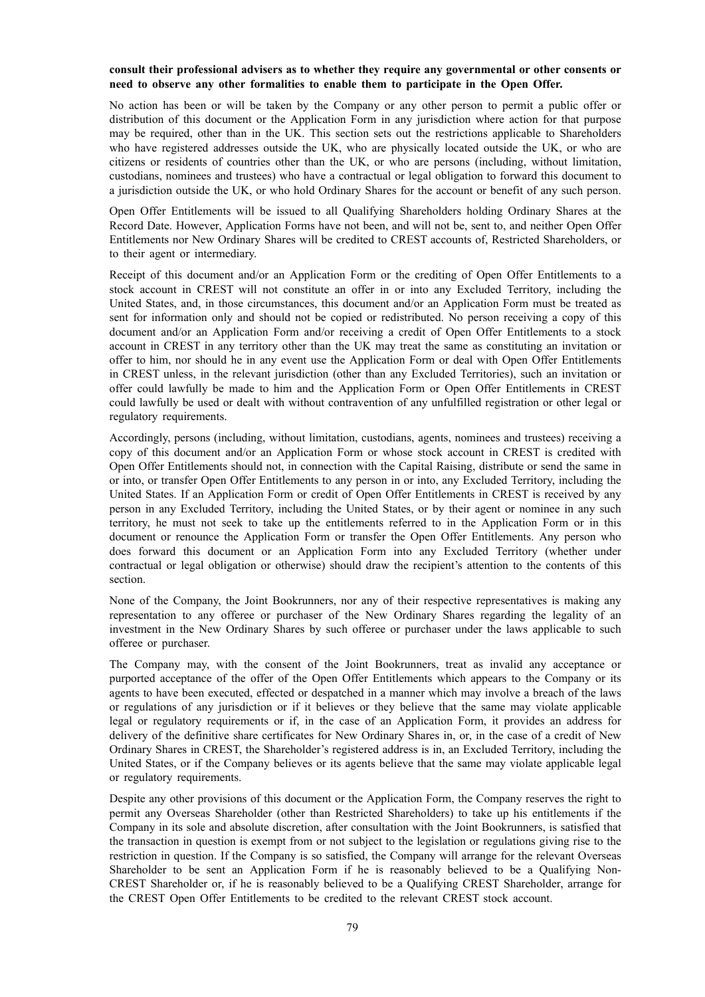# **consult their professional advisers as to whether they require any governmental or other consents or need to observe any other formalities to enable them to participate in the Open Offer.**

No action has been or will be taken by the Company or any other person to permit a public offer or distribution of this document or the Application Form in any jurisdiction where action for that purpose may be required, other than in the UK. This section sets out the restrictions applicable to Shareholders who have registered addresses outside the UK, who are physically located outside the UK, or who are citizens or residents of countries other than the UK, or who are persons (including, without limitation, custodians, nominees and trustees) who have a contractual or legal obligation to forward this document to a jurisdiction outside the UK, or who hold Ordinary Shares for the account or benefit of any such person.

Open Offer Entitlements will be issued to all Qualifying Shareholders holding Ordinary Shares at the Record Date. However, Application Forms have not been, and will not be, sent to, and neither Open Offer Entitlements nor New Ordinary Shares will be credited to CREST accounts of, Restricted Shareholders, or to their agent or intermediary.

Receipt of this document and/or an Application Form or the crediting of Open Offer Entitlements to a stock account in CREST will not constitute an offer in or into any Excluded Territory, including the United States, and, in those circumstances, this document and/or an Application Form must be treated as sent for information only and should not be copied or redistributed. No person receiving a copy of this document and/or an Application Form and/or receiving a credit of Open Offer Entitlements to a stock account in CREST in any territory other than the UK may treat the same as constituting an invitation or offer to him, nor should he in any event use the Application Form or deal with Open Offer Entitlements in CREST unless, in the relevant jurisdiction (other than any Excluded Territories), such an invitation or offer could lawfully be made to him and the Application Form or Open Offer Entitlements in CREST could lawfully be used or dealt with without contravention of any unfulfilled registration or other legal or regulatory requirements.

Accordingly, persons (including, without limitation, custodians, agents, nominees and trustees) receiving a copy of this document and/or an Application Form or whose stock account in CREST is credited with Open Offer Entitlements should not, in connection with the Capital Raising, distribute or send the same in or into, or transfer Open Offer Entitlements to any person in or into, any Excluded Territory, including the United States. If an Application Form or credit of Open Offer Entitlements in CREST is received by any person in any Excluded Territory, including the United States, or by their agent or nominee in any such territory, he must not seek to take up the entitlements referred to in the Application Form or in this document or renounce the Application Form or transfer the Open Offer Entitlements. Any person who does forward this document or an Application Form into any Excluded Territory (whether under contractual or legal obligation or otherwise) should draw the recipient's attention to the contents of this section.

None of the Company, the Joint Bookrunners, nor any of their respective representatives is making any representation to any offeree or purchaser of the New Ordinary Shares regarding the legality of an investment in the New Ordinary Shares by such offeree or purchaser under the laws applicable to such offeree or purchaser.

The Company may, with the consent of the Joint Bookrunners, treat as invalid any acceptance or purported acceptance of the offer of the Open Offer Entitlements which appears to the Company or its agents to have been executed, effected or despatched in a manner which may involve a breach of the laws or regulations of any jurisdiction or if it believes or they believe that the same may violate applicable legal or regulatory requirements or if, in the case of an Application Form, it provides an address for delivery of the definitive share certificates for New Ordinary Shares in, or, in the case of a credit of New Ordinary Shares in CREST, the Shareholder's registered address is in, an Excluded Territory, including the United States, or if the Company believes or its agents believe that the same may violate applicable legal or regulatory requirements.

Despite any other provisions of this document or the Application Form, the Company reserves the right to permit any Overseas Shareholder (other than Restricted Shareholders) to take up his entitlements if the Company in its sole and absolute discretion, after consultation with the Joint Bookrunners, is satisfied that the transaction in question is exempt from or not subject to the legislation or regulations giving rise to the restriction in question. If the Company is so satisfied, the Company will arrange for the relevant Overseas Shareholder to be sent an Application Form if he is reasonably believed to be a Qualifying Non-CREST Shareholder or, if he is reasonably believed to be a Qualifying CREST Shareholder, arrange for the CREST Open Offer Entitlements to be credited to the relevant CREST stock account.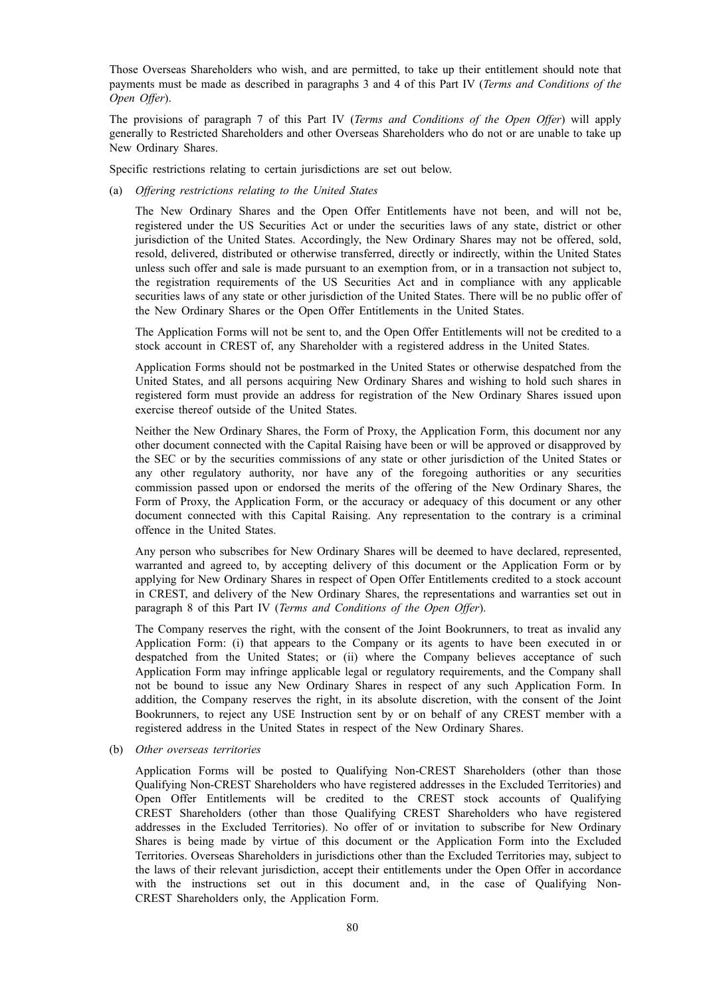Those Overseas Shareholders who wish, and are permitted, to take up their entitlement should note that payments must be made as described in paragraphs 3 and 4 of this Part IV (*Terms and Conditions of the Open Offer*).

The provisions of paragraph 7 of this Part IV (*Terms and Conditions of the Open Offer*) will apply generally to Restricted Shareholders and other Overseas Shareholders who do not or are unable to take up New Ordinary Shares.

Specific restrictions relating to certain jurisdictions are set out below.

(a) *Offering restrictions relating to the United States*

The New Ordinary Shares and the Open Offer Entitlements have not been, and will not be, registered under the US Securities Act or under the securities laws of any state, district or other jurisdiction of the United States. Accordingly, the New Ordinary Shares may not be offered, sold, resold, delivered, distributed or otherwise transferred, directly or indirectly, within the United States unless such offer and sale is made pursuant to an exemption from, or in a transaction not subject to, the registration requirements of the US Securities Act and in compliance with any applicable securities laws of any state or other jurisdiction of the United States. There will be no public offer of the New Ordinary Shares or the Open Offer Entitlements in the United States.

The Application Forms will not be sent to, and the Open Offer Entitlements will not be credited to a stock account in CREST of, any Shareholder with a registered address in the United States.

Application Forms should not be postmarked in the United States or otherwise despatched from the United States, and all persons acquiring New Ordinary Shares and wishing to hold such shares in registered form must provide an address for registration of the New Ordinary Shares issued upon exercise thereof outside of the United States.

Neither the New Ordinary Shares, the Form of Proxy, the Application Form, this document nor any other document connected with the Capital Raising have been or will be approved or disapproved by the SEC or by the securities commissions of any state or other jurisdiction of the United States or any other regulatory authority, nor have any of the foregoing authorities or any securities commission passed upon or endorsed the merits of the offering of the New Ordinary Shares, the Form of Proxy, the Application Form, or the accuracy or adequacy of this document or any other document connected with this Capital Raising. Any representation to the contrary is a criminal offence in the United States.

Any person who subscribes for New Ordinary Shares will be deemed to have declared, represented, warranted and agreed to, by accepting delivery of this document or the Application Form or by applying for New Ordinary Shares in respect of Open Offer Entitlements credited to a stock account in CREST, and delivery of the New Ordinary Shares, the representations and warranties set out in paragraph 8 of this Part IV (*Terms and Conditions of the Open Offer*).

The Company reserves the right, with the consent of the Joint Bookrunners, to treat as invalid any Application Form: (i) that appears to the Company or its agents to have been executed in or despatched from the United States; or (ii) where the Company believes acceptance of such Application Form may infringe applicable legal or regulatory requirements, and the Company shall not be bound to issue any New Ordinary Shares in respect of any such Application Form. In addition, the Company reserves the right, in its absolute discretion, with the consent of the Joint Bookrunners, to reject any USE Instruction sent by or on behalf of any CREST member with a registered address in the United States in respect of the New Ordinary Shares.

(b) *Other overseas territories*

Application Forms will be posted to Qualifying Non-CREST Shareholders (other than those Qualifying Non-CREST Shareholders who have registered addresses in the Excluded Territories) and Open Offer Entitlements will be credited to the CREST stock accounts of Qualifying CREST Shareholders (other than those Qualifying CREST Shareholders who have registered addresses in the Excluded Territories). No offer of or invitation to subscribe for New Ordinary Shares is being made by virtue of this document or the Application Form into the Excluded Territories. Overseas Shareholders in jurisdictions other than the Excluded Territories may, subject to the laws of their relevant jurisdiction, accept their entitlements under the Open Offer in accordance with the instructions set out in this document and, in the case of Qualifying Non-CREST Shareholders only, the Application Form.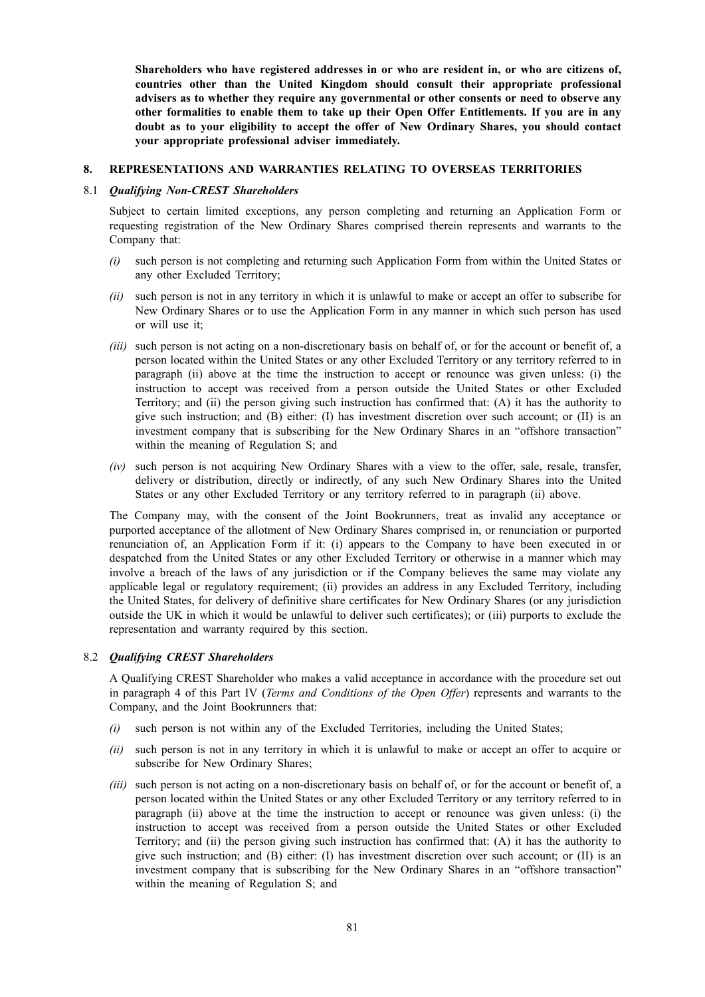**Shareholders who have registered addresses in or who are resident in, or who are citizens of, countries other than the United Kingdom should consult their appropriate professional advisers as to whether they require any governmental or other consents or need to observe any other formalities to enable them to take up their Open Offer Entitlements. If you are in any doubt as to your eligibility to accept the offer of New Ordinary Shares, you should contact your appropriate professional adviser immediately.**

#### **8. REPRESENTATIONS AND WARRANTIES RELATING TO OVERSEAS TERRITORIES**

### 8.1 *Qualifying Non-CREST Shareholders*

Subject to certain limited exceptions, any person completing and returning an Application Form or requesting registration of the New Ordinary Shares comprised therein represents and warrants to the Company that:

- *(i)* such person is not completing and returning such Application Form from within the United States or any other Excluded Territory;
- *(ii)* such person is not in any territory in which it is unlawful to make or accept an offer to subscribe for New Ordinary Shares or to use the Application Form in any manner in which such person has used or will use it;
- *(iii)* such person is not acting on a non-discretionary basis on behalf of, or for the account or benefit of, a person located within the United States or any other Excluded Territory or any territory referred to in paragraph (ii) above at the time the instruction to accept or renounce was given unless: (i) the instruction to accept was received from a person outside the United States or other Excluded Territory; and (ii) the person giving such instruction has confirmed that: (A) it has the authority to give such instruction; and (B) either: (I) has investment discretion over such account; or (II) is an investment company that is subscribing for the New Ordinary Shares in an "offshore transaction" within the meaning of Regulation S; and
- *(iv)* such person is not acquiring New Ordinary Shares with a view to the offer, sale, resale, transfer, delivery or distribution, directly or indirectly, of any such New Ordinary Shares into the United States or any other Excluded Territory or any territory referred to in paragraph (ii) above.

The Company may, with the consent of the Joint Bookrunners, treat as invalid any acceptance or purported acceptance of the allotment of New Ordinary Shares comprised in, or renunciation or purported renunciation of, an Application Form if it: (i) appears to the Company to have been executed in or despatched from the United States or any other Excluded Territory or otherwise in a manner which may involve a breach of the laws of any jurisdiction or if the Company believes the same may violate any applicable legal or regulatory requirement; (ii) provides an address in any Excluded Territory, including the United States, for delivery of definitive share certificates for New Ordinary Shares (or any jurisdiction outside the UK in which it would be unlawful to deliver such certificates); or (iii) purports to exclude the representation and warranty required by this section.

#### 8.2 *Qualifying CREST Shareholders*

A Qualifying CREST Shareholder who makes a valid acceptance in accordance with the procedure set out in paragraph 4 of this Part IV (*Terms and Conditions of the Open Offer*) represents and warrants to the Company, and the Joint Bookrunners that:

- *(i)* such person is not within any of the Excluded Territories, including the United States;
- *(ii)* such person is not in any territory in which it is unlawful to make or accept an offer to acquire or subscribe for New Ordinary Shares;
- *(iii)* such person is not acting on a non-discretionary basis on behalf of, or for the account or benefit of, a person located within the United States or any other Excluded Territory or any territory referred to in paragraph (ii) above at the time the instruction to accept or renounce was given unless: (i) the instruction to accept was received from a person outside the United States or other Excluded Territory; and (ii) the person giving such instruction has confirmed that: (A) it has the authority to give such instruction; and (B) either: (I) has investment discretion over such account; or (II) is an investment company that is subscribing for the New Ordinary Shares in an "offshore transaction" within the meaning of Regulation S; and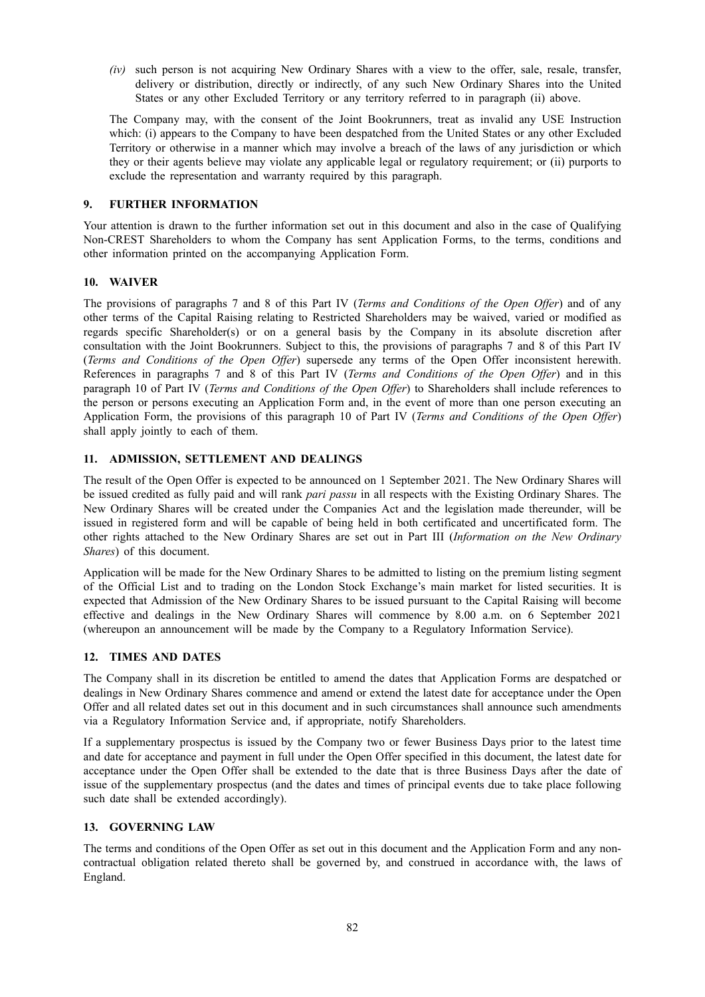*(iv)* such person is not acquiring New Ordinary Shares with a view to the offer, sale, resale, transfer, delivery or distribution, directly or indirectly, of any such New Ordinary Shares into the United States or any other Excluded Territory or any territory referred to in paragraph (ii) above.

The Company may, with the consent of the Joint Bookrunners, treat as invalid any USE Instruction which: (i) appears to the Company to have been despatched from the United States or any other Excluded Territory or otherwise in a manner which may involve a breach of the laws of any jurisdiction or which they or their agents believe may violate any applicable legal or regulatory requirement; or (ii) purports to exclude the representation and warranty required by this paragraph.

# **9. FURTHER INFORMATION**

Your attention is drawn to the further information set out in this document and also in the case of Qualifying Non-CREST Shareholders to whom the Company has sent Application Forms, to the terms, conditions and other information printed on the accompanying Application Form.

# **10. WAIVER**

The provisions of paragraphs 7 and 8 of this Part IV (*Terms and Conditions of the Open Offer*) and of any other terms of the Capital Raising relating to Restricted Shareholders may be waived, varied or modified as regards specific Shareholder(s) or on a general basis by the Company in its absolute discretion after consultation with the Joint Bookrunners. Subject to this, the provisions of paragraphs 7 and 8 of this Part IV (*Terms and Conditions of the Open Offer*) supersede any terms of the Open Offer inconsistent herewith. References in paragraphs 7 and 8 of this Part IV (*Terms and Conditions of the Open Offer*) and in this paragraph 10 of Part IV (*Terms and Conditions of the Open Offer*) to Shareholders shall include references to the person or persons executing an Application Form and, in the event of more than one person executing an Application Form, the provisions of this paragraph 10 of Part IV (*Terms and Conditions of the Open Offer*) shall apply jointly to each of them.

# **11. ADMISSION, SETTLEMENT AND DEALINGS**

The result of the Open Offer is expected to be announced on 1 September 2021. The New Ordinary Shares will be issued credited as fully paid and will rank *pari passu* in all respects with the Existing Ordinary Shares. The New Ordinary Shares will be created under the Companies Act and the legislation made thereunder, will be issued in registered form and will be capable of being held in both certificated and uncertificated form. The other rights attached to the New Ordinary Shares are set out in Part III (*Information on the New Ordinary Shares*) of this document.

Application will be made for the New Ordinary Shares to be admitted to listing on the premium listing segment of the Official List and to trading on the London Stock Exchange's main market for listed securities. It is expected that Admission of the New Ordinary Shares to be issued pursuant to the Capital Raising will become effective and dealings in the New Ordinary Shares will commence by 8.00 a.m. on 6 September 2021 (whereupon an announcement will be made by the Company to a Regulatory Information Service).

# **12. TIMES AND DATES**

The Company shall in its discretion be entitled to amend the dates that Application Forms are despatched or dealings in New Ordinary Shares commence and amend or extend the latest date for acceptance under the Open Offer and all related dates set out in this document and in such circumstances shall announce such amendments via a Regulatory Information Service and, if appropriate, notify Shareholders.

If a supplementary prospectus is issued by the Company two or fewer Business Days prior to the latest time and date for acceptance and payment in full under the Open Offer specified in this document, the latest date for acceptance under the Open Offer shall be extended to the date that is three Business Days after the date of issue of the supplementary prospectus (and the dates and times of principal events due to take place following such date shall be extended accordingly).

# **13. GOVERNING LAW**

The terms and conditions of the Open Offer as set out in this document and the Application Form and any noncontractual obligation related thereto shall be governed by, and construed in accordance with, the laws of England.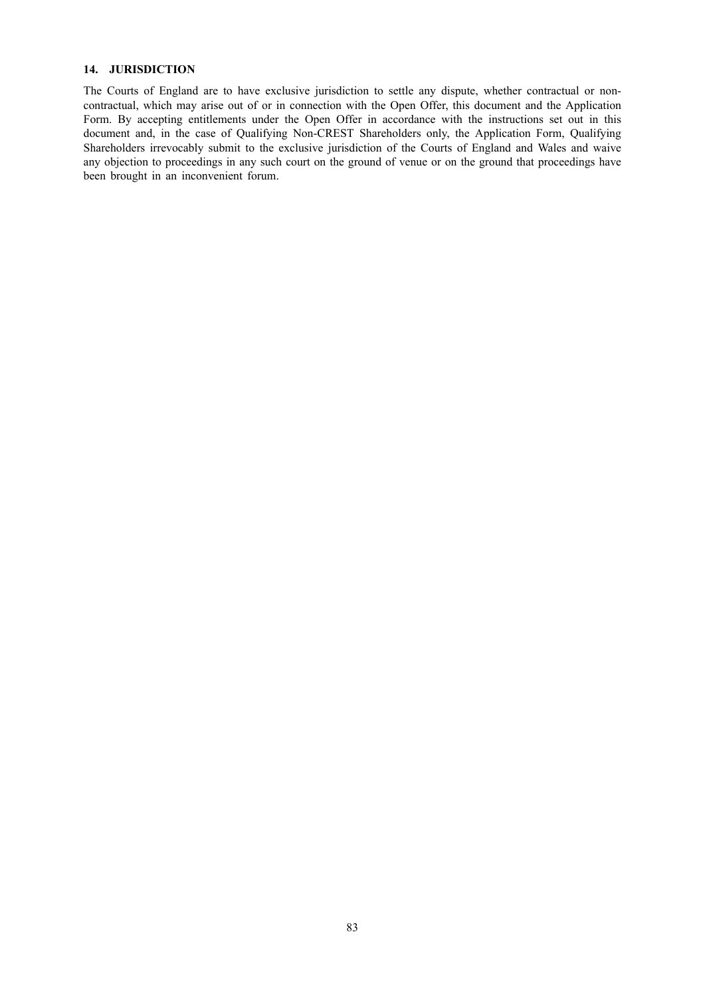## **14. JURISDICTION**

The Courts of England are to have exclusive jurisdiction to settle any dispute, whether contractual or noncontractual, which may arise out of or in connection with the Open Offer, this document and the Application Form. By accepting entitlements under the Open Offer in accordance with the instructions set out in this document and, in the case of Qualifying Non-CREST Shareholders only, the Application Form, Qualifying Shareholders irrevocably submit to the exclusive jurisdiction of the Courts of England and Wales and waive any objection to proceedings in any such court on the ground of venue or on the ground that proceedings have been brought in an inconvenient forum.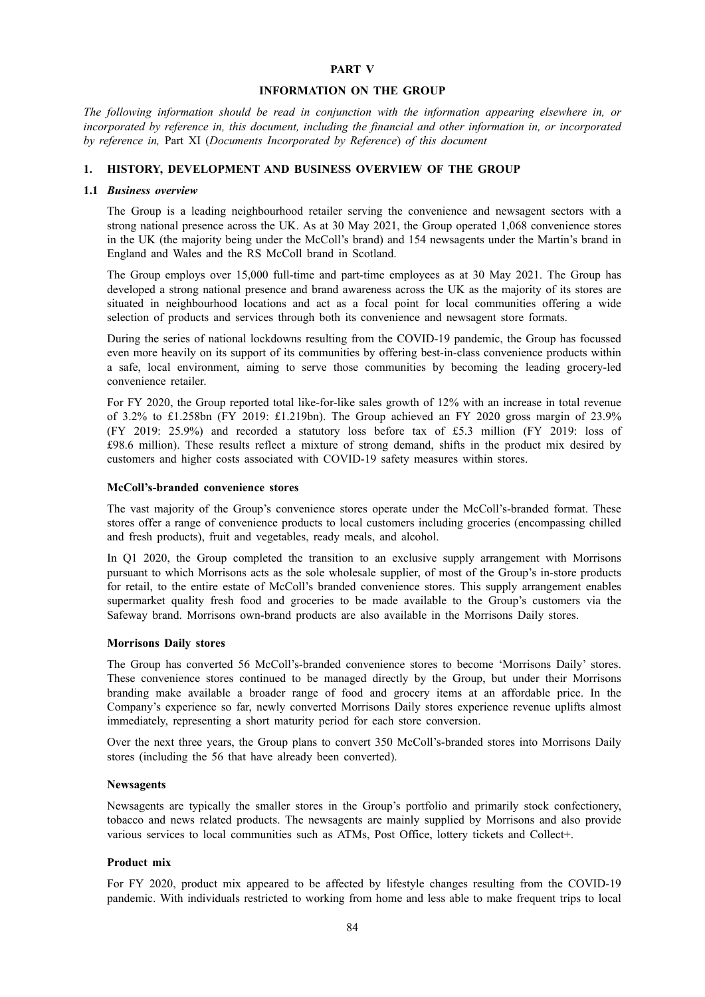## **PART V**

#### **INFORMATION ON THE GROUP**

*The following information should be read in conjunction with the information appearing elsewhere in, or incorporated by reference in, this document, including the financial and other information in, or incorporated by reference in,* Part XI (*Documents Incorporated by Reference*) *of this document*

#### **1. HISTORY, DEVELOPMENT AND BUSINESS OVERVIEW OF THE GROUP**

#### **1.1** *Business overview*

The Group is a leading neighbourhood retailer serving the convenience and newsagent sectors with a strong national presence across the UK. As at 30 May 2021, the Group operated 1,068 convenience stores in the UK (the majority being under the McColl's brand) and 154 newsagents under the Martin's brand in England and Wales and the RS McColl brand in Scotland.

The Group employs over 15,000 full-time and part-time employees as at 30 May 2021. The Group has developed a strong national presence and brand awareness across the UK as the majority of its stores are situated in neighbourhood locations and act as a focal point for local communities offering a wide selection of products and services through both its convenience and newsagent store formats.

During the series of national lockdowns resulting from the COVID-19 pandemic, the Group has focussed even more heavily on its support of its communities by offering best-in-class convenience products within a safe, local environment, aiming to serve those communities by becoming the leading grocery-led convenience retailer.

For FY 2020, the Group reported total like-for-like sales growth of 12% with an increase in total revenue of 3.2% to £1.258bn (FY 2019: £1.219bn). The Group achieved an FY 2020 gross margin of 23.9% (FY 2019: 25.9%) and recorded a statutory loss before tax of £5.3 million (FY 2019: loss of £98.6 million). These results reflect a mixture of strong demand, shifts in the product mix desired by customers and higher costs associated with COVID-19 safety measures within stores.

#### **McColl's-branded convenience stores**

The vast majority of the Group's convenience stores operate under the McColl's-branded format. These stores offer a range of convenience products to local customers including groceries (encompassing chilled and fresh products), fruit and vegetables, ready meals, and alcohol.

In Q1 2020, the Group completed the transition to an exclusive supply arrangement with Morrisons pursuant to which Morrisons acts as the sole wholesale supplier, of most of the Group's in-store products for retail, to the entire estate of McColl's branded convenience stores. This supply arrangement enables supermarket quality fresh food and groceries to be made available to the Group's customers via the Safeway brand. Morrisons own-brand products are also available in the Morrisons Daily stores.

#### **Morrisons Daily stores**

The Group has converted 56 McColl's-branded convenience stores to become 'Morrisons Daily' stores. These convenience stores continued to be managed directly by the Group, but under their Morrisons branding make available a broader range of food and grocery items at an affordable price. In the Company's experience so far, newly converted Morrisons Daily stores experience revenue uplifts almost immediately, representing a short maturity period for each store conversion.

Over the next three years, the Group plans to convert 350 McColl's-branded stores into Morrisons Daily stores (including the 56 that have already been converted).

# **Newsagents**

Newsagents are typically the smaller stores in the Group's portfolio and primarily stock confectionery, tobacco and news related products. The newsagents are mainly supplied by Morrisons and also provide various services to local communities such as ATMs, Post Office, lottery tickets and Collect+.

## **Product mix**

For FY 2020, product mix appeared to be affected by lifestyle changes resulting from the COVID-19 pandemic. With individuals restricted to working from home and less able to make frequent trips to local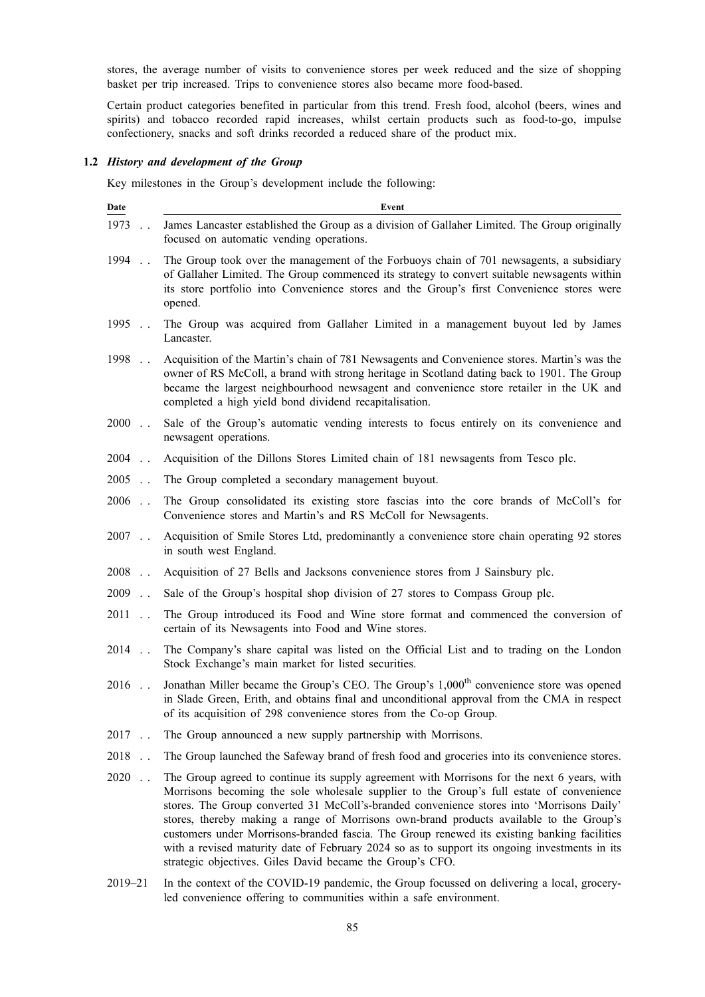stores, the average number of visits to convenience stores per week reduced and the size of shopping basket per trip increased. Trips to convenience stores also became more food-based.

Certain product categories benefited in particular from this trend. Fresh food, alcohol (beers, wines and spirits) and tobacco recorded rapid increases, whilst certain products such as food-to-go, impulse confectionery, snacks and soft drinks recorded a reduced share of the product mix.

# **1.2** *History and development of the Group*

Key milestones in the Group's development include the following:

| Date                                | Event                                                                                                                                                                                                                                                                                                                                                                                                                                                                                                                                                                                                                                        |
|-------------------------------------|----------------------------------------------------------------------------------------------------------------------------------------------------------------------------------------------------------------------------------------------------------------------------------------------------------------------------------------------------------------------------------------------------------------------------------------------------------------------------------------------------------------------------------------------------------------------------------------------------------------------------------------------|
| 1973                                | James Lancaster established the Group as a division of Gallaher Limited. The Group originally<br>focused on automatic vending operations.                                                                                                                                                                                                                                                                                                                                                                                                                                                                                                    |
| 1994                                | The Group took over the management of the Forbuoys chain of 701 newsagents, a subsidiary<br>of Gallaher Limited. The Group commenced its strategy to convert suitable newsagents within<br>its store portfolio into Convenience stores and the Group's first Convenience stores were<br>opened.                                                                                                                                                                                                                                                                                                                                              |
| 1995                                | The Group was acquired from Gallaher Limited in a management buyout led by James<br>Lancaster.                                                                                                                                                                                                                                                                                                                                                                                                                                                                                                                                               |
| 1998                                | Acquisition of the Martin's chain of 781 Newsagents and Convenience stores. Martin's was the<br>owner of RS McColl, a brand with strong heritage in Scotland dating back to 1901. The Group<br>became the largest neighbourhood newsagent and convenience store retailer in the UK and<br>completed a high yield bond dividend recapitalisation.                                                                                                                                                                                                                                                                                             |
| $2000$                              | Sale of the Group's automatic vending interests to focus entirely on its convenience and<br>newsagent operations.                                                                                                                                                                                                                                                                                                                                                                                                                                                                                                                            |
| 2004<br>$\ddot{\phantom{a}}$        | Acquisition of the Dillons Stores Limited chain of 181 newsagents from Tesco plc.                                                                                                                                                                                                                                                                                                                                                                                                                                                                                                                                                            |
| 2005                                | The Group completed a secondary management buyout.                                                                                                                                                                                                                                                                                                                                                                                                                                                                                                                                                                                           |
| 2006<br>$\ddot{\phantom{0}}$        | The Group consolidated its existing store fascias into the core brands of McColl's for<br>Convenience stores and Martin's and RS McColl for Newsagents.                                                                                                                                                                                                                                                                                                                                                                                                                                                                                      |
| 2007<br>$\ddotsc$                   | Acquisition of Smile Stores Ltd, predominantly a convenience store chain operating 92 stores<br>in south west England.                                                                                                                                                                                                                                                                                                                                                                                                                                                                                                                       |
| 2008<br>$\ddotsc$                   | Acquisition of 27 Bells and Jacksons convenience stores from J Sainsbury plc.                                                                                                                                                                                                                                                                                                                                                                                                                                                                                                                                                                |
| 2009<br>$\mathbb{R}^2$              | Sale of the Group's hospital shop division of 27 stores to Compass Group plc.                                                                                                                                                                                                                                                                                                                                                                                                                                                                                                                                                                |
| 2011<br>$\ddot{\phantom{0}}$        | The Group introduced its Food and Wine store format and commenced the conversion of<br>certain of its Newsagents into Food and Wine stores.                                                                                                                                                                                                                                                                                                                                                                                                                                                                                                  |
| 2014<br>$\ddot{\phantom{a}}$        | The Company's share capital was listed on the Official List and to trading on the London<br>Stock Exchange's main market for listed securities.                                                                                                                                                                                                                                                                                                                                                                                                                                                                                              |
| 2016<br>$\ddot{\phantom{0}}$        | Jonathan Miller became the Group's CEO. The Group's 1,000 <sup>th</sup> convenience store was opened<br>in Slade Green, Erith, and obtains final and unconditional approval from the CMA in respect<br>of its acquisition of 298 convenience stores from the Co-op Group.                                                                                                                                                                                                                                                                                                                                                                    |
| $2017$                              | The Group announced a new supply partnership with Morrisons.                                                                                                                                                                                                                                                                                                                                                                                                                                                                                                                                                                                 |
| 2018<br>$\ddot{\phantom{0}}$        | The Group launched the Safeway brand of fresh food and groceries into its convenience stores.                                                                                                                                                                                                                                                                                                                                                                                                                                                                                                                                                |
| 2020<br>$\mathbb{Z}^{\mathbb{Z}}$ . | The Group agreed to continue its supply agreement with Morrisons for the next 6 years, with<br>Morrisons becoming the sole wholesale supplier to the Group's full estate of convenience<br>stores. The Group converted 31 McColl's-branded convenience stores into 'Morrisons Daily'<br>stores, thereby making a range of Morrisons own-brand products available to the Group's<br>customers under Morrisons-branded fascia. The Group renewed its existing banking facilities<br>with a revised maturity date of February 2024 so as to support its ongoing investments in its<br>strategic objectives. Giles David became the Group's CFO. |

2019–21 In the context of the COVID-19 pandemic, the Group focussed on delivering a local, groceryled convenience offering to communities within a safe environment.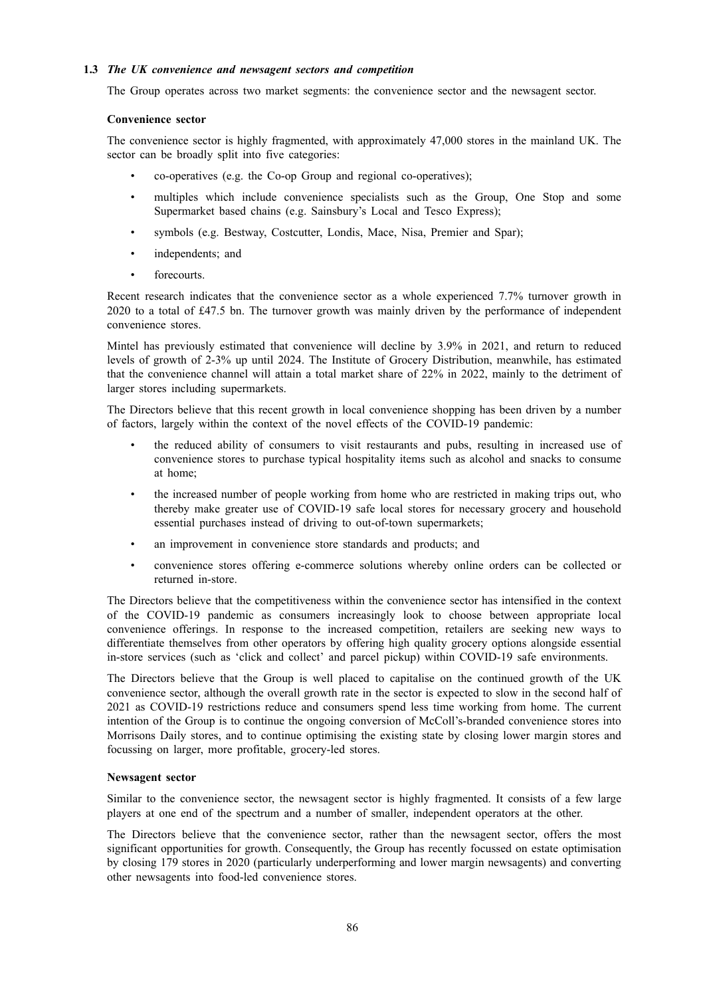# **1.3** *The UK convenience and newsagent sectors and competition*

The Group operates across two market segments: the convenience sector and the newsagent sector.

### **Convenience sector**

The convenience sector is highly fragmented, with approximately 47,000 stores in the mainland UK. The sector can be broadly split into five categories:

- co-operatives (e.g. the Co-op Group and regional co-operatives);
- multiples which include convenience specialists such as the Group, One Stop and some Supermarket based chains (e.g. Sainsbury's Local and Tesco Express);
- symbols (e.g. Bestway, Costcutter, Londis, Mace, Nisa, Premier and Spar);
- independents; and
- forecourts.

Recent research indicates that the convenience sector as a whole experienced 7.7% turnover growth in 2020 to a total of £47.5 bn. The turnover growth was mainly driven by the performance of independent convenience stores.

Mintel has previously estimated that convenience will decline by 3.9% in 2021, and return to reduced levels of growth of 2-3% up until 2024. The Institute of Grocery Distribution, meanwhile, has estimated that the convenience channel will attain a total market share of 22% in 2022, mainly to the detriment of larger stores including supermarkets.

The Directors believe that this recent growth in local convenience shopping has been driven by a number of factors, largely within the context of the novel effects of the COVID-19 pandemic:

- the reduced ability of consumers to visit restaurants and pubs, resulting in increased use of convenience stores to purchase typical hospitality items such as alcohol and snacks to consume at home;
- the increased number of people working from home who are restricted in making trips out, who thereby make greater use of COVID-19 safe local stores for necessary grocery and household essential purchases instead of driving to out-of-town supermarkets;
- an improvement in convenience store standards and products; and
- convenience stores offering e-commerce solutions whereby online orders can be collected or returned in-store.

The Directors believe that the competitiveness within the convenience sector has intensified in the context of the COVID-19 pandemic as consumers increasingly look to choose between appropriate local convenience offerings. In response to the increased competition, retailers are seeking new ways to differentiate themselves from other operators by offering high quality grocery options alongside essential in-store services (such as 'click and collect' and parcel pickup) within COVID-19 safe environments.

The Directors believe that the Group is well placed to capitalise on the continued growth of the UK convenience sector, although the overall growth rate in the sector is expected to slow in the second half of 2021 as COVID-19 restrictions reduce and consumers spend less time working from home. The current intention of the Group is to continue the ongoing conversion of McColl's-branded convenience stores into Morrisons Daily stores, and to continue optimising the existing state by closing lower margin stores and focussing on larger, more profitable, grocery-led stores.

#### **Newsagent sector**

Similar to the convenience sector, the newsagent sector is highly fragmented. It consists of a few large players at one end of the spectrum and a number of smaller, independent operators at the other.

The Directors believe that the convenience sector, rather than the newsagent sector, offers the most significant opportunities for growth. Consequently, the Group has recently focussed on estate optimisation by closing 179 stores in 2020 (particularly underperforming and lower margin newsagents) and converting other newsagents into food-led convenience stores.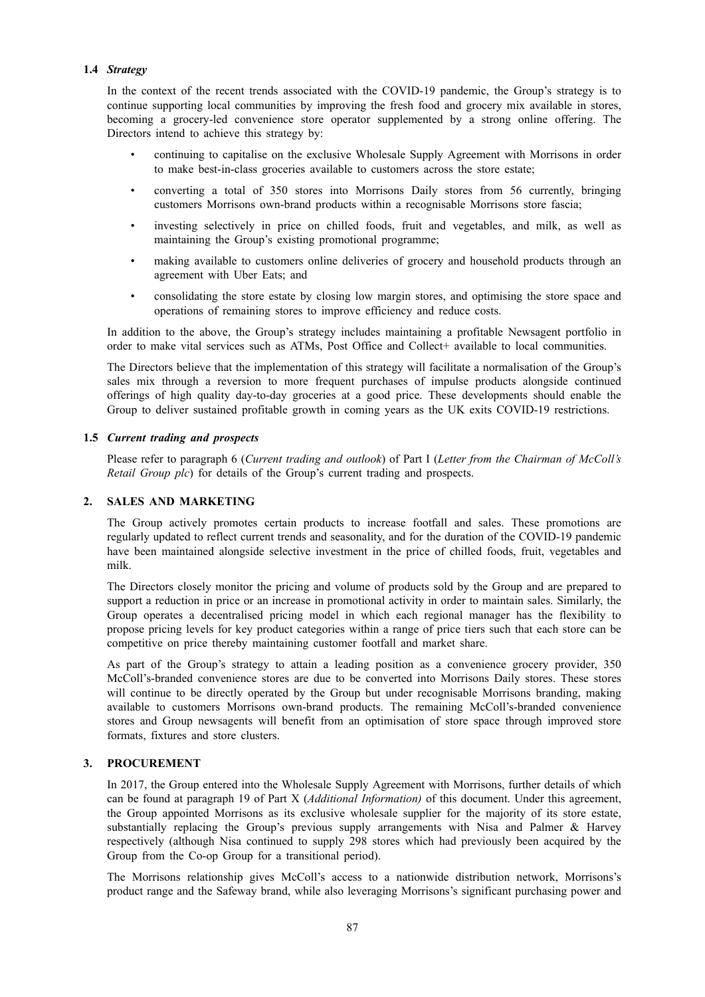# **1.4** *Strategy*

In the context of the recent trends associated with the COVID-19 pandemic, the Group's strategy is to continue supporting local communities by improving the fresh food and grocery mix available in stores, becoming a grocery-led convenience store operator supplemented by a strong online offering. The Directors intend to achieve this strategy by:

- continuing to capitalise on the exclusive Wholesale Supply Agreement with Morrisons in order to make best-in-class groceries available to customers across the store estate;
- converting a total of 350 stores into Morrisons Daily stores from 56 currently, bringing customers Morrisons own-brand products within a recognisable Morrisons store fascia;
- investing selectively in price on chilled foods, fruit and vegetables, and milk, as well as maintaining the Group's existing promotional programme;
- making available to customers online deliveries of grocery and household products through an agreement with Uber Eats; and
- consolidating the store estate by closing low margin stores, and optimising the store space and operations of remaining stores to improve efficiency and reduce costs.

In addition to the above, the Group's strategy includes maintaining a profitable Newsagent portfolio in order to make vital services such as ATMs, Post Office and Collect+ available to local communities.

The Directors believe that the implementation of this strategy will facilitate a normalisation of the Group's sales mix through a reversion to more frequent purchases of impulse products alongside continued offerings of high quality day-to-day groceries at a good price. These developments should enable the Group to deliver sustained profitable growth in coming years as the UK exits COVID-19 restrictions.

# **1.5** *Current trading and prospects*

Please refer to paragraph 6 (*Current trading and outlook*) of Part I (*Letter from the Chairman of McColl's Retail Group plc*) for details of the Group's current trading and prospects.

#### **2. SALES AND MARKETING**

The Group actively promotes certain products to increase footfall and sales. These promotions are regularly updated to reflect current trends and seasonality, and for the duration of the COVID-19 pandemic have been maintained alongside selective investment in the price of chilled foods, fruit, vegetables and milk.

The Directors closely monitor the pricing and volume of products sold by the Group and are prepared to support a reduction in price or an increase in promotional activity in order to maintain sales. Similarly, the Group operates a decentralised pricing model in which each regional manager has the flexibility to propose pricing levels for key product categories within a range of price tiers such that each store can be competitive on price thereby maintaining customer footfall and market share.

As part of the Group's strategy to attain a leading position as a convenience grocery provider, 350 McColl's-branded convenience stores are due to be converted into Morrisons Daily stores. These stores will continue to be directly operated by the Group but under recognisable Morrisons branding, making available to customers Morrisons own-brand products. The remaining McColl's-branded convenience stores and Group newsagents will benefit from an optimisation of store space through improved store formats, fixtures and store clusters.

# **3. PROCUREMENT**

In 2017, the Group entered into the Wholesale Supply Agreement with Morrisons, further details of which can be found at paragraph 19 of Part X (*Additional Information)* of this document. Under this agreement, the Group appointed Morrisons as its exclusive wholesale supplier for the majority of its store estate, substantially replacing the Group's previous supply arrangements with Nisa and Palmer & Harvey respectively (although Nisa continued to supply 298 stores which had previously been acquired by the Group from the Co-op Group for a transitional period).

The Morrisons relationship gives McColl's access to a nationwide distribution network, Morrisons's product range and the Safeway brand, while also leveraging Morrisons's significant purchasing power and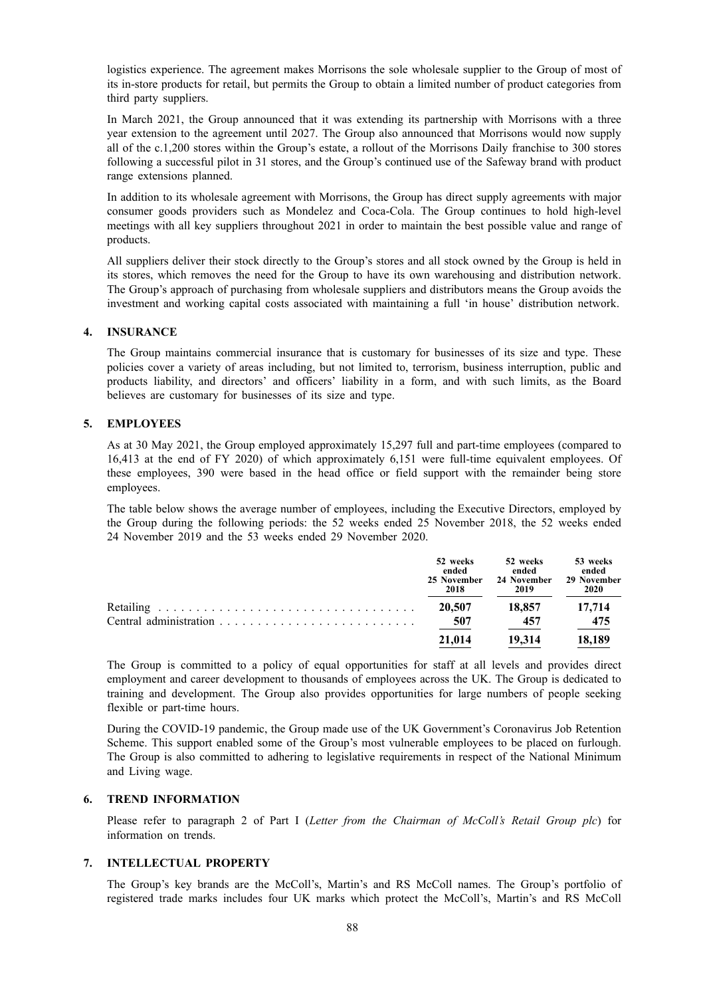logistics experience. The agreement makes Morrisons the sole wholesale supplier to the Group of most of its in-store products for retail, but permits the Group to obtain a limited number of product categories from third party suppliers.

In March 2021, the Group announced that it was extending its partnership with Morrisons with a three year extension to the agreement until 2027. The Group also announced that Morrisons would now supply all of the c.1,200 stores within the Group's estate, a rollout of the Morrisons Daily franchise to 300 stores following a successful pilot in 31 stores, and the Group's continued use of the Safeway brand with product range extensions planned.

In addition to its wholesale agreement with Morrisons, the Group has direct supply agreements with major consumer goods providers such as Mondelez and Coca-Cola. The Group continues to hold high-level meetings with all key suppliers throughout 2021 in order to maintain the best possible value and range of products.

All suppliers deliver their stock directly to the Group's stores and all stock owned by the Group is held in its stores, which removes the need for the Group to have its own warehousing and distribution network. The Group's approach of purchasing from wholesale suppliers and distributors means the Group avoids the investment and working capital costs associated with maintaining a full 'in house' distribution network.

# **4. INSURANCE**

The Group maintains commercial insurance that is customary for businesses of its size and type. These policies cover a variety of areas including, but not limited to, terrorism, business interruption, public and products liability, and directors' and officers' liability in a form, and with such limits, as the Board believes are customary for businesses of its size and type.

## **5. EMPLOYEES**

As at 30 May 2021, the Group employed approximately 15,297 full and part-time employees (compared to 16,413 at the end of FY 2020) of which approximately 6,151 were full-time equivalent employees. Of these employees, 390 were based in the head office or field support with the remainder being store employees.

The table below shows the average number of employees, including the Executive Directors, employed by the Group during the following periods: the 52 weeks ended 25 November 2018, the 52 weeks ended 24 November 2019 and the 53 weeks ended 29 November 2020.

| 52 weeks<br>ended<br>25 November<br>2018 | 52 weeks<br>ended<br>24 November<br>2019 | 53 weeks<br>ended<br>29 November<br>2020 |
|------------------------------------------|------------------------------------------|------------------------------------------|
| 20,507                                   | 18.857                                   | 17.714                                   |
| 507                                      | 457                                      | 475                                      |
| 21,014                                   | 19.314                                   | 18.189                                   |

The Group is committed to a policy of equal opportunities for staff at all levels and provides direct employment and career development to thousands of employees across the UK. The Group is dedicated to training and development. The Group also provides opportunities for large numbers of people seeking flexible or part-time hours.

During the COVID-19 pandemic, the Group made use of the UK Government's Coronavirus Job Retention Scheme. This support enabled some of the Group's most vulnerable employees to be placed on furlough. The Group is also committed to adhering to legislative requirements in respect of the National Minimum and Living wage.

# **6. TREND INFORMATION**

Please refer to paragraph 2 of Part I (*Letter from the Chairman of McColl's Retail Group plc*) for information on trends.

# **7. INTELLECTUAL PROPERTY**

The Group's key brands are the McColl's, Martin's and RS McColl names. The Group's portfolio of registered trade marks includes four UK marks which protect the McColl's, Martin's and RS McColl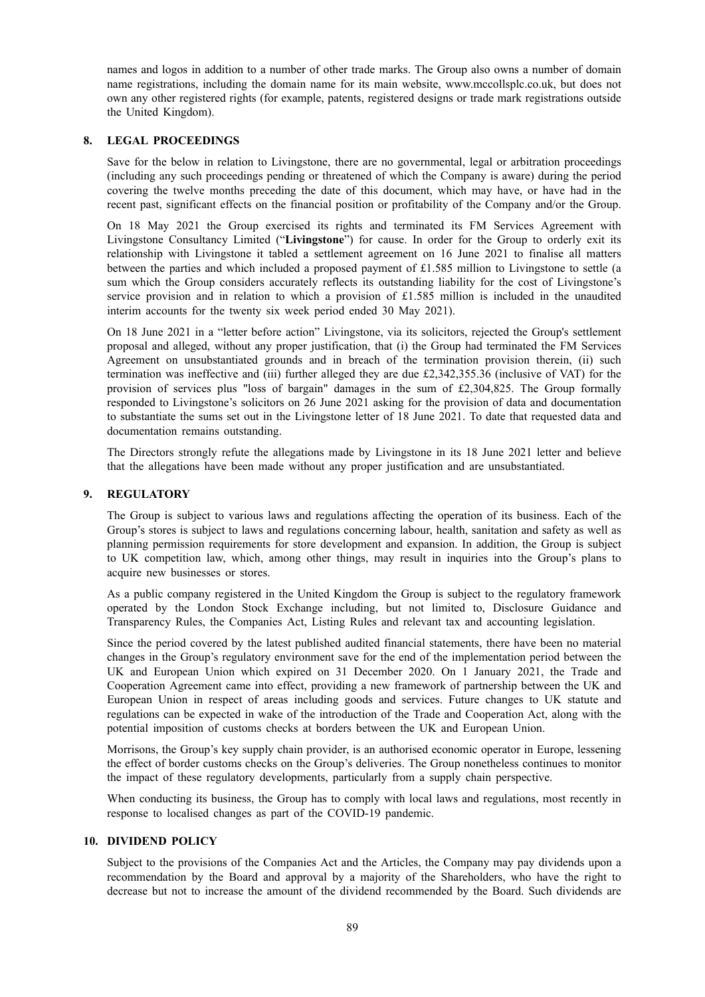names and logos in addition to a number of other trade marks. The Group also owns a number of domain name registrations, including the domain name for its main website, www.mccollsplc.co.uk, but does not own any other registered rights (for example, patents, registered designs or trade mark registrations outside the United Kingdom).

# **8. LEGAL PROCEEDINGS**

Save for the below in relation to Livingstone, there are no governmental, legal or arbitration proceedings (including any such proceedings pending or threatened of which the Company is aware) during the period covering the twelve months preceding the date of this document, which may have, or have had in the recent past, significant effects on the financial position or profitability of the Company and/or the Group.

On 18 May 2021 the Group exercised its rights and terminated its FM Services Agreement with Livingstone Consultancy Limited ("**Livingstone**") for cause. In order for the Group to orderly exit its relationship with Livingstone it tabled a settlement agreement on 16 June 2021 to finalise all matters between the parties and which included a proposed payment of £1.585 million to Livingstone to settle (a sum which the Group considers accurately reflects its outstanding liability for the cost of Livingstone's service provision and in relation to which a provision of £1.585 million is included in the unaudited interim accounts for the twenty six week period ended 30 May 2021).

On 18 June 2021 in a "letter before action" Livingstone, via its solicitors, rejected the Group's settlement proposal and alleged, without any proper justification, that (i) the Group had terminated the FM Services Agreement on unsubstantiated grounds and in breach of the termination provision therein, (ii) such termination was ineffective and (iii) further alleged they are due £2,342,355.36 (inclusive of VAT) for the provision of services plus "loss of bargain" damages in the sum of £2,304,825. The Group formally responded to Livingstone's solicitors on 26 June 2021 asking for the provision of data and documentation to substantiate the sums set out in the Livingstone letter of 18 June 2021. To date that requested data and documentation remains outstanding.

The Directors strongly refute the allegations made by Livingstone in its 18 June 2021 letter and believe that the allegations have been made without any proper justification and are unsubstantiated.

# **9. REGULATORY**

The Group is subject to various laws and regulations affecting the operation of its business. Each of the Group's stores is subject to laws and regulations concerning labour, health, sanitation and safety as well as planning permission requirements for store development and expansion. In addition, the Group is subject to UK competition law, which, among other things, may result in inquiries into the Group's plans to acquire new businesses or stores.

As a public company registered in the United Kingdom the Group is subject to the regulatory framework operated by the London Stock Exchange including, but not limited to, Disclosure Guidance and Transparency Rules, the Companies Act, Listing Rules and relevant tax and accounting legislation.

Since the period covered by the latest published audited financial statements, there have been no material changes in the Group's regulatory environment save for the end of the implementation period between the UK and European Union which expired on 31 December 2020. On 1 January 2021, the Trade and Cooperation Agreement came into effect, providing a new framework of partnership between the UK and European Union in respect of areas including goods and services. Future changes to UK statute and regulations can be expected in wake of the introduction of the Trade and Cooperation Act, along with the potential imposition of customs checks at borders between the UK and European Union.

Morrisons, the Group's key supply chain provider, is an authorised economic operator in Europe, lessening the effect of border customs checks on the Group's deliveries. The Group nonetheless continues to monitor the impact of these regulatory developments, particularly from a supply chain perspective.

When conducting its business, the Group has to comply with local laws and regulations, most recently in response to localised changes as part of the COVID-19 pandemic.

# **10. DIVIDEND POLICY**

Subject to the provisions of the Companies Act and the Articles, the Company may pay dividends upon a recommendation by the Board and approval by a majority of the Shareholders, who have the right to decrease but not to increase the amount of the dividend recommended by the Board. Such dividends are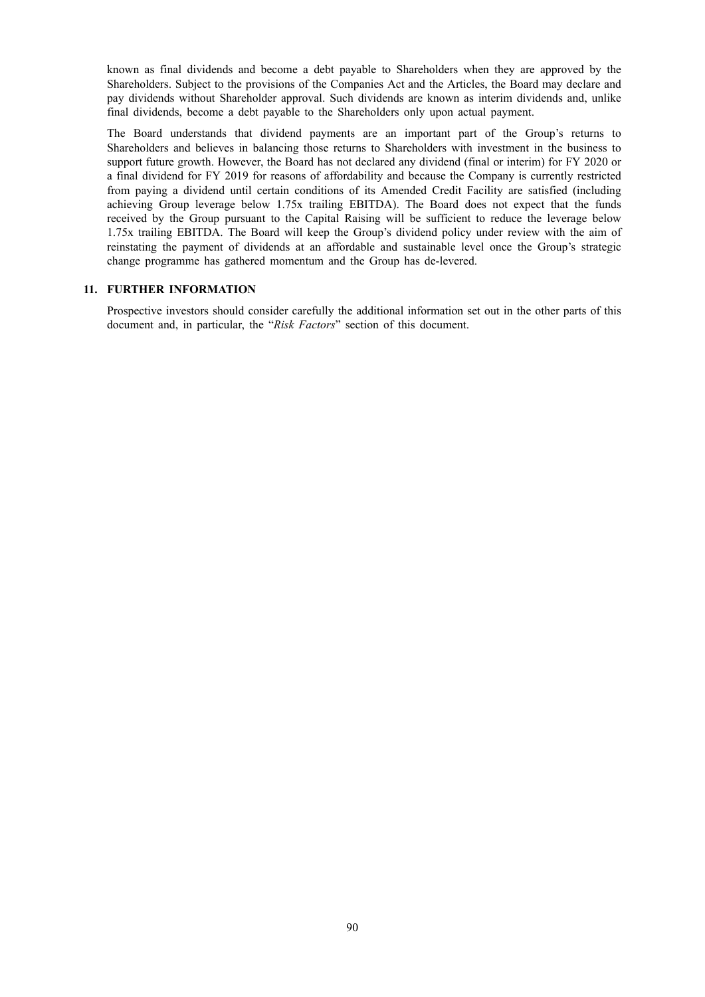known as final dividends and become a debt payable to Shareholders when they are approved by the Shareholders. Subject to the provisions of the Companies Act and the Articles, the Board may declare and pay dividends without Shareholder approval. Such dividends are known as interim dividends and, unlike final dividends, become a debt payable to the Shareholders only upon actual payment.

The Board understands that dividend payments are an important part of the Group's returns to Shareholders and believes in balancing those returns to Shareholders with investment in the business to support future growth. However, the Board has not declared any dividend (final or interim) for FY 2020 or a final dividend for FY 2019 for reasons of affordability and because the Company is currently restricted from paying a dividend until certain conditions of its Amended Credit Facility are satisfied (including achieving Group leverage below 1.75x trailing EBITDA). The Board does not expect that the funds received by the Group pursuant to the Capital Raising will be sufficient to reduce the leverage below 1.75x trailing EBITDA. The Board will keep the Group's dividend policy under review with the aim of reinstating the payment of dividends at an affordable and sustainable level once the Group's strategic change programme has gathered momentum and the Group has de-levered.

## **11. FURTHER INFORMATION**

Prospective investors should consider carefully the additional information set out in the other parts of this document and, in particular, the "*Risk Factors*" section of this document.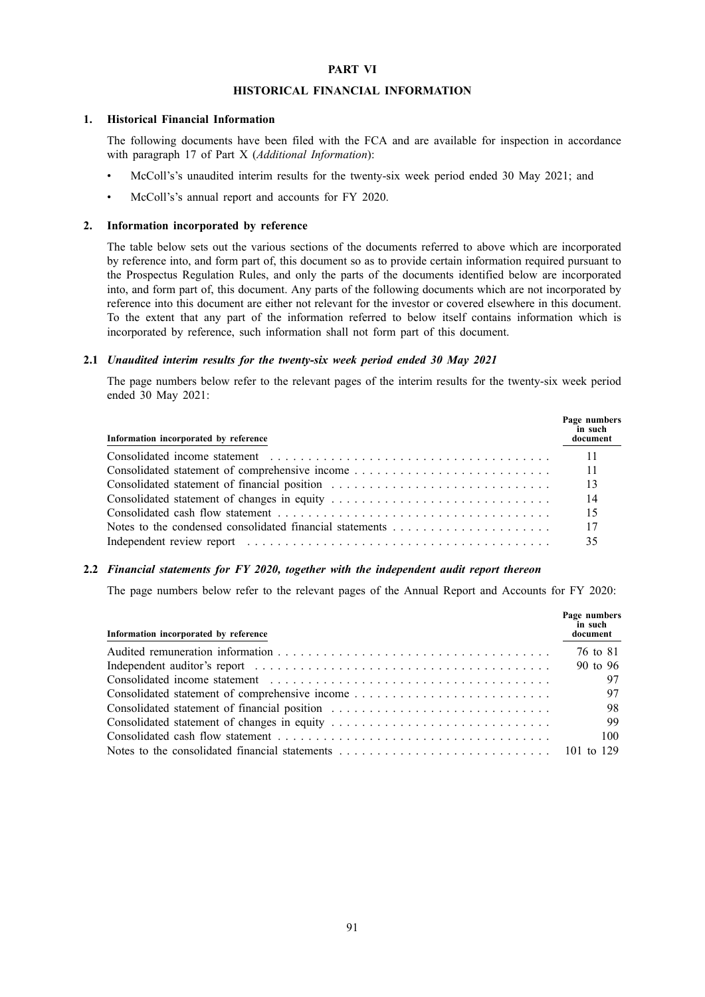## **PART VI**

#### **HISTORICAL FINANCIAL INFORMATION**

#### **1. Historical Financial Information**

The following documents have been filed with the FCA and are available for inspection in accordance with paragraph 17 of Part X (*Additional Information*):

- McColl's's unaudited interim results for the twenty-six week period ended 30 May 2021; and
- McColl's's annual report and accounts for FY 2020.

#### **2. Information incorporated by reference**

The table below sets out the various sections of the documents referred to above which are incorporated by reference into, and form part of, this document so as to provide certain information required pursuant to the Prospectus Regulation Rules, and only the parts of the documents identified below are incorporated into, and form part of, this document. Any parts of the following documents which are not incorporated by reference into this document are either not relevant for the investor or covered elsewhere in this document. To the extent that any part of the information referred to below itself contains information which is incorporated by reference, such information shall not form part of this document.

#### **2.1** *Unaudited interim results for the twenty-six week period ended 30 May 2021*

The page numbers below refer to the relevant pages of the interim results for the twenty-six week period ended 30 May 2021:

| Information incorporated by reference                    | Page numbers<br>in such<br>document |
|----------------------------------------------------------|-------------------------------------|
|                                                          |                                     |
| Consolidated statement of comprehensive income           | -11                                 |
| Consolidated statement of financial position             | - 13                                |
|                                                          | - 14                                |
|                                                          | -15                                 |
| Notes to the condensed consolidated financial statements | - 17                                |
|                                                          | 35                                  |

## **2.2** *Financial statements for FY 2020, together with the independent audit report thereon*

The page numbers below refer to the relevant pages of the Annual Report and Accounts for FY 2020:

| Information incorporated by reference          | Page numbers<br>in such<br>document |
|------------------------------------------------|-------------------------------------|
|                                                | 76 to 81                            |
|                                                | 90 to 96                            |
|                                                | 97                                  |
| Consolidated statement of comprehensive income | 97                                  |
| Consolidated statement of financial position   | 98                                  |
|                                                | 99                                  |
|                                                | 100                                 |
|                                                |                                     |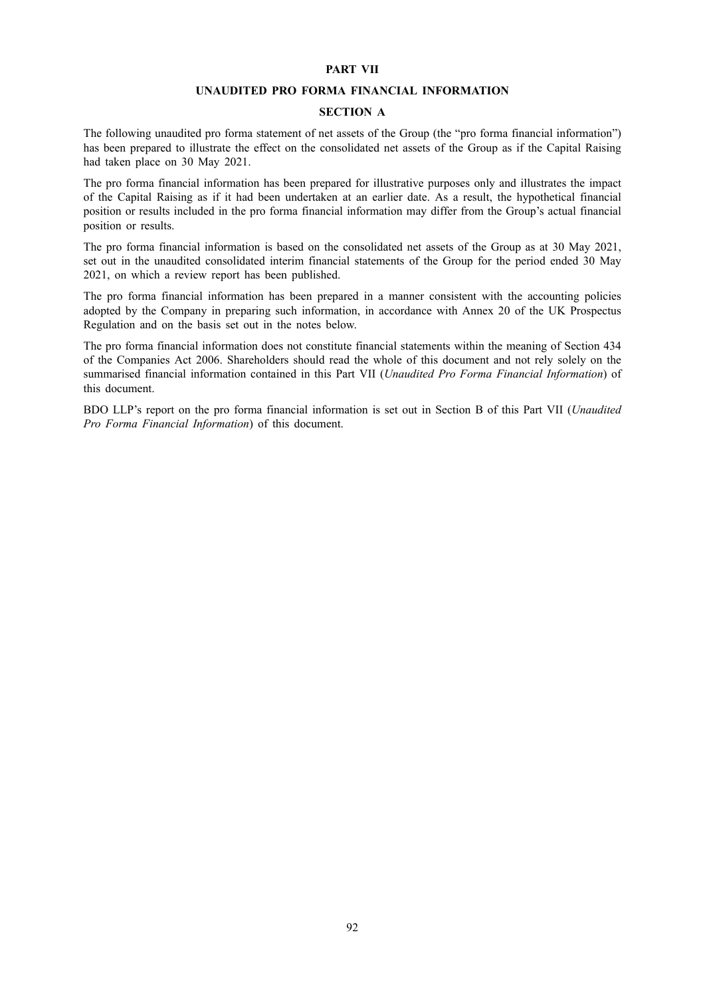#### **PART VII**

#### **UNAUDITED PRO FORMA FINANCIAL INFORMATION**

# **SECTION A**

The following unaudited pro forma statement of net assets of the Group (the "pro forma financial information") has been prepared to illustrate the effect on the consolidated net assets of the Group as if the Capital Raising had taken place on 30 May 2021.

The pro forma financial information has been prepared for illustrative purposes only and illustrates the impact of the Capital Raising as if it had been undertaken at an earlier date. As a result, the hypothetical financial position or results included in the pro forma financial information may differ from the Group's actual financial position or results.

The pro forma financial information is based on the consolidated net assets of the Group as at 30 May 2021, set out in the unaudited consolidated interim financial statements of the Group for the period ended 30 May 2021, on which a review report has been published.

The pro forma financial information has been prepared in a manner consistent with the accounting policies adopted by the Company in preparing such information, in accordance with Annex 20 of the UK Prospectus Regulation and on the basis set out in the notes below.

The pro forma financial information does not constitute financial statements within the meaning of Section 434 of the Companies Act 2006. Shareholders should read the whole of this document and not rely solely on the summarised financial information contained in this Part VII (*Unaudited Pro Forma Financial Information*) of this document.

BDO LLP's report on the pro forma financial information is set out in Section B of this Part VII (*Unaudited Pro Forma Financial Information*) of this document.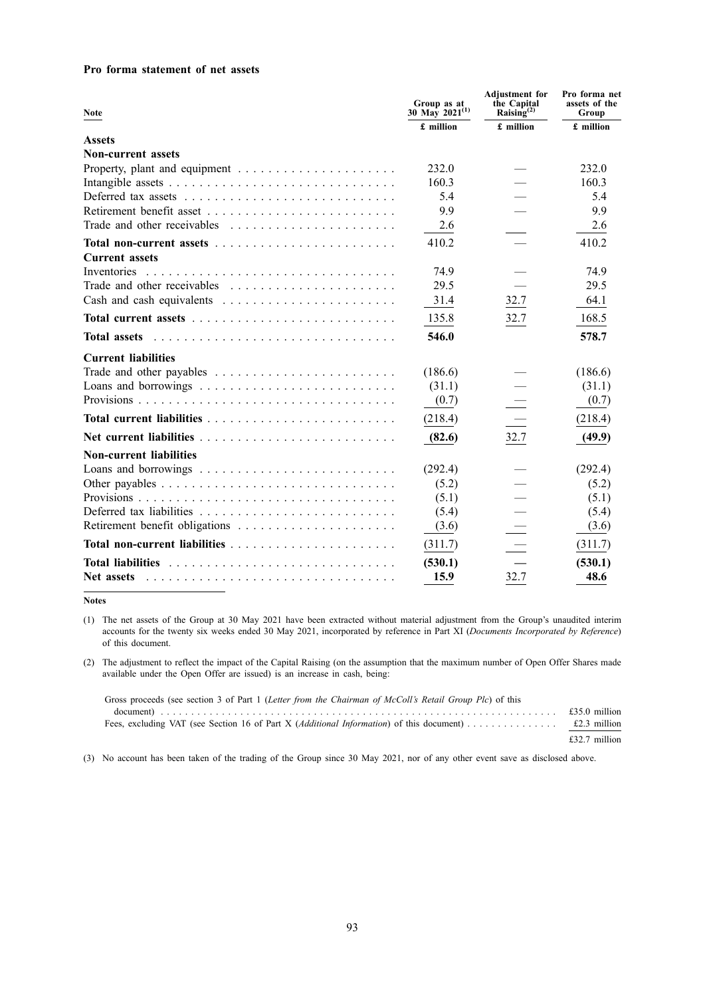## **Pro forma statement of net assets**

| <b>Note</b>                                                               | Group as at<br>30 May 2021 <sup>(1)</sup> | <b>Adjustment</b> for<br>the Capital<br>Raising $^{(2)}$ | Pro forma net<br>assets of the<br>Group |
|---------------------------------------------------------------------------|-------------------------------------------|----------------------------------------------------------|-----------------------------------------|
|                                                                           | £ million                                 | £ million                                                | £ million                               |
| <b>Assets</b>                                                             |                                           |                                                          |                                         |
| <b>Non-current assets</b>                                                 |                                           |                                                          |                                         |
| Property, plant and equipment $\dots \dots \dots \dots \dots \dots \dots$ | 232.0                                     |                                                          | 232.0                                   |
|                                                                           | 160.3                                     |                                                          | 160.3                                   |
|                                                                           | 5.4                                       |                                                          | 5.4                                     |
|                                                                           | 9.9                                       |                                                          | 9.9                                     |
| Trade and other receivables                                               | 2.6                                       |                                                          | 2.6                                     |
|                                                                           | 410.2                                     |                                                          | 410.2                                   |
| <b>Current assets</b>                                                     |                                           |                                                          |                                         |
| Inventories                                                               | 74.9                                      |                                                          | 74.9                                    |
|                                                                           | 29.5                                      |                                                          | 29.5                                    |
|                                                                           | 31.4                                      | 32.7                                                     | 64.1                                    |
|                                                                           | 135.8                                     | 32.7                                                     | 168.5                                   |
| <b>Total assets</b>                                                       | 546.0                                     |                                                          | 578.7                                   |
| <b>Current liabilities</b>                                                |                                           |                                                          |                                         |
|                                                                           | (186.6)                                   |                                                          | (186.6)                                 |
|                                                                           | (31.1)                                    |                                                          | (31.1)                                  |
|                                                                           | (0.7)                                     |                                                          | (0.7)                                   |
|                                                                           | (218.4)                                   |                                                          | (218.4)                                 |
|                                                                           | (82.6)                                    | 32.7                                                     | (49.9)                                  |
| <b>Non-current liabilities</b>                                            |                                           |                                                          |                                         |
|                                                                           | (292.4)                                   |                                                          | (292.4)                                 |
|                                                                           | (5.2)                                     |                                                          | (5.2)                                   |
|                                                                           | (5.1)                                     |                                                          | (5.1)                                   |
|                                                                           | (5.4)                                     |                                                          | (5.4)                                   |
|                                                                           | (3.6)                                     |                                                          | (3.6)                                   |
|                                                                           | (311.7)                                   |                                                          | (311.7)                                 |
| <b>Total liabilities</b>                                                  | (530.1)                                   |                                                          | (530.1)                                 |
| Net assets                                                                | 15.9                                      | 32.7                                                     | 48.6                                    |

**Notes**

(1) The net assets of the Group at 30 May 2021 have been extracted without material adjustment from the Group's unaudited interim accounts for the twenty six weeks ended 30 May 2021, incorporated by reference in Part XI (*Documents Incorporated by Reference*) of this document.

(2) The adjustment to reflect the impact of the Capital Raising (on the assumption that the maximum number of Open Offer Shares made available under the Open Offer are issued) is an increase in cash, being:

| Gross proceeds (see section 3 of Part 1 (Letter from the Chairman of McColl's Retail Group Plc) of this                                                                                                                                             |               |
|-----------------------------------------------------------------------------------------------------------------------------------------------------------------------------------------------------------------------------------------------------|---------------|
| document) $\ldots$ $\ldots$ $\ldots$ $\ldots$ $\ldots$ $\ldots$ $\ldots$ $\ldots$ $\ldots$ $\ldots$ $\ldots$ $\ldots$ $\ldots$ $\ldots$ $\ldots$ $\ldots$ $\ldots$ $\ldots$ $\ldots$ $\ldots$ $\ldots$ $\ldots$ $\ldots$ $\ldots$ $\ldots$ $\ldots$ |               |
|                                                                                                                                                                                                                                                     |               |
|                                                                                                                                                                                                                                                     | £32.7 million |

(3) No account has been taken of the trading of the Group since 30 May 2021, nor of any other event save as disclosed above.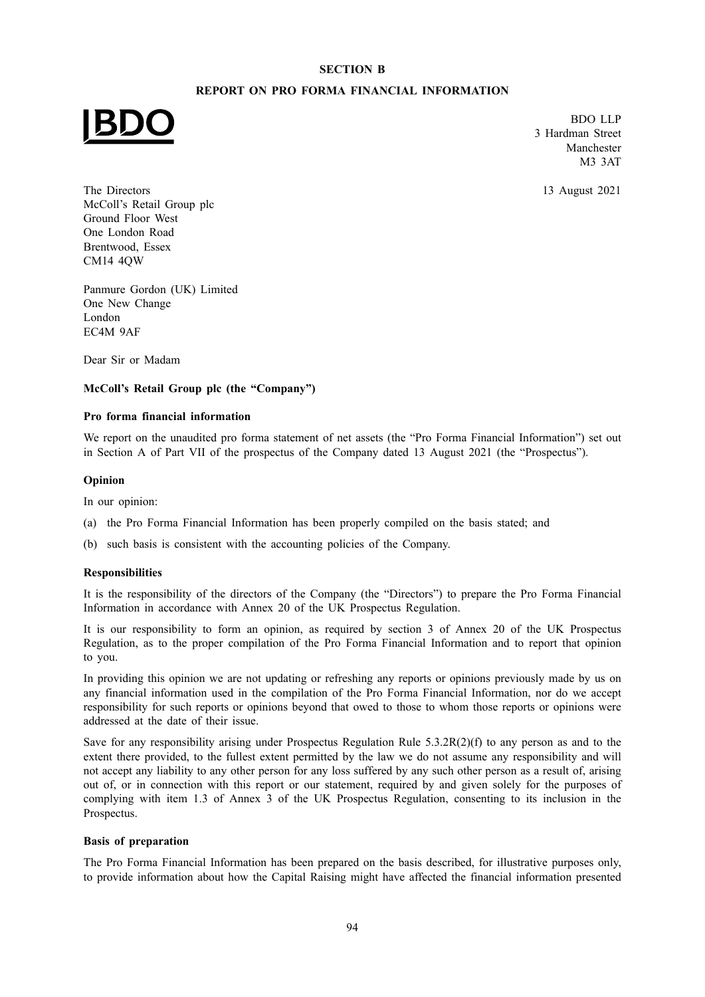# **SECTION B**

# **REPORT ON PRO FORMA FINANCIAL INFORMATION**



BDO LLP 3 Hardman Street Manchester M3 3AT

13 August 2021

The Directors McColl's Retail Group plc Ground Floor West One London Road Brentwood, Essex CM14 4QW

Panmure Gordon (UK) Limited One New Change London EC4M 9AF

Dear Sir or Madam

# **McColl's Retail Group plc (the "Company")**

## **Pro forma financial information**

We report on the unaudited pro forma statement of net assets (the "Pro Forma Financial Information") set out in Section A of Part VII of the prospectus of the Company dated 13 August 2021 (the "Prospectus").

## **Opinion**

In our opinion:

- (a) the Pro Forma Financial Information has been properly compiled on the basis stated; and
- (b) such basis is consistent with the accounting policies of the Company.

# **Responsibilities**

It is the responsibility of the directors of the Company (the "Directors") to prepare the Pro Forma Financial Information in accordance with Annex 20 of the UK Prospectus Regulation.

It is our responsibility to form an opinion, as required by section 3 of Annex 20 of the UK Prospectus Regulation, as to the proper compilation of the Pro Forma Financial Information and to report that opinion to you.

In providing this opinion we are not updating or refreshing any reports or opinions previously made by us on any financial information used in the compilation of the Pro Forma Financial Information, nor do we accept responsibility for such reports or opinions beyond that owed to those to whom those reports or opinions were addressed at the date of their issue.

Save for any responsibility arising under Prospectus Regulation Rule 5.3.2R(2)(f) to any person as and to the extent there provided, to the fullest extent permitted by the law we do not assume any responsibility and will not accept any liability to any other person for any loss suffered by any such other person as a result of, arising out of, or in connection with this report or our statement, required by and given solely for the purposes of complying with item 1.3 of Annex 3 of the UK Prospectus Regulation, consenting to its inclusion in the Prospectus.

### **Basis of preparation**

The Pro Forma Financial Information has been prepared on the basis described, for illustrative purposes only, to provide information about how the Capital Raising might have affected the financial information presented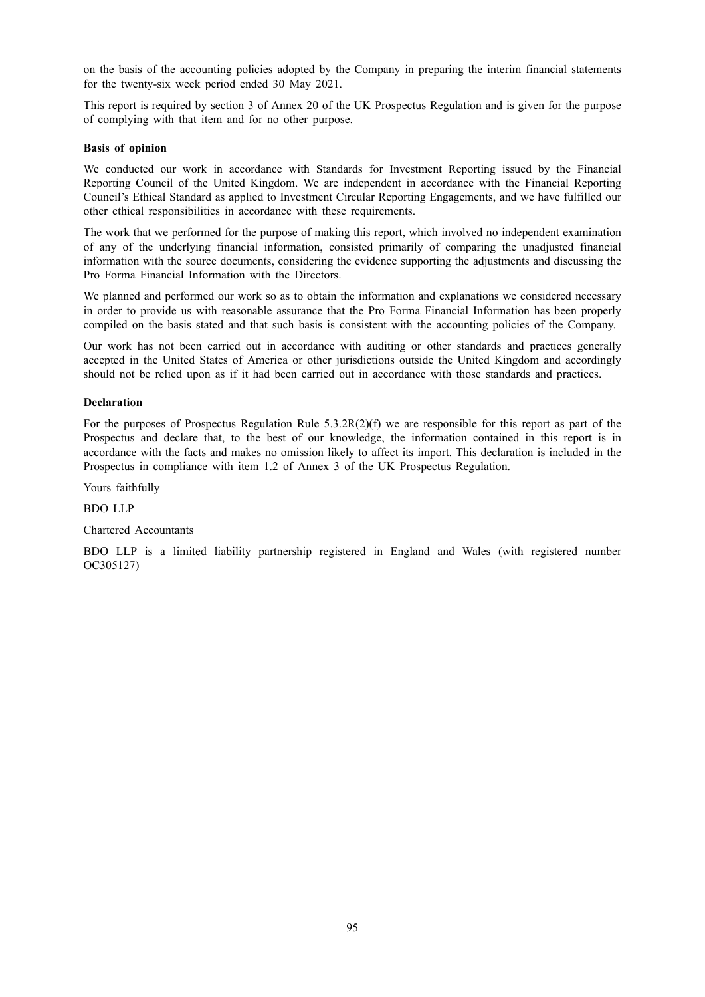on the basis of the accounting policies adopted by the Company in preparing the interim financial statements for the twenty-six week period ended 30 May 2021.

This report is required by section 3 of Annex 20 of the UK Prospectus Regulation and is given for the purpose of complying with that item and for no other purpose.

# **Basis of opinion**

We conducted our work in accordance with Standards for Investment Reporting issued by the Financial Reporting Council of the United Kingdom. We are independent in accordance with the Financial Reporting Council's Ethical Standard as applied to Investment Circular Reporting Engagements, and we have fulfilled our other ethical responsibilities in accordance with these requirements.

The work that we performed for the purpose of making this report, which involved no independent examination of any of the underlying financial information, consisted primarily of comparing the unadjusted financial information with the source documents, considering the evidence supporting the adjustments and discussing the Pro Forma Financial Information with the Directors.

We planned and performed our work so as to obtain the information and explanations we considered necessary in order to provide us with reasonable assurance that the Pro Forma Financial Information has been properly compiled on the basis stated and that such basis is consistent with the accounting policies of the Company.

Our work has not been carried out in accordance with auditing or other standards and practices generally accepted in the United States of America or other jurisdictions outside the United Kingdom and accordingly should not be relied upon as if it had been carried out in accordance with those standards and practices.

# **Declaration**

For the purposes of Prospectus Regulation Rule  $5.3.2R(2)(f)$  we are responsible for this report as part of the Prospectus and declare that, to the best of our knowledge, the information contained in this report is in accordance with the facts and makes no omission likely to affect its import. This declaration is included in the Prospectus in compliance with item 1.2 of Annex 3 of the UK Prospectus Regulation.

Yours faithfully

BDO LLP

#### Chartered Accountants

BDO LLP is a limited liability partnership registered in England and Wales (with registered number OC305127)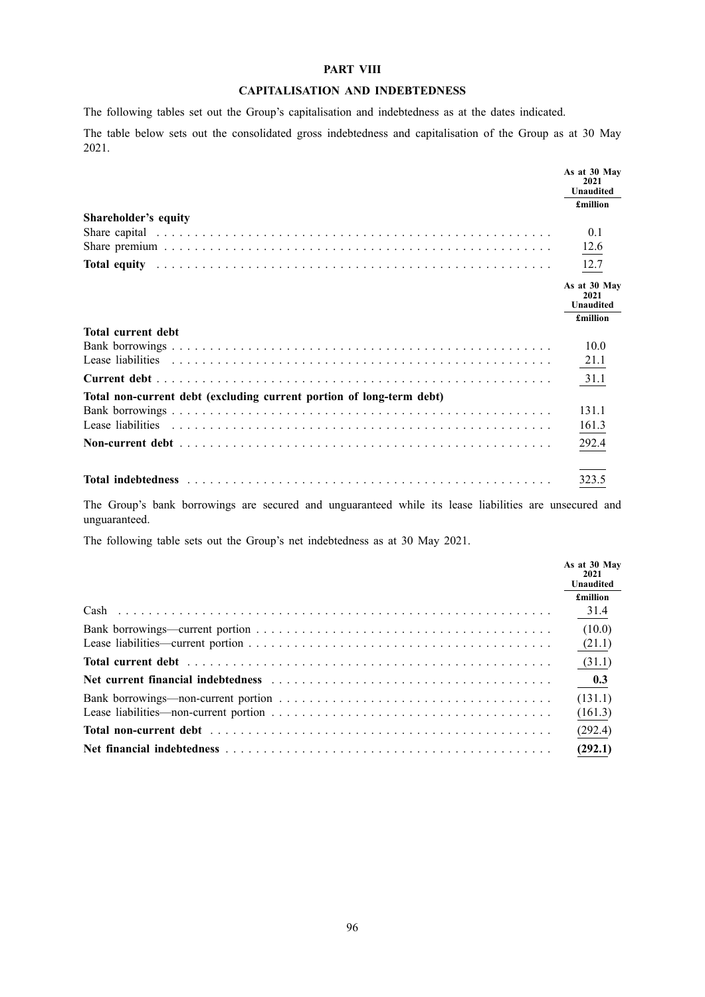## **PART VIII**

# **CAPITALISATION AND INDEBTEDNESS**

The following tables set out the Group's capitalisation and indebtedness as at the dates indicated.

The table below sets out the consolidated gross indebtedness and capitalisation of the Group as at 30 May 2021.

|                                                                                                                                                                                                                                | As at 30 May<br>2021<br><b>Unaudited</b> |
|--------------------------------------------------------------------------------------------------------------------------------------------------------------------------------------------------------------------------------|------------------------------------------|
|                                                                                                                                                                                                                                | <b>£million</b>                          |
| Shareholder's equity                                                                                                                                                                                                           |                                          |
|                                                                                                                                                                                                                                | 0.1                                      |
|                                                                                                                                                                                                                                | 12.6                                     |
| Total equity (and the contract of the contract of the contract of the contract of the contract of the contract of the contract of the contract of the contract of the contract of the contract of the contract of the contract | 12.7                                     |
|                                                                                                                                                                                                                                | As at 30 May<br>2021<br><b>Unaudited</b> |
|                                                                                                                                                                                                                                | £million                                 |
| <b>Total current debt</b>                                                                                                                                                                                                      |                                          |
|                                                                                                                                                                                                                                | 10.0                                     |
|                                                                                                                                                                                                                                | 21.1                                     |
|                                                                                                                                                                                                                                | 31.1                                     |
| Total non-current debt (excluding current portion of long-term debt)                                                                                                                                                           |                                          |
|                                                                                                                                                                                                                                | 131.1                                    |
|                                                                                                                                                                                                                                | 161.3                                    |
|                                                                                                                                                                                                                                | 292.4                                    |
|                                                                                                                                                                                                                                | 323.5                                    |

The Group's bank borrowings are secured and unguaranteed while its lease liabilities are unsecured and unguaranteed.

The following table sets out the Group's net indebtedness as at 30 May 2021.

| As at 30 May<br>2021<br><b>Unaudited</b> |
|------------------------------------------|
| <b>£million</b>                          |
| 31.4                                     |
| (10.0)                                   |
| (21.1)                                   |
| (31.1)                                   |
|                                          |
| (131.1)                                  |
| (161.3)                                  |
| (292.4)                                  |
| (292.1)                                  |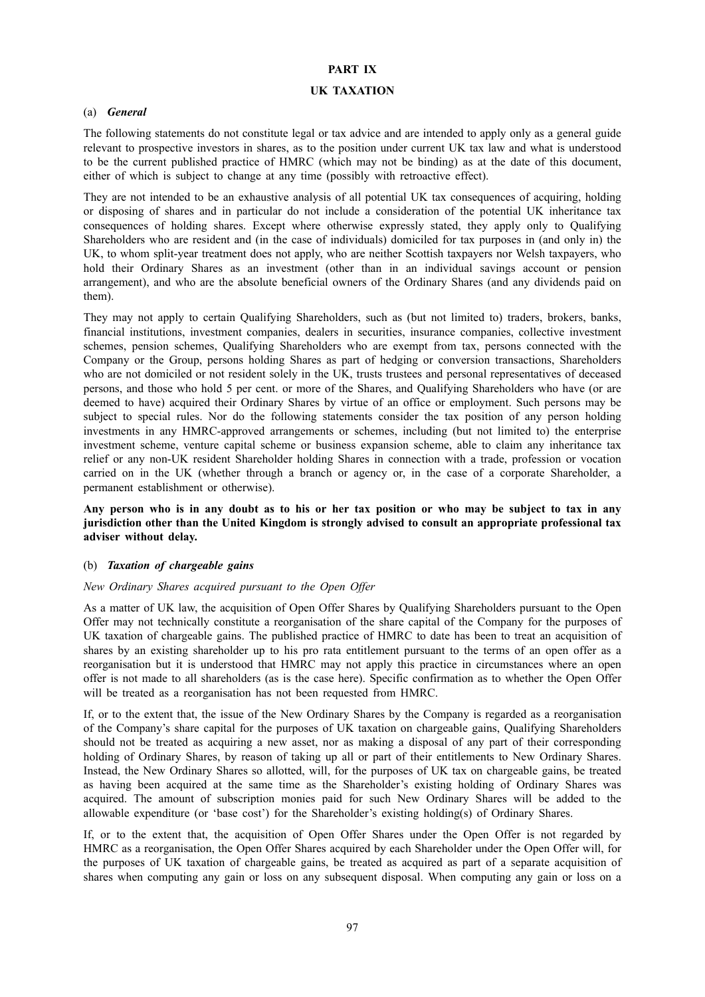# **PART IX**

#### **UK TAXATION**

#### (a) *General*

The following statements do not constitute legal or tax advice and are intended to apply only as a general guide relevant to prospective investors in shares, as to the position under current UK tax law and what is understood to be the current published practice of HMRC (which may not be binding) as at the date of this document, either of which is subject to change at any time (possibly with retroactive effect).

They are not intended to be an exhaustive analysis of all potential UK tax consequences of acquiring, holding or disposing of shares and in particular do not include a consideration of the potential UK inheritance tax consequences of holding shares. Except where otherwise expressly stated, they apply only to Qualifying Shareholders who are resident and (in the case of individuals) domiciled for tax purposes in (and only in) the UK, to whom split-year treatment does not apply, who are neither Scottish taxpayers nor Welsh taxpayers, who hold their Ordinary Shares as an investment (other than in an individual savings account or pension arrangement), and who are the absolute beneficial owners of the Ordinary Shares (and any dividends paid on them).

They may not apply to certain Qualifying Shareholders, such as (but not limited to) traders, brokers, banks, financial institutions, investment companies, dealers in securities, insurance companies, collective investment schemes, pension schemes, Qualifying Shareholders who are exempt from tax, persons connected with the Company or the Group, persons holding Shares as part of hedging or conversion transactions, Shareholders who are not domiciled or not resident solely in the UK, trusts trustees and personal representatives of deceased persons, and those who hold 5 per cent. or more of the Shares, and Qualifying Shareholders who have (or are deemed to have) acquired their Ordinary Shares by virtue of an office or employment. Such persons may be subject to special rules. Nor do the following statements consider the tax position of any person holding investments in any HMRC-approved arrangements or schemes, including (but not limited to) the enterprise investment scheme, venture capital scheme or business expansion scheme, able to claim any inheritance tax relief or any non-UK resident Shareholder holding Shares in connection with a trade, profession or vocation carried on in the UK (whether through a branch or agency or, in the case of a corporate Shareholder, a permanent establishment or otherwise).

Any person who is in any doubt as to his or her tax position or who may be subject to tax in any **jurisdiction other than the United Kingdom is strongly advised to consult an appropriate professional tax adviser without delay.**

## (b) *Taxation of chargeable gains*

#### *New Ordinary Shares acquired pursuant to the Open Offer*

As a matter of UK law, the acquisition of Open Offer Shares by Qualifying Shareholders pursuant to the Open Offer may not technically constitute a reorganisation of the share capital of the Company for the purposes of UK taxation of chargeable gains. The published practice of HMRC to date has been to treat an acquisition of shares by an existing shareholder up to his pro rata entitlement pursuant to the terms of an open offer as a reorganisation but it is understood that HMRC may not apply this practice in circumstances where an open offer is not made to all shareholders (as is the case here). Specific confirmation as to whether the Open Offer will be treated as a reorganisation has not been requested from HMRC.

If, or to the extent that, the issue of the New Ordinary Shares by the Company is regarded as a reorganisation of the Company's share capital for the purposes of UK taxation on chargeable gains, Qualifying Shareholders should not be treated as acquiring a new asset, nor as making a disposal of any part of their corresponding holding of Ordinary Shares, by reason of taking up all or part of their entitlements to New Ordinary Shares. Instead, the New Ordinary Shares so allotted, will, for the purposes of UK tax on chargeable gains, be treated as having been acquired at the same time as the Shareholder's existing holding of Ordinary Shares was acquired. The amount of subscription monies paid for such New Ordinary Shares will be added to the allowable expenditure (or 'base cost') for the Shareholder's existing holding(s) of Ordinary Shares.

If, or to the extent that, the acquisition of Open Offer Shares under the Open Offer is not regarded by HMRC as a reorganisation, the Open Offer Shares acquired by each Shareholder under the Open Offer will, for the purposes of UK taxation of chargeable gains, be treated as acquired as part of a separate acquisition of shares when computing any gain or loss on any subsequent disposal. When computing any gain or loss on a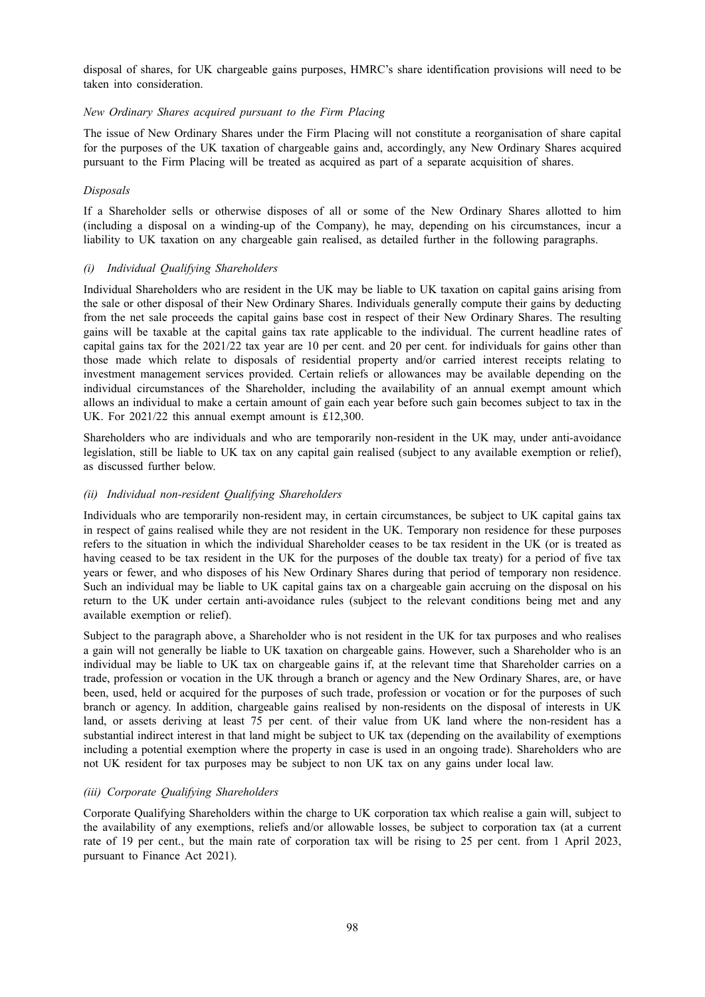disposal of shares, for UK chargeable gains purposes, HMRC's share identification provisions will need to be taken into consideration.

# *New Ordinary Shares acquired pursuant to the Firm Placing*

The issue of New Ordinary Shares under the Firm Placing will not constitute a reorganisation of share capital for the purposes of the UK taxation of chargeable gains and, accordingly, any New Ordinary Shares acquired pursuant to the Firm Placing will be treated as acquired as part of a separate acquisition of shares.

# *Disposals*

If a Shareholder sells or otherwise disposes of all or some of the New Ordinary Shares allotted to him (including a disposal on a winding-up of the Company), he may, depending on his circumstances, incur a liability to UK taxation on any chargeable gain realised, as detailed further in the following paragraphs.

## *(i) Individual Qualifying Shareholders*

Individual Shareholders who are resident in the UK may be liable to UK taxation on capital gains arising from the sale or other disposal of their New Ordinary Shares. Individuals generally compute their gains by deducting from the net sale proceeds the capital gains base cost in respect of their New Ordinary Shares. The resulting gains will be taxable at the capital gains tax rate applicable to the individual. The current headline rates of capital gains tax for the 2021/22 tax year are 10 per cent. and 20 per cent. for individuals for gains other than those made which relate to disposals of residential property and/or carried interest receipts relating to investment management services provided. Certain reliefs or allowances may be available depending on the individual circumstances of the Shareholder, including the availability of an annual exempt amount which allows an individual to make a certain amount of gain each year before such gain becomes subject to tax in the UK. For 2021/22 this annual exempt amount is £12,300.

Shareholders who are individuals and who are temporarily non-resident in the UK may, under anti-avoidance legislation, still be liable to UK tax on any capital gain realised (subject to any available exemption or relief), as discussed further below.

# *(ii) Individual non-resident Qualifying Shareholders*

Individuals who are temporarily non-resident may, in certain circumstances, be subject to UK capital gains tax in respect of gains realised while they are not resident in the UK. Temporary non residence for these purposes refers to the situation in which the individual Shareholder ceases to be tax resident in the UK (or is treated as having ceased to be tax resident in the UK for the purposes of the double tax treaty) for a period of five tax years or fewer, and who disposes of his New Ordinary Shares during that period of temporary non residence. Such an individual may be liable to UK capital gains tax on a chargeable gain accruing on the disposal on his return to the UK under certain anti-avoidance rules (subject to the relevant conditions being met and any available exemption or relief).

Subject to the paragraph above, a Shareholder who is not resident in the UK for tax purposes and who realises a gain will not generally be liable to UK taxation on chargeable gains. However, such a Shareholder who is an individual may be liable to UK tax on chargeable gains if, at the relevant time that Shareholder carries on a trade, profession or vocation in the UK through a branch or agency and the New Ordinary Shares, are, or have been, used, held or acquired for the purposes of such trade, profession or vocation or for the purposes of such branch or agency. In addition, chargeable gains realised by non-residents on the disposal of interests in UK land, or assets deriving at least 75 per cent. of their value from UK land where the non-resident has a substantial indirect interest in that land might be subject to UK tax (depending on the availability of exemptions including a potential exemption where the property in case is used in an ongoing trade). Shareholders who are not UK resident for tax purposes may be subject to non UK tax on any gains under local law.

#### *(iii) Corporate Qualifying Shareholders*

Corporate Qualifying Shareholders within the charge to UK corporation tax which realise a gain will, subject to the availability of any exemptions, reliefs and/or allowable losses, be subject to corporation tax (at a current rate of 19 per cent., but the main rate of corporation tax will be rising to 25 per cent. from 1 April 2023, pursuant to Finance Act 2021).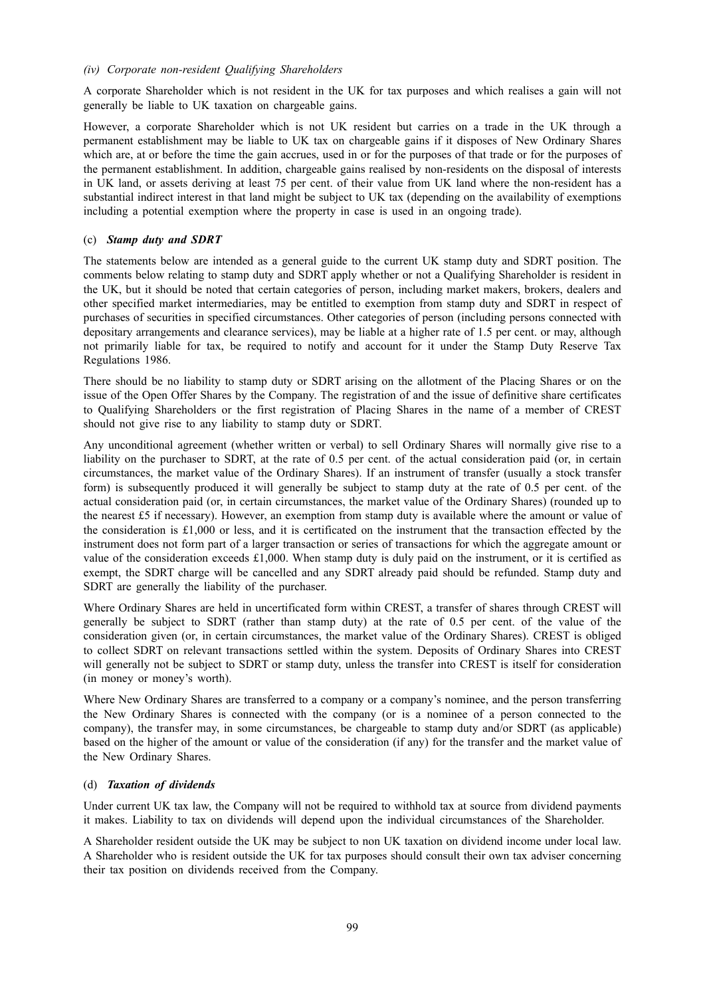# *(iv) Corporate non-resident Qualifying Shareholders*

A corporate Shareholder which is not resident in the UK for tax purposes and which realises a gain will not generally be liable to UK taxation on chargeable gains.

However, a corporate Shareholder which is not UK resident but carries on a trade in the UK through a permanent establishment may be liable to UK tax on chargeable gains if it disposes of New Ordinary Shares which are, at or before the time the gain accrues, used in or for the purposes of that trade or for the purposes of the permanent establishment. In addition, chargeable gains realised by non-residents on the disposal of interests in UK land, or assets deriving at least 75 per cent. of their value from UK land where the non-resident has a substantial indirect interest in that land might be subject to UK tax (depending on the availability of exemptions including a potential exemption where the property in case is used in an ongoing trade).

# (c) *Stamp duty and SDRT*

The statements below are intended as a general guide to the current UK stamp duty and SDRT position. The comments below relating to stamp duty and SDRT apply whether or not a Qualifying Shareholder is resident in the UK, but it should be noted that certain categories of person, including market makers, brokers, dealers and other specified market intermediaries, may be entitled to exemption from stamp duty and SDRT in respect of purchases of securities in specified circumstances. Other categories of person (including persons connected with depositary arrangements and clearance services), may be liable at a higher rate of 1.5 per cent. or may, although not primarily liable for tax, be required to notify and account for it under the Stamp Duty Reserve Tax Regulations 1986.

There should be no liability to stamp duty or SDRT arising on the allotment of the Placing Shares or on the issue of the Open Offer Shares by the Company. The registration of and the issue of definitive share certificates to Qualifying Shareholders or the first registration of Placing Shares in the name of a member of CREST should not give rise to any liability to stamp duty or SDRT.

Any unconditional agreement (whether written or verbal) to sell Ordinary Shares will normally give rise to a liability on the purchaser to SDRT, at the rate of 0.5 per cent. of the actual consideration paid (or, in certain circumstances, the market value of the Ordinary Shares). If an instrument of transfer (usually a stock transfer form) is subsequently produced it will generally be subject to stamp duty at the rate of 0.5 per cent. of the actual consideration paid (or, in certain circumstances, the market value of the Ordinary Shares) (rounded up to the nearest £5 if necessary). However, an exemption from stamp duty is available where the amount or value of the consideration is £1,000 or less, and it is certificated on the instrument that the transaction effected by the instrument does not form part of a larger transaction or series of transactions for which the aggregate amount or value of the consideration exceeds £1,000. When stamp duty is duly paid on the instrument, or it is certified as exempt, the SDRT charge will be cancelled and any SDRT already paid should be refunded. Stamp duty and SDRT are generally the liability of the purchaser.

Where Ordinary Shares are held in uncertificated form within CREST, a transfer of shares through CREST will generally be subject to SDRT (rather than stamp duty) at the rate of 0.5 per cent. of the value of the consideration given (or, in certain circumstances, the market value of the Ordinary Shares). CREST is obliged to collect SDRT on relevant transactions settled within the system. Deposits of Ordinary Shares into CREST will generally not be subject to SDRT or stamp duty, unless the transfer into CREST is itself for consideration (in money or money's worth).

Where New Ordinary Shares are transferred to a company or a company's nominee, and the person transferring the New Ordinary Shares is connected with the company (or is a nominee of a person connected to the company), the transfer may, in some circumstances, be chargeable to stamp duty and/or SDRT (as applicable) based on the higher of the amount or value of the consideration (if any) for the transfer and the market value of the New Ordinary Shares.

# (d) *Taxation of dividends*

Under current UK tax law, the Company will not be required to withhold tax at source from dividend payments it makes. Liability to tax on dividends will depend upon the individual circumstances of the Shareholder.

A Shareholder resident outside the UK may be subject to non UK taxation on dividend income under local law. A Shareholder who is resident outside the UK for tax purposes should consult their own tax adviser concerning their tax position on dividends received from the Company.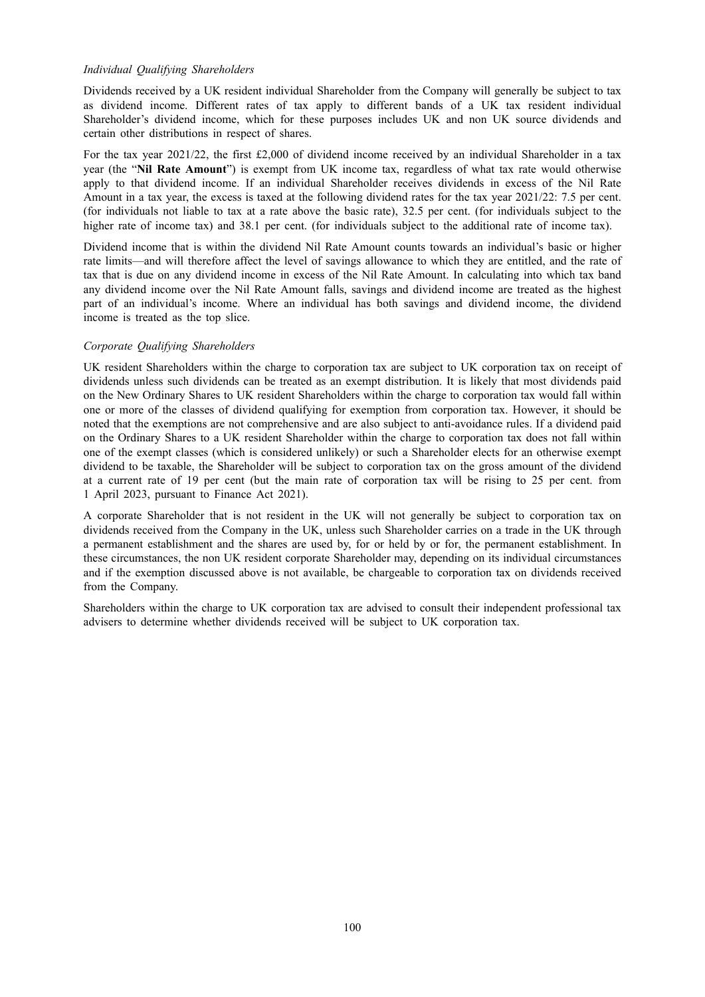# *Individual Qualifying Shareholders*

Dividends received by a UK resident individual Shareholder from the Company will generally be subject to tax as dividend income. Different rates of tax apply to different bands of a UK tax resident individual Shareholder's dividend income, which for these purposes includes UK and non UK source dividends and certain other distributions in respect of shares.

For the tax year 2021/22, the first £2,000 of dividend income received by an individual Shareholder in a tax year (the "**Nil Rate Amount**") is exempt from UK income tax, regardless of what tax rate would otherwise apply to that dividend income. If an individual Shareholder receives dividends in excess of the Nil Rate Amount in a tax year, the excess is taxed at the following dividend rates for the tax year 2021/22: 7.5 per cent. (for individuals not liable to tax at a rate above the basic rate), 32.5 per cent. (for individuals subject to the higher rate of income tax) and 38.1 per cent. (for individuals subject to the additional rate of income tax).

Dividend income that is within the dividend Nil Rate Amount counts towards an individual's basic or higher rate limits—and will therefore affect the level of savings allowance to which they are entitled, and the rate of tax that is due on any dividend income in excess of the Nil Rate Amount. In calculating into which tax band any dividend income over the Nil Rate Amount falls, savings and dividend income are treated as the highest part of an individual's income. Where an individual has both savings and dividend income, the dividend income is treated as the top slice.

# *Corporate Qualifying Shareholders*

UK resident Shareholders within the charge to corporation tax are subject to UK corporation tax on receipt of dividends unless such dividends can be treated as an exempt distribution. It is likely that most dividends paid on the New Ordinary Shares to UK resident Shareholders within the charge to corporation tax would fall within one or more of the classes of dividend qualifying for exemption from corporation tax. However, it should be noted that the exemptions are not comprehensive and are also subject to anti-avoidance rules. If a dividend paid on the Ordinary Shares to a UK resident Shareholder within the charge to corporation tax does not fall within one of the exempt classes (which is considered unlikely) or such a Shareholder elects for an otherwise exempt dividend to be taxable, the Shareholder will be subject to corporation tax on the gross amount of the dividend at a current rate of 19 per cent (but the main rate of corporation tax will be rising to 25 per cent. from 1 April 2023, pursuant to Finance Act 2021).

A corporate Shareholder that is not resident in the UK will not generally be subject to corporation tax on dividends received from the Company in the UK, unless such Shareholder carries on a trade in the UK through a permanent establishment and the shares are used by, for or held by or for, the permanent establishment. In these circumstances, the non UK resident corporate Shareholder may, depending on its individual circumstances and if the exemption discussed above is not available, be chargeable to corporation tax on dividends received from the Company.

Shareholders within the charge to UK corporation tax are advised to consult their independent professional tax advisers to determine whether dividends received will be subject to UK corporation tax.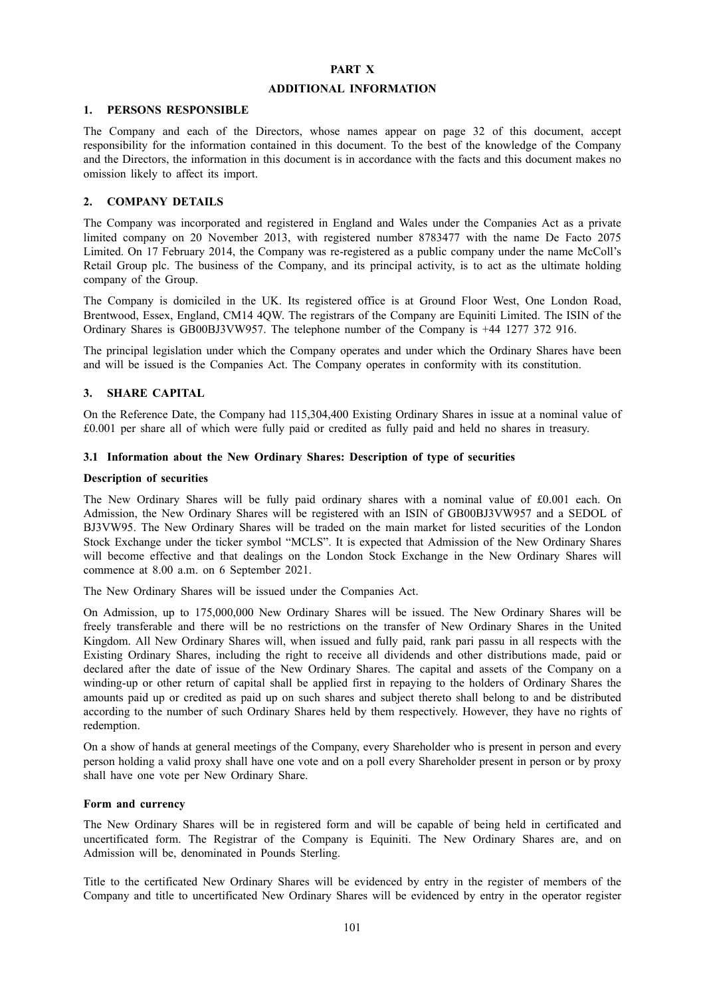# **PART X**

# **ADDITIONAL INFORMATION**

#### **1. PERSONS RESPONSIBLE**

The Company and each of the Directors, whose names appear on page 32 of this document, accept responsibility for the information contained in this document. To the best of the knowledge of the Company and the Directors, the information in this document is in accordance with the facts and this document makes no omission likely to affect its import.

## **2. COMPANY DETAILS**

The Company was incorporated and registered in England and Wales under the Companies Act as a private limited company on 20 November 2013, with registered number 8783477 with the name De Facto 2075 Limited. On 17 February 2014, the Company was re-registered as a public company under the name McColl's Retail Group plc. The business of the Company, and its principal activity, is to act as the ultimate holding company of the Group.

The Company is domiciled in the UK. Its registered office is at Ground Floor West, One London Road, Brentwood, Essex, England, CM14 4QW. The registrars of the Company are Equiniti Limited. The ISIN of the Ordinary Shares is GB00BJ3VW957. The telephone number of the Company is +44 1277 372 916.

The principal legislation under which the Company operates and under which the Ordinary Shares have been and will be issued is the Companies Act. The Company operates in conformity with its constitution.

# **3. SHARE CAPITAL**

On the Reference Date, the Company had 115,304,400 Existing Ordinary Shares in issue at a nominal value of £0.001 per share all of which were fully paid or credited as fully paid and held no shares in treasury.

# **3.1 Information about the New Ordinary Shares: Description of type of securities**

#### **Description of securities**

The New Ordinary Shares will be fully paid ordinary shares with a nominal value of £0.001 each. On Admission, the New Ordinary Shares will be registered with an ISIN of GB00BJ3VW957 and a SEDOL of BJ3VW95. The New Ordinary Shares will be traded on the main market for listed securities of the London Stock Exchange under the ticker symbol "MCLS". It is expected that Admission of the New Ordinary Shares will become effective and that dealings on the London Stock Exchange in the New Ordinary Shares will commence at 8.00 a.m. on 6 September 2021.

The New Ordinary Shares will be issued under the Companies Act.

On Admission, up to 175,000,000 New Ordinary Shares will be issued. The New Ordinary Shares will be freely transferable and there will be no restrictions on the transfer of New Ordinary Shares in the United Kingdom. All New Ordinary Shares will, when issued and fully paid, rank pari passu in all respects with the Existing Ordinary Shares, including the right to receive all dividends and other distributions made, paid or declared after the date of issue of the New Ordinary Shares. The capital and assets of the Company on a winding-up or other return of capital shall be applied first in repaying to the holders of Ordinary Shares the amounts paid up or credited as paid up on such shares and subject thereto shall belong to and be distributed according to the number of such Ordinary Shares held by them respectively. However, they have no rights of redemption.

On a show of hands at general meetings of the Company, every Shareholder who is present in person and every person holding a valid proxy shall have one vote and on a poll every Shareholder present in person or by proxy shall have one vote per New Ordinary Share.

#### **Form and currency**

The New Ordinary Shares will be in registered form and will be capable of being held in certificated and uncertificated form. The Registrar of the Company is Equiniti. The New Ordinary Shares are, and on Admission will be, denominated in Pounds Sterling.

Title to the certificated New Ordinary Shares will be evidenced by entry in the register of members of the Company and title to uncertificated New Ordinary Shares will be evidenced by entry in the operator register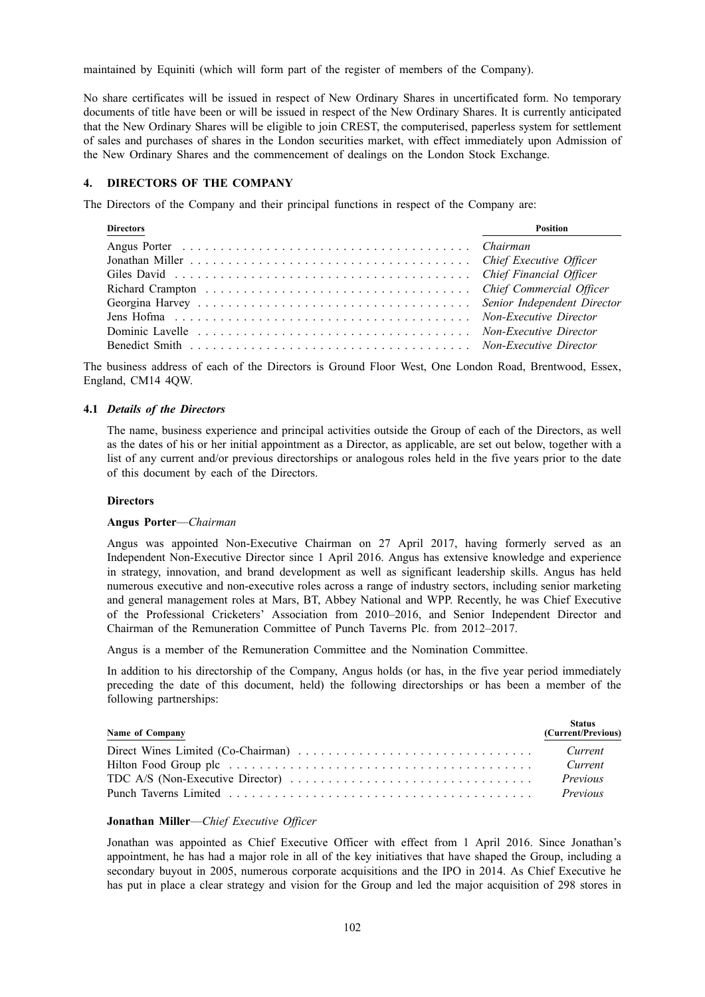maintained by Equiniti (which will form part of the register of members of the Company).

No share certificates will be issued in respect of New Ordinary Shares in uncertificated form. No temporary documents of title have been or will be issued in respect of the New Ordinary Shares. It is currently anticipated that the New Ordinary Shares will be eligible to join CREST, the computerised, paperless system for settlement of sales and purchases of shares in the London securities market, with effect immediately upon Admission of the New Ordinary Shares and the commencement of dealings on the London Stock Exchange.

## **4. DIRECTORS OF THE COMPANY**

The Directors of the Company and their principal functions in respect of the Company are:

| <b>Directors</b> | Position |
|------------------|----------|
|                  |          |
|                  |          |
|                  |          |
|                  |          |
|                  |          |
|                  |          |
|                  |          |
|                  |          |

The business address of each of the Directors is Ground Floor West, One London Road, Brentwood, Essex, England, CM14 4QW.

## **4.1** *Details of the Directors*

The name, business experience and principal activities outside the Group of each of the Directors, as well as the dates of his or her initial appointment as a Director, as applicable, are set out below, together with a list of any current and/or previous directorships or analogous roles held in the five years prior to the date of this document by each of the Directors.

#### **Directors**

#### **Angus Porter**—*Chairman*

Angus was appointed Non-Executive Chairman on 27 April 2017, having formerly served as an Independent Non-Executive Director since 1 April 2016. Angus has extensive knowledge and experience in strategy, innovation, and brand development as well as significant leadership skills. Angus has held numerous executive and non-executive roles across a range of industry sectors, including senior marketing and general management roles at Mars, BT, Abbey National and WPP. Recently, he was Chief Executive of the Professional Cricketers' Association from 2010–2016, and Senior Independent Director and Chairman of the Remuneration Committee of Punch Taverns Plc. from 2012–2017.

Angus is a member of the Remuneration Committee and the Nomination Committee.

In addition to his directorship of the Company, Angus holds (or has, in the five year period immediately preceding the date of this document, held) the following directorships or has been a member of the following partnerships:

| <b>Name of Company</b> | <b>Status</b><br>(Current/Previous) |
|------------------------|-------------------------------------|
|                        | Current                             |
|                        | Current                             |
|                        | Previous                            |
|                        | Previous                            |

## **Jonathan Miller**—*Chief Executive Officer*

Jonathan was appointed as Chief Executive Officer with effect from 1 April 2016. Since Jonathan's appointment, he has had a major role in all of the key initiatives that have shaped the Group, including a secondary buyout in 2005, numerous corporate acquisitions and the IPO in 2014. As Chief Executive he has put in place a clear strategy and vision for the Group and led the major acquisition of 298 stores in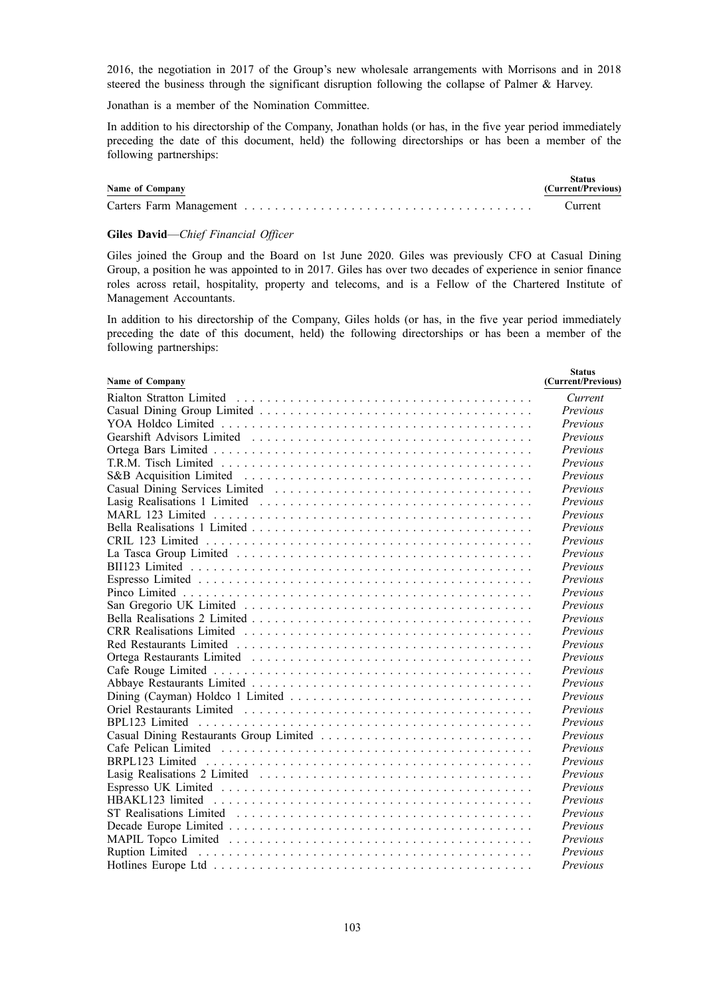2016, the negotiation in 2017 of the Group's new wholesale arrangements with Morrisons and in 2018 steered the business through the significant disruption following the collapse of Palmer & Harvey.

Jonathan is a member of the Nomination Committee.

In addition to his directorship of the Company, Jonathan holds (or has, in the five year period immediately preceding the date of this document, held) the following directorships or has been a member of the following partnerships:

| <b>Name of Company</b> | <b>Status</b><br>(Current/Previous) |
|------------------------|-------------------------------------|
|                        | Current                             |

#### **Giles David**—*Chief Financial Officer*

Giles joined the Group and the Board on 1st June 2020. Giles was previously CFO at Casual Dining Group, a position he was appointed to in 2017. Giles has over two decades of experience in senior finance roles across retail, hospitality, property and telecoms, and is a Fellow of the Chartered Institute of Management Accountants.

In addition to his directorship of the Company, Giles holds (or has, in the five year period immediately preceding the date of this document, held) the following directorships or has been a member of the following partnerships:

**Status**

| Name of Company | waaw<br>(Current/Previous) |
|-----------------|----------------------------|
|                 | Current                    |
|                 | Previous                   |
|                 | Previous                   |
|                 | Previous                   |
|                 | Previous                   |
|                 | Previous                   |
|                 | Previous                   |
|                 | Previous                   |
|                 | Previous                   |
|                 | Previous                   |
|                 | Previous                   |
|                 | Previous                   |
|                 | Previous                   |
|                 | Previous                   |
|                 | Previous                   |
|                 | Previous                   |
|                 | Previous                   |
|                 | Previous                   |
|                 | Previous                   |
|                 | Previous                   |
|                 | Previous                   |
|                 | Previous                   |
|                 | Previous                   |
|                 | Previous                   |
|                 | Previous                   |
|                 | Previous                   |
|                 | Previous                   |
|                 | Previous                   |
|                 | Previous                   |
|                 | Previous                   |
|                 | Previous                   |
|                 | Previous                   |
|                 | Previous                   |
|                 | Previous                   |
|                 | Previous                   |
|                 | Previous                   |
|                 | Previous                   |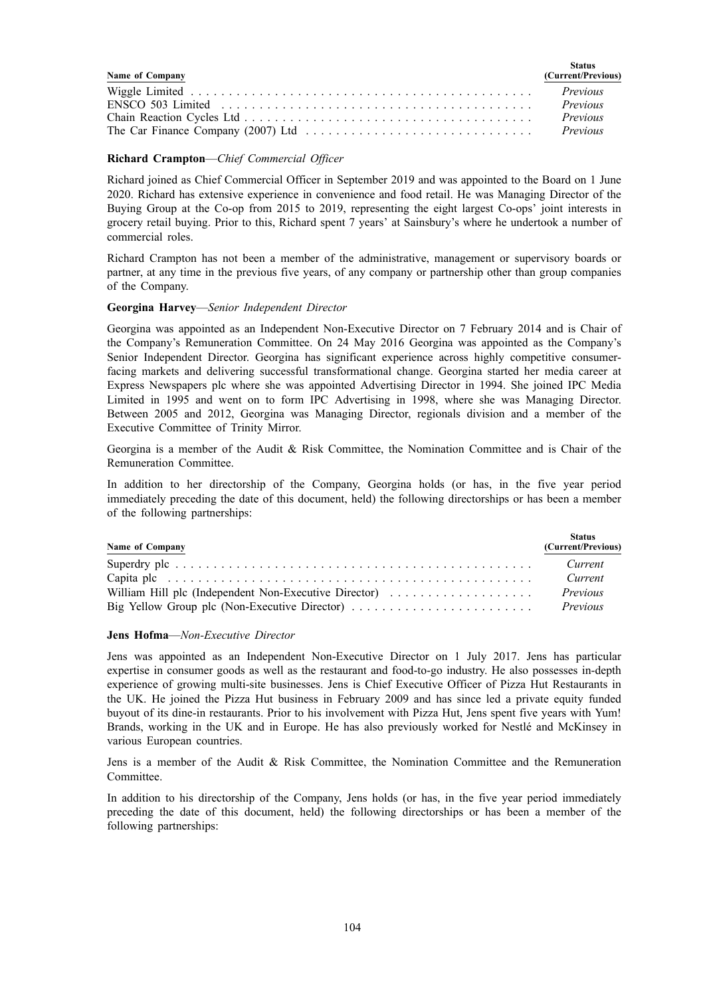| Name of Company                                                                                   | Status<br>(Current/Previous) |
|---------------------------------------------------------------------------------------------------|------------------------------|
|                                                                                                   |                              |
| $ENSCO 503 Limited  \ldots \ldots \ldots \ldots \ldots \ldots \ldots \ldots \ldots \ldots \ldots$ | Previous                     |
|                                                                                                   | Previous                     |
|                                                                                                   |                              |

#### **Richard Crampton**—*Chief Commercial Officer*

Richard joined as Chief Commercial Officer in September 2019 and was appointed to the Board on 1 June 2020. Richard has extensive experience in convenience and food retail. He was Managing Director of the Buying Group at the Co-op from 2015 to 2019, representing the eight largest Co-ops' joint interests in grocery retail buying. Prior to this, Richard spent 7 years' at Sainsbury's where he undertook a number of commercial roles.

Richard Crampton has not been a member of the administrative, management or supervisory boards or partner, at any time in the previous five years, of any company or partnership other than group companies of the Company.

## **Georgina Harvey**—*Senior Independent Director*

Georgina was appointed as an Independent Non-Executive Director on 7 February 2014 and is Chair of the Company's Remuneration Committee. On 24 May 2016 Georgina was appointed as the Company's Senior Independent Director. Georgina has significant experience across highly competitive consumerfacing markets and delivering successful transformational change. Georgina started her media career at Express Newspapers plc where she was appointed Advertising Director in 1994. She joined IPC Media Limited in 1995 and went on to form IPC Advertising in 1998, where she was Managing Director. Between 2005 and 2012, Georgina was Managing Director, regionals division and a member of the Executive Committee of Trinity Mirror.

Georgina is a member of the Audit & Risk Committee, the Nomination Committee and is Chair of the Remuneration Committee.

In addition to her directorship of the Company, Georgina holds (or has, in the five year period immediately preceding the date of this document, held) the following directorships or has been a member of the following partnerships:

| Name of Company                                                                                  | <b>Status</b><br>(Current/Previous) |
|--------------------------------------------------------------------------------------------------|-------------------------------------|
|                                                                                                  | Current                             |
|                                                                                                  | Current                             |
| William Hill plc (Independent Non-Executive Director)                                            | Previous                            |
| Big Yellow Group plc (Non-Executive Director) $\ldots \ldots \ldots \ldots \ldots \ldots \ldots$ | Previous                            |

#### **Jens Hofma**—*Non-Executive Director*

Jens was appointed as an Independent Non-Executive Director on 1 July 2017. Jens has particular expertise in consumer goods as well as the restaurant and food-to-go industry. He also possesses in-depth experience of growing multi-site businesses. Jens is Chief Executive Officer of Pizza Hut Restaurants in the UK. He joined the Pizza Hut business in February 2009 and has since led a private equity funded buyout of its dine-in restaurants. Prior to his involvement with Pizza Hut, Jens spent five years with Yum! Brands, working in the UK and in Europe. He has also previously worked for Nestlé and McKinsey in various European countries.

Jens is a member of the Audit & Risk Committee, the Nomination Committee and the Remuneration Committee.

In addition to his directorship of the Company, Jens holds (or has, in the five year period immediately preceding the date of this document, held) the following directorships or has been a member of the following partnerships: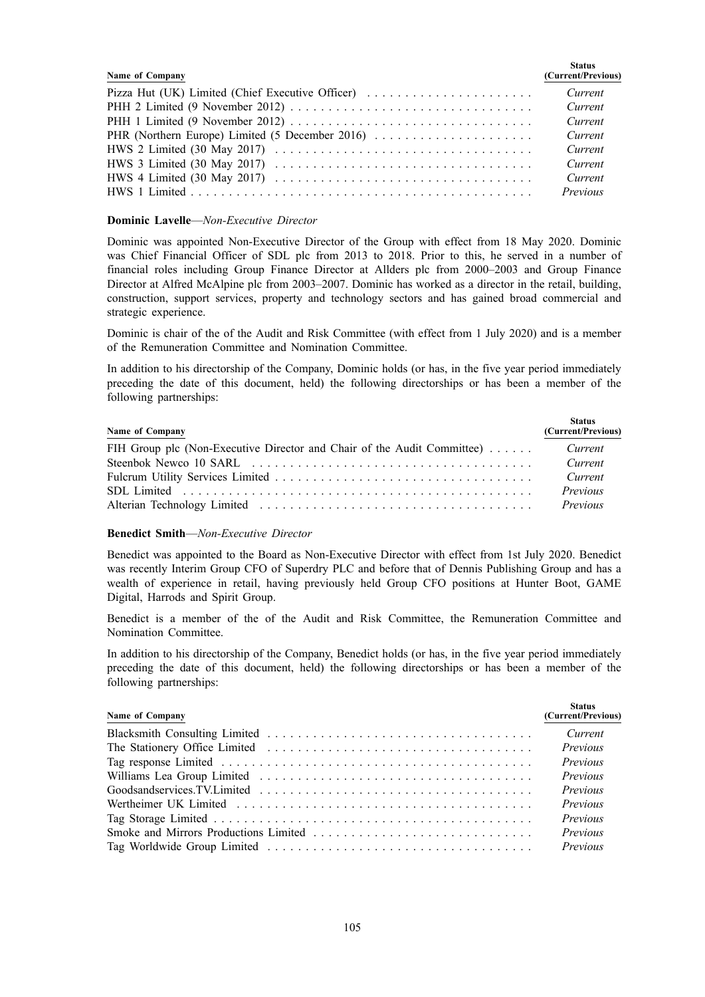| Name of Company                                                                                                   | <b>Status</b><br>(Current/Previous) |
|-------------------------------------------------------------------------------------------------------------------|-------------------------------------|
| Pizza Hut (UK) Limited (Chief Executive Officer)                                                                  | Current                             |
|                                                                                                                   | Current                             |
| PHH 1 Limited (9 November 2012) $\dots \dots \dots \dots \dots \dots \dots \dots \dots \dots \dots \dots$         | Current                             |
| PHR (Northern Europe) Limited (5 December 2016)                                                                   | Current                             |
| HWS 2 Limited (30 May 2017) $\ldots \ldots \ldots \ldots \ldots \ldots \ldots \ldots \ldots \ldots \ldots \ldots$ | Current                             |
| HWS 3 Limited (30 May 2017) $\ldots \ldots \ldots \ldots \ldots \ldots \ldots \ldots \ldots \ldots \ldots$        | Current                             |
| HWS 4 Limited (30 May 2017) $\ldots \ldots \ldots \ldots \ldots \ldots \ldots \ldots \ldots \ldots \ldots$        | Current                             |
|                                                                                                                   | Previous                            |

## **Dominic Lavelle**—*Non-Executive Director*

Dominic was appointed Non-Executive Director of the Group with effect from 18 May 2020. Dominic was Chief Financial Officer of SDL plc from 2013 to 2018. Prior to this, he served in a number of financial roles including Group Finance Director at Allders plc from 2000–2003 and Group Finance Director at Alfred McAlpine plc from 2003–2007. Dominic has worked as a director in the retail, building, construction, support services, property and technology sectors and has gained broad commercial and strategic experience.

Dominic is chair of the of the Audit and Risk Committee (with effect from 1 July 2020) and is a member of the Remuneration Committee and Nomination Committee.

In addition to his directorship of the Company, Dominic holds (or has, in the five year period immediately preceding the date of this document, held) the following directorships or has been a member of the following partnerships:

| Name of Company                                                         | <b>Status</b><br>(Current/Previous) |
|-------------------------------------------------------------------------|-------------------------------------|
| FIH Group plc (Non-Executive Director and Chair of the Audit Committee) | Current                             |
|                                                                         | Current                             |
|                                                                         | Current                             |
|                                                                         | Previous                            |
|                                                                         | Previous                            |

# **Benedict Smith**—*Non-Executive Director*

Benedict was appointed to the Board as Non-Executive Director with effect from 1st July 2020. Benedict was recently Interim Group CFO of Superdry PLC and before that of Dennis Publishing Group and has a wealth of experience in retail, having previously held Group CFO positions at Hunter Boot, GAME Digital, Harrods and Spirit Group.

Benedict is a member of the of the Audit and Risk Committee, the Remuneration Committee and Nomination Committee.

In addition to his directorship of the Company, Benedict holds (or has, in the five year period immediately preceding the date of this document, held) the following directorships or has been a member of the following partnerships:

| Name of Company | <b>Status</b><br>(Current/Previous) |
|-----------------|-------------------------------------|
|                 | Current                             |
|                 | Previous                            |
|                 | Previous                            |
|                 | Previous                            |
|                 | Previous                            |
|                 | Previous                            |
|                 | Previous                            |
|                 | Previous                            |
|                 | Previous                            |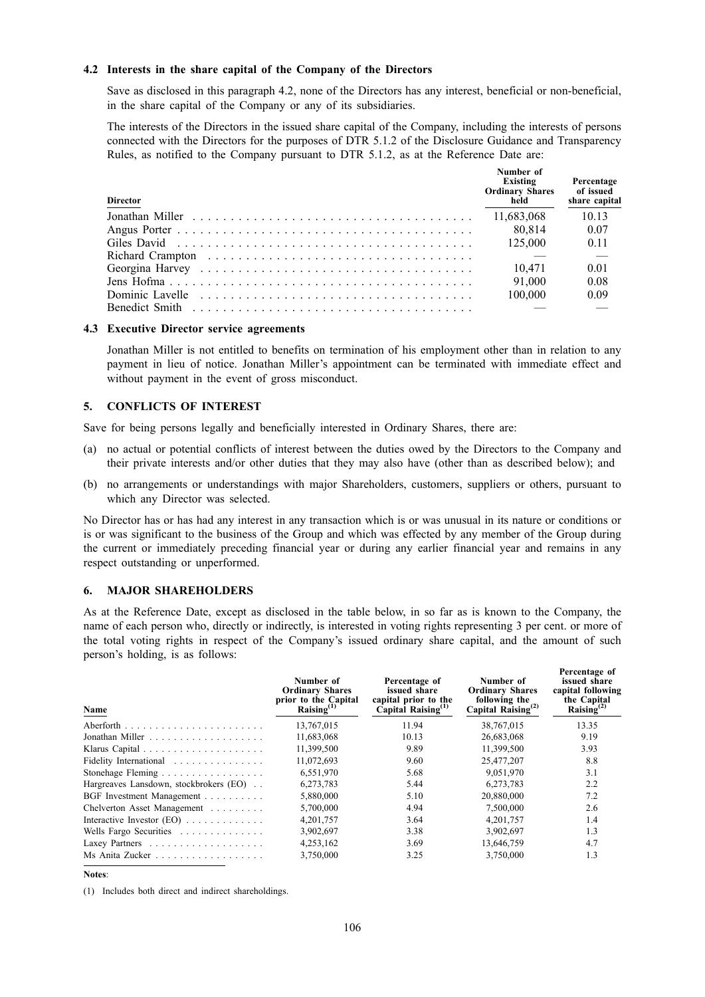### **4.2 Interests in the share capital of the Company of the Directors**

Save as disclosed in this paragraph 4.2, none of the Directors has any interest, beneficial or non-beneficial, in the share capital of the Company or any of its subsidiaries.

The interests of the Directors in the issued share capital of the Company, including the interests of persons connected with the Directors for the purposes of DTR 5.1.2 of the Disclosure Guidance and Transparency Rules, as notified to the Company pursuant to DTR 5.1.2, as at the Reference Date are:

| <b>Director</b>                                                                                                                                                                                                               | Number of<br>Existing<br><b>Ordinary Shares</b><br>held | Percentage<br>of issued<br>share capital |
|-------------------------------------------------------------------------------------------------------------------------------------------------------------------------------------------------------------------------------|---------------------------------------------------------|------------------------------------------|
|                                                                                                                                                                                                                               | 11,683,068                                              | 10 13                                    |
|                                                                                                                                                                                                                               | 80.814                                                  | 0.07                                     |
| Giles David (1990) in the contract of the contract of the City of the City of the City of the City of the City of the City of the City of the City of the City of the City of the City of the City of the City of the City of | 125,000                                                 | 0 <sub>11</sub>                          |
|                                                                                                                                                                                                                               |                                                         |                                          |
|                                                                                                                                                                                                                               | 10.471                                                  | 0.01                                     |
|                                                                                                                                                                                                                               | 91.000                                                  | 0.08                                     |
|                                                                                                                                                                                                                               | 100,000                                                 | 0.09                                     |
|                                                                                                                                                                                                                               |                                                         |                                          |

#### **4.3 Executive Director service agreements**

Jonathan Miller is not entitled to benefits on termination of his employment other than in relation to any payment in lieu of notice. Jonathan Miller's appointment can be terminated with immediate effect and without payment in the event of gross misconduct.

### **5. CONFLICTS OF INTEREST**

Save for being persons legally and beneficially interested in Ordinary Shares, there are:

- (a) no actual or potential conflicts of interest between the duties owed by the Directors to the Company and their private interests and/or other duties that they may also have (other than as described below); and
- (b) no arrangements or understandings with major Shareholders, customers, suppliers or others, pursuant to which any Director was selected.

No Director has or has had any interest in any transaction which is or was unusual in its nature or conditions or is or was significant to the business of the Group and which was effected by any member of the Group during the current or immediately preceding financial year or during any earlier financial year and remains in any respect outstanding or unperformed.

#### **6. MAJOR SHAREHOLDERS**

As at the Reference Date, except as disclosed in the table below, in so far as is known to the Company, the name of each person who, directly or indirectly, is interested in voting rights representing 3 per cent. or more of the total voting rights in respect of the Company's issued ordinary share capital, and the amount of such person's holding, is as follows:

**Percentage of**

| Name                                   | Number of<br><b>Ordinary Shares</b><br>prior to the Capital<br>Raising $^{(1)}$ | Percentage of<br>issued share<br>capital prior to the<br>$\dot{C}$ apital Raising <sup>(1)</sup> | Number of<br><b>Ordinary Shares</b><br>following the<br>Capital Raising <sup>(2)</sup> | т егсения е от<br>issued share<br>capital following<br>the Capital<br>Raising $^{(2)}$ |
|----------------------------------------|---------------------------------------------------------------------------------|--------------------------------------------------------------------------------------------------|----------------------------------------------------------------------------------------|----------------------------------------------------------------------------------------|
|                                        | 13,767,015                                                                      | 11.94                                                                                            | 38,767,015                                                                             | 13.35                                                                                  |
|                                        | 11,683,068                                                                      | 10.13                                                                                            | 26,683,068                                                                             | 9.19                                                                                   |
|                                        | 11,399,500                                                                      | 9.89                                                                                             | 11,399,500                                                                             | 3.93                                                                                   |
| Fidelity International                 | 11,072,693                                                                      | 9.60                                                                                             | 25,477,207                                                                             | 8.8                                                                                    |
| Stonehage Fleming                      | 6,551,970                                                                       | 5.68                                                                                             | 9,051,970                                                                              | 3.1                                                                                    |
| Hargreaves Lansdown, stockbrokers (EO) | 6,273,783                                                                       | 5.44                                                                                             | 6,273,783                                                                              | 2.2                                                                                    |
| BGF Investment Management              | 5.880,000                                                                       | 5.10                                                                                             | 20.880,000                                                                             | 7.2                                                                                    |
| Chelverton Asset Management            | 5,700,000                                                                       | 4.94                                                                                             | 7,500,000                                                                              | 2.6                                                                                    |
| Interactive Investor $(EO)$            | 4,201,757                                                                       | 3.64                                                                                             | 4,201,757                                                                              | 1.4                                                                                    |
| Wells Fargo Securities                 | 3,902,697                                                                       | 3.38                                                                                             | 3,902,697                                                                              | 1.3                                                                                    |
|                                        | 4,253,162                                                                       | 3.69                                                                                             | 13,646,759                                                                             | 4.7                                                                                    |
| Ms Anita Zucker                        | 3,750,000                                                                       | 3.25                                                                                             | 3,750,000                                                                              | 1.3                                                                                    |

#### **Notes**:

(1) Includes both direct and indirect shareholdings.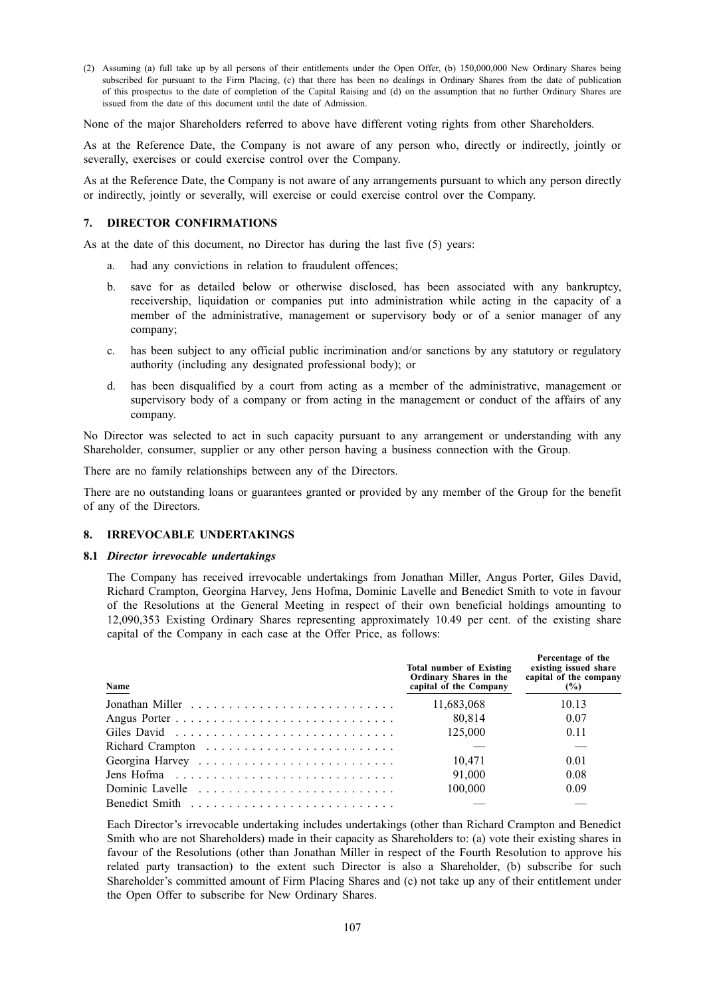(2) Assuming (a) full take up by all persons of their entitlements under the Open Offer, (b) 150,000,000 New Ordinary Shares being subscribed for pursuant to the Firm Placing, (c) that there has been no dealings in Ordinary Shares from the date of publication of this prospectus to the date of completion of the Capital Raising and (d) on the assumption that no further Ordinary Shares are issued from the date of this document until the date of Admission.

None of the major Shareholders referred to above have different voting rights from other Shareholders.

As at the Reference Date, the Company is not aware of any person who, directly or indirectly, jointly or severally, exercises or could exercise control over the Company.

As at the Reference Date, the Company is not aware of any arrangements pursuant to which any person directly or indirectly, jointly or severally, will exercise or could exercise control over the Company.

#### **7. DIRECTOR CONFIRMATIONS**

As at the date of this document, no Director has during the last five (5) years:

- a. had any convictions in relation to fraudulent offences;
- b. save for as detailed below or otherwise disclosed, has been associated with any bankruptcy, receivership, liquidation or companies put into administration while acting in the capacity of a member of the administrative, management or supervisory body or of a senior manager of any company;
- c. has been subject to any official public incrimination and/or sanctions by any statutory or regulatory authority (including any designated professional body); or
- d. has been disqualified by a court from acting as a member of the administrative, management or supervisory body of a company or from acting in the management or conduct of the affairs of any company.

No Director was selected to act in such capacity pursuant to any arrangement or understanding with any Shareholder, consumer, supplier or any other person having a business connection with the Group.

There are no family relationships between any of the Directors.

There are no outstanding loans or guarantees granted or provided by any member of the Group for the benefit of any of the Directors.

#### **8. IRREVOCABLE UNDERTAKINGS**

#### **8.1** *Director irrevocable undertakings*

The Company has received irrevocable undertakings from Jonathan Miller, Angus Porter, Giles David, Richard Crampton, Georgina Harvey, Jens Hofma, Dominic Lavelle and Benedict Smith to vote in favour of the Resolutions at the General Meeting in respect of their own beneficial holdings amounting to 12,090,353 Existing Ordinary Shares representing approximately 10.49 per cent. of the existing share capital of the Company in each case at the Offer Price, as follows:

**Percentage of the**

| Name                                                                        | <b>Total number of Existing</b><br>Ordinary Shares in the<br>capital of the Company | r er centage of the<br>existing issued share<br>capital of the company<br>(%) |
|-----------------------------------------------------------------------------|-------------------------------------------------------------------------------------|-------------------------------------------------------------------------------|
|                                                                             | 11,683,068                                                                          | 10.13                                                                         |
|                                                                             | 80.814                                                                              | 0.07                                                                          |
|                                                                             | 125,000                                                                             | 0.11                                                                          |
|                                                                             |                                                                                     |                                                                               |
|                                                                             | 10.471                                                                              | 0.01                                                                          |
| Jens Hofma $\ldots \ldots \ldots \ldots \ldots \ldots \ldots \ldots \ldots$ | 91,000                                                                              | 0.08                                                                          |
|                                                                             | 100,000                                                                             | 0.09                                                                          |
|                                                                             |                                                                                     |                                                                               |

Each Director's irrevocable undertaking includes undertakings (other than Richard Crampton and Benedict Smith who are not Shareholders) made in their capacity as Shareholders to: (a) vote their existing shares in favour of the Resolutions (other than Jonathan Miller in respect of the Fourth Resolution to approve his related party transaction) to the extent such Director is also a Shareholder, (b) subscribe for such Shareholder's committed amount of Firm Placing Shares and (c) not take up any of their entitlement under the Open Offer to subscribe for New Ordinary Shares.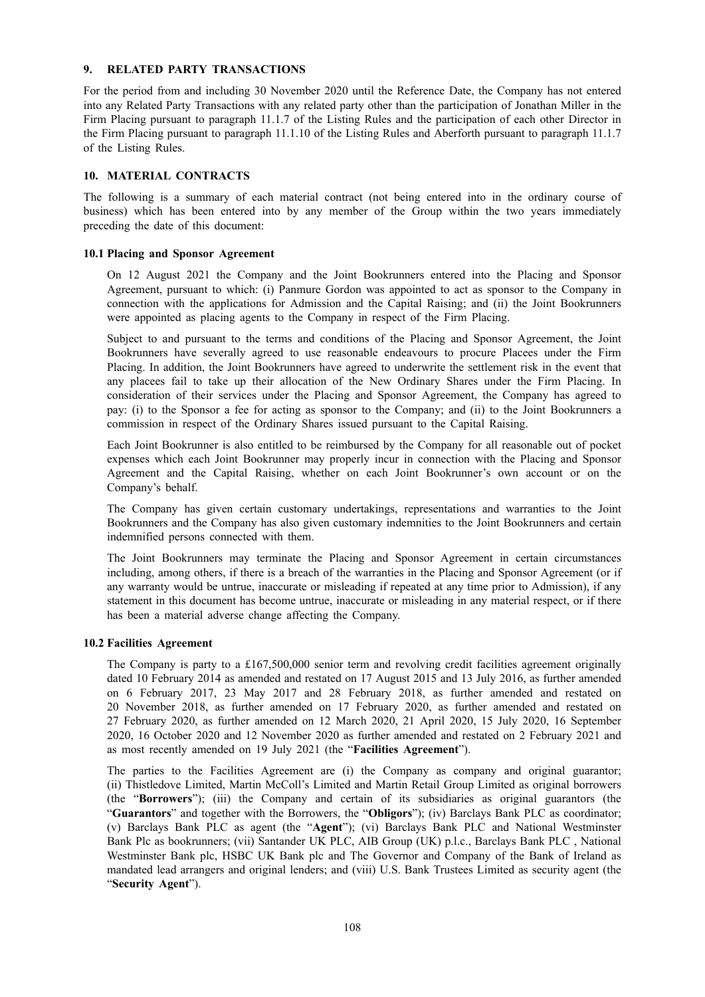#### **9. RELATED PARTY TRANSACTIONS**

For the period from and including 30 November 2020 until the Reference Date, the Company has not entered into any Related Party Transactions with any related party other than the participation of Jonathan Miller in the Firm Placing pursuant to paragraph 11.1.7 of the Listing Rules and the participation of each other Director in the Firm Placing pursuant to paragraph 11.1.10 of the Listing Rules and Aberforth pursuant to paragraph 11.1.7 of the Listing Rules.

### **10. MATERIAL CONTRACTS**

The following is a summary of each material contract (not being entered into in the ordinary course of business) which has been entered into by any member of the Group within the two years immediately preceding the date of this document:

#### **10.1 Placing and Sponsor Agreement**

On 12 August 2021 the Company and the Joint Bookrunners entered into the Placing and Sponsor Agreement, pursuant to which: (i) Panmure Gordon was appointed to act as sponsor to the Company in connection with the applications for Admission and the Capital Raising; and (ii) the Joint Bookrunners were appointed as placing agents to the Company in respect of the Firm Placing.

Subject to and pursuant to the terms and conditions of the Placing and Sponsor Agreement, the Joint Bookrunners have severally agreed to use reasonable endeavours to procure Placees under the Firm Placing. In addition, the Joint Bookrunners have agreed to underwrite the settlement risk in the event that any placees fail to take up their allocation of the New Ordinary Shares under the Firm Placing. In consideration of their services under the Placing and Sponsor Agreement, the Company has agreed to pay: (i) to the Sponsor a fee for acting as sponsor to the Company; and (ii) to the Joint Bookrunners a commission in respect of the Ordinary Shares issued pursuant to the Capital Raising.

Each Joint Bookrunner is also entitled to be reimbursed by the Company for all reasonable out of pocket expenses which each Joint Bookrunner may properly incur in connection with the Placing and Sponsor Agreement and the Capital Raising, whether on each Joint Bookrunner's own account or on the Company's behalf.

The Company has given certain customary undertakings, representations and warranties to the Joint Bookrunners and the Company has also given customary indemnities to the Joint Bookrunners and certain indemnified persons connected with them.

The Joint Bookrunners may terminate the Placing and Sponsor Agreement in certain circumstances including, among others, if there is a breach of the warranties in the Placing and Sponsor Agreement (or if any warranty would be untrue, inaccurate or misleading if repeated at any time prior to Admission), if any statement in this document has become untrue, inaccurate or misleading in any material respect, or if there has been a material adverse change affecting the Company.

## **10.2 Facilities Agreement**

The Company is party to a £167,500,000 senior term and revolving credit facilities agreement originally dated 10 February 2014 as amended and restated on 17 August 2015 and 13 July 2016, as further amended on 6 February 2017, 23 May 2017 and 28 February 2018, as further amended and restated on 20 November 2018, as further amended on 17 February 2020, as further amended and restated on 27 February 2020, as further amended on 12 March 2020, 21 April 2020, 15 July 2020, 16 September 2020, 16 October 2020 and 12 November 2020 as further amended and restated on 2 February 2021 and as most recently amended on 19 July 2021 (the "**Facilities Agreement**").

The parties to the Facilities Agreement are (i) the Company as company and original guarantor; (ii) Thistledove Limited, Martin McColl's Limited and Martin Retail Group Limited as original borrowers (the "**Borrowers**"); (iii) the Company and certain of its subsidiaries as original guarantors (the "**Guarantors**" and together with the Borrowers, the "**Obligors**"); (iv) Barclays Bank PLC as coordinator; (v) Barclays Bank PLC as agent (the "**Agent**"); (vi) Barclays Bank PLC and National Westminster Bank Plc as bookrunners; (vii) Santander UK PLC, AIB Group (UK) p.l.c., Barclays Bank PLC , National Westminster Bank plc, HSBC UK Bank plc and The Governor and Company of the Bank of Ireland as mandated lead arrangers and original lenders; and (viii) U.S. Bank Trustees Limited as security agent (the "**Security Agent**").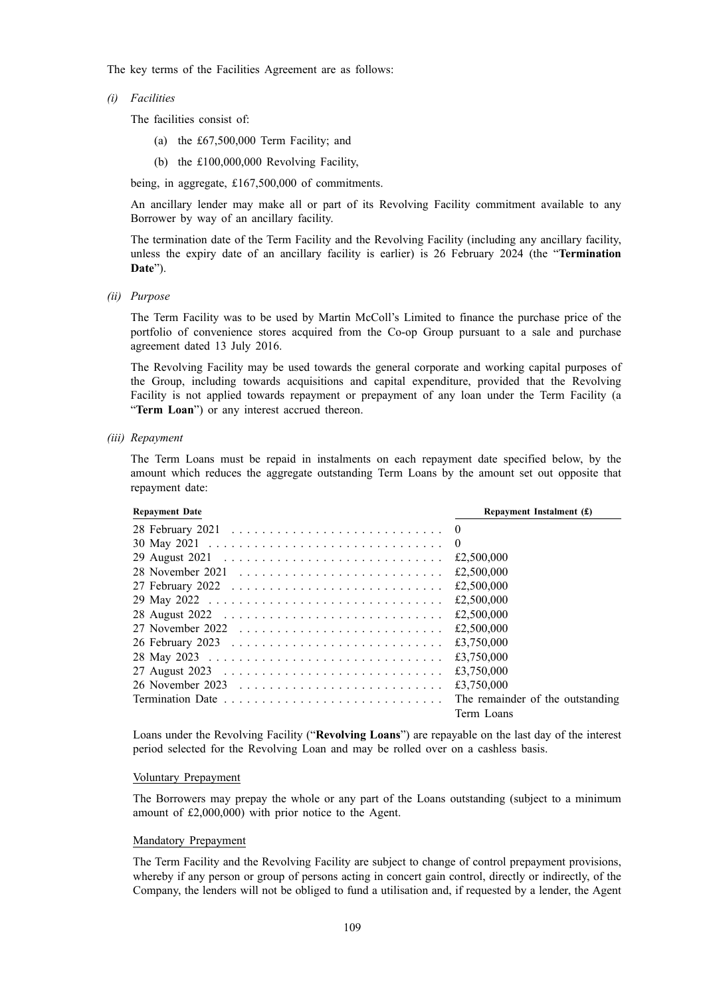The key terms of the Facilities Agreement are as follows:

*(i) Facilities*

The facilities consist of:

- (a) the £67,500,000 Term Facility; and
- (b) the £100,000,000 Revolving Facility,

being, in aggregate, £167,500,000 of commitments.

An ancillary lender may make all or part of its Revolving Facility commitment available to any Borrower by way of an ancillary facility.

The termination date of the Term Facility and the Revolving Facility (including any ancillary facility, unless the expiry date of an ancillary facility is earlier) is 26 February 2024 (the "**Termination Date**").

*(ii) Purpose*

The Term Facility was to be used by Martin McColl's Limited to finance the purchase price of the portfolio of convenience stores acquired from the Co-op Group pursuant to a sale and purchase agreement dated 13 July 2016.

The Revolving Facility may be used towards the general corporate and working capital purposes of the Group, including towards acquisitions and capital expenditure, provided that the Revolving Facility is not applied towards repayment or prepayment of any loan under the Term Facility (a "**Term Loan**") or any interest accrued thereon.

#### *(iii) Repayment*

The Term Loans must be repaid in instalments on each repayment date specified below, by the amount which reduces the aggregate outstanding Term Loans by the amount set out opposite that repayment date:

| <b>Repayment Date</b> | Repayment Instalment $(f)$       |
|-----------------------|----------------------------------|
|                       |                                  |
|                       | $\Omega$                         |
|                       | £2,500,000                       |
|                       | £2,500,000                       |
|                       | £2,500,000                       |
|                       | £2,500,000                       |
|                       | £2,500,000                       |
|                       | £2,500,000                       |
|                       | £3,750,000                       |
|                       | £3.750,000                       |
|                       | £3.750,000                       |
|                       | £3,750,000                       |
|                       | The remainder of the outstanding |
|                       | Term Loans                       |

Loans under the Revolving Facility ("**Revolving Loans**") are repayable on the last day of the interest period selected for the Revolving Loan and may be rolled over on a cashless basis.

#### Voluntary Prepayment

The Borrowers may prepay the whole or any part of the Loans outstanding (subject to a minimum amount of £2,000,000) with prior notice to the Agent.

#### Mandatory Prepayment

The Term Facility and the Revolving Facility are subject to change of control prepayment provisions, whereby if any person or group of persons acting in concert gain control, directly or indirectly, of the Company, the lenders will not be obliged to fund a utilisation and, if requested by a lender, the Agent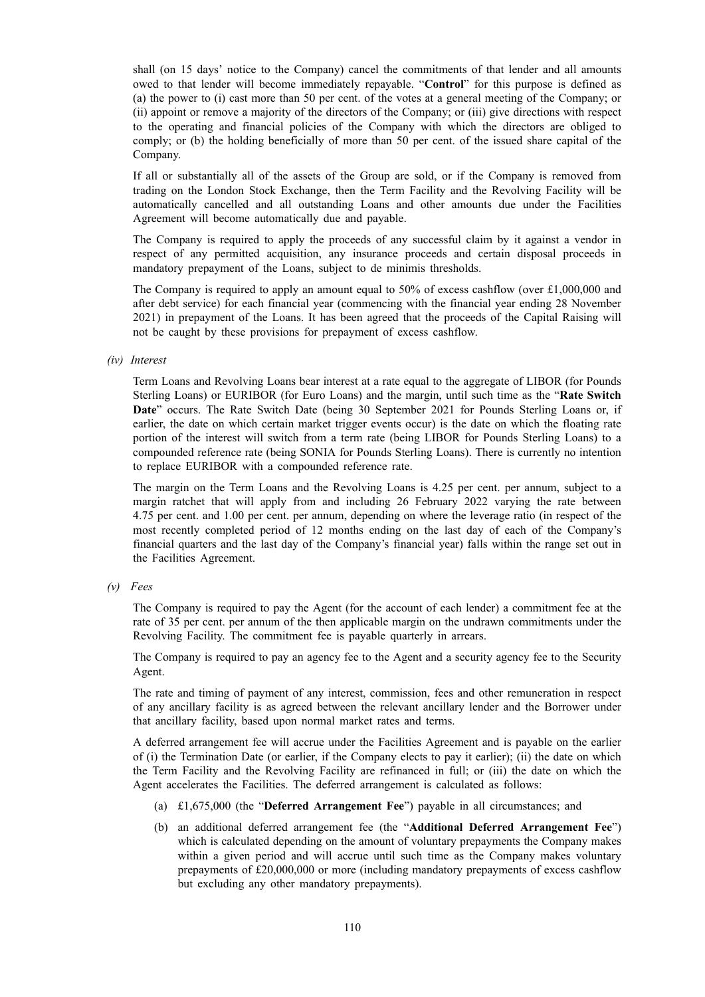shall (on 15 days' notice to the Company) cancel the commitments of that lender and all amounts owed to that lender will become immediately repayable. "**Control**" for this purpose is defined as (a) the power to (i) cast more than 50 per cent. of the votes at a general meeting of the Company; or (ii) appoint or remove a majority of the directors of the Company; or (iii) give directions with respect to the operating and financial policies of the Company with which the directors are obliged to comply; or (b) the holding beneficially of more than 50 per cent. of the issued share capital of the Company.

If all or substantially all of the assets of the Group are sold, or if the Company is removed from trading on the London Stock Exchange, then the Term Facility and the Revolving Facility will be automatically cancelled and all outstanding Loans and other amounts due under the Facilities Agreement will become automatically due and payable.

The Company is required to apply the proceeds of any successful claim by it against a vendor in respect of any permitted acquisition, any insurance proceeds and certain disposal proceeds in mandatory prepayment of the Loans, subject to de minimis thresholds.

The Company is required to apply an amount equal to 50% of excess cashflow (over £1,000,000 and after debt service) for each financial year (commencing with the financial year ending 28 November 2021) in prepayment of the Loans. It has been agreed that the proceeds of the Capital Raising will not be caught by these provisions for prepayment of excess cashflow.

## *(iv) Interest*

Term Loans and Revolving Loans bear interest at a rate equal to the aggregate of LIBOR (for Pounds Sterling Loans) or EURIBOR (for Euro Loans) and the margin, until such time as the "**Rate Switch Date**" occurs. The Rate Switch Date (being 30 September 2021 for Pounds Sterling Loans or, if earlier, the date on which certain market trigger events occur) is the date on which the floating rate portion of the interest will switch from a term rate (being LIBOR for Pounds Sterling Loans) to a compounded reference rate (being SONIA for Pounds Sterling Loans). There is currently no intention to replace EURIBOR with a compounded reference rate.

The margin on the Term Loans and the Revolving Loans is 4.25 per cent. per annum, subject to a margin ratchet that will apply from and including 26 February 2022 varying the rate between 4.75 per cent. and 1.00 per cent. per annum, depending on where the leverage ratio (in respect of the most recently completed period of 12 months ending on the last day of each of the Company's financial quarters and the last day of the Company's financial year) falls within the range set out in the Facilities Agreement.

*(v) Fees*

The Company is required to pay the Agent (for the account of each lender) a commitment fee at the rate of 35 per cent. per annum of the then applicable margin on the undrawn commitments under the Revolving Facility. The commitment fee is payable quarterly in arrears.

The Company is required to pay an agency fee to the Agent and a security agency fee to the Security Agent.

The rate and timing of payment of any interest, commission, fees and other remuneration in respect of any ancillary facility is as agreed between the relevant ancillary lender and the Borrower under that ancillary facility, based upon normal market rates and terms.

A deferred arrangement fee will accrue under the Facilities Agreement and is payable on the earlier of (i) the Termination Date (or earlier, if the Company elects to pay it earlier); (ii) the date on which the Term Facility and the Revolving Facility are refinanced in full; or (iii) the date on which the Agent accelerates the Facilities. The deferred arrangement is calculated as follows:

- (a) £1,675,000 (the "**Deferred Arrangement Fee**") payable in all circumstances; and
- (b) an additional deferred arrangement fee (the "**Additional Deferred Arrangement Fee**") which is calculated depending on the amount of voluntary prepayments the Company makes within a given period and will accrue until such time as the Company makes voluntary prepayments of £20,000,000 or more (including mandatory prepayments of excess cashflow but excluding any other mandatory prepayments).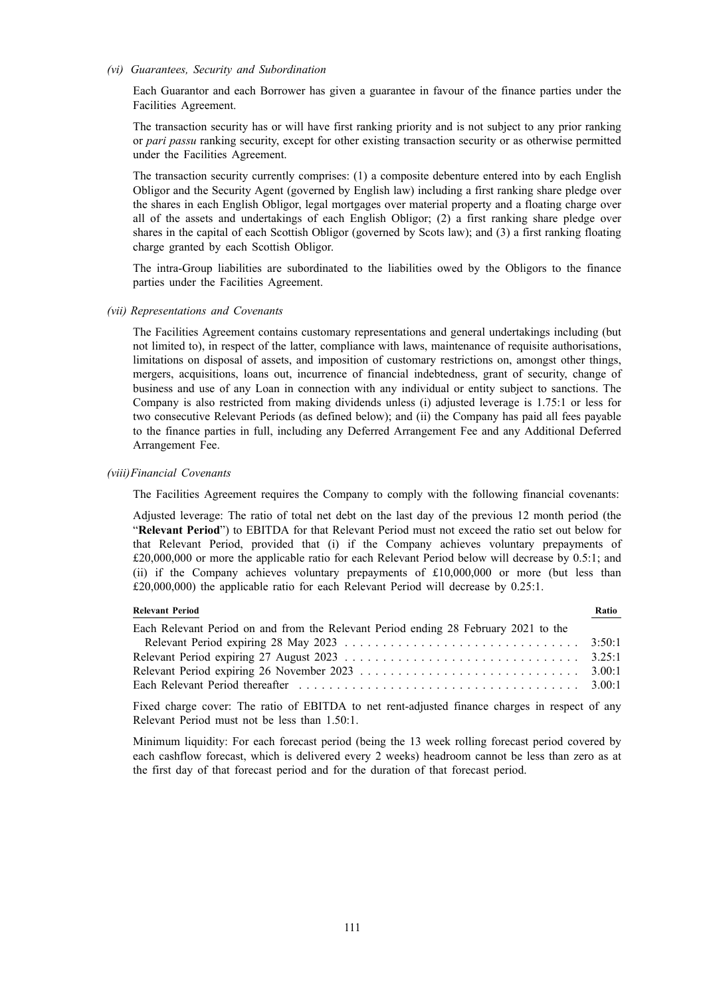#### *(vi) Guarantees, Security and Subordination*

Each Guarantor and each Borrower has given a guarantee in favour of the finance parties under the Facilities Agreement.

The transaction security has or will have first ranking priority and is not subject to any prior ranking or *pari passu* ranking security, except for other existing transaction security or as otherwise permitted under the Facilities Agreement.

The transaction security currently comprises: (1) a composite debenture entered into by each English Obligor and the Security Agent (governed by English law) including a first ranking share pledge over the shares in each English Obligor, legal mortgages over material property and a floating charge over all of the assets and undertakings of each English Obligor; (2) a first ranking share pledge over shares in the capital of each Scottish Obligor (governed by Scots law); and (3) a first ranking floating charge granted by each Scottish Obligor.

The intra-Group liabilities are subordinated to the liabilities owed by the Obligors to the finance parties under the Facilities Agreement.

#### *(vii) Representations and Covenants*

The Facilities Agreement contains customary representations and general undertakings including (but not limited to), in respect of the latter, compliance with laws, maintenance of requisite authorisations, limitations on disposal of assets, and imposition of customary restrictions on, amongst other things, mergers, acquisitions, loans out, incurrence of financial indebtedness, grant of security, change of business and use of any Loan in connection with any individual or entity subject to sanctions. The Company is also restricted from making dividends unless (i) adjusted leverage is 1.75:1 or less for two consecutive Relevant Periods (as defined below); and (ii) the Company has paid all fees payable to the finance parties in full, including any Deferred Arrangement Fee and any Additional Deferred Arrangement Fee.

#### *(viii)Financial Covenants*

The Facilities Agreement requires the Company to comply with the following financial covenants:

Adjusted leverage: The ratio of total net debt on the last day of the previous 12 month period (the "**Relevant Period**") to EBITDA for that Relevant Period must not exceed the ratio set out below for that Relevant Period, provided that (i) if the Company achieves voluntary prepayments of £20,000,000 or more the applicable ratio for each Relevant Period below will decrease by 0.5:1; and (ii) if the Company achieves voluntary prepayments of £10,000,000 or more (but less than £20,000,000) the applicable ratio for each Relevant Period will decrease by 0.25:1.

| <b>Relevant Period</b>                                                                                                                                                                                                         | Ratio |
|--------------------------------------------------------------------------------------------------------------------------------------------------------------------------------------------------------------------------------|-------|
| Each Relevant Period on and from the Relevant Period ending 28 February 2021 to the                                                                                                                                            |       |
|                                                                                                                                                                                                                                |       |
|                                                                                                                                                                                                                                |       |
|                                                                                                                                                                                                                                |       |
| Each Relevant Period thereafter experiences in the contract of the contract of the set of the contract of the set of the set of the set of the set of the set of the set of the set of the set of the set of the set of the se |       |
|                                                                                                                                                                                                                                |       |

Fixed charge cover: The ratio of EBITDA to net rent-adjusted finance charges in respect of any Relevant Period must not be less than 1.50:1.

Minimum liquidity: For each forecast period (being the 13 week rolling forecast period covered by each cashflow forecast, which is delivered every 2 weeks) headroom cannot be less than zero as at the first day of that forecast period and for the duration of that forecast period.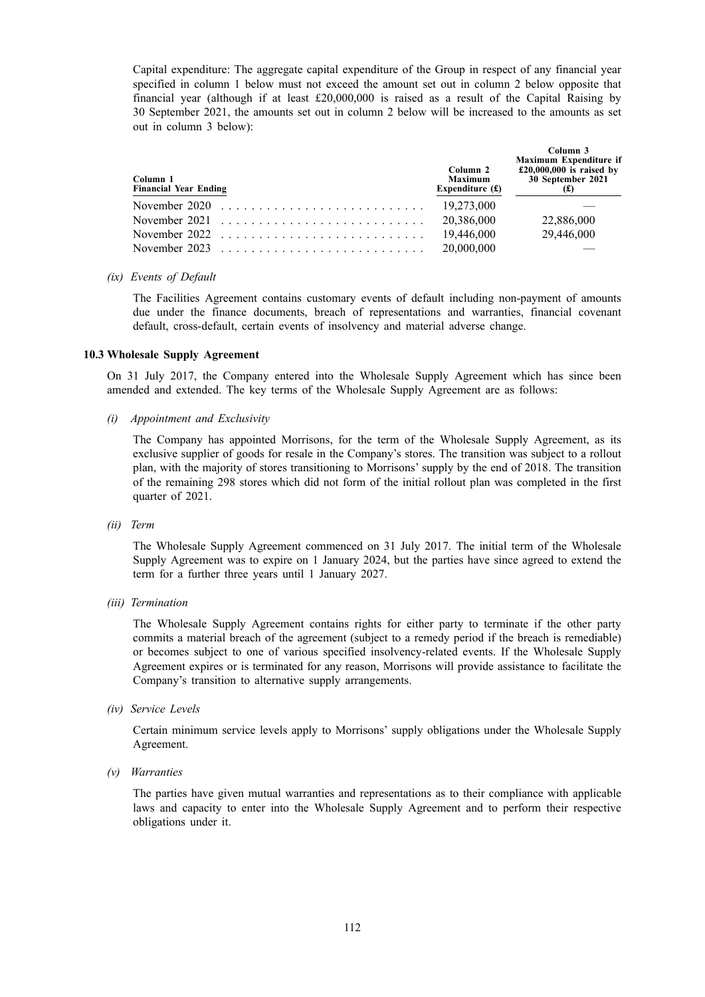Capital expenditure: The aggregate capital expenditure of the Group in respect of any financial year specified in column 1 below must not exceed the amount set out in column 2 below opposite that financial year (although if at least £20,000,000 is raised as a result of the Capital Raising by 30 September 2021, the amounts set out in column 2 below will be increased to the amounts as set out in column 3 below):

| Column 1<br><b>Financial Year Ending</b>                                                 | Column 2<br><b>Maximum</b><br>Expenditure $(f)$ | Column 3<br><b>Maximum Expenditure if</b><br>$£20,000,000$ is raised by<br>30 September 2021<br>f(x) |
|------------------------------------------------------------------------------------------|-------------------------------------------------|------------------------------------------------------------------------------------------------------|
| November 2020 $\ldots \ldots \ldots \ldots \ldots \ldots \ldots \ldots \ldots$           | 19,273,000                                      |                                                                                                      |
| November 2021 $\ldots \ldots \ldots \ldots \ldots \ldots \ldots \ldots \ldots$           | 20,386,000                                      | 22,886,000                                                                                           |
| November 2022 $\ldots$ , $\ldots$ , $\ldots$ , $\ldots$ , $\ldots$ , $\ldots$ , $\ldots$ | 19,446,000                                      | 29,446,000                                                                                           |
|                                                                                          | 20,000,000                                      |                                                                                                      |

#### *(ix) Events of Default*

The Facilities Agreement contains customary events of default including non-payment of amounts due under the finance documents, breach of representations and warranties, financial covenant default, cross-default, certain events of insolvency and material adverse change.

### **10.3 Wholesale Supply Agreement**

On 31 July 2017, the Company entered into the Wholesale Supply Agreement which has since been amended and extended. The key terms of the Wholesale Supply Agreement are as follows:

*(i) Appointment and Exclusivity*

The Company has appointed Morrisons, for the term of the Wholesale Supply Agreement, as its exclusive supplier of goods for resale in the Company's stores. The transition was subject to a rollout plan, with the majority of stores transitioning to Morrisons' supply by the end of 2018. The transition of the remaining 298 stores which did not form of the initial rollout plan was completed in the first quarter of 2021.

*(ii) Term*

The Wholesale Supply Agreement commenced on 31 July 2017. The initial term of the Wholesale Supply Agreement was to expire on 1 January 2024, but the parties have since agreed to extend the term for a further three years until 1 January 2027.

*(iii) Termination*

The Wholesale Supply Agreement contains rights for either party to terminate if the other party commits a material breach of the agreement (subject to a remedy period if the breach is remediable) or becomes subject to one of various specified insolvency-related events. If the Wholesale Supply Agreement expires or is terminated for any reason, Morrisons will provide assistance to facilitate the Company's transition to alternative supply arrangements.

*(iv) Service Levels*

Certain minimum service levels apply to Morrisons' supply obligations under the Wholesale Supply Agreement.

*(v) Warranties*

The parties have given mutual warranties and representations as to their compliance with applicable laws and capacity to enter into the Wholesale Supply Agreement and to perform their respective obligations under it.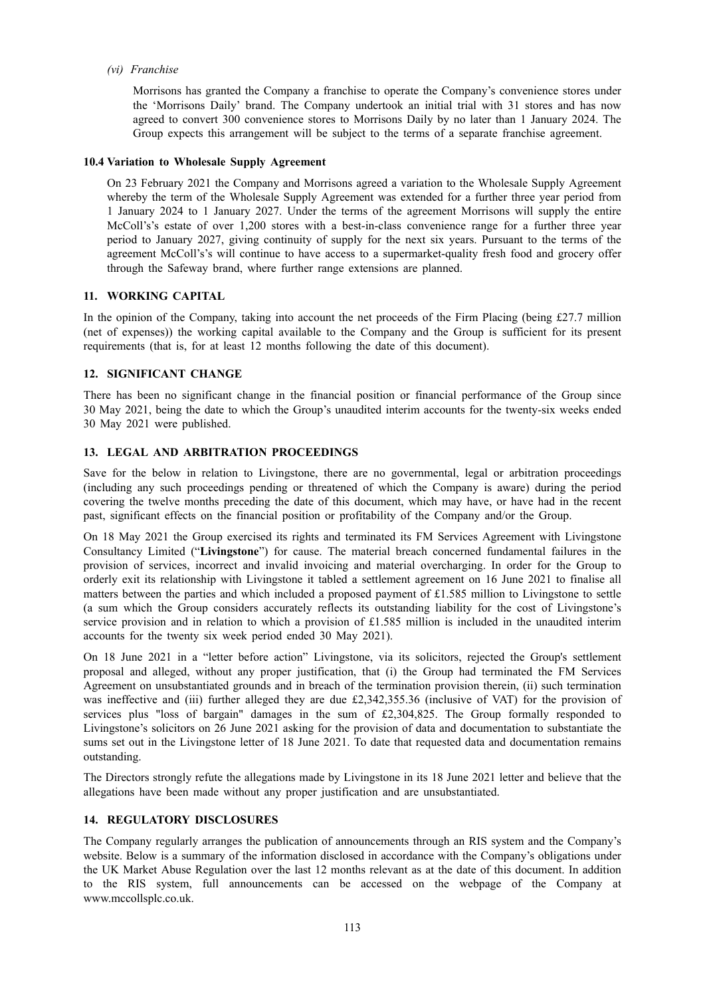*(vi) Franchise*

Morrisons has granted the Company a franchise to operate the Company's convenience stores under the 'Morrisons Daily' brand. The Company undertook an initial trial with 31 stores and has now agreed to convert 300 convenience stores to Morrisons Daily by no later than 1 January 2024. The Group expects this arrangement will be subject to the terms of a separate franchise agreement.

### **10.4 Variation to Wholesale Supply Agreement**

On 23 February 2021 the Company and Morrisons agreed a variation to the Wholesale Supply Agreement whereby the term of the Wholesale Supply Agreement was extended for a further three year period from 1 January 2024 to 1 January 2027. Under the terms of the agreement Morrisons will supply the entire McColl's's estate of over 1,200 stores with a best-in-class convenience range for a further three year period to January 2027, giving continuity of supply for the next six years. Pursuant to the terms of the agreement McColl's's will continue to have access to a supermarket-quality fresh food and grocery offer through the Safeway brand, where further range extensions are planned.

### **11. WORKING CAPITAL**

In the opinion of the Company, taking into account the net proceeds of the Firm Placing (being £27.7 million (net of expenses)) the working capital available to the Company and the Group is sufficient for its present requirements (that is, for at least 12 months following the date of this document).

### **12. SIGNIFICANT CHANGE**

There has been no significant change in the financial position or financial performance of the Group since 30 May 2021, being the date to which the Group's unaudited interim accounts for the twenty-six weeks ended 30 May 2021 were published.

### **13. LEGAL AND ARBITRATION PROCEEDINGS**

Save for the below in relation to Livingstone, there are no governmental, legal or arbitration proceedings (including any such proceedings pending or threatened of which the Company is aware) during the period covering the twelve months preceding the date of this document, which may have, or have had in the recent past, significant effects on the financial position or profitability of the Company and/or the Group.

On 18 May 2021 the Group exercised its rights and terminated its FM Services Agreement with Livingstone Consultancy Limited ("**Livingstone**") for cause. The material breach concerned fundamental failures in the provision of services, incorrect and invalid invoicing and material overcharging. In order for the Group to orderly exit its relationship with Livingstone it tabled a settlement agreement on 16 June 2021 to finalise all matters between the parties and which included a proposed payment of £1.585 million to Livingstone to settle (a sum which the Group considers accurately reflects its outstanding liability for the cost of Livingstone's service provision and in relation to which a provision of £1.585 million is included in the unaudited interim accounts for the twenty six week period ended 30 May 2021).

On 18 June 2021 in a "letter before action" Livingstone, via its solicitors, rejected the Group's settlement proposal and alleged, without any proper justification, that (i) the Group had terminated the FM Services Agreement on unsubstantiated grounds and in breach of the termination provision therein, (ii) such termination was ineffective and (iii) further alleged they are due £2,342,355.36 (inclusive of VAT) for the provision of services plus "loss of bargain" damages in the sum of £2,304,825. The Group formally responded to Livingstone's solicitors on 26 June 2021 asking for the provision of data and documentation to substantiate the sums set out in the Livingstone letter of 18 June 2021. To date that requested data and documentation remains outstanding.

The Directors strongly refute the allegations made by Livingstone in its 18 June 2021 letter and believe that the allegations have been made without any proper justification and are unsubstantiated.

### **14. REGULATORY DISCLOSURES**

The Company regularly arranges the publication of announcements through an RIS system and the Company's website. Below is a summary of the information disclosed in accordance with the Company's obligations under the UK Market Abuse Regulation over the last 12 months relevant as at the date of this document. In addition to the RIS system, full announcements can be accessed on the webpage of the Company at www.mccollsplc.co.uk.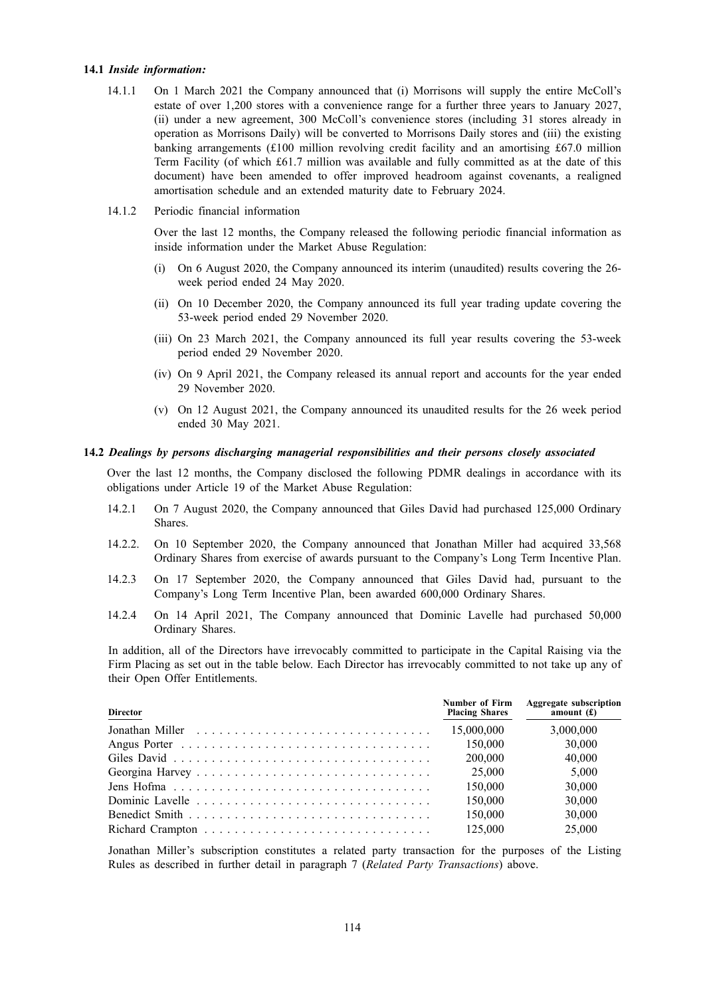### **14.1** *Inside information:*

- 14.1.1 On 1 March 2021 the Company announced that (i) Morrisons will supply the entire McColl's estate of over 1,200 stores with a convenience range for a further three years to January 2027, (ii) under a new agreement, 300 McColl's convenience stores (including 31 stores already in operation as Morrisons Daily) will be converted to Morrisons Daily stores and (iii) the existing banking arrangements (£100 million revolving credit facility and an amortising £67.0 million Term Facility (of which £61.7 million was available and fully committed as at the date of this document) have been amended to offer improved headroom against covenants, a realigned amortisation schedule and an extended maturity date to February 2024.
- 14.1.2 Periodic financial information

Over the last 12 months, the Company released the following periodic financial information as inside information under the Market Abuse Regulation:

- (i) On 6 August 2020, the Company announced its interim (unaudited) results covering the 26 week period ended 24 May 2020.
- (ii) On 10 December 2020, the Company announced its full year trading update covering the 53-week period ended 29 November 2020.
- (iii) On 23 March 2021, the Company announced its full year results covering the 53-week period ended 29 November 2020.
- (iv) On 9 April 2021, the Company released its annual report and accounts for the year ended 29 November 2020.
- (v) On 12 August 2021, the Company announced its unaudited results for the 26 week period ended 30 May 2021.

### **14.2** *Dealings by persons discharging managerial responsibilities and their persons closely associated*

Over the last 12 months, the Company disclosed the following PDMR dealings in accordance with its obligations under Article 19 of the Market Abuse Regulation:

- 14.2.1 On 7 August 2020, the Company announced that Giles David had purchased 125,000 Ordinary Shares.
- 14.2.2. On 10 September 2020, the Company announced that Jonathan Miller had acquired 33,568 Ordinary Shares from exercise of awards pursuant to the Company's Long Term Incentive Plan.
- 14.2.3 On 17 September 2020, the Company announced that Giles David had, pursuant to the Company's Long Term Incentive Plan, been awarded 600,000 Ordinary Shares.
- 14.2.4 On 14 April 2021, The Company announced that Dominic Lavelle had purchased 50,000 Ordinary Shares.

In addition, all of the Directors have irrevocably committed to participate in the Capital Raising via the Firm Placing as set out in the table below. Each Director has irrevocably committed to not take up any of their Open Offer Entitlements.

| <b>Director</b> | <b>Number of Firm</b><br><b>Placing Shares</b> | <b>Aggregate subscription</b><br>amount $(f)$ |
|-----------------|------------------------------------------------|-----------------------------------------------|
|                 | 15,000,000                                     | 3,000,000                                     |
|                 | 150,000                                        | 30,000                                        |
|                 | 200,000                                        | 40,000                                        |
|                 | 25,000                                         | 5,000                                         |
|                 | 150,000                                        | 30,000                                        |
|                 | 150,000                                        | 30,000                                        |
|                 | 150,000                                        | 30,000                                        |
|                 | 125,000                                        | 25,000                                        |

Jonathan Miller's subscription constitutes a related party transaction for the purposes of the Listing Rules as described in further detail in paragraph 7 (*Related Party Transactions*) above.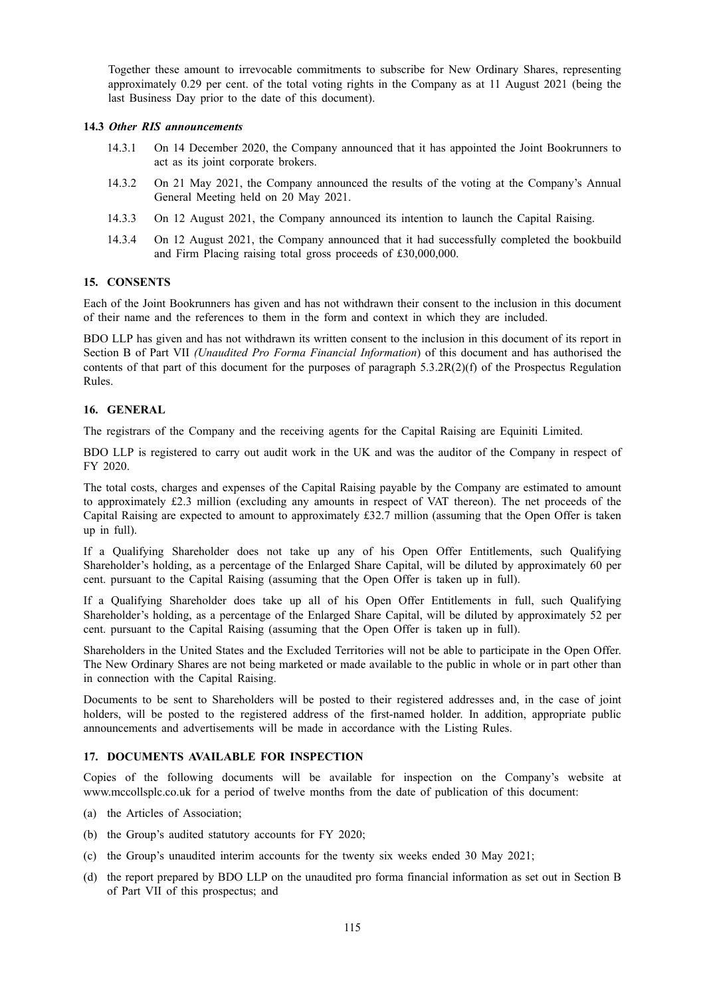Together these amount to irrevocable commitments to subscribe for New Ordinary Shares, representing approximately 0.29 per cent. of the total voting rights in the Company as at 11 August 2021 (being the last Business Day prior to the date of this document).

### **14.3** *Other RIS announcements*

- 14.3.1 On 14 December 2020, the Company announced that it has appointed the Joint Bookrunners to act as its joint corporate brokers.
- 14.3.2 On 21 May 2021, the Company announced the results of the voting at the Company's Annual General Meeting held on 20 May 2021.
- 14.3.3 On 12 August 2021, the Company announced its intention to launch the Capital Raising.
- 14.3.4 On 12 August 2021, the Company announced that it had successfully completed the bookbuild and Firm Placing raising total gross proceeds of £30,000,000.

## **15. CONSENTS**

Each of the Joint Bookrunners has given and has not withdrawn their consent to the inclusion in this document of their name and the references to them in the form and context in which they are included.

BDO LLP has given and has not withdrawn its written consent to the inclusion in this document of its report in Section B of Part VII *(Unaudited Pro Forma Financial Information*) of this document and has authorised the contents of that part of this document for the purposes of paragraph  $5.3.2R(2)(f)$  of the Prospectus Regulation Rules.

### **16. GENERAL**

The registrars of the Company and the receiving agents for the Capital Raising are Equiniti Limited.

BDO LLP is registered to carry out audit work in the UK and was the auditor of the Company in respect of FY 2020.

The total costs, charges and expenses of the Capital Raising payable by the Company are estimated to amount to approximately £2.3 million (excluding any amounts in respect of VAT thereon). The net proceeds of the Capital Raising are expected to amount to approximately £32.7 million (assuming that the Open Offer is taken up in full).

If a Qualifying Shareholder does not take up any of his Open Offer Entitlements, such Qualifying Shareholder's holding, as a percentage of the Enlarged Share Capital, will be diluted by approximately 60 per cent. pursuant to the Capital Raising (assuming that the Open Offer is taken up in full).

If a Qualifying Shareholder does take up all of his Open Offer Entitlements in full, such Qualifying Shareholder's holding, as a percentage of the Enlarged Share Capital, will be diluted by approximately 52 per cent. pursuant to the Capital Raising (assuming that the Open Offer is taken up in full).

Shareholders in the United States and the Excluded Territories will not be able to participate in the Open Offer. The New Ordinary Shares are not being marketed or made available to the public in whole or in part other than in connection with the Capital Raising.

Documents to be sent to Shareholders will be posted to their registered addresses and, in the case of joint holders, will be posted to the registered address of the first-named holder. In addition, appropriate public announcements and advertisements will be made in accordance with the Listing Rules.

### **17. DOCUMENTS AVAILABLE FOR INSPECTION**

Copies of the following documents will be available for inspection on the Company's website at www.mccollsplc.co.uk for a period of twelve months from the date of publication of this document:

- (a) the Articles of Association;
- (b) the Group's audited statutory accounts for FY 2020;
- (c) the Group's unaudited interim accounts for the twenty six weeks ended 30 May 2021;
- (d) the report prepared by BDO LLP on the unaudited pro forma financial information as set out in Section B of Part VII of this prospectus; and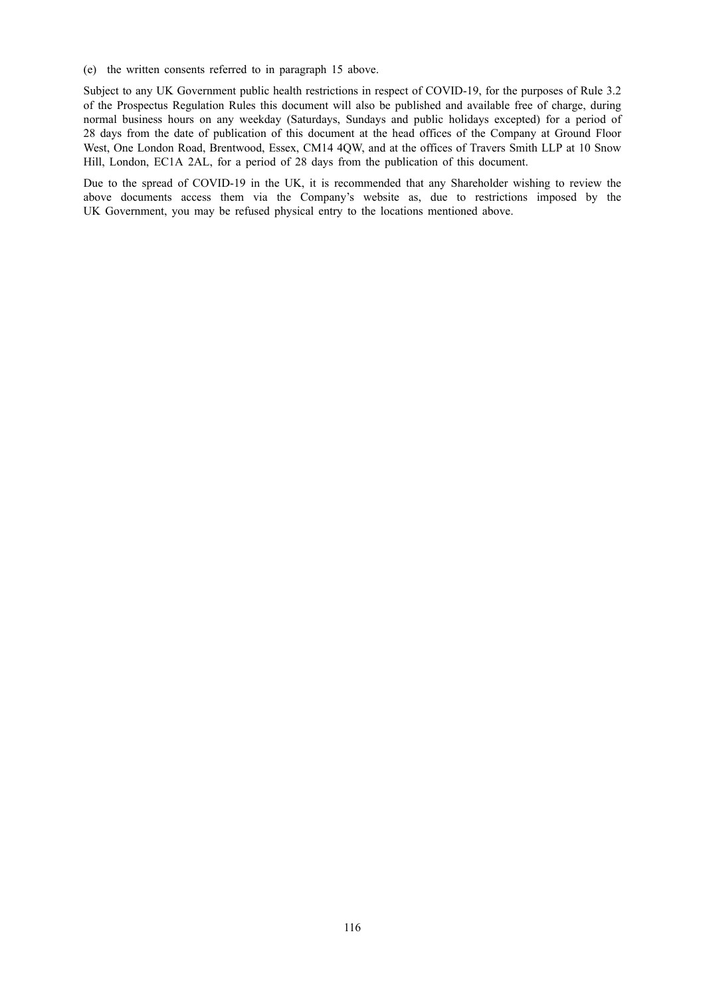(e) the written consents referred to in paragraph 15 above.

Subject to any UK Government public health restrictions in respect of COVID-19, for the purposes of Rule 3.2 of the Prospectus Regulation Rules this document will also be published and available free of charge, during normal business hours on any weekday (Saturdays, Sundays and public holidays excepted) for a period of 28 days from the date of publication of this document at the head offices of the Company at Ground Floor West, One London Road, Brentwood, Essex, CM14 4QW, and at the offices of Travers Smith LLP at 10 Snow Hill, London, EC1A 2AL, for a period of 28 days from the publication of this document.

Due to the spread of COVID-19 in the UK, it is recommended that any Shareholder wishing to review the above documents access them via the Company's website as, due to restrictions imposed by the UK Government, you may be refused physical entry to the locations mentioned above.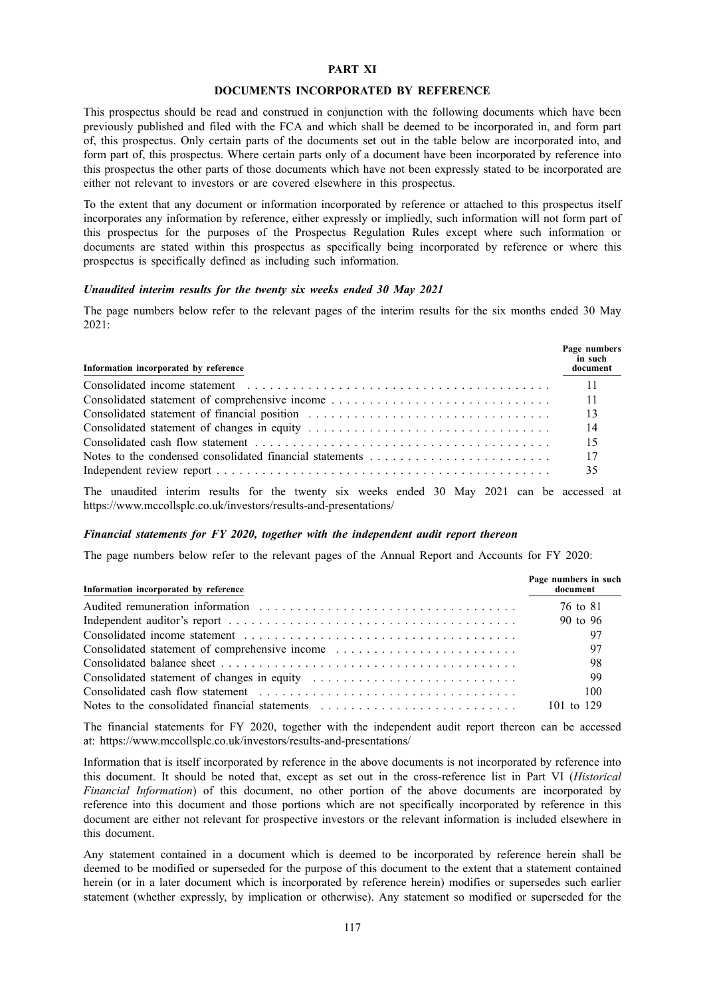### **PART XI**

#### **DOCUMENTS INCORPORATED BY REFERENCE**

This prospectus should be read and construed in conjunction with the following documents which have been previously published and filed with the FCA and which shall be deemed to be incorporated in, and form part of, this prospectus. Only certain parts of the documents set out in the table below are incorporated into, and form part of, this prospectus. Where certain parts only of a document have been incorporated by reference into this prospectus the other parts of those documents which have not been expressly stated to be incorporated are either not relevant to investors or are covered elsewhere in this prospectus.

To the extent that any document or information incorporated by reference or attached to this prospectus itself incorporates any information by reference, either expressly or impliedly, such information will not form part of this prospectus for the purposes of the Prospectus Regulation Rules except where such information or documents are stated within this prospectus as specifically being incorporated by reference or where this prospectus is specifically defined as including such information.

#### *Unaudited interim results for the twenty six weeks ended 30 May 2021*

The page numbers below refer to the relevant pages of the interim results for the six months ended 30 May 2021:

| Information incorporated by reference                                                                                                                                                                                                                                        | Page numbers<br>in such<br>document |
|------------------------------------------------------------------------------------------------------------------------------------------------------------------------------------------------------------------------------------------------------------------------------|-------------------------------------|
|                                                                                                                                                                                                                                                                              | -11                                 |
|                                                                                                                                                                                                                                                                              | -11                                 |
| Consolidated statement of financial position                                                                                                                                                                                                                                 | - 13                                |
|                                                                                                                                                                                                                                                                              | - 14                                |
|                                                                                                                                                                                                                                                                              | -15                                 |
| Notes to the condensed consolidated financial statements                                                                                                                                                                                                                     | -17                                 |
|                                                                                                                                                                                                                                                                              | 35                                  |
| $\text{TH}_{11}$ and the function and the $\text{C}_{11}$ at a proper state and the control $\text{A}$ at $\text{A}$ at $\text{A}$ and $\text{A}$ and $\text{A}$ and $\text{A}$ and $\text{A}$ and $\text{A}$ and $\text{A}$ and $\text{A}$ and $\text{A}$ and $\text{A}$ an |                                     |

The unaudited interim results for the twenty six weeks ended 30 May 2021 can be accessed at https://www.mccollsplc.co.uk/investors/results-and-presentations/

#### *Financial statements for FY 2020, together with the independent audit report thereon*

The page numbers below refer to the relevant pages of the Annual Report and Accounts for FY 2020:

| Information incorporated by reference          | Page numbers in such<br>document |
|------------------------------------------------|----------------------------------|
|                                                | 76 to 81                         |
|                                                | 90 to 96                         |
|                                                |                                  |
| Consolidated statement of comprehensive income |                                  |
|                                                | 98                               |
|                                                | 99                               |
|                                                | 100                              |
|                                                | 101 to 129                       |

The financial statements for FY 2020, together with the independent audit report thereon can be accessed at: https://www.mccollsplc.co.uk/investors/results-and-presentations/

Information that is itself incorporated by reference in the above documents is not incorporated by reference into this document. It should be noted that, except as set out in the cross-reference list in Part VI (*Historical Financial Information*) of this document, no other portion of the above documents are incorporated by reference into this document and those portions which are not specifically incorporated by reference in this document are either not relevant for prospective investors or the relevant information is included elsewhere in this document.

Any statement contained in a document which is deemed to be incorporated by reference herein shall be deemed to be modified or superseded for the purpose of this document to the extent that a statement contained herein (or in a later document which is incorporated by reference herein) modifies or supersedes such earlier statement (whether expressly, by implication or otherwise). Any statement so modified or superseded for the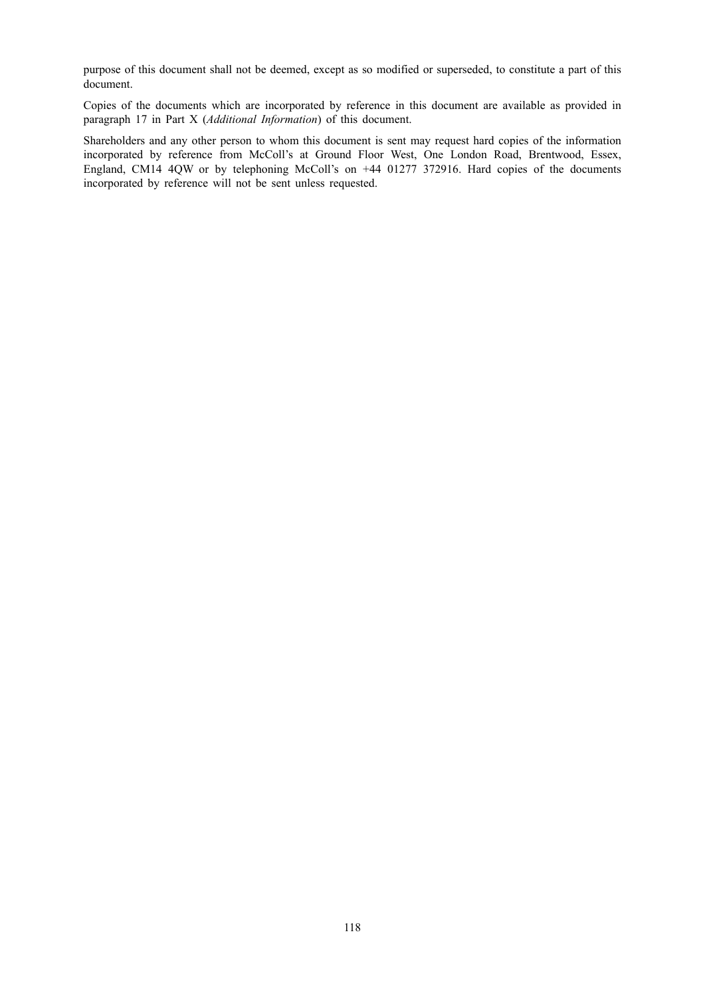purpose of this document shall not be deemed, except as so modified or superseded, to constitute a part of this document.

Copies of the documents which are incorporated by reference in this document are available as provided in paragraph 17 in Part X (*Additional Information*) of this document.

Shareholders and any other person to whom this document is sent may request hard copies of the information incorporated by reference from McColl's at Ground Floor West, One London Road, Brentwood, Essex, England, CM14 4QW or by telephoning McColl's on +44 01277 372916. Hard copies of the documents incorporated by reference will not be sent unless requested.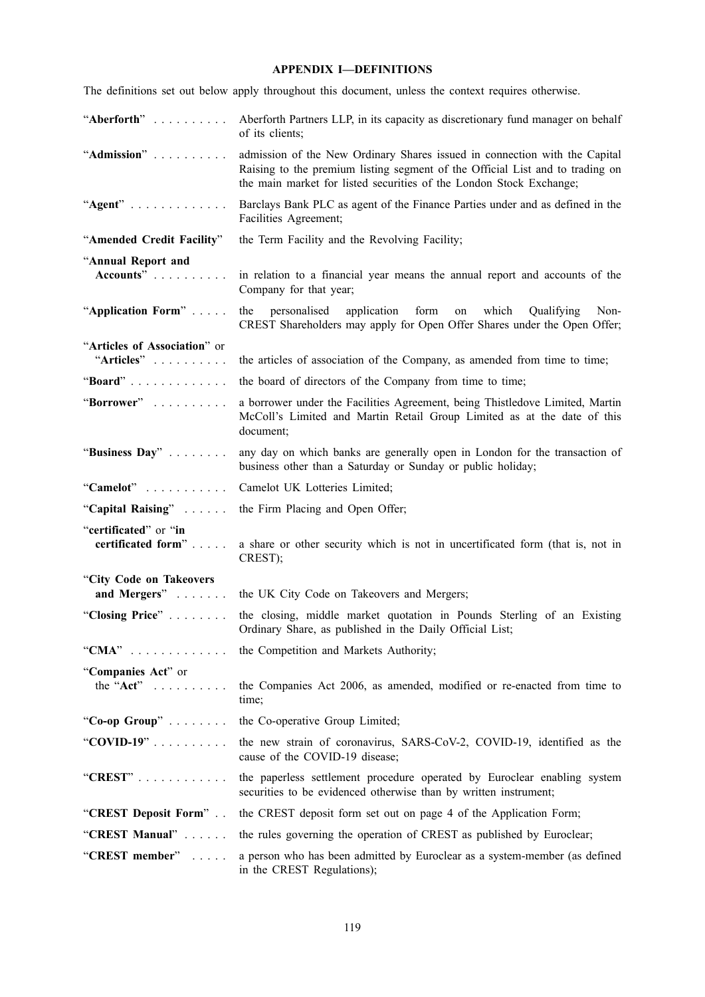# **APPENDIX I—DEFINITIONS**

The definitions set out below apply throughout this document, unless the context requires otherwise.

| "Aberforth"                                 | Aberforth Partners LLP, in its capacity as discretionary fund manager on behalf<br>of its clients;                                                                                                                                 |
|---------------------------------------------|------------------------------------------------------------------------------------------------------------------------------------------------------------------------------------------------------------------------------------|
| "Admission"                                 | admission of the New Ordinary Shares issued in connection with the Capital<br>Raising to the premium listing segment of the Official List and to trading on<br>the main market for listed securities of the London Stock Exchange; |
| " $Agent"$                                  | Barclays Bank PLC as agent of the Finance Parties under and as defined in the<br>Facilities Agreement;                                                                                                                             |
| "Amended Credit Facility"                   | the Term Facility and the Revolving Facility;                                                                                                                                                                                      |
| "Annual Report and                          |                                                                                                                                                                                                                                    |
| Accounts"                                   | in relation to a financial year means the annual report and accounts of the<br>Company for that year;                                                                                                                              |
| "Application Form"                          | which<br>the personalised<br>application form<br>Qualifying<br>Non-<br>on<br>CREST Shareholders may apply for Open Offer Shares under the Open Offer;                                                                              |
| "Articles of Association" or                |                                                                                                                                                                                                                                    |
| "Articles"                                  | the articles of association of the Company, as amended from time to time;                                                                                                                                                          |
| "Board"                                     | the board of directors of the Company from time to time;                                                                                                                                                                           |
| "Borrower"                                  | a borrower under the Facilities Agreement, being Thistledove Limited, Martin<br>McColl's Limited and Martin Retail Group Limited as at the date of this<br>document;                                                               |
| "Business Day"                              | any day on which banks are generally open in London for the transaction of<br>business other than a Saturday or Sunday or public holiday;                                                                                          |
| "Camelot"                                   | Camelot UK Lotteries Limited;                                                                                                                                                                                                      |
| "Capital Raising"                           | the Firm Placing and Open Offer;                                                                                                                                                                                                   |
| "certificated" or "in<br>certificated form" | a share or other security which is not in uncertificated form (that is, not in<br>CREST);                                                                                                                                          |
| "City Code on Takeovers<br>and Mergers"     | the UK City Code on Takeovers and Mergers;                                                                                                                                                                                         |
| "Closing Price"                             | the closing, middle market quotation in Pounds Sterling of an Existing<br>Ordinary Share, as published in the Daily Official List;                                                                                                 |
| "CMA"                                       | the Competition and Markets Authority;                                                                                                                                                                                             |
| "Companies Act" or<br>the "Act" $\ldots$    | the Companies Act 2006, as amended, modified or re-enacted from time to<br>time;                                                                                                                                                   |
| "Co-op Group" $\ldots \ldots$               | the Co-operative Group Limited;                                                                                                                                                                                                    |
| "COVID-19"                                  | the new strain of coronavirus, SARS-CoV-2, COVID-19, identified as the<br>cause of the COVID-19 disease;                                                                                                                           |
| "CREST" $\ldots$                            | the paperless settlement procedure operated by Euroclear enabling system<br>securities to be evidenced otherwise than by written instrument;                                                                                       |
| "CREST Deposit Form"                        | the CREST deposit form set out on page 4 of the Application Form;                                                                                                                                                                  |
| "CREST Manual"                              | the rules governing the operation of CREST as published by Euroclear;                                                                                                                                                              |
| "CREST member"                              | a person who has been admitted by Euroclear as a system-member (as defined                                                                                                                                                         |
|                                             | in the CREST Regulations);                                                                                                                                                                                                         |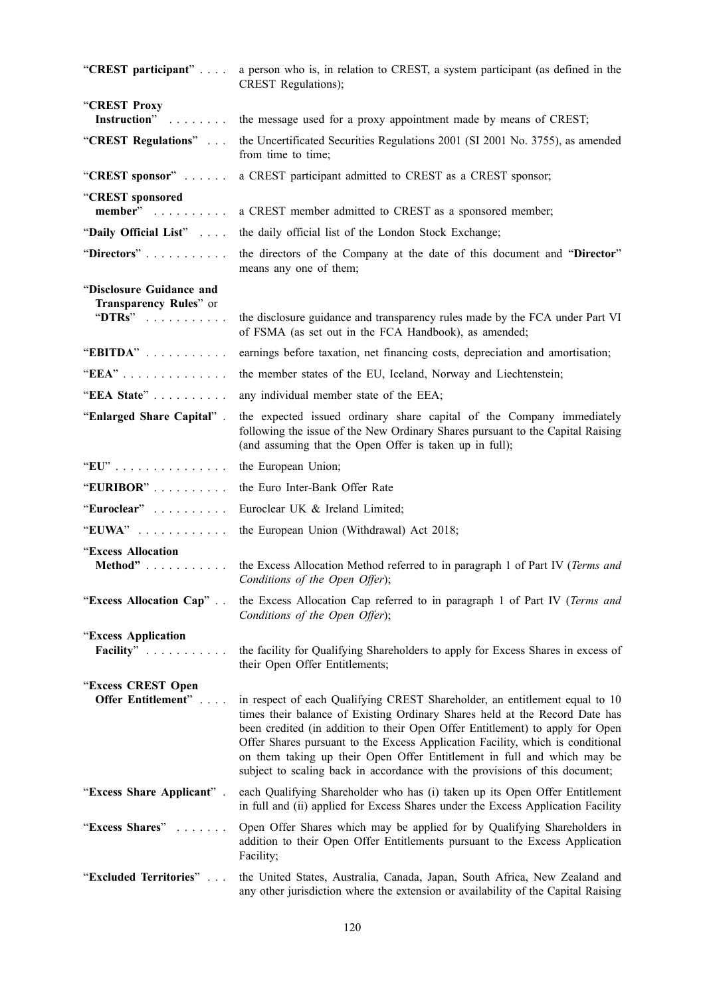| "CREST participant"                                | a person who is, in relation to CREST, a system participant (as defined in the<br>CREST Regulations);                                                                                                                                                                                                                                                                                                                                                                                   |
|----------------------------------------------------|-----------------------------------------------------------------------------------------------------------------------------------------------------------------------------------------------------------------------------------------------------------------------------------------------------------------------------------------------------------------------------------------------------------------------------------------------------------------------------------------|
| "CREST Proxy<br>Instruction"                       | the message used for a proxy appointment made by means of CREST;                                                                                                                                                                                                                                                                                                                                                                                                                        |
| "CREST Regulations"                                | the Uncertificated Securities Regulations 2001 (SI 2001 No. 3755), as amended<br>from time to time;                                                                                                                                                                                                                                                                                                                                                                                     |
| "CREST sponsor"                                    | a CREST participant admitted to CREST as a CREST sponsor;                                                                                                                                                                                                                                                                                                                                                                                                                               |
| "CREST sponsored                                   |                                                                                                                                                                                                                                                                                                                                                                                                                                                                                         |
| member"                                            | a CREST member admitted to CREST as a sponsored member;                                                                                                                                                                                                                                                                                                                                                                                                                                 |
| "Daily Official List"                              | the daily official list of the London Stock Exchange;                                                                                                                                                                                                                                                                                                                                                                                                                                   |
| "Directors"                                        | the directors of the Company at the date of this document and "Director"<br>means any one of them;                                                                                                                                                                                                                                                                                                                                                                                      |
| "Disclosure Guidance and<br>Transparency Rules" or |                                                                                                                                                                                                                                                                                                                                                                                                                                                                                         |
| " $DTRs$ "                                         | the disclosure guidance and transparency rules made by the FCA under Part VI<br>of FSMA (as set out in the FCA Handbook), as amended;                                                                                                                                                                                                                                                                                                                                                   |
| "EBITDA"                                           | earnings before taxation, net financing costs, depreciation and amortisation;                                                                                                                                                                                                                                                                                                                                                                                                           |
| "EEA"                                              | the member states of the EU, Iceland, Norway and Liechtenstein;                                                                                                                                                                                                                                                                                                                                                                                                                         |
| "EEA State"                                        | any individual member state of the EEA;                                                                                                                                                                                                                                                                                                                                                                                                                                                 |
| "Enlarged Share Capital".                          | the expected issued ordinary share capital of the Company immediately<br>following the issue of the New Ordinary Shares pursuant to the Capital Raising<br>(and assuming that the Open Offer is taken up in full);                                                                                                                                                                                                                                                                      |
| $"EU"$                                             | the European Union;                                                                                                                                                                                                                                                                                                                                                                                                                                                                     |
| "EURIBOR"                                          | the Euro Inter-Bank Offer Rate                                                                                                                                                                                                                                                                                                                                                                                                                                                          |
| "Euroclear"                                        | Euroclear UK & Ireland Limited;                                                                                                                                                                                                                                                                                                                                                                                                                                                         |
| "EUWA"                                             | the European Union (Withdrawal) Act 2018;                                                                                                                                                                                                                                                                                                                                                                                                                                               |
| "Excess Allocation<br>Method"                      | the Excess Allocation Method referred to in paragraph 1 of Part IV (Terms and<br>Conditions of the Open Offer);                                                                                                                                                                                                                                                                                                                                                                         |
| "Excess Allocation Cap"                            | the Excess Allocation Cap referred to in paragraph 1 of Part IV (Terms and<br>Conditions of the Open Offer);                                                                                                                                                                                                                                                                                                                                                                            |
| "Excess Application                                |                                                                                                                                                                                                                                                                                                                                                                                                                                                                                         |
| Facility"                                          | the facility for Qualifying Shareholders to apply for Excess Shares in excess of<br>their Open Offer Entitlements;                                                                                                                                                                                                                                                                                                                                                                      |
| "Excess CREST Open<br>Offer Entitlement"           | in respect of each Qualifying CREST Shareholder, an entitlement equal to 10<br>times their balance of Existing Ordinary Shares held at the Record Date has<br>been credited (in addition to their Open Offer Entitlement) to apply for Open<br>Offer Shares pursuant to the Excess Application Facility, which is conditional<br>on them taking up their Open Offer Entitlement in full and which may be<br>subject to scaling back in accordance with the provisions of this document; |
| "Excess Share Applicant".                          | each Qualifying Shareholder who has (i) taken up its Open Offer Entitlement<br>in full and (ii) applied for Excess Shares under the Excess Application Facility                                                                                                                                                                                                                                                                                                                         |
| "Excess Shares"                                    | Open Offer Shares which may be applied for by Qualifying Shareholders in<br>addition to their Open Offer Entitlements pursuant to the Excess Application<br>Facility;                                                                                                                                                                                                                                                                                                                   |
| "Excluded Territories"                             | the United States, Australia, Canada, Japan, South Africa, New Zealand and<br>any other jurisdiction where the extension or availability of the Capital Raising                                                                                                                                                                                                                                                                                                                         |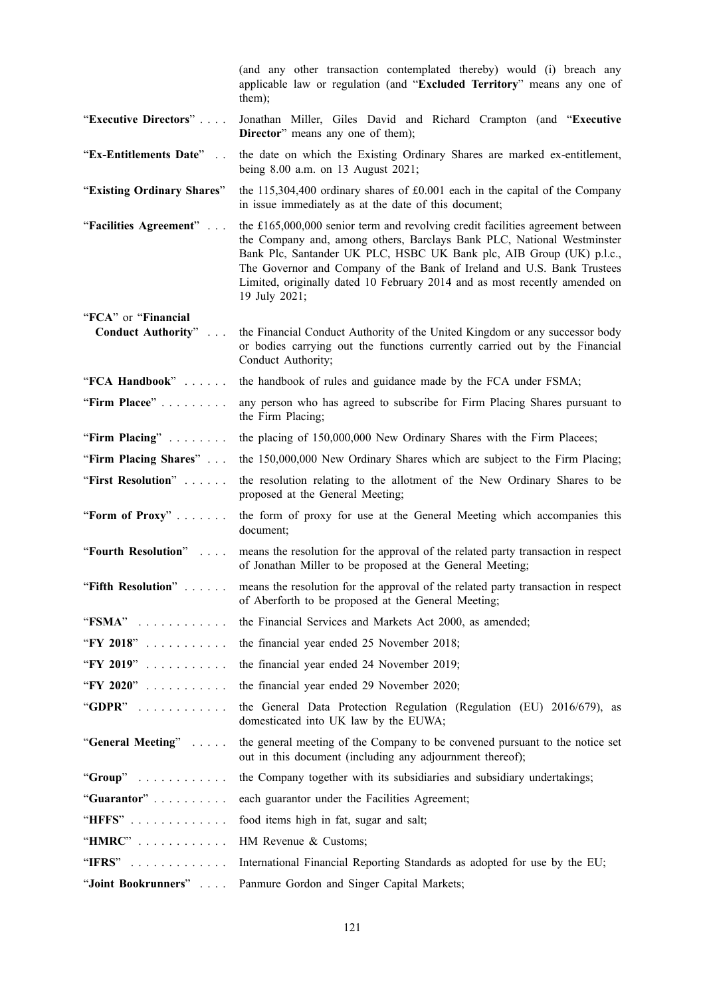|                                                   | (and any other transaction contemplated thereby) would (i) breach any<br>applicable law or regulation (and "Excluded Territory" means any one of<br>them);                                                                                                                                                                                                                                                |
|---------------------------------------------------|-----------------------------------------------------------------------------------------------------------------------------------------------------------------------------------------------------------------------------------------------------------------------------------------------------------------------------------------------------------------------------------------------------------|
| "Executive Directors"                             | Jonathan Miller, Giles David and Richard Crampton (and "Executive<br>Director" means any one of them);                                                                                                                                                                                                                                                                                                    |
| "Ex-Entitlements Date"                            | the date on which the Existing Ordinary Shares are marked ex-entitlement,<br>being 8.00 a.m. on 13 August 2021;                                                                                                                                                                                                                                                                                           |
| "Existing Ordinary Shares"                        | the $115,304,400$ ordinary shares of $\text{\pounds}0.001$ each in the capital of the Company<br>in issue immediately as at the date of this document;                                                                                                                                                                                                                                                    |
| "Facilities Agreement"                            | the £165,000,000 senior term and revolving credit facilities agreement between<br>the Company and, among others, Barclays Bank PLC, National Westminster<br>Bank Plc, Santander UK PLC, HSBC UK Bank plc, AIB Group (UK) p.l.c.,<br>The Governor and Company of the Bank of Ireland and U.S. Bank Trustees<br>Limited, originally dated 10 February 2014 and as most recently amended on<br>19 July 2021; |
| "FCA" or "Financial<br><b>Conduct Authority</b> " | the Financial Conduct Authority of the United Kingdom or any successor body<br>or bodies carrying out the functions currently carried out by the Financial<br>Conduct Authority;                                                                                                                                                                                                                          |
| "FCA Handbook"                                    | the handbook of rules and guidance made by the FCA under FSMA;                                                                                                                                                                                                                                                                                                                                            |
| "Firm Placee"                                     | any person who has agreed to subscribe for Firm Placing Shares pursuant to<br>the Firm Placing;                                                                                                                                                                                                                                                                                                           |
| "Firm Placing"                                    | the placing of 150,000,000 New Ordinary Shares with the Firm Placees;                                                                                                                                                                                                                                                                                                                                     |
| "Firm Placing Shares"                             | the 150,000,000 New Ordinary Shares which are subject to the Firm Placing;                                                                                                                                                                                                                                                                                                                                |
| "First Resolution"                                | the resolution relating to the allotment of the New Ordinary Shares to be<br>proposed at the General Meeting;                                                                                                                                                                                                                                                                                             |
| "Form of Proxy"                                   | the form of proxy for use at the General Meeting which accompanies this<br>document;                                                                                                                                                                                                                                                                                                                      |
| "Fourth Resolution"                               | means the resolution for the approval of the related party transaction in respect<br>of Jonathan Miller to be proposed at the General Meeting;                                                                                                                                                                                                                                                            |
| "Fifth Resolution"                                | means the resolution for the approval of the related party transaction in respect<br>of Aberforth to be proposed at the General Meeting;                                                                                                                                                                                                                                                                  |
| " $FSMA$ "                                        | the Financial Services and Markets Act 2000, as amended;                                                                                                                                                                                                                                                                                                                                                  |
| "FY 2018"                                         | the financial year ended 25 November 2018;                                                                                                                                                                                                                                                                                                                                                                |
| "FY 2019"                                         | the financial year ended 24 November 2019;                                                                                                                                                                                                                                                                                                                                                                |
| "FY 2020"                                         | the financial year ended 29 November 2020;                                                                                                                                                                                                                                                                                                                                                                |
| "GDPR"                                            | the General Data Protection Regulation (Regulation (EU) 2016/679), as<br>domesticated into UK law by the EUWA;                                                                                                                                                                                                                                                                                            |
| "General Meeting"                                 | the general meeting of the Company to be convened pursuant to the notice set<br>out in this document (including any adjournment thereof);                                                                                                                                                                                                                                                                 |
| "Group"                                           | the Company together with its subsidiaries and subsidiary undertakings;                                                                                                                                                                                                                                                                                                                                   |
| "Guarantor"                                       | each guarantor under the Facilities Agreement;                                                                                                                                                                                                                                                                                                                                                            |
| "HFFS"                                            | food items high in fat, sugar and salt;                                                                                                                                                                                                                                                                                                                                                                   |
| "HMRC"                                            | HM Revenue & Customs;                                                                                                                                                                                                                                                                                                                                                                                     |
| "IFRS"                                            | International Financial Reporting Standards as adopted for use by the EU;                                                                                                                                                                                                                                                                                                                                 |
| "Joint Bookrunners"                               | Panmure Gordon and Singer Capital Markets;                                                                                                                                                                                                                                                                                                                                                                |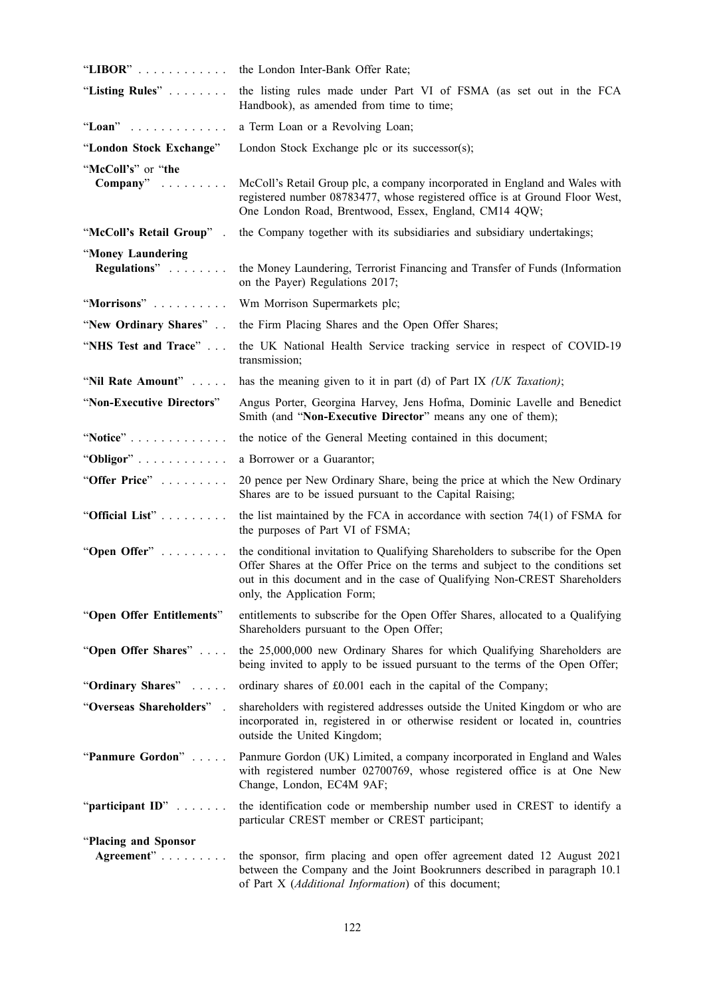| "LIBOR"                                    | the London Inter-Bank Offer Rate;                                                                                                                                                                                                                                             |
|--------------------------------------------|-------------------------------------------------------------------------------------------------------------------------------------------------------------------------------------------------------------------------------------------------------------------------------|
| "Listing Rules"                            | the listing rules made under Part VI of FSMA (as set out in the FCA<br>Handbook), as amended from time to time;                                                                                                                                                               |
| "Loan"                                     | a Term Loan or a Revolving Loan;                                                                                                                                                                                                                                              |
| "London Stock Exchange"                    | London Stock Exchange plc or its successor(s);                                                                                                                                                                                                                                |
| "McColl's" or "the<br>$\mathbf{Compary}^n$ | McColl's Retail Group plc, a company incorporated in England and Wales with<br>registered number 08783477, whose registered office is at Ground Floor West,<br>One London Road, Brentwood, Essex, England, CM14 4QW;                                                          |
| "McColl's Retail Group".                   | the Company together with its subsidiaries and subsidiary undertakings;                                                                                                                                                                                                       |
| "Money Laundering<br>Regulations"          | the Money Laundering, Terrorist Financing and Transfer of Funds (Information<br>on the Payer) Regulations 2017;                                                                                                                                                               |
| "Morrisons"                                | Wm Morrison Supermarkets plc;                                                                                                                                                                                                                                                 |
| "New Ordinary Shares"                      | the Firm Placing Shares and the Open Offer Shares;                                                                                                                                                                                                                            |
| "NHS Test and Trace"                       | the UK National Health Service tracking service in respect of COVID-19<br>transmission;                                                                                                                                                                                       |
| "Nil Rate Amount"                          | has the meaning given to it in part (d) of Part IX (UK Taxation);                                                                                                                                                                                                             |
| "Non-Executive Directors"                  | Angus Porter, Georgina Harvey, Jens Hofma, Dominic Lavelle and Benedict<br>Smith (and "Non-Executive Director" means any one of them);                                                                                                                                        |
| "Notice"                                   | the notice of the General Meeting contained in this document;                                                                                                                                                                                                                 |
| "Obligor"                                  | a Borrower or a Guarantor;                                                                                                                                                                                                                                                    |
| "Offer Price"                              | 20 pence per New Ordinary Share, being the price at which the New Ordinary<br>Shares are to be issued pursuant to the Capital Raising;                                                                                                                                        |
| "Official List"                            | the list maintained by the FCA in accordance with section $74(1)$ of FSMA for<br>the purposes of Part VI of FSMA;                                                                                                                                                             |
| "Open Offer"                               | the conditional invitation to Qualifying Shareholders to subscribe for the Open<br>Offer Shares at the Offer Price on the terms and subject to the conditions set<br>out in this document and in the case of Qualifying Non-CREST Shareholders<br>only, the Application Form; |
| "Open Offer Entitlements"                  | entitlements to subscribe for the Open Offer Shares, allocated to a Qualifying<br>Shareholders pursuant to the Open Offer;                                                                                                                                                    |
| "Open Offer Shares"                        | the 25,000,000 new Ordinary Shares for which Qualifying Shareholders are<br>being invited to apply to be issued pursuant to the terms of the Open Offer;                                                                                                                      |
| "Ordinary Shares"                          | ordinary shares of £0.001 each in the capital of the Company;                                                                                                                                                                                                                 |
| "Overseas Shareholders"                    | shareholders with registered addresses outside the United Kingdom or who are<br>incorporated in, registered in or otherwise resident or located in, countries<br>outside the United Kingdom;                                                                                  |
| "Panmure Gordon"                           | Panmure Gordon (UK) Limited, a company incorporated in England and Wales<br>with registered number 02700769, whose registered office is at One New<br>Change, London, EC4M 9AF;                                                                                               |
| "participant ID"                           | the identification code or membership number used in CREST to identify a<br>particular CREST member or CREST participant;                                                                                                                                                     |
| "Placing and Sponsor<br>Agreement"         | the sponsor, firm placing and open offer agreement dated 12 August 2021<br>between the Company and the Joint Bookrunners described in paragraph 10.1<br>of Part X (Additional Information) of this document;                                                                  |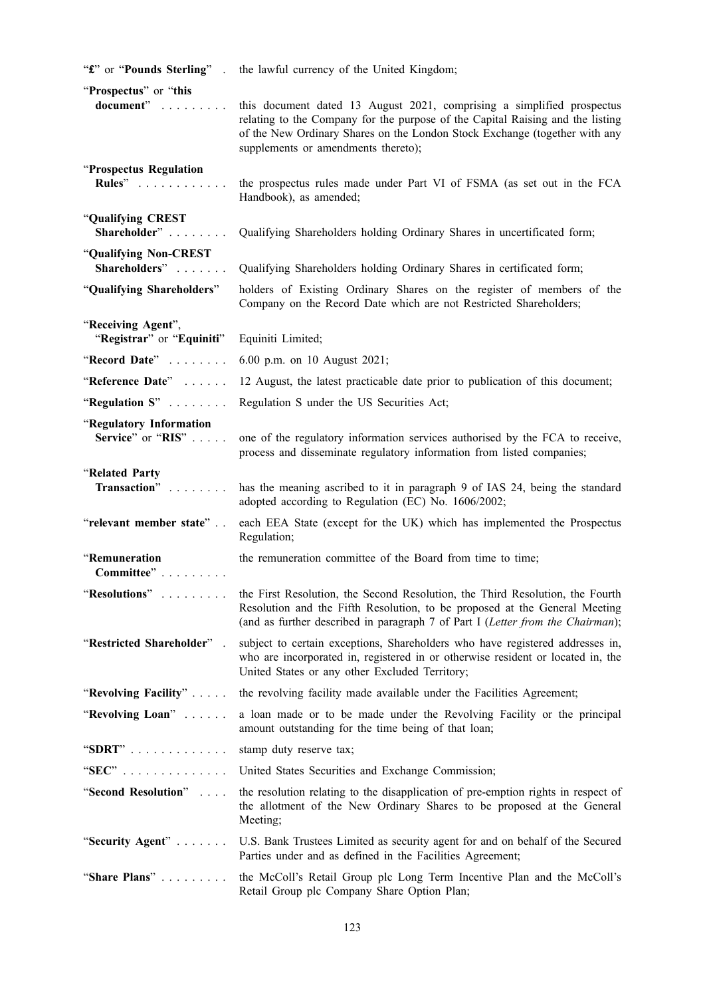| "£" or "Pounds Sterling".                       | the lawful currency of the United Kingdom;                                                                                                                                                                                                                                    |
|-------------------------------------------------|-------------------------------------------------------------------------------------------------------------------------------------------------------------------------------------------------------------------------------------------------------------------------------|
| "Prospectus" or "this<br>document"              | this document dated 13 August 2021, comprising a simplified prospectus<br>relating to the Company for the purpose of the Capital Raising and the listing<br>of the New Ordinary Shares on the London Stock Exchange (together with any<br>supplements or amendments thereto); |
| "Prospectus Regulation<br><b>Rules</b> "        | the prospectus rules made under Part VI of FSMA (as set out in the FCA<br>Handbook), as amended;                                                                                                                                                                              |
| "Qualifying CREST<br>Shareholder"               | Qualifying Shareholders holding Ordinary Shares in uncertificated form;                                                                                                                                                                                                       |
| "Qualifying Non-CREST<br>Shareholders"          | Qualifying Shareholders holding Ordinary Shares in certificated form;                                                                                                                                                                                                         |
| "Qualifying Shareholders"                       | holders of Existing Ordinary Shares on the register of members of the<br>Company on the Record Date which are not Restricted Shareholders;                                                                                                                                    |
| "Receiving Agent",<br>"Registrar" or "Equiniti" | Equiniti Limited;                                                                                                                                                                                                                                                             |
| "Record Date"                                   | 6.00 p.m. on 10 August 2021;                                                                                                                                                                                                                                                  |
| "Reference Date"                                | 12 August, the latest practicable date prior to publication of this document;                                                                                                                                                                                                 |
| "Regulation S"                                  | Regulation S under the US Securities Act;                                                                                                                                                                                                                                     |
| "Regulatory Information<br>Service" or "RIS"    | one of the regulatory information services authorised by the FCA to receive,<br>process and disseminate regulatory information from listed companies;                                                                                                                         |
| "Related Party<br>Transaction"                  | has the meaning ascribed to it in paragraph 9 of IAS 24, being the standard<br>adopted according to Regulation (EC) No. 1606/2002;                                                                                                                                            |
| "relevant member state"                         | each EEA State (except for the UK) which has implemented the Prospectus<br>Regulation;                                                                                                                                                                                        |
| "Remuneration<br>Committee"                     | the remuneration committee of the Board from time to time;                                                                                                                                                                                                                    |
| "Resolutions"                                   | the First Resolution, the Second Resolution, the Third Resolution, the Fourth<br>Resolution and the Fifth Resolution, to be proposed at the General Meeting<br>(and as further described in paragraph 7 of Part I (Letter from the Chairman);                                 |
| "Restricted Shareholder".                       | subject to certain exceptions, Shareholders who have registered addresses in,<br>who are incorporated in, registered in or otherwise resident or located in, the<br>United States or any other Excluded Territory;                                                            |
| "Revolving Facility"                            | the revolving facility made available under the Facilities Agreement;                                                                                                                                                                                                         |
| "Revolving Loan"                                | a loan made or to be made under the Revolving Facility or the principal<br>amount outstanding for the time being of that loan;                                                                                                                                                |
| "SDRT"                                          | stamp duty reserve tax;                                                                                                                                                                                                                                                       |
| " $SEC$ "                                       | United States Securities and Exchange Commission;                                                                                                                                                                                                                             |
| "Second Resolution"                             | the resolution relating to the disapplication of pre-emption rights in respect of<br>the allotment of the New Ordinary Shares to be proposed at the General<br>Meeting;                                                                                                       |
| "Security Agent"                                | U.S. Bank Trustees Limited as security agent for and on behalf of the Secured<br>Parties under and as defined in the Facilities Agreement;                                                                                                                                    |
| "Share Plans"                                   | the McColl's Retail Group plc Long Term Incentive Plan and the McColl's<br>Retail Group plc Company Share Option Plan;                                                                                                                                                        |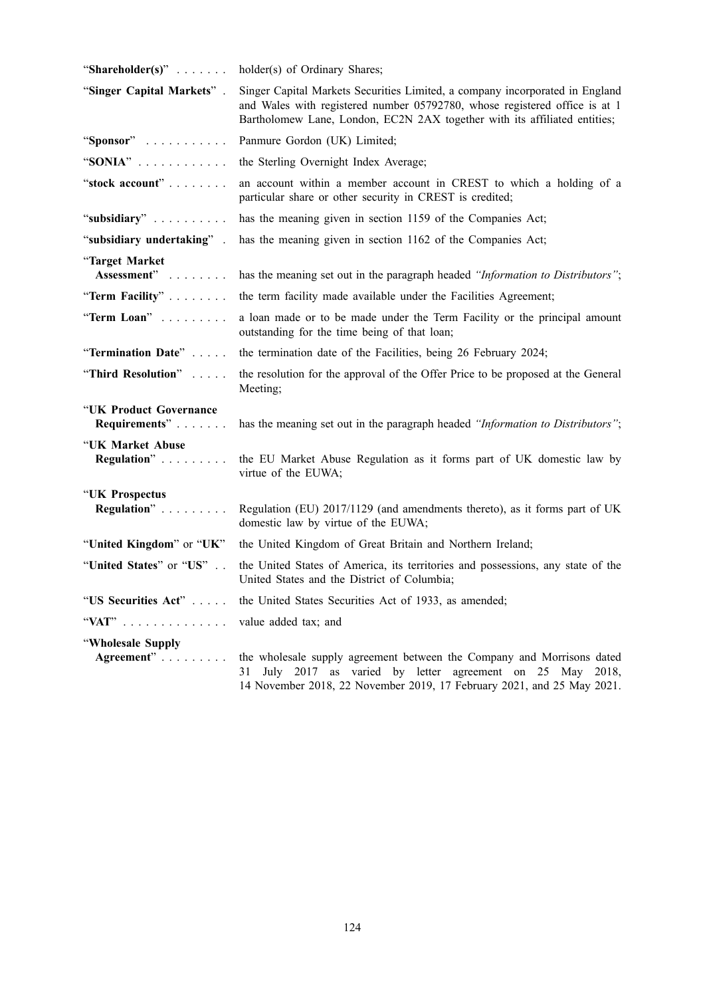| "Shareholder(s)" $\ldots$               | holder(s) of Ordinary Shares;                                                                                                                                                                                                           |
|-----------------------------------------|-----------------------------------------------------------------------------------------------------------------------------------------------------------------------------------------------------------------------------------------|
| "Singer Capital Markets".               | Singer Capital Markets Securities Limited, a company incorporated in England<br>and Wales with registered number 05792780, whose registered office is at 1<br>Bartholomew Lane, London, EC2N 2AX together with its affiliated entities; |
| "Sponsor"                               | Panmure Gordon (UK) Limited;                                                                                                                                                                                                            |
| "SONIA" $\ldots$                        | the Sterling Overnight Index Average;                                                                                                                                                                                                   |
| "stock account"                         | an account within a member account in CREST to which a holding of a<br>particular share or other security in CREST is credited;                                                                                                         |
| "subsidiary"                            | has the meaning given in section 1159 of the Companies Act;                                                                                                                                                                             |
| "subsidiary undertaking".               | has the meaning given in section 1162 of the Companies Act;                                                                                                                                                                             |
| "Target Market<br>Assessment"           | has the meaning set out in the paragraph headed "Information to Distributors";                                                                                                                                                          |
| "Term Facility"                         | the term facility made available under the Facilities Agreement;                                                                                                                                                                        |
| "Term Loan"                             | a loan made or to be made under the Term Facility or the principal amount<br>outstanding for the time being of that loan;                                                                                                               |
| "Termination Date"                      | the termination date of the Facilities, being 26 February 2024;                                                                                                                                                                         |
| "Third Resolution"                      | the resolution for the approval of the Offer Price to be proposed at the General<br>Meeting;                                                                                                                                            |
| "UK Product Governance<br>Requirements" | has the meaning set out in the paragraph headed "Information to Distributors";                                                                                                                                                          |
| "UK Market Abuse<br>Regulation"         | the EU Market Abuse Regulation as it forms part of UK domestic law by<br>virtue of the EUWA;                                                                                                                                            |
| "UK Prospectus<br>Regulation"           | Regulation (EU) 2017/1129 (and amendments thereto), as it forms part of UK<br>domestic law by virtue of the EUWA;                                                                                                                       |
| "United Kingdom" or "UK"                | the United Kingdom of Great Britain and Northern Ireland;                                                                                                                                                                               |
| "United States" or "US"                 | the United States of America, its territories and possessions, any state of the<br>United States and the District of Columbia;                                                                                                          |
| "US Securities Act"                     | the United States Securities Act of 1933, as amended;                                                                                                                                                                                   |
| "VAT"                                   | value added tax; and                                                                                                                                                                                                                    |
| "Wholesale Supply                       |                                                                                                                                                                                                                                         |
| Agreement"                              | the wholesale supply agreement between the Company and Morrisons dated<br>July 2017 as varied by letter agreement on 25 May 2018,<br>31<br>14 November 2018, 22 November 2019, 17 February 2021, and 25 May 2021.                       |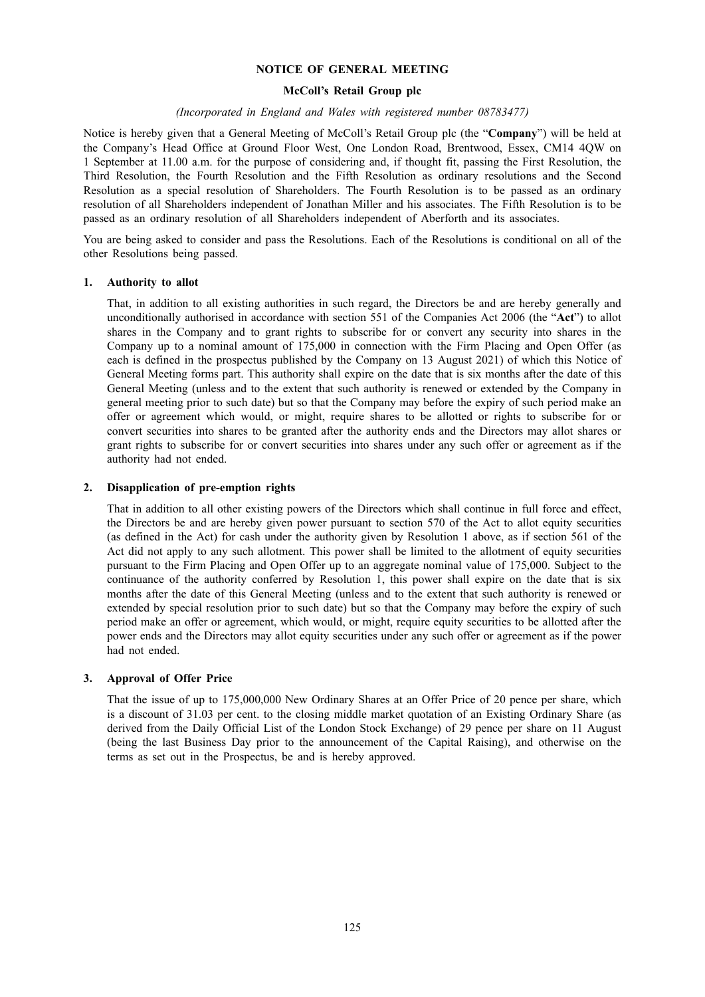#### **NOTICE OF GENERAL MEETING**

### **McColl's Retail Group plc**

#### *(Incorporated in England and Wales with registered number 08783477)*

Notice is hereby given that a General Meeting of McColl's Retail Group plc (the "**Company**") will be held at the Company's Head Office at Ground Floor West, One London Road, Brentwood, Essex, CM14 4QW on 1 September at 11.00 a.m. for the purpose of considering and, if thought fit, passing the First Resolution, the Third Resolution, the Fourth Resolution and the Fifth Resolution as ordinary resolutions and the Second Resolution as a special resolution of Shareholders. The Fourth Resolution is to be passed as an ordinary resolution of all Shareholders independent of Jonathan Miller and his associates. The Fifth Resolution is to be passed as an ordinary resolution of all Shareholders independent of Aberforth and its associates.

You are being asked to consider and pass the Resolutions. Each of the Resolutions is conditional on all of the other Resolutions being passed.

#### **1. Authority to allot**

That, in addition to all existing authorities in such regard, the Directors be and are hereby generally and unconditionally authorised in accordance with section 551 of the Companies Act 2006 (the "**Act**") to allot shares in the Company and to grant rights to subscribe for or convert any security into shares in the Company up to a nominal amount of 175,000 in connection with the Firm Placing and Open Offer (as each is defined in the prospectus published by the Company on 13 August 2021) of which this Notice of General Meeting forms part. This authority shall expire on the date that is six months after the date of this General Meeting (unless and to the extent that such authority is renewed or extended by the Company in general meeting prior to such date) but so that the Company may before the expiry of such period make an offer or agreement which would, or might, require shares to be allotted or rights to subscribe for or convert securities into shares to be granted after the authority ends and the Directors may allot shares or grant rights to subscribe for or convert securities into shares under any such offer or agreement as if the authority had not ended.

#### **2. Disapplication of pre-emption rights**

That in addition to all other existing powers of the Directors which shall continue in full force and effect, the Directors be and are hereby given power pursuant to section 570 of the Act to allot equity securities (as defined in the Act) for cash under the authority given by Resolution 1 above, as if section 561 of the Act did not apply to any such allotment. This power shall be limited to the allotment of equity securities pursuant to the Firm Placing and Open Offer up to an aggregate nominal value of 175,000. Subject to the continuance of the authority conferred by Resolution 1, this power shall expire on the date that is six months after the date of this General Meeting (unless and to the extent that such authority is renewed or extended by special resolution prior to such date) but so that the Company may before the expiry of such period make an offer or agreement, which would, or might, require equity securities to be allotted after the power ends and the Directors may allot equity securities under any such offer or agreement as if the power had not ended.

### **3. Approval of Offer Price**

That the issue of up to 175,000,000 New Ordinary Shares at an Offer Price of 20 pence per share, which is a discount of 31.03 per cent. to the closing middle market quotation of an Existing Ordinary Share (as derived from the Daily Official List of the London Stock Exchange) of 29 pence per share on 11 August (being the last Business Day prior to the announcement of the Capital Raising), and otherwise on the terms as set out in the Prospectus, be and is hereby approved.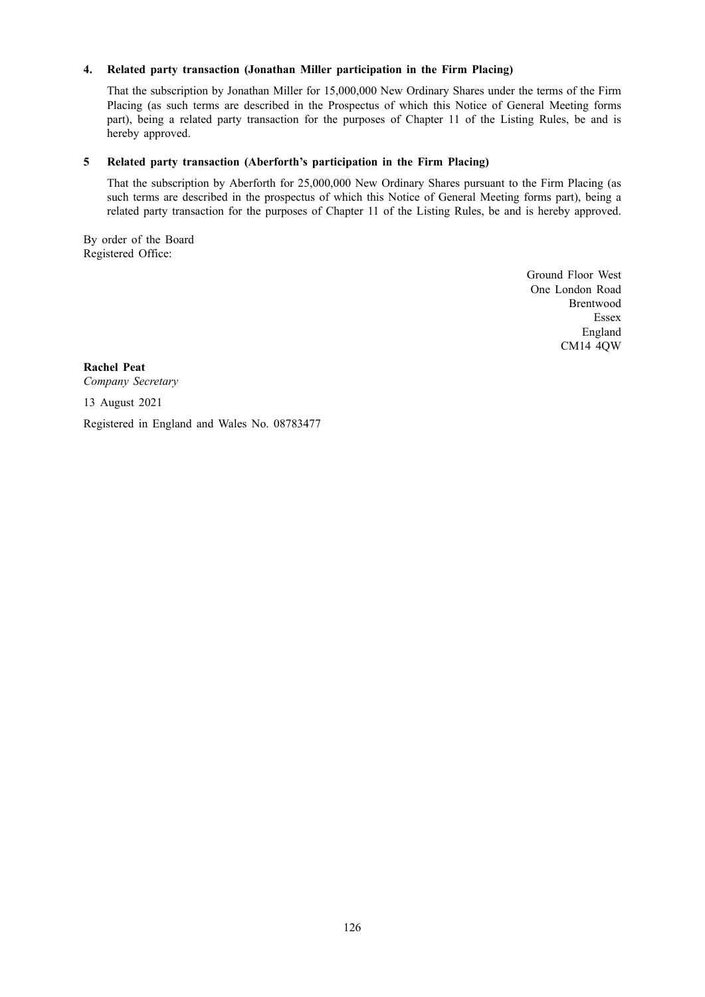## **4. Related party transaction (Jonathan Miller participation in the Firm Placing)**

That the subscription by Jonathan Miller for 15,000,000 New Ordinary Shares under the terms of the Firm Placing (as such terms are described in the Prospectus of which this Notice of General Meeting forms part), being a related party transaction for the purposes of Chapter 11 of the Listing Rules, be and is hereby approved.

## **5 Related party transaction (Aberforth's participation in the Firm Placing)**

That the subscription by Aberforth for 25,000,000 New Ordinary Shares pursuant to the Firm Placing (as such terms are described in the prospectus of which this Notice of General Meeting forms part), being a related party transaction for the purposes of Chapter 11 of the Listing Rules, be and is hereby approved.

By order of the Board Registered Office:

> Ground Floor West One London Road Brentwood Essex England CM14 4QW

**Rachel Peat** *Company Secretary*

13 August 2021

Registered in England and Wales No. 08783477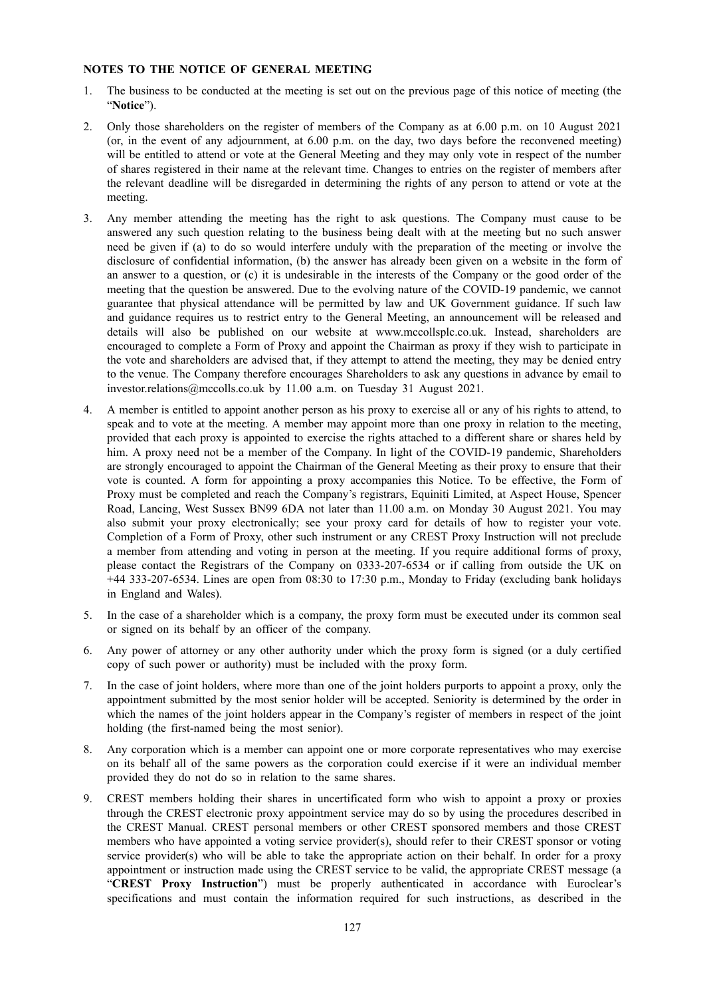### **NOTES TO THE NOTICE OF GENERAL MEETING**

- 1. The business to be conducted at the meeting is set out on the previous page of this notice of meeting (the "**Notice**").
- 2. Only those shareholders on the register of members of the Company as at 6.00 p.m. on 10 August 2021 (or, in the event of any adjournment, at 6.00 p.m. on the day, two days before the reconvened meeting) will be entitled to attend or vote at the General Meeting and they may only vote in respect of the number of shares registered in their name at the relevant time. Changes to entries on the register of members after the relevant deadline will be disregarded in determining the rights of any person to attend or vote at the meeting.
- 3. Any member attending the meeting has the right to ask questions. The Company must cause to be answered any such question relating to the business being dealt with at the meeting but no such answer need be given if (a) to do so would interfere unduly with the preparation of the meeting or involve the disclosure of confidential information, (b) the answer has already been given on a website in the form of an answer to a question, or (c) it is undesirable in the interests of the Company or the good order of the meeting that the question be answered. Due to the evolving nature of the COVID-19 pandemic, we cannot guarantee that physical attendance will be permitted by law and UK Government guidance. If such law and guidance requires us to restrict entry to the General Meeting, an announcement will be released and details will also be published on our website at www.mccollsplc.co.uk. Instead, shareholders are encouraged to complete a Form of Proxy and appoint the Chairman as proxy if they wish to participate in the vote and shareholders are advised that, if they attempt to attend the meeting, they may be denied entry to the venue. The Company therefore encourages Shareholders to ask any questions in advance by email to investor.relations@mccolls.co.uk by 11.00 a.m. on Tuesday 31 August 2021.
- 4. A member is entitled to appoint another person as his proxy to exercise all or any of his rights to attend, to speak and to vote at the meeting. A member may appoint more than one proxy in relation to the meeting, provided that each proxy is appointed to exercise the rights attached to a different share or shares held by him. A proxy need not be a member of the Company. In light of the COVID-19 pandemic, Shareholders are strongly encouraged to appoint the Chairman of the General Meeting as their proxy to ensure that their vote is counted. A form for appointing a proxy accompanies this Notice. To be effective, the Form of Proxy must be completed and reach the Company's registrars, Equiniti Limited, at Aspect House, Spencer Road, Lancing, West Sussex BN99 6DA not later than 11.00 a.m. on Monday 30 August 2021. You may also submit your proxy electronically; see your proxy card for details of how to register your vote. Completion of a Form of Proxy, other such instrument or any CREST Proxy Instruction will not preclude a member from attending and voting in person at the meeting. If you require additional forms of proxy, please contact the Registrars of the Company on 0333-207-6534 or if calling from outside the UK on +44 333-207-6534. Lines are open from 08:30 to 17:30 p.m., Monday to Friday (excluding bank holidays in England and Wales).
- 5. In the case of a shareholder which is a company, the proxy form must be executed under its common seal or signed on its behalf by an officer of the company.
- 6. Any power of attorney or any other authority under which the proxy form is signed (or a duly certified copy of such power or authority) must be included with the proxy form.
- 7. In the case of joint holders, where more than one of the joint holders purports to appoint a proxy, only the appointment submitted by the most senior holder will be accepted. Seniority is determined by the order in which the names of the joint holders appear in the Company's register of members in respect of the joint holding (the first-named being the most senior).
- 8. Any corporation which is a member can appoint one or more corporate representatives who may exercise on its behalf all of the same powers as the corporation could exercise if it were an individual member provided they do not do so in relation to the same shares.
- 9. CREST members holding their shares in uncertificated form who wish to appoint a proxy or proxies through the CREST electronic proxy appointment service may do so by using the procedures described in the CREST Manual. CREST personal members or other CREST sponsored members and those CREST members who have appointed a voting service provider(s), should refer to their CREST sponsor or voting service provider(s) who will be able to take the appropriate action on their behalf. In order for a proxy appointment or instruction made using the CREST service to be valid, the appropriate CREST message (a "**CREST Proxy Instruction**") must be properly authenticated in accordance with Euroclear's specifications and must contain the information required for such instructions, as described in the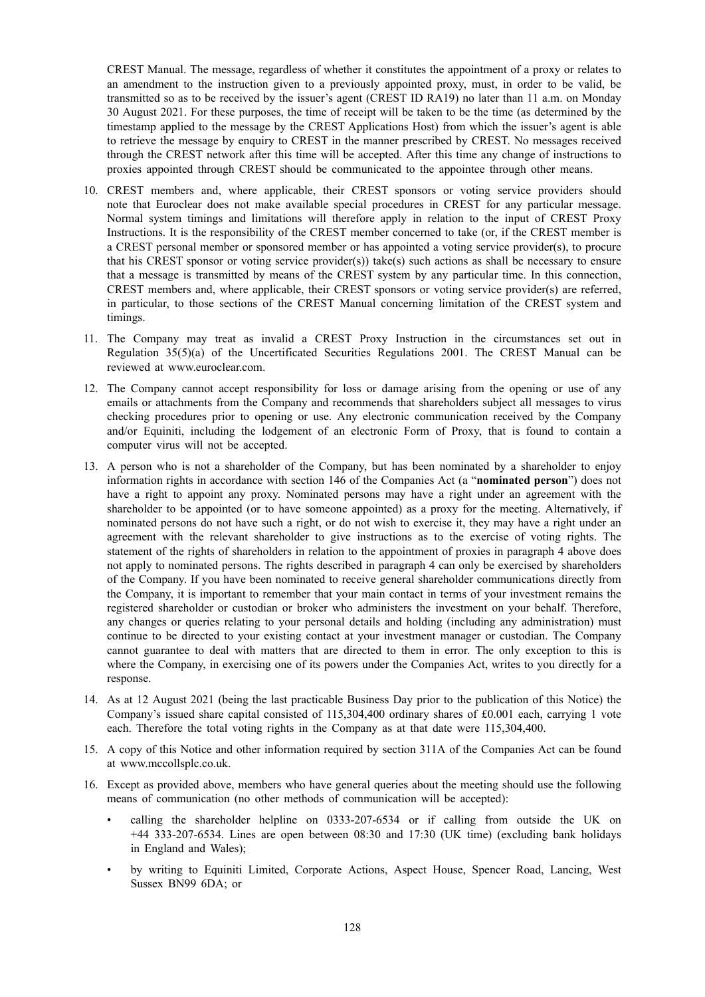CREST Manual. The message, regardless of whether it constitutes the appointment of a proxy or relates to an amendment to the instruction given to a previously appointed proxy, must, in order to be valid, be transmitted so as to be received by the issuer's agent (CREST ID RA19) no later than 11 a.m. on Monday 30 August 2021. For these purposes, the time of receipt will be taken to be the time (as determined by the timestamp applied to the message by the CREST Applications Host) from which the issuer's agent is able to retrieve the message by enquiry to CREST in the manner prescribed by CREST. No messages received through the CREST network after this time will be accepted. After this time any change of instructions to proxies appointed through CREST should be communicated to the appointee through other means.

- 10. CREST members and, where applicable, their CREST sponsors or voting service providers should note that Euroclear does not make available special procedures in CREST for any particular message. Normal system timings and limitations will therefore apply in relation to the input of CREST Proxy Instructions. It is the responsibility of the CREST member concerned to take (or, if the CREST member is a CREST personal member or sponsored member or has appointed a voting service provider(s), to procure that his CREST sponsor or voting service provider(s)) take(s) such actions as shall be necessary to ensure that a message is transmitted by means of the CREST system by any particular time. In this connection, CREST members and, where applicable, their CREST sponsors or voting service provider(s) are referred, in particular, to those sections of the CREST Manual concerning limitation of the CREST system and timings.
- 11. The Company may treat as invalid a CREST Proxy Instruction in the circumstances set out in Regulation  $35(5)(a)$  of the Uncertificated Securities Regulations 2001. The CREST Manual can be reviewed at www.euroclear.com.
- 12. The Company cannot accept responsibility for loss or damage arising from the opening or use of any emails or attachments from the Company and recommends that shareholders subject all messages to virus checking procedures prior to opening or use. Any electronic communication received by the Company and/or Equiniti, including the lodgement of an electronic Form of Proxy, that is found to contain a computer virus will not be accepted.
- 13. A person who is not a shareholder of the Company, but has been nominated by a shareholder to enjoy information rights in accordance with section 146 of the Companies Act (a "**nominated person**") does not have a right to appoint any proxy. Nominated persons may have a right under an agreement with the shareholder to be appointed (or to have someone appointed) as a proxy for the meeting. Alternatively, if nominated persons do not have such a right, or do not wish to exercise it, they may have a right under an agreement with the relevant shareholder to give instructions as to the exercise of voting rights. The statement of the rights of shareholders in relation to the appointment of proxies in paragraph 4 above does not apply to nominated persons. The rights described in paragraph 4 can only be exercised by shareholders of the Company. If you have been nominated to receive general shareholder communications directly from the Company, it is important to remember that your main contact in terms of your investment remains the registered shareholder or custodian or broker who administers the investment on your behalf. Therefore, any changes or queries relating to your personal details and holding (including any administration) must continue to be directed to your existing contact at your investment manager or custodian. The Company cannot guarantee to deal with matters that are directed to them in error. The only exception to this is where the Company, in exercising one of its powers under the Companies Act, writes to you directly for a response.
- 14. As at 12 August 2021 (being the last practicable Business Day prior to the publication of this Notice) the Company's issued share capital consisted of 115,304,400 ordinary shares of £0.001 each, carrying 1 vote each. Therefore the total voting rights in the Company as at that date were 115,304,400.
- 15. A copy of this Notice and other information required by section 311A of the Companies Act can be found at www.mccollsplc.co.uk.
- 16. Except as provided above, members who have general queries about the meeting should use the following means of communication (no other methods of communication will be accepted):
	- calling the shareholder helpline on 0333-207-6534 or if calling from outside the UK on +44 333-207-6534. Lines are open between 08:30 and 17:30 (UK time) (excluding bank holidays in England and Wales);
	- by writing to Equiniti Limited, Corporate Actions, Aspect House, Spencer Road, Lancing, West Sussex BN99 6DA; or